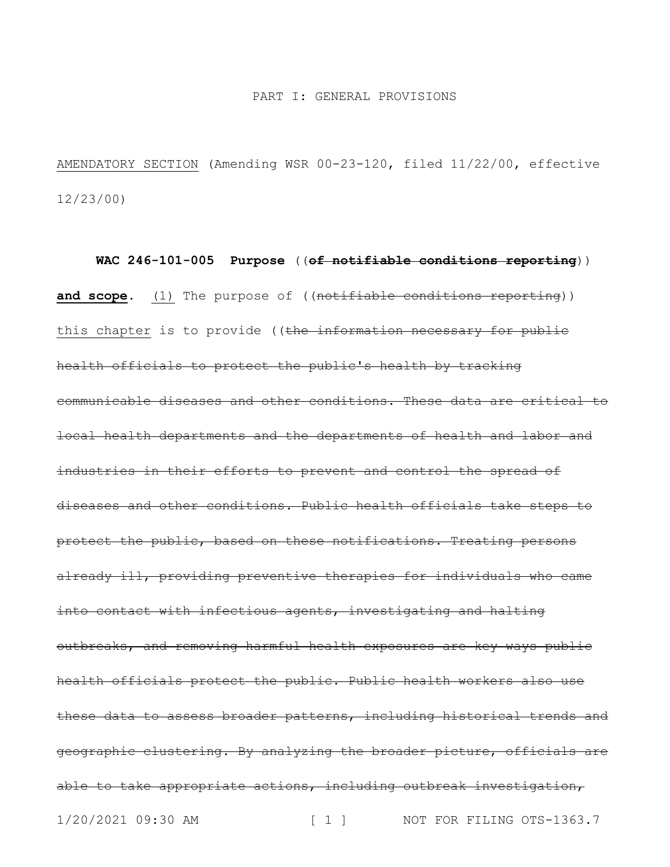### PART I: GENERAL PROVISIONS

AMENDATORY SECTION (Amending WSR 00-23-120, filed 11/22/00, effective 12/23/00)

1/20/2021 09:30 AM [ 1 ] NOT FOR FILING OTS-1363.7 **WAC 246-101-005 Purpose** ((**of notifiable conditions reporting**)) and scope. (1) The purpose of ((notifiable conditions reporting)) this chapter is to provide ((the information necessary for public health officials to protect the public's health by tracking communicable diseases and other conditions. These data are critical to local health departments and the departments of health and labor and industries in their efforts to prevent and control the spread of diseases and other conditions. Public health officials take steps to protect the public, based on these notifications. Treating persons already ill, providing preventive therapies for individuals who came into contact with infectious agents, investigating and halting outbreaks, and removing harmful health exposures are key ways public health officials protect the public. Public health workers also use these data to assess broader patterns, including historical trends and geographic clustering. By analyzing the broader picture, officials are able to take appropriate actions, including outbreak investigation,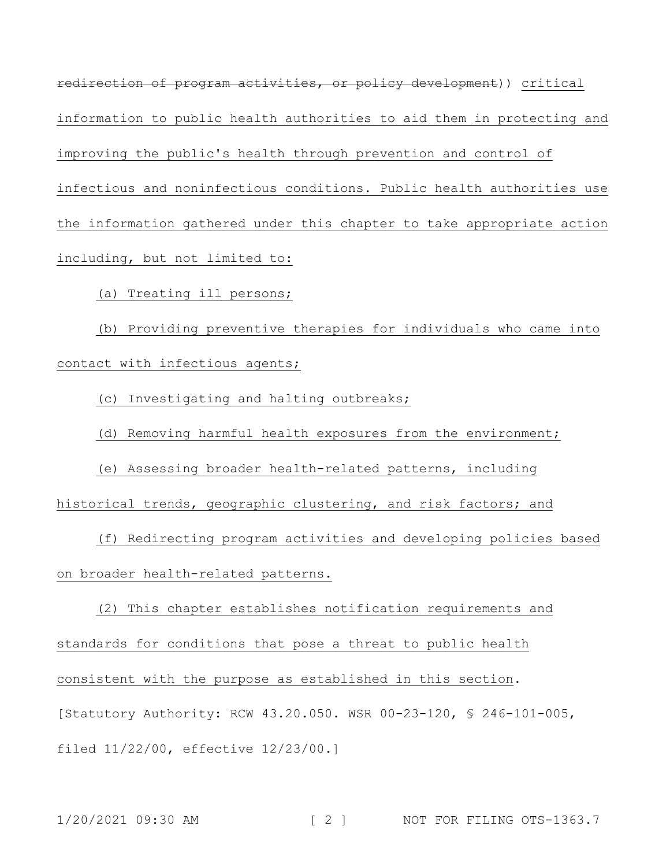redirection of program activities, or policy development)) critical information to public health authorities to aid them in protecting and improving the public's health through prevention and control of infectious and noninfectious conditions. Public health authorities use the information gathered under this chapter to take appropriate action including, but not limited to:

(a) Treating ill persons;

(b) Providing preventive therapies for individuals who came into contact with infectious agents;

(c) Investigating and halting outbreaks;

(d) Removing harmful health exposures from the environment;

(e) Assessing broader health-related patterns, including historical trends, geographic clustering, and risk factors; and

(f) Redirecting program activities and developing policies based on broader health-related patterns.

(2) This chapter establishes notification requirements and standards for conditions that pose a threat to public health consistent with the purpose as established in this section. [Statutory Authority: RCW 43.20.050. WSR 00-23-120, § 246-101-005, filed 11/22/00, effective 12/23/00.]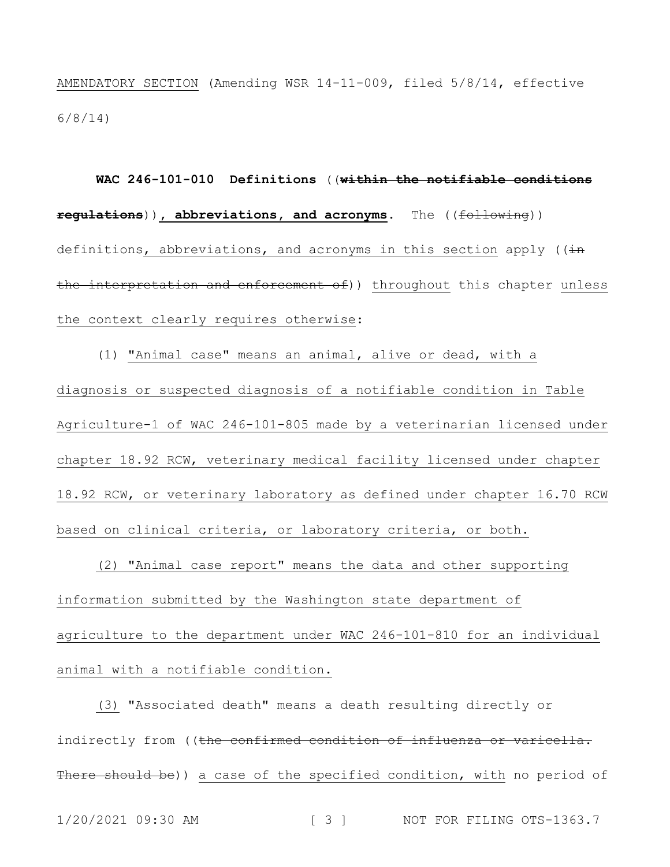AMENDATORY SECTION (Amending WSR 14-11-009, filed 5/8/14, effective 6/8/14)

**WAC 246-101-010 Definitions** ((**within the notifiable conditions regulations**))**, abbreviations, and acronyms.** The ((following)) definitions, abbreviations, and acronyms in this section apply ((in the interpretation and enforcement of)) throughout this chapter unless the context clearly requires otherwise:

(1) "Animal case" means an animal, alive or dead, with a diagnosis or suspected diagnosis of a notifiable condition in Table Agriculture-1 of WAC 246-101-805 made by a veterinarian licensed under chapter 18.92 RCW, veterinary medical facility licensed under chapter 18.92 RCW, or veterinary laboratory as defined under chapter 16.70 RCW based on clinical criteria, or laboratory criteria, or both.

(2) "Animal case report" means the data and other supporting information submitted by the Washington state department of agriculture to the department under WAC 246-101-810 for an individual animal with a notifiable condition.

(3) "Associated death" means a death resulting directly or indirectly from ((the confirmed condition of influenza or varicella. There should be)) a case of the specified condition, with no period of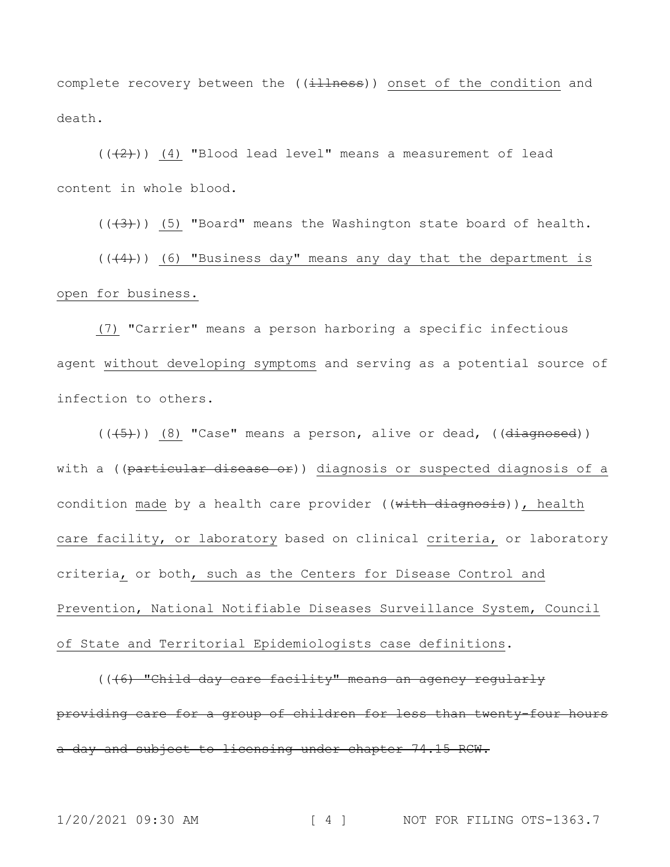complete recovery between the ((illness)) onset of the condition and death.

 $((+2))$  (4) "Blood lead level" means a measurement of lead content in whole blood.

 $((+3))$  (5) "Board" means the Washington state board of health.

 $((+4))$  (6) "Business day" means any day that the department is open for business.

(7) "Carrier" means a person harboring a specific infectious agent without developing symptoms and serving as a potential source of infection to others.

 $((+5))$  (8) "Case" means a person, alive or dead, (( $\overline{di\text{agnosed}}$ )) with a ((particular disease or)) diagnosis or suspected diagnosis of a condition made by a health care provider ((with diagnosis)), health care facility, or laboratory based on clinical criteria, or laboratory criteria, or both, such as the Centers for Disease Control and Prevention, National Notifiable Diseases Surveillance System, Council of State and Territorial Epidemiologists case definitions.

(((6) "Child day care facility" means an agency regularly providing care for a group of children for less than twenty-four hours a day and subject to licensing under chapter 74.15 RCW.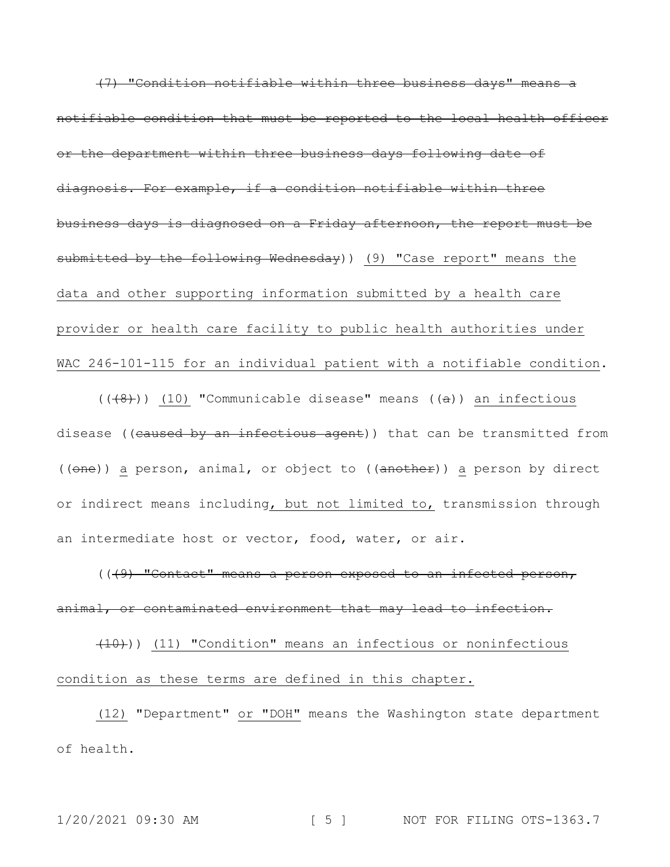(7) "Condition notifiable within three business days" means a notifiable condition that must be reported to the local health officer or the department within three business days following date of diagnosis. For example, if a condition notifiable within three business days is diagnosed on a Friday afternoon, the report must be submitted by the following Wednesday) (9) "Case report" means the data and other supporting information submitted by a health care provider or health care facility to public health authorities under WAC 246-101-115 for an individual patient with a notifiable condition.

 $((+8))$  (10) "Communicable disease" means ( $(a)$ ) an infectious disease ((caused by an infectious agent)) that can be transmitted from ((one)) a person, animal, or object to ((another)) a person by direct or indirect means including, but not limited to, transmission through an intermediate host or vector, food, water, or air.

(((9) "Contact" means a person exposed to an infected person, animal, or contaminated environment that may lead to infection.

 $(10)$ ) (11) "Condition" means an infectious or noninfectious condition as these terms are defined in this chapter.

(12) "Department" or "DOH" means the Washington state department of health.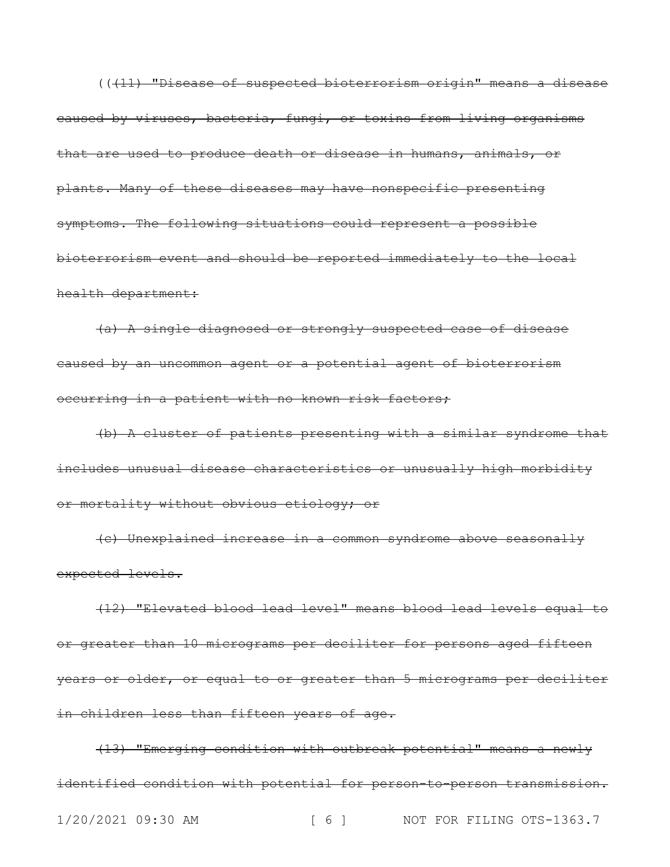(((11) "Disease of suspected bioterrorism origin" means a disease caused by viruses, bacteria, fungi, or toxins from living organisms that are used to produce death or disease in humans, animals, or plants. Many of these diseases may have nonspecific presenting symptoms. The following situations could represent a possible bioterrorism event and should be reported immediately to the local health department:

(a) A single diagnosed or strongly suspected case of disease caused by an uncommon agent or a potential agent of bioterrorism occurring in a patient with no known risk factors;

(b) A cluster of patients presenting with a similar syndrome that includes unusual disease characteristics or unusually high morbidity or mortality without obvious etiology; or

(c) Unexplained increase in a common syndrome above seasonally expected levels.

(12) "Elevated blood lead level" means blood lead levels equal to or greater than 10 micrograms per deciliter for persons aged fifteen years or older, or equal to or greater than 5 micrograms per deciliter in children less than fifteen years of age.

1/20/2021 09:30 AM [ 6 ] NOT FOR FILING OTS-1363.7 (13) "Emerging condition with outbreak potential" means a newly identified condition with potential for person-to-person transmission.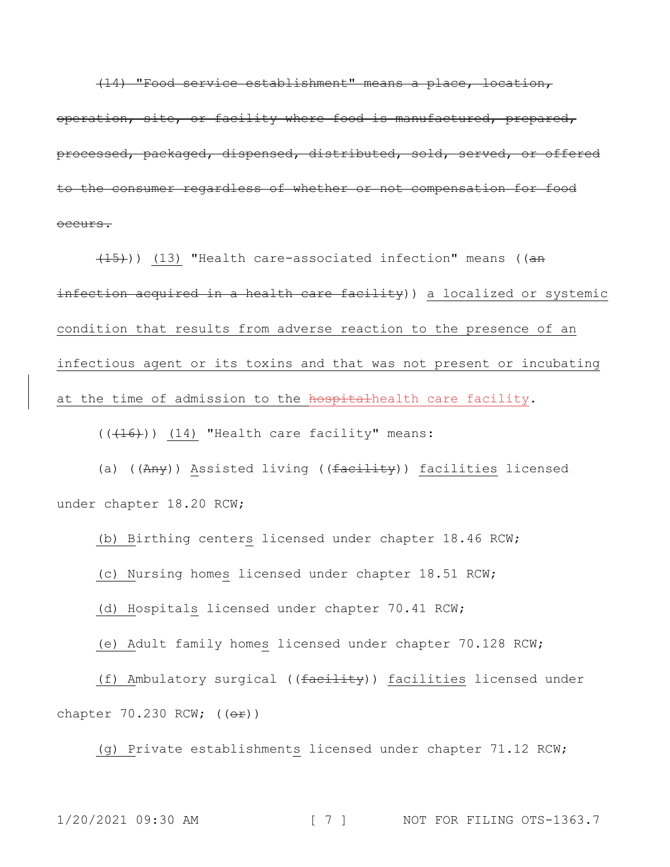(14) "Food service establishment" means a place, location, operation, site, or facility where food is manufactured, prepared, processed, packaged, dispensed, distributed, sold, served, or offered to the consumer regardless of whether or not compensation for food occurs.

(15))) (13) "Health care-associated infection" means ((an infection acquired in a health care facility)) a localized or systemic condition that results from adverse reaction to the presence of an infectious agent or its toxins and that was not present or incubating at the time of admission to the hospitalhealth care facility.

 $((+16))$  (14) "Health care facility" means:

(a) ((Any)) Assisted living ((facility)) facilities licensed under chapter 18.20 RCW;

(b) Birthing centers licensed under chapter 18.46 RCW;

(c) Nursing homes licensed under chapter 18.51 RCW;

(d) Hospitals licensed under chapter 70.41 RCW;

(e) Adult family homes licensed under chapter 70.128 RCW;

(f) Ambulatory surgical ((facility)) facilities licensed under chapter  $70.230$  RCW;  $((e^{\frac{1}{x}}))$ 

(g) Private establishments licensed under chapter 71.12 RCW;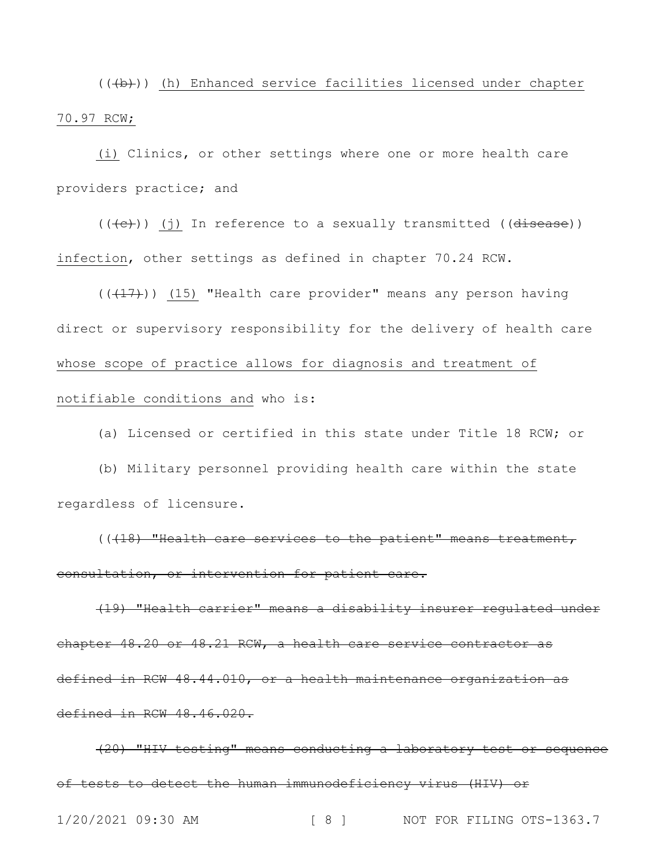(((b))) (h) Enhanced service facilities licensed under chapter 70.97 RCW;

(i) Clinics, or other settings where one or more health care providers practice; and

 $((+e))$  (j) In reference to a sexually transmitted (( $\overline{disease}$ )) infection, other settings as defined in chapter 70.24 RCW.

 $((+17))$   $(15)$  "Health care provider" means any person having direct or supervisory responsibility for the delivery of health care whose scope of practice allows for diagnosis and treatment of notifiable conditions and who is:

(a) Licensed or certified in this state under Title 18 RCW; or

(b) Military personnel providing health care within the state regardless of licensure.

(((18) "Health care services to the patient" means treatment, consultation, or intervention for patient care.

(19) "Health carrier" means a disability insurer regulated under chapter 48.20 or 48.21 RCW, a health care service contractor as defined in RCW 48.44.010, or a health maintenance organization as defined in RCW 48.46.020.

(20) "HIV testing" means conducting a laboratory test or sequence of tests to detect the human immunodeficiency virus (HIV) or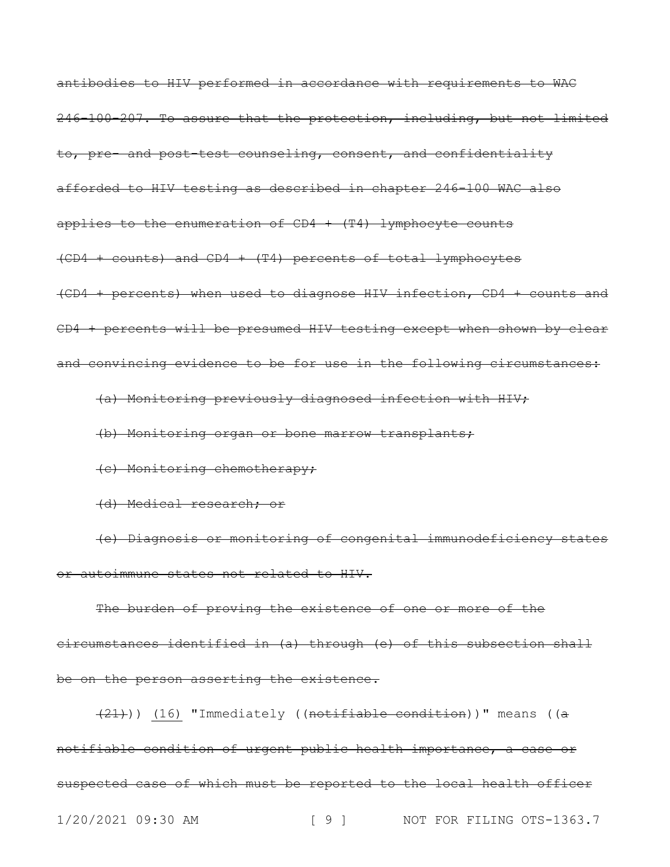antibodies to HIV performed in accordance with requirements to WAC 246-100-207. To assure that the protection, including, but not limited to, pre- and post-test counseling, consent, and confidentiality afforded to HIV testing as described in chapter 246-100 WAC also applies to the enumeration of  $CD4 + (T4)$  lymphocyte counts (CD4 + counts) and CD4 + (T4) percents of total lymphocytes (CD4 + percents) when used to diagnose HIV infection, CD4 + counts and CD4 + percents will be presumed HIV testing except when shown by clear and convincing evidence to be for use in the following circumstances:

(a) Monitoring previously diagnosed infection with HIV;

(b) Monitoring organ or bone marrow transplants;

(c) Monitoring chemotherapy;

(d) Medical research; or

(e) Diagnosis or monitoring of congenital immunodeficiency states or autoimmune states not related to HIV.

The burden of proving the existence of one or more of the circumstances identified in (a) through (e) of this subsection shall be on the person asserting the existence.

1/20/2021 09:30 AM [ 9 ] NOT FOR FILING OTS-1363.7 (21))) (16) "Immediately ((notifiable condition))" means ((a notifiable condition of urgent public health importance, a case or suspected case of which must be reported to the local health officer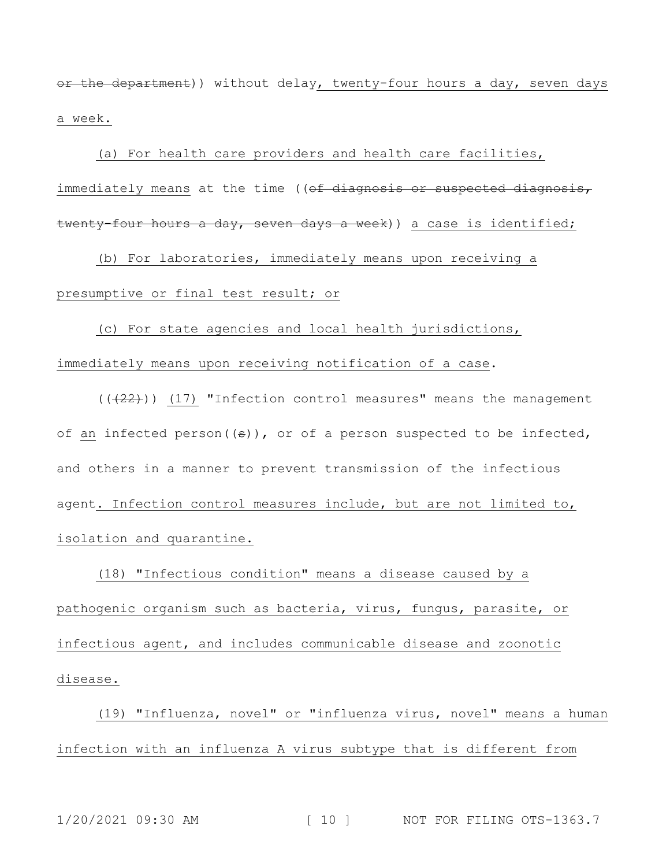or the department)) without delay, twenty-four hours a day, seven days a week.

(a) For health care providers and health care facilities, immediately means at the time ((of diagnosis or suspected diagnosis, twenty-four hours a day, seven days a week)) a case is identified;

(b) For laboratories, immediately means upon receiving a presumptive or final test result; or

(c) For state agencies and local health jurisdictions, immediately means upon receiving notification of a case.

 $((+22))$  (17) "Infection control measures" means the management of an infected person( $(\theta)$ ), or of a person suspected to be infected, and others in a manner to prevent transmission of the infectious agent. Infection control measures include, but are not limited to, isolation and quarantine.

(18) "Infectious condition" means a disease caused by a pathogenic organism such as bacteria, virus, fungus, parasite, or infectious agent, and includes communicable disease and zoonotic disease.

(19) "Influenza, novel" or "influenza virus, novel" means a human infection with an influenza A virus subtype that is different from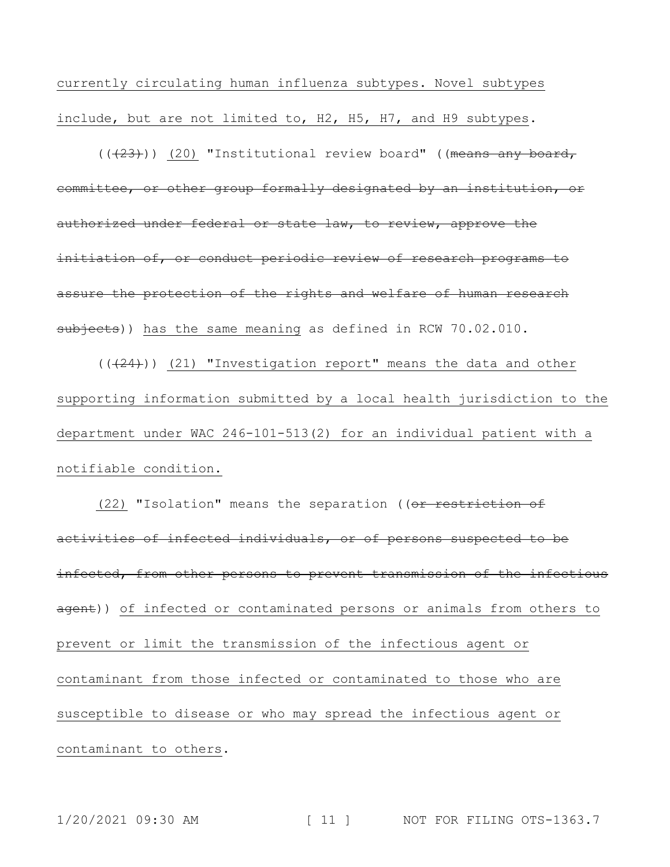currently circulating human influenza subtypes. Novel subtypes include, but are not limited to, H2, H5, H7, and H9 subtypes.

 $((+23))$  (20) "Institutional review board" ((means any board, committee, or other group formally designated by an institution, or authorized under federal or state law, to review, approve the initiation of, or conduct periodic review of research programs to assure the protection of the rights and welfare of human research subjects)) has the same meaning as defined in RCW 70.02.010.

 $((+24))$  (21) "Investigation report" means the data and other supporting information submitted by a local health jurisdiction to the department under WAC 246-101-513(2) for an individual patient with a notifiable condition.

(22) "Isolation" means the separation ((or restriction of activities of infected individuals, or of persons suspected to be infected, from other persons to prevent transmission of the infectious agent)) of infected or contaminated persons or animals from others to prevent or limit the transmission of the infectious agent or contaminant from those infected or contaminated to those who are susceptible to disease or who may spread the infectious agent or contaminant to others.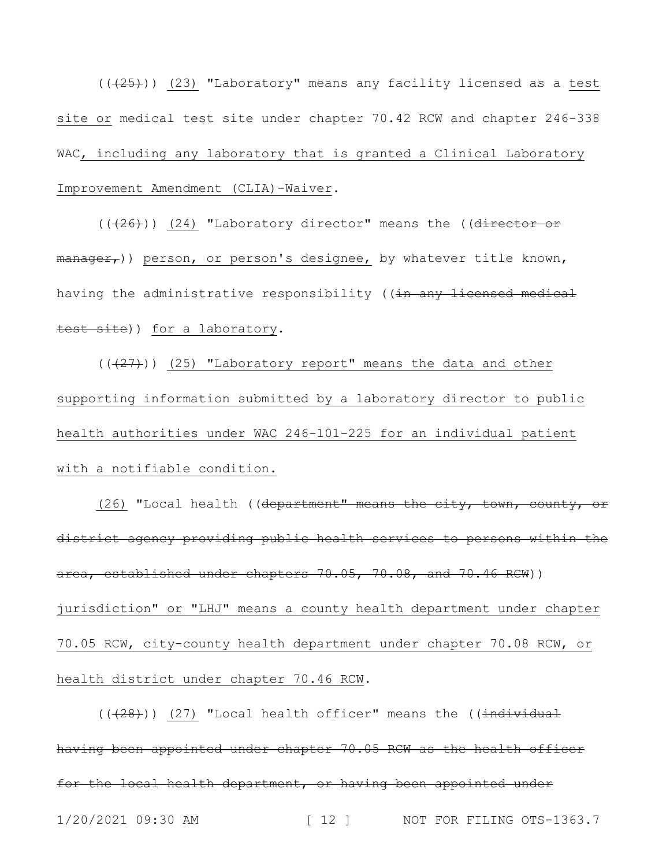$((+25))$   $(23)$  "Laboratory" means any facility licensed as a test site or medical test site under chapter 70.42 RCW and chapter 246-338 WAC, including any laboratory that is granted a Clinical Laboratory Improvement Amendment (CLIA)-Waiver.

 $((+26))$  (24) "Laboratory director" means the (( $\overline{director}$  or manager,)) person, or person's designee, by whatever title known, having the administrative responsibility ((in any licensed medical test site)) for a laboratory.

 $((+27))$   $(25)$  "Laboratory report" means the data and other supporting information submitted by a laboratory director to public health authorities under WAC 246-101-225 for an individual patient with a notifiable condition.

(26) "Local health ((department" means the city, town, county, or district agency providing public health services to persons within the area, established under chapters 70.05, 70.08, and 70.46 RCW)) jurisdiction" or "LHJ" means a county health department under chapter 70.05 RCW, city-county health department under chapter 70.08 RCW, or health district under chapter 70.46 RCW.

1/20/2021 09:30 AM [ 12 ] NOT FOR FILING OTS-1363.7  $((+28))$  (27) "Local health officer" means the ((individual having been appointed under chapter 70.05 RCW as the health officer for the local health department, or having been appointed under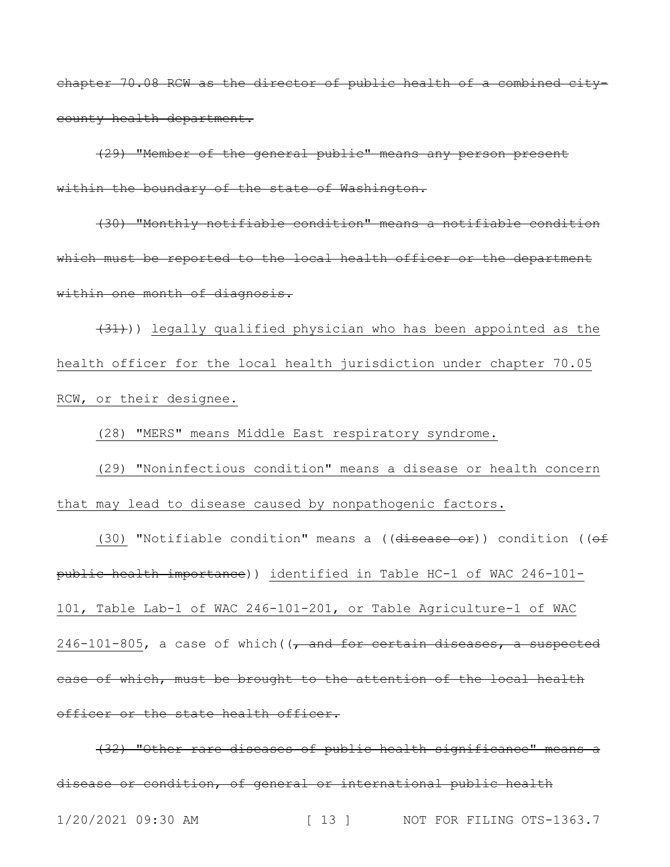chapter 70.08 RCW as the director of public health of a combined citycounty health department.

(29) "Member of the general public" means any person present within the boundary of the state of Washington.

(30) "Monthly notifiable condition" means a notifiable condition which must be reported to the local health officer or the department within one month of diagnosis.

 $(31)$ ) legally qualified physician who has been appointed as the health officer for the local health jurisdiction under chapter 70.05 RCW, or their designee.

(28) "MERS" means Middle East respiratory syndrome.

(29) "Noninfectious condition" means a disease or health concern that may lead to disease caused by nonpathogenic factors.

(30) "Notifiable condition" means a (( $\frac{d}{dx}$ ) condition (( $\theta$ f) public health importance)) identified in Table HC-1 of WAC 246-101- 101, Table Lab-1 of WAC 246-101-201, or Table Agriculture-1 of WAC  $246-101-805$ , a case of which ( $\sqrt{ }$  and for certain diseases, a suspected case of which, must be brought to the attention of the local health officer or the state health officer.

1/20/2021 09:30 AM [ 13 ] NOT FOR FILING OTS-1363.7 (32) "Other rare diseases of public health significance" means a disease or condition, of general or international public health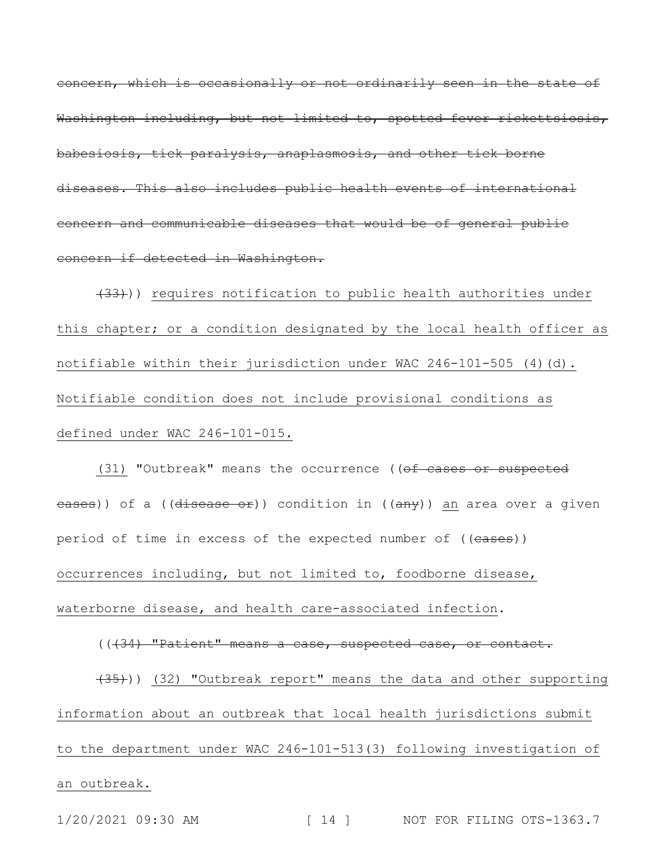concern, which is occasionally or not ordinarily seen in the state of Washington including, but not limited to, spotted fever rickettsiosis, babesiosis, tick paralysis, anaplasmosis, and other tick borne diseases. This also includes public health events of international concern and communicable diseases that would be of general public concern if detected in Washington.

(33))) requires notification to public health authorities under this chapter; or a condition designated by the local health officer as notifiable within their jurisdiction under WAC  $246-101-505$  (4)(d). Notifiable condition does not include provisional conditions as defined under WAC 246-101-015.

(31) "Outbreak" means the occurrence ((of cases or suspected eases)) of a ((disease or)) condition in ((any)) an area over a given period of time in excess of the expected number of ((eases)) occurrences including, but not limited to, foodborne disease, waterborne disease, and health care-associated infection.

(((34) "Patient" means a case, suspected case, or contact.

(35))) (32) "Outbreak report" means the data and other supporting information about an outbreak that local health jurisdictions submit to the department under WAC 246-101-513(3) following investigation of an outbreak.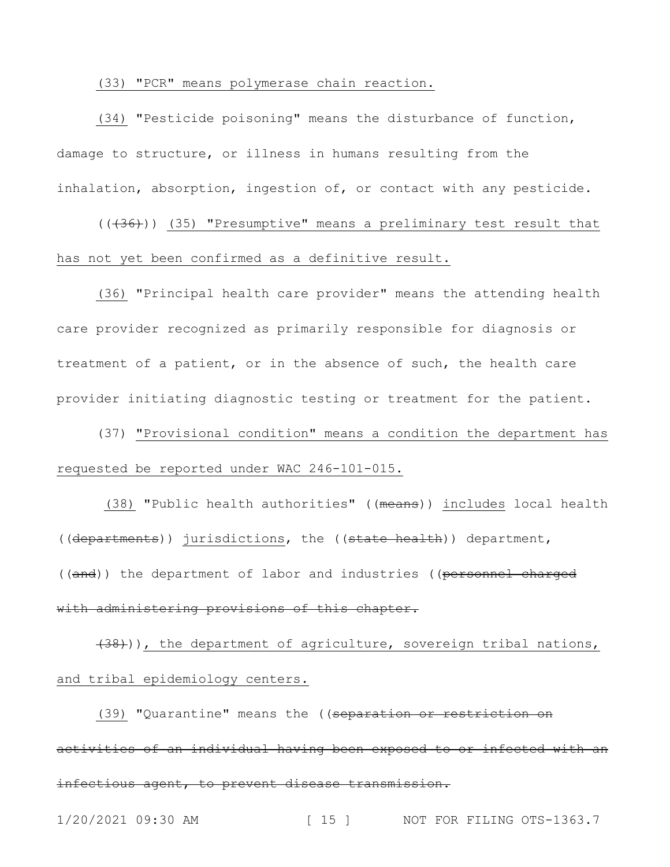## (33) "PCR" means polymerase chain reaction.

(34) "Pesticide poisoning" means the disturbance of function, damage to structure, or illness in humans resulting from the inhalation, absorption, ingestion of, or contact with any pesticide.

 $((+36))$  (35) "Presumptive" means a preliminary test result that has not yet been confirmed as a definitive result.

(36) "Principal health care provider" means the attending health care provider recognized as primarily responsible for diagnosis or treatment of a patient, or in the absence of such, the health care provider initiating diagnostic testing or treatment for the patient.

(37) "Provisional condition" means a condition the department has requested be reported under WAC 246-101-015.

(38) "Public health authorities" ((means)) includes local health ((departments)) jurisdictions, the ((state health)) department, ((and)) the department of labor and industries ((personnel charged with administering provisions of this chapter.

(38))), the department of agriculture, sovereign tribal nations, and tribal epidemiology centers.

(39) "Quarantine" means the ((separation or restriction on activities of an individual having been exposed to or infected with an infectious agent, to prevent disease transmission.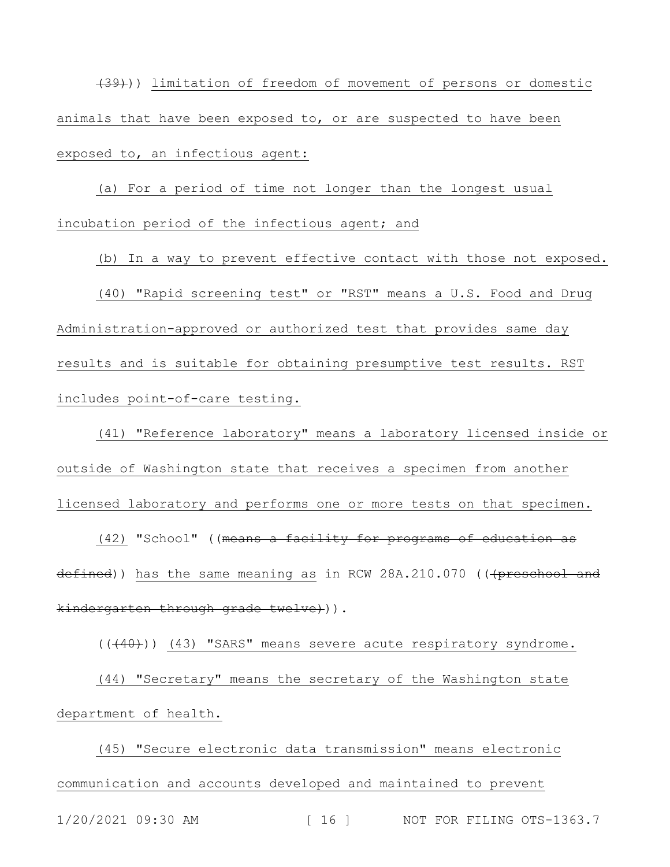(39))) limitation of freedom of movement of persons or domestic animals that have been exposed to, or are suspected to have been exposed to, an infectious agent:

(a) For a period of time not longer than the longest usual incubation period of the infectious agent; and

(b) In a way to prevent effective contact with those not exposed. (40) "Rapid screening test" or "RST" means a U.S. Food and Drug Administration-approved or authorized test that provides same day results and is suitable for obtaining presumptive test results. RST includes point-of-care testing.

(41) "Reference laboratory" means a laboratory licensed inside or outside of Washington state that receives a specimen from another licensed laboratory and performs one or more tests on that specimen.

(42) "School" ((<del>means a facility for programs of education as</del> defined)) has the same meaning as in RCW 28A.210.070 (((preschool and kindergarten through grade twelve))).

 $((+40))$  (43) "SARS" means severe acute respiratory syndrome. (44) "Secretary" means the secretary of the Washington state department of health.

1/20/2021 09:30 AM [ 16 ] NOT FOR FILING OTS-1363.7 (45) "Secure electronic data transmission" means electronic communication and accounts developed and maintained to prevent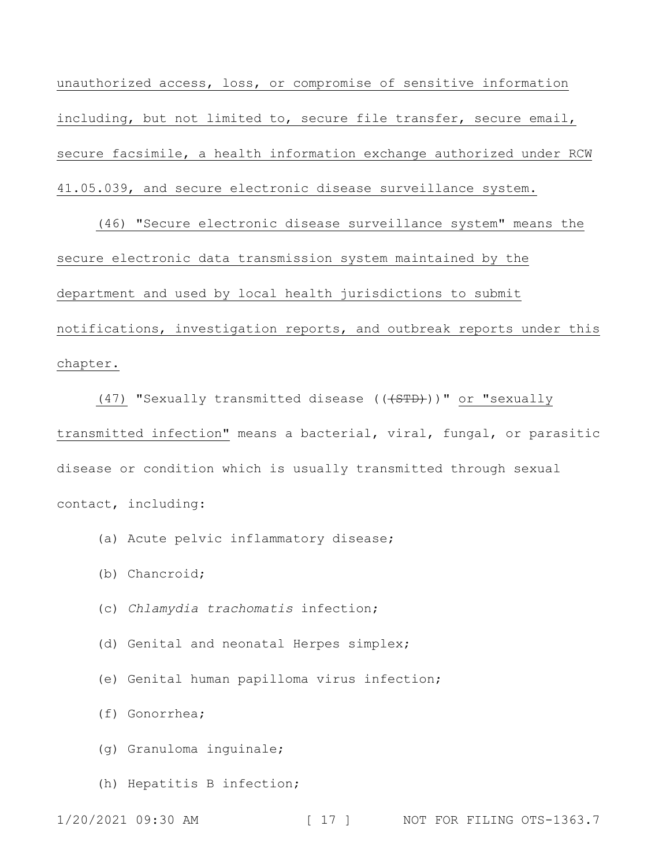unauthorized access, loss, or compromise of sensitive information including, but not limited to, secure file transfer, secure email, secure facsimile, a health information exchange authorized under RCW 41.05.039, and secure electronic disease surveillance system.

(46) "Secure electronic disease surveillance system" means the secure electronic data transmission system maintained by the department and used by local health jurisdictions to submit notifications, investigation reports, and outbreak reports under this chapter.

(47) "Sexually transmitted disease (((STD)))" or "sexually transmitted infection" means a bacterial, viral, fungal, or parasitic disease or condition which is usually transmitted through sexual contact, including:

- (a) Acute pelvic inflammatory disease;
- (b) Chancroid;
- (c) *Chlamydia trachomatis* infection;
- (d) Genital and neonatal Herpes simplex;
- (e) Genital human papilloma virus infection;
- (f) Gonorrhea;
- (g) Granuloma inguinale;
- (h) Hepatitis B infection;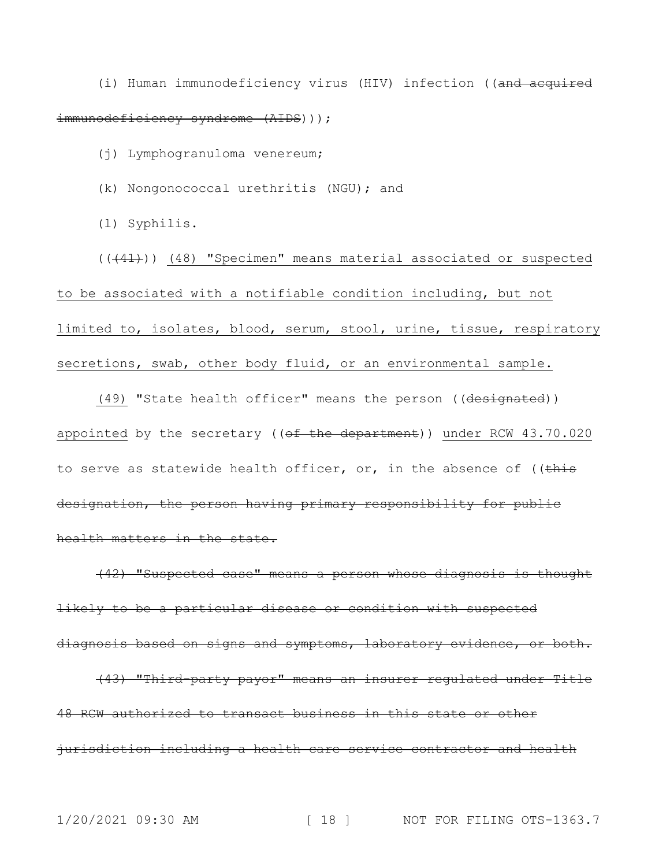(i) Human immunodeficiency virus (HIV) infection ((and acquired immunodeficiency syndrome (AIDS)));

(j) Lymphogranuloma venereum;

(k) Nongonococcal urethritis (NGU); and

(l) Syphilis.

(((41))) (48) "Specimen" means material associated or suspected to be associated with a notifiable condition including, but not limited to, isolates, blood, serum, stool, urine, tissue, respiratory secretions, swab, other body fluid, or an environmental sample.

(49) "State health officer" means the person ((designated)) appointed by the secretary ( $(\overline{ef} - \overline{the} - \overline{deparent}$ )) under RCW 43.70.020 to serve as statewide health officer, or, in the absence of  $($  (this designation, the person having primary responsibility for public health matters in the state.

(42) "Suspected case" means a person whose diagnosis is thought likely to be a particular disease or condition with suspected diagnosis based on signs and symptoms, laboratory evidence, or both.

(43) "Third-party payor" means an insurer regulated under Title 48 RCW authorized to transact business in this state or other jurisdiction including a health care service contractor and health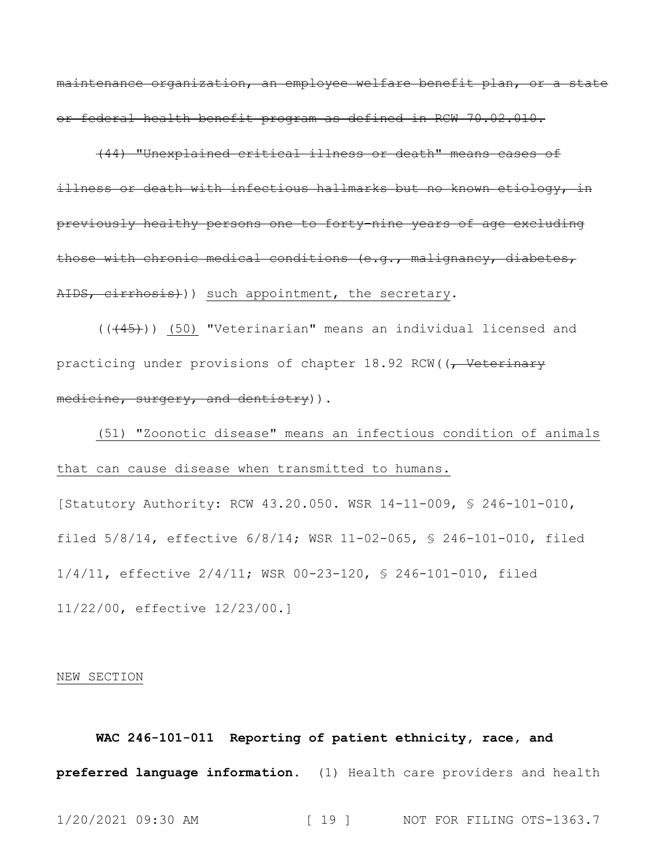maintenance organization, an employee welfare benefit plan, or a state or federal health benefit program as defined in RCW 70.02.010.

(44) "Unexplained critical illness or death" means cases of illness or death with infectious hallmarks but no known etiology, in previously healthy persons one to forty-nine years of age excluding those with chronic medical conditions (e.g., malignancy, diabetes, AIDS, cirrhosis)) such appointment, the secretary.

(((45))) (50) "Veterinarian" means an individual licensed and practicing under provisions of chapter 18.92 RCW((, Veterinary medicine, surgery, and dentistry)).

(51) "Zoonotic disease" means an infectious condition of animals that can cause disease when transmitted to humans.

[Statutory Authority: RCW 43.20.050. WSR 14-11-009, § 246-101-010, filed 5/8/14, effective 6/8/14; WSR 11-02-065, § 246-101-010, filed 1/4/11, effective 2/4/11; WSR 00-23-120, § 246-101-010, filed 11/22/00, effective 12/23/00.]

#### NEW SECTION

**WAC 246-101-011 Reporting of patient ethnicity, race, and preferred language information.** (1) Health care providers and health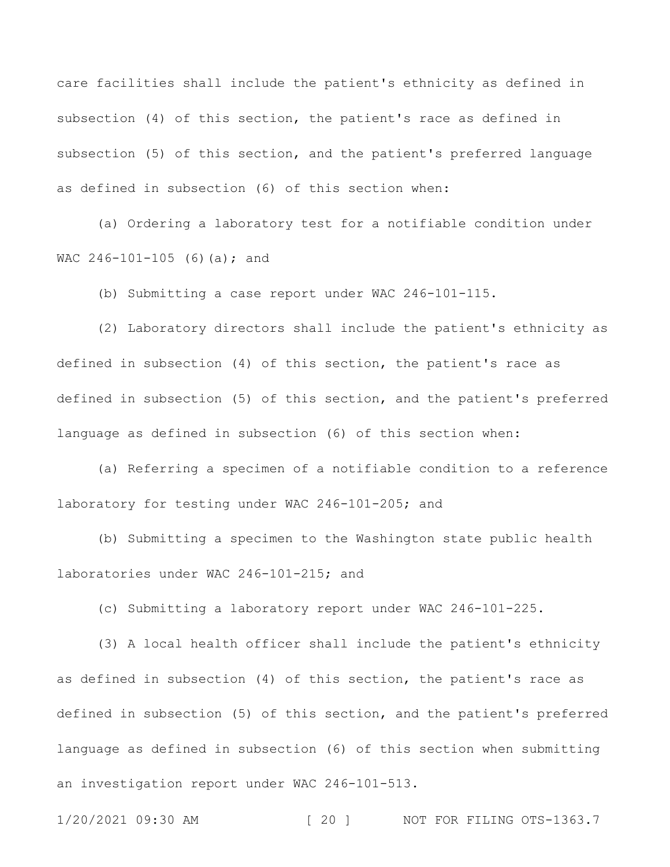care facilities shall include the patient's ethnicity as defined in subsection (4) of this section, the patient's race as defined in subsection (5) of this section, and the patient's preferred language as defined in subsection (6) of this section when:

(a) Ordering a laboratory test for a notifiable condition under WAC 246-101-105 (6)(a); and

(b) Submitting a case report under WAC 246-101-115.

(2) Laboratory directors shall include the patient's ethnicity as defined in subsection (4) of this section, the patient's race as defined in subsection (5) of this section, and the patient's preferred language as defined in subsection (6) of this section when:

(a) Referring a specimen of a notifiable condition to a reference laboratory for testing under WAC 246-101-205; and

(b) Submitting a specimen to the Washington state public health laboratories under WAC 246-101-215; and

(c) Submitting a laboratory report under WAC 246-101-225.

(3) A local health officer shall include the patient's ethnicity as defined in subsection (4) of this section, the patient's race as defined in subsection (5) of this section, and the patient's preferred language as defined in subsection (6) of this section when submitting an investigation report under WAC 246-101-513.

1/20/2021 09:30 AM [ 20 ] NOT FOR FILING OTS-1363.7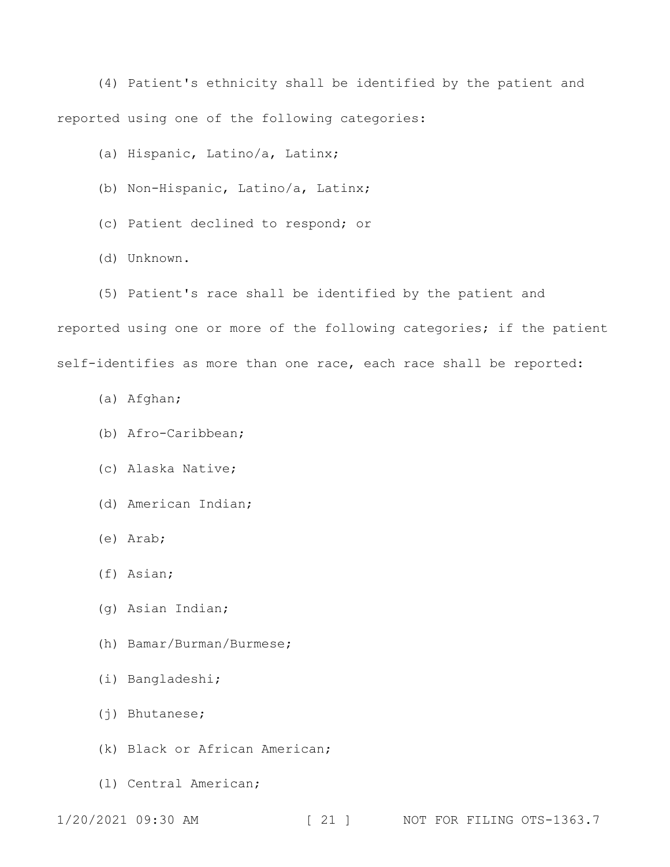(4) Patient's ethnicity shall be identified by the patient and reported using one of the following categories:

(a) Hispanic, Latino/a, Latinx;

- (b) Non-Hispanic, Latino/a, Latinx;
- (c) Patient declined to respond; or
- (d) Unknown.
- (5) Patient's race shall be identified by the patient and

reported using one or more of the following categories; if the patient self-identifies as more than one race, each race shall be reported:

- (a) Afghan;
- (b) Afro-Caribbean;
- (c) Alaska Native;
- (d) American Indian;
- (e) Arab;
- (f) Asian;
- (g) Asian Indian;
- (h) Bamar/Burman/Burmese;
- (i) Bangladeshi;
- (j) Bhutanese;
- (k) Black or African American;
- (l) Central American;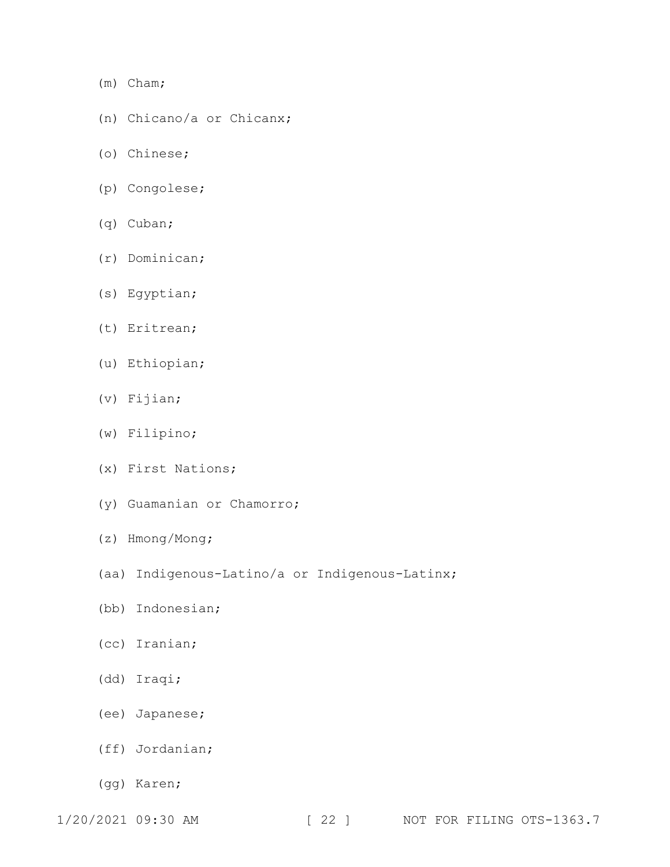- (m) Cham;
- (n) Chicano/a or Chicanx;
- (o) Chinese;
- (p) Congolese;
- (q) Cuban;
- (r) Dominican;
- (s) Egyptian;
- (t) Eritrean;
- (u) Ethiopian;
- (v) Fijian;
- (w) Filipino;
- (x) First Nations;
- (y) Guamanian or Chamorro;
- (z) Hmong/Mong;
- (aa) Indigenous-Latino/a or Indigenous-Latinx;
- (bb) Indonesian;
- (cc) Iranian;
- (dd) Iraqi;
- (ee) Japanese;
- (ff) Jordanian;
- (gg) Karen;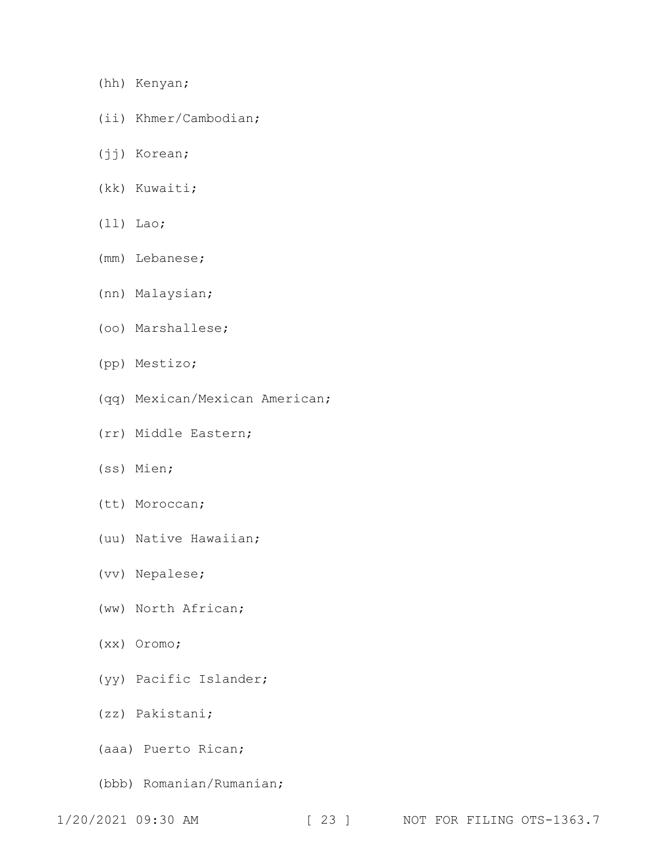- (hh) Kenyan;
- (ii) Khmer/Cambodian;
- (jj) Korean;
- (kk) Kuwaiti;
- (ll) Lao;
- (mm) Lebanese;
- (nn) Malaysian;
- (oo) Marshallese;
- (pp) Mestizo;
- (qq) Mexican/Mexican American;
- (rr) Middle Eastern;
- (ss) Mien;
- (tt) Moroccan;
- (uu) Native Hawaiian;
- (vv) Nepalese;
- (ww) North African;
- (xx) Oromo;
- (yy) Pacific Islander;
- (zz) Pakistani;
- (aaa) Puerto Rican;
- (bbb) Romanian/Rumanian;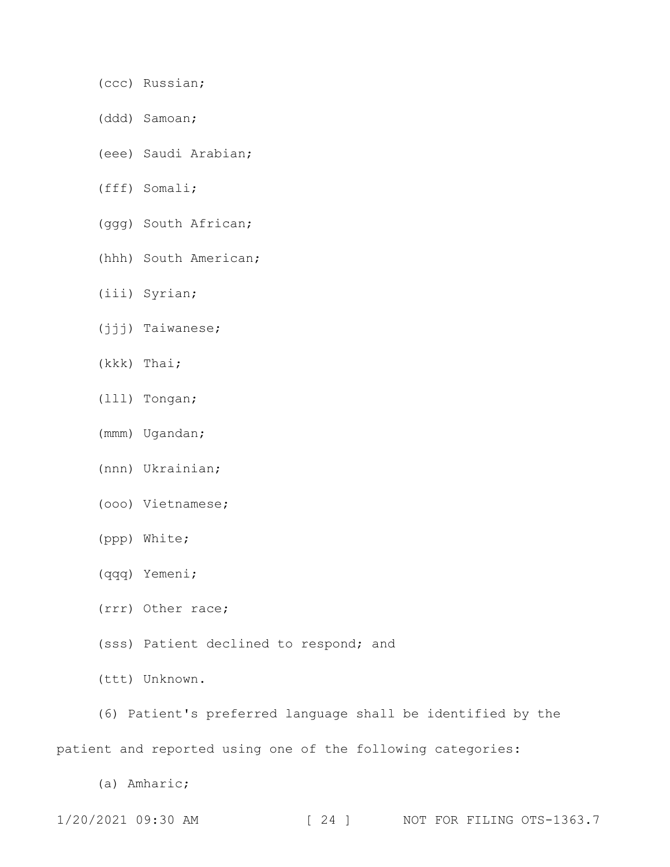- (ccc) Russian;
- (ddd) Samoan;
- (eee) Saudi Arabian;
- (fff) Somali;
- (ggg) South African;
- (hhh) South American;
- (iii) Syrian;
- (jjj) Taiwanese;
- (kkk) Thai;
- (lll) Tongan;
- (mmm) Ugandan;
- (nnn) Ukrainian;
- (ooo) Vietnamese;
- (ppp) White;
- (qqq) Yemeni;
- (rrr) Other race;
- (sss) Patient declined to respond; and
- (ttt) Unknown.
- (6) Patient's preferred language shall be identified by the

patient and reported using one of the following categories:

(a) Amharic;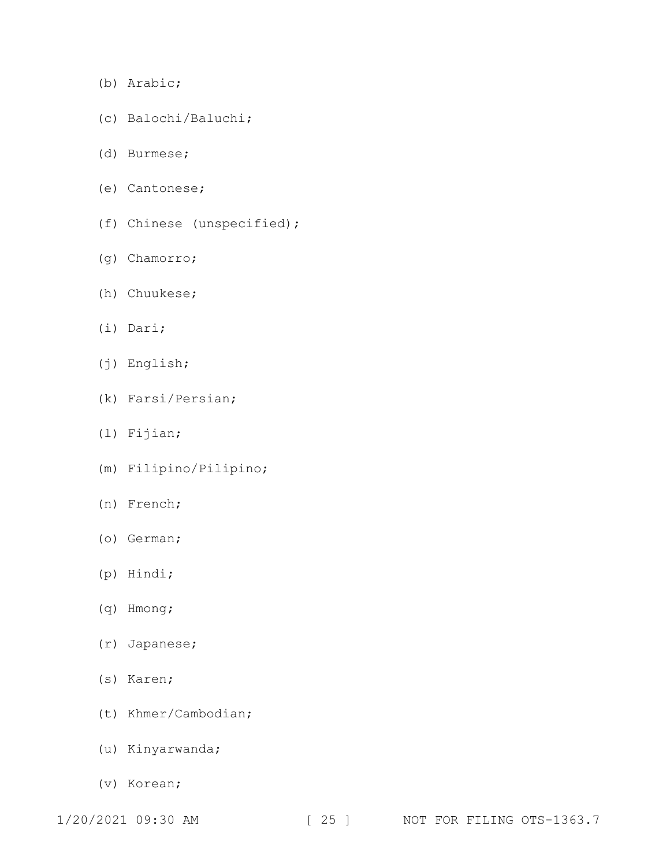- (b) Arabic;
- (c) Balochi/Baluchi;
- (d) Burmese;
- (e) Cantonese;
- (f) Chinese (unspecified);
- (g) Chamorro;
- (h) Chuukese;
- (i) Dari;
- (j) English;
- (k) Farsi/Persian;
- (l) Fijian;
- (m) Filipino/Pilipino;
- (n) French;
- (o) German;
- (p) Hindi;
- (q) Hmong;
- (r) Japanese;
- (s) Karen;
- (t) Khmer/Cambodian;
- (u) Kinyarwanda;
- (v) Korean;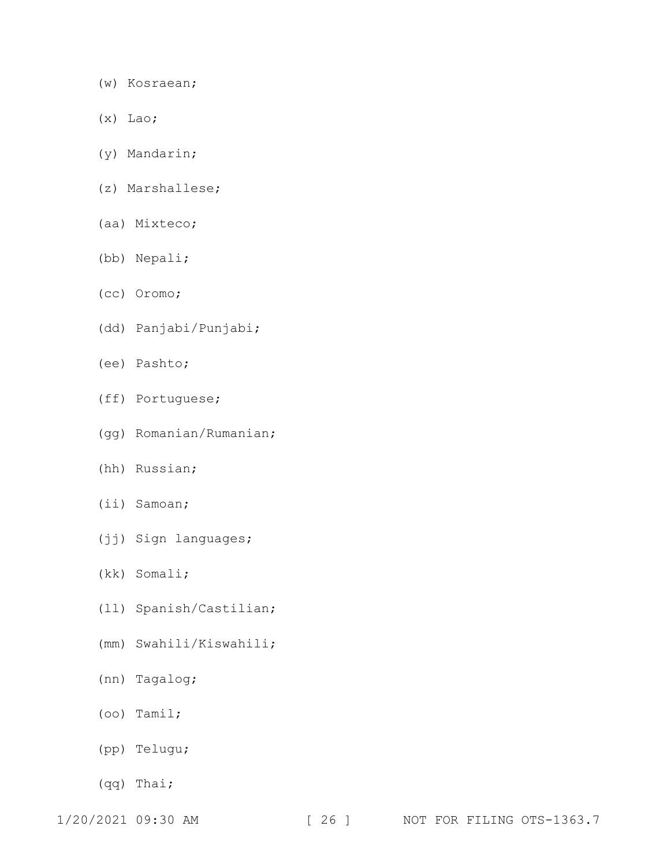- (w) Kosraean;
- (x) Lao;
- (y) Mandarin;
- (z) Marshallese;
- (aa) Mixteco;
- (bb) Nepali;
- (cc) Oromo;
- (dd) Panjabi/Punjabi;
- (ee) Pashto;
- (ff) Portuguese;
- (gg) Romanian/Rumanian;
- (hh) Russian;
- (ii) Samoan;
- (jj) Sign languages;
- (kk) Somali;
- (ll) Spanish/Castilian;
- (mm) Swahili/Kiswahili;
- (nn) Tagalog;
- (oo) Tamil;
- (pp) Telugu;
- (qq) Thai;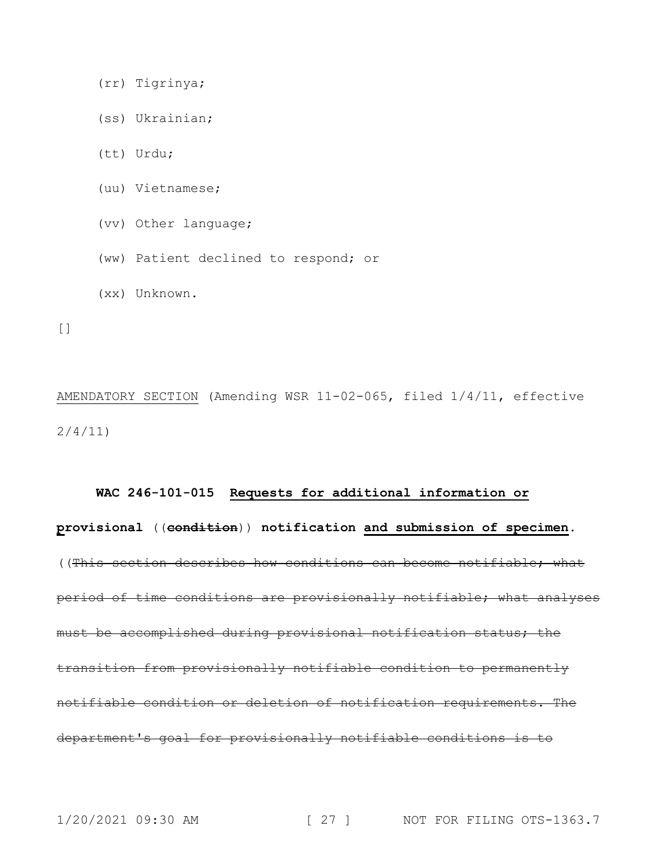(rr) Tigrinya;

- (ss) Ukrainian;
- (tt) Urdu;
- (uu) Vietnamese;
- (vv) Other language;
- (ww) Patient declined to respond; or
- (xx) Unknown.

 $[$ 

AMENDATORY SECTION (Amending WSR 11-02-065, filed 1/4/11, effective 2/4/11)

#### **WAC 246-101-015 Requests for additional information or**

**provisional** ((**condition**)) **notification and submission of specimen.** ((This section describes how conditions can become notifiable; what period of time conditions are provisionally notifiable; what analyses must be accomplished during provisional notification status; the transition from provisionally notifiable condition to permanently notifiable condition or deletion of notification requirements. The department's goal for provisionally notifiable conditions is to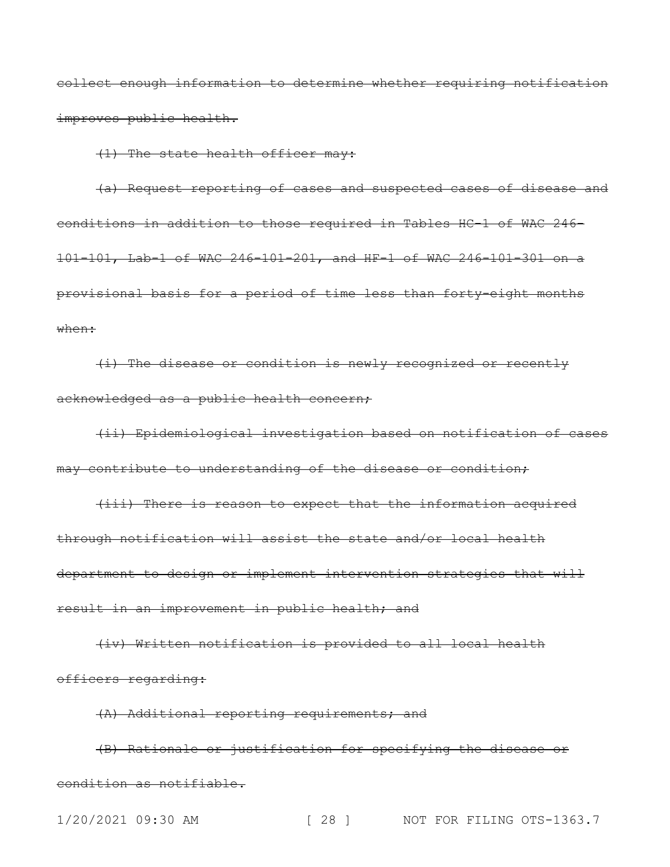collect enough information to determine whether requiring notification improves public health.

(1) The state health officer may:

(a) Request reporting of cases and suspected cases of disease and conditions in addition to those required in Tables HC-1 of WAC 246- 101-101, Lab-1 of WAC 246-101-201, and HF-1 of WAC 246-101-301 on a provisional basis for a period of time less than forty-eight months when:

(i) The disease or condition is newly recognized or recently acknowledged as a public health concern;

(ii) Epidemiological investigation based on notification of cases may contribute to understanding of the disease or condition;

(iii) There is reason to expect that the information acquired through notification will assist the state and/or local health department to design or implement intervention strategies that will result in an improvement in public health; and

(iv) Written notification is provided to all local health officers regarding:

(A) Additional reporting requirements; and

(B) Rationale or justification for specifying the disease or condition as notifiable.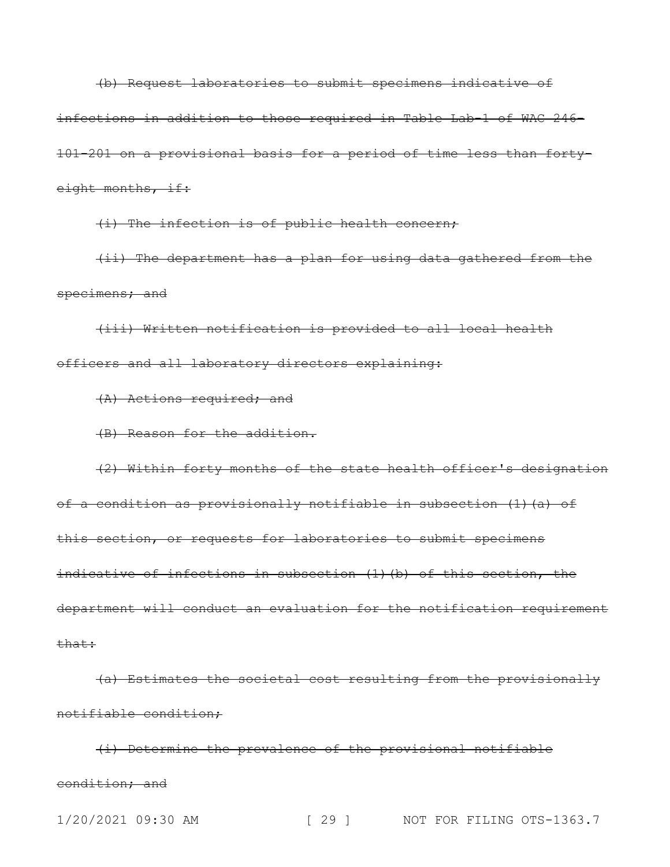(b) Request laboratories to submit specimens indicative of infections in addition to those required in Table Lab-1 of WAC 246- 101-201 on a provisional basis for a period of time less than fortyeight months, if:

(i) The infection is of public health concern;

(ii) The department has a plan for using data gathered from the specimens; and

(iii) Written notification is provided to all local health officers and all laboratory directors explaining:

(A) Actions required; and

(B) Reason for the addition.

(2) Within forty months of the state health officer's designation of a condition as provisionally notifiable in subsection (1)(a) of this section, or requests for laboratories to submit specimens indicative of infections in subsection (1)(b) of this section, the department will conduct an evaluation for the notification requirement that:

(a) Estimates the societal cost resulting from the provisionally notifiable condition;

(i) Determine the prevalence of the provisional notifiable condition; and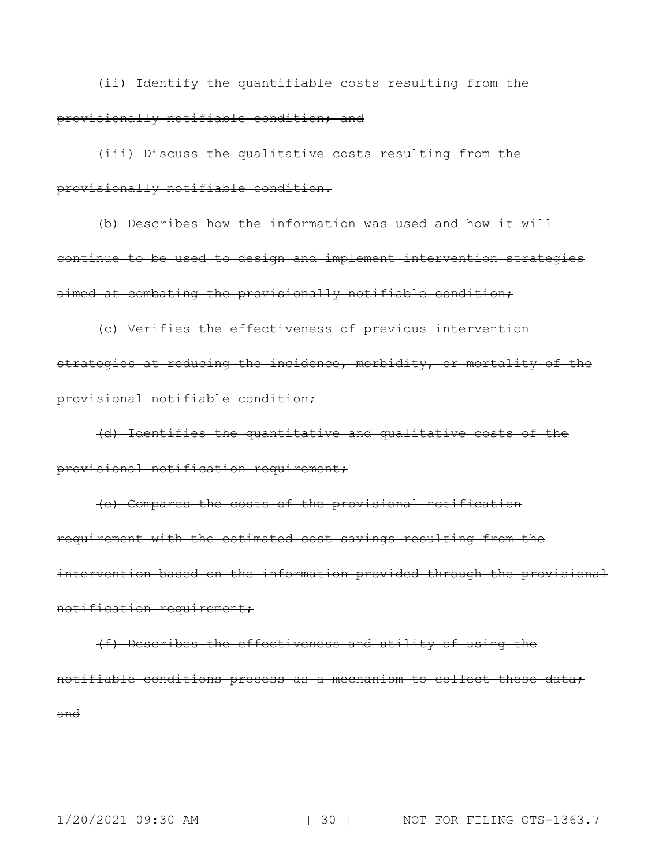(ii) Identify the quantifiable costs resulting from the provisionally notifiable condition; and

(iii) Discuss the qualitative costs resulting from the provisionally notifiable condition.

(b) Describes how the information was used and how it will continue to be used to design and implement intervention strategies aimed at combating the provisionally notifiable condition;

(c) Verifies the effectiveness of previous intervention strategies at reducing the incidence, morbidity, or mortality of the provisional notifiable condition;

(d) Identifies the quantitative and qualitative costs of the provisional notification requirement;

(e) Compares the costs of the provisional notification requirement with the estimated cost savings resulting from the intervention based on the information provided through the provisional notification requirement;

(f) Describes the effectiveness and utility of using the notifiable conditions process as a mechanism to collect these data; and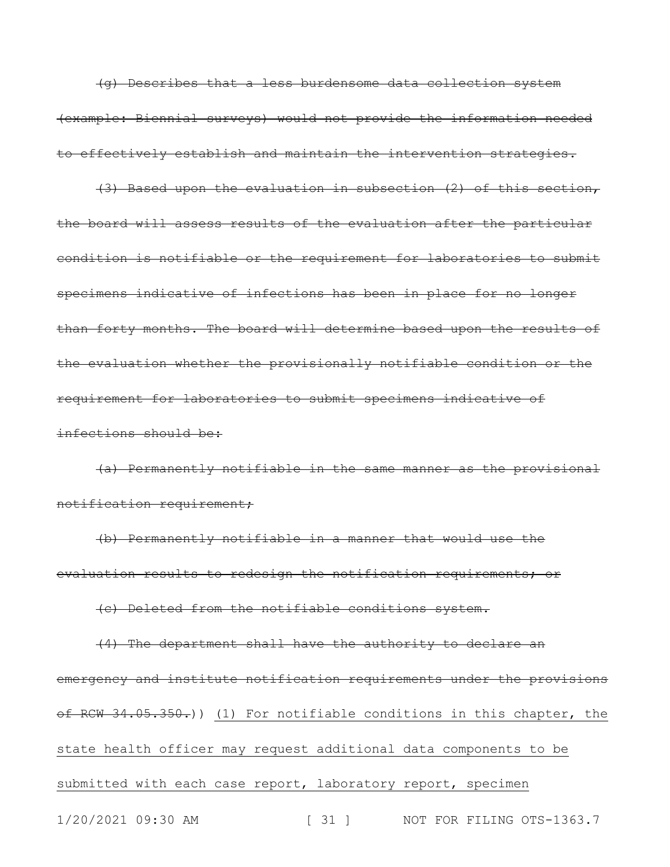(g) Describes that a less burdensome data collection system (example: Biennial surveys) would not provide the information needed to effectively establish and maintain the intervention strategies.

(3) Based upon the evaluation in subsection (2) of this section, the board will assess results of the evaluation after the particular condition is notifiable or the requirement for laboratories to submit specimens indicative of infections has been in place for no longer than forty months. The board will determine based upon the results of the evaluation whether the provisionally notifiable condition or the requirement for laboratories to submit specimens indicative of infections should be:

(a) Permanently notifiable in the same manner as the provisional notification requirement;

(b) Permanently notifiable in a manner that would use the evaluation results to redesign the notification requirements; or

(c) Deleted from the notifiable conditions system.

1/20/2021 09:30 AM [ 31 ] NOT FOR FILING OTS-1363.7 (4) The department shall have the authority to declare an emergency and institute notification requirements under the provisions of RCW 34.05.350.)) (1) For notifiable conditions in this chapter, the state health officer may request additional data components to be submitted with each case report, laboratory report, specimen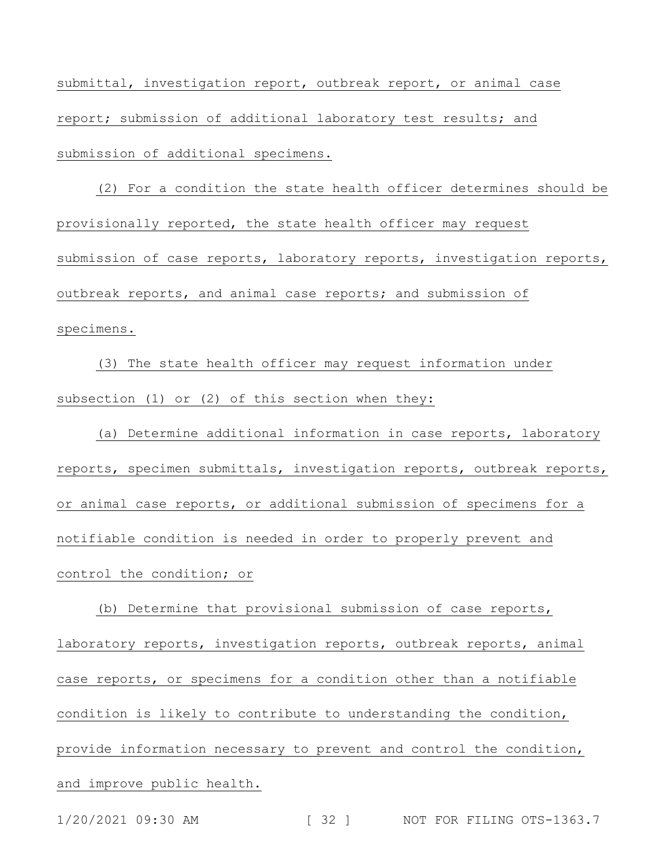submittal, investigation report, outbreak report, or animal case report; submission of additional laboratory test results; and submission of additional specimens.

(2) For a condition the state health officer determines should be provisionally reported, the state health officer may request submission of case reports, laboratory reports, investigation reports, outbreak reports, and animal case reports; and submission of specimens.

(3) The state health officer may request information under subsection (1) or (2) of this section when they:

(a) Determine additional information in case reports, laboratory reports, specimen submittals, investigation reports, outbreak reports, or animal case reports, or additional submission of specimens for a notifiable condition is needed in order to properly prevent and control the condition; or

(b) Determine that provisional submission of case reports, laboratory reports, investigation reports, outbreak reports, animal case reports, or specimens for a condition other than a notifiable condition is likely to contribute to understanding the condition, provide information necessary to prevent and control the condition, and improve public health.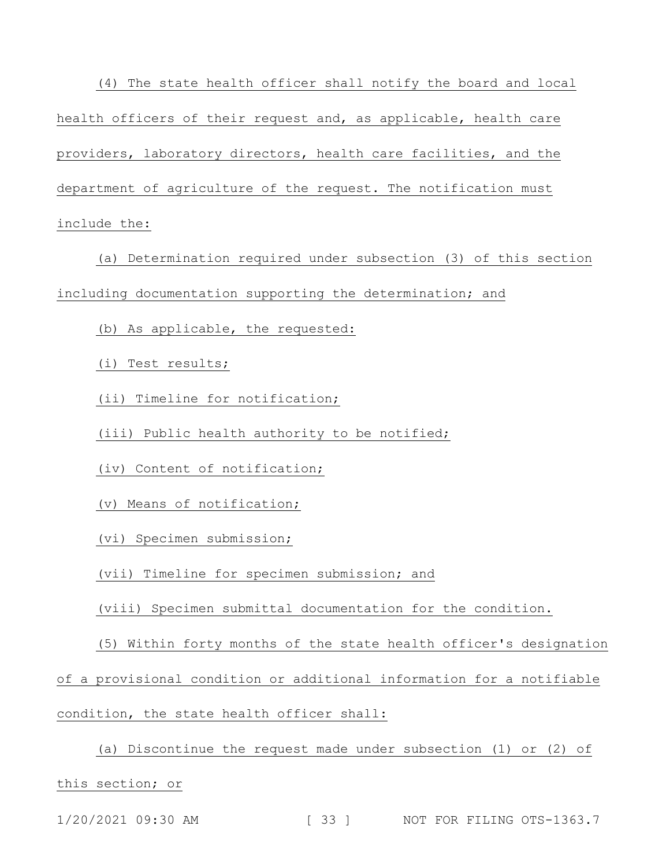(4) The state health officer shall notify the board and local health officers of their request and, as applicable, health care providers, laboratory directors, health care facilities, and the department of agriculture of the request. The notification must include the:

(a) Determination required under subsection (3) of this section including documentation supporting the determination; and

(b) As applicable, the requested:

(i) Test results;

(ii) Timeline for notification;

(iii) Public health authority to be notified;

(iv) Content of notification;

(v) Means of notification;

(vi) Specimen submission;

(vii) Timeline for specimen submission; and

(viii) Specimen submittal documentation for the condition.

(5) Within forty months of the state health officer's designation

of a provisional condition or additional information for a notifiable

condition, the state health officer shall:

(a) Discontinue the request made under subsection (1) or (2) of this section; or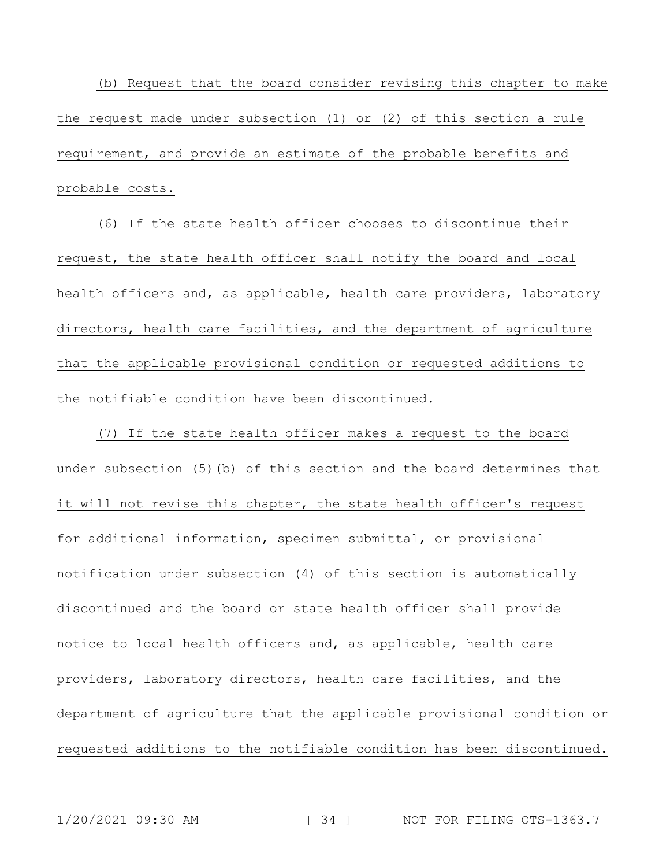(b) Request that the board consider revising this chapter to make the request made under subsection (1) or (2) of this section a rule requirement, and provide an estimate of the probable benefits and probable costs.

(6) If the state health officer chooses to discontinue their request, the state health officer shall notify the board and local health officers and, as applicable, health care providers, laboratory directors, health care facilities, and the department of agriculture that the applicable provisional condition or requested additions to the notifiable condition have been discontinued.

(7) If the state health officer makes a request to the board under subsection (5)(b) of this section and the board determines that it will not revise this chapter, the state health officer's request for additional information, specimen submittal, or provisional notification under subsection (4) of this section is automatically discontinued and the board or state health officer shall provide notice to local health officers and, as applicable, health care providers, laboratory directors, health care facilities, and the department of agriculture that the applicable provisional condition or requested additions to the notifiable condition has been discontinued.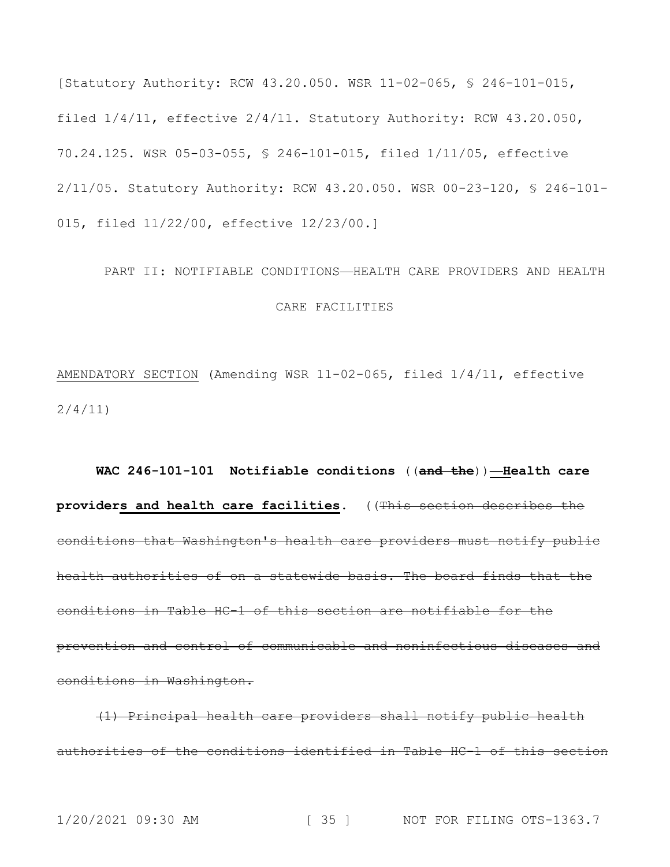[Statutory Authority: RCW 43.20.050. WSR 11-02-065, § 246-101-015, filed 1/4/11, effective 2/4/11. Statutory Authority: RCW 43.20.050, 70.24.125. WSR 05-03-055, § 246-101-015, filed 1/11/05, effective 2/11/05. Statutory Authority: RCW 43.20.050. WSR 00-23-120, § 246-101- 015, filed 11/22/00, effective 12/23/00.]

# PART II: NOTIFIABLE CONDITIONS—HEALTH CARE PROVIDERS AND HEALTH CARE FACILITIES

AMENDATORY SECTION (Amending WSR 11-02-065, filed 1/4/11, effective 2/4/11)

**WAC 246-101-101 Notifiable conditions** ((**and the**))**—Health care providers and health care facilities.** ((This section describes the conditions that Washington's health care providers must notify public health authorities of on a statewide basis. The board finds that the conditions in Table HC-1 of this section are notifiable for the prevention and control of communicable and noninfectious diseases and conditions in Washington.

(1) Principal health care providers shall notify public health authorities of the conditions identified in Table HC-1 of this section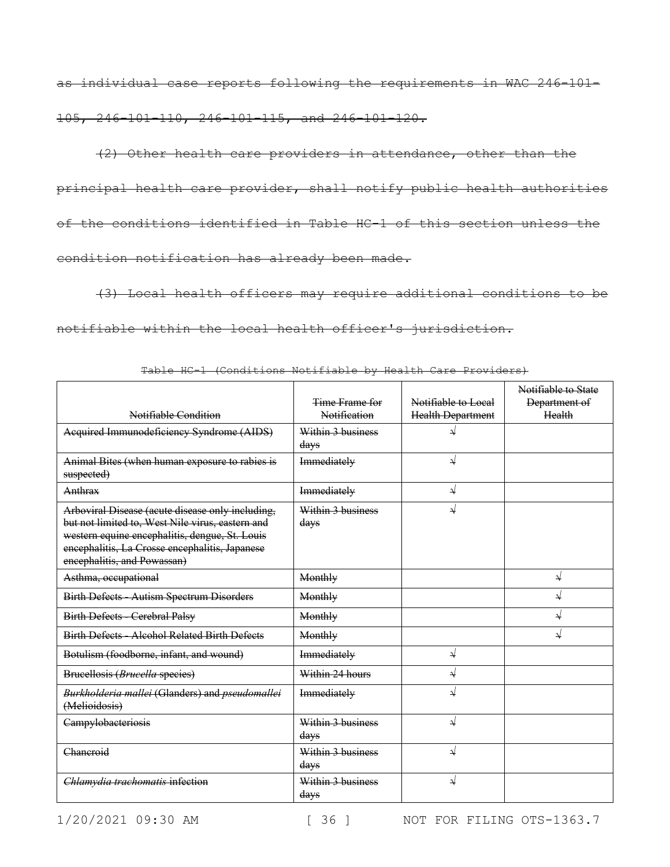as individual case reports following the requirements in WAC 246-101- 105, 246-101-110, 246-101-115, and 246-101-120.

(2) Other health care providers in attendance, other than the principal health care provider, shall notify public health authorities of the conditions identified in Table HC-1 of this section unless the condition notification has already been made.

(3) Local health officers may require additional conditions to be notifiable within the local health officer's jurisdiction.

| Notifiable Condition                                                                                                                                                                                                                    | Time Frame for<br>Notification | Notifiable to Local<br><b>Health Department</b> | Notifiable to State<br>Department of<br>Health |
|-----------------------------------------------------------------------------------------------------------------------------------------------------------------------------------------------------------------------------------------|--------------------------------|-------------------------------------------------|------------------------------------------------|
| Acquired Immunodeficiency Syndrome (AIDS)                                                                                                                                                                                               | Within 3 business<br>days      |                                                 |                                                |
| Animal Bites (when human exposure to rabies is<br>suspected)                                                                                                                                                                            | Immediately                    | $\rightarrow$                                   |                                                |
| Anthrax                                                                                                                                                                                                                                 | Immediately                    | $\sqrt{}$                                       |                                                |
| Arboviral Disease (acute disease only including,<br>but not limited to, West Nile virus, eastern and<br>western equine encephalitis, dengue, St. Louis<br>encephalitis, La Crosse encephalitis, Japanese<br>encephalitis, and Powassan) | Within 3 business<br>days      |                                                 |                                                |
| Asthma, occupational                                                                                                                                                                                                                    | Monthly                        |                                                 | ↵                                              |
| Birth Defects - Autism Spectrum Disorders                                                                                                                                                                                               | Monthly                        |                                                 | $\downarrow$                                   |
| <b>Birth Defects - Cerebral Palsy</b>                                                                                                                                                                                                   | Monthly                        |                                                 | $\rightarrow$                                  |
| <b>Birth Defects - Alcohol Related Birth Defects</b>                                                                                                                                                                                    | Monthly                        |                                                 | ↵                                              |
| Botulism (foodborne, infant, and wound)                                                                                                                                                                                                 | Immediately                    | $\sqrt{}$                                       |                                                |
| Brucellosis (Brucella species)                                                                                                                                                                                                          | Within 24 hours                | $\sqrt{}$                                       |                                                |
| Burkholderia mallei (Glanders) and pseudomallei<br>(Melioidosis)                                                                                                                                                                        | Immediately                    | √                                               |                                                |
| Campylobacteriosis                                                                                                                                                                                                                      | Within 3 business<br>days      | ↵                                               |                                                |
| Chaneroid                                                                                                                                                                                                                               | Within 3 business<br>days      | $\sqrt{ }$                                      |                                                |
| Chlamydia trachomatis infection                                                                                                                                                                                                         | Within 3 business<br>days      | لد                                              |                                                |

Table HC-1 (Conditions Notifiable by Health Care Providers)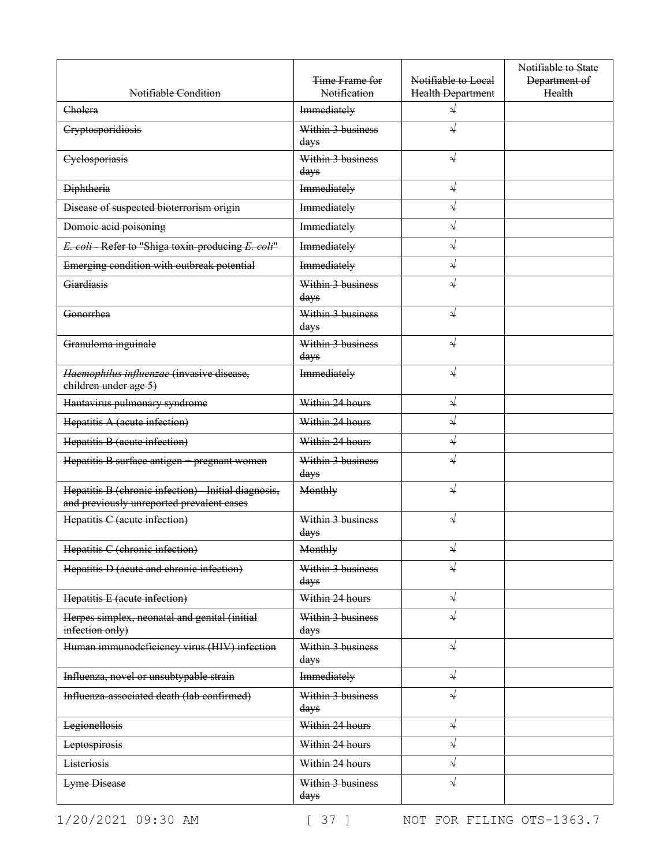| Notifiable Condition                                                                              | Time Frame for<br>Notification | Notifiable to Local<br><b>Health Department</b> | Notifiable to State<br>Department of<br>Health |
|---------------------------------------------------------------------------------------------------|--------------------------------|-------------------------------------------------|------------------------------------------------|
| Cholera                                                                                           | Immediately                    | $\sqrt{}$                                       |                                                |
| Cryptosporidiosis                                                                                 | Within 3 business<br>days      | $\sqrt{}$                                       |                                                |
| Cyclosporiasis                                                                                    | Within 3 business<br>days      | $\sqrt{}$                                       |                                                |
| <b>Diphtheria</b>                                                                                 | Immediately                    | $\rightarrow$                                   |                                                |
| Disease of suspected bioterrorism origin                                                          | Immediately                    | $\downarrow$                                    |                                                |
| Domoie acid poisoning                                                                             | Immediately                    | $\downarrow$                                    |                                                |
| E. coli Refer to "Shiga toxin producing E. coli"                                                  | Immediately                    | $\sqrt{}$                                       |                                                |
| Emerging condition with outbreak potential                                                        | Immediately                    | $\sqrt{}$                                       |                                                |
| Giardiasis                                                                                        | Within 3 business<br>days      | $\sqrt{}$                                       |                                                |
| Gonorrhea                                                                                         | Within 3 business<br>days      | $\sqrt{}$                                       |                                                |
| Granuloma inguinale                                                                               | Within 3 business<br>days      | $\sqrt{ }$                                      |                                                |
| Haemophilus influenzae (invasive disease,<br>children under age 5)                                | Immediately                    | $\sqrt{}$                                       |                                                |
| Hantavirus pulmonary syndrome                                                                     | Within 24 hours                | $\sqrt{}$                                       |                                                |
| Hepatitis A (acute infection)                                                                     | Within 24 hours                | $\sqrt{}$                                       |                                                |
| Hepatitis B (acute infection)                                                                     | Within 24 hours                | $\rightarrow$                                   |                                                |
| Hepatitis B surface antigen + pregnant women                                                      | Within 3 business<br>days      | $\sqrt{}$                                       |                                                |
| Hepatitis B (chronic infection) - Initial diagnosis,<br>and previously unreported prevalent cases | Monthly                        | $\sqrt{}$                                       |                                                |
| Hepatitis C (acute infection)                                                                     | Within 3 business<br>days      | $\sqrt{}$                                       |                                                |
| Hepatitis C (chronic infection)                                                                   | Monthly                        | $\Delta$                                        |                                                |
| Hepatitis D (acute and chronic infection)                                                         | Within 3 business<br>days      | $\sqrt{}$                                       |                                                |
| Hepatitis E (acute infection)                                                                     | Within 24 hours                | $\rightarrow$                                   |                                                |
| Herpes simplex, neonatal and genital (initial<br>infection only)                                  | Within 3 business<br>days      | $\sqrt{}$                                       |                                                |
| Human immunodeficiency virus (HIV) infection                                                      | Within 3 business<br>days      | $\rightarrow$                                   |                                                |
| Influenza, novel or unsubtypable strain                                                           | Immediately                    | $\rightarrow$                                   |                                                |
| Influenza associated death (lab confirmed)                                                        | Within 3 business<br>days      | $\sqrt{}$                                       |                                                |
| Legionellosis                                                                                     | Within 24 hours                | $\sqrt{}$                                       |                                                |
| Leptospirosis                                                                                     | Within 24 hours                | $\sqrt{}$                                       |                                                |
| <b>Listeriosis</b>                                                                                | Within 24 hours                | $\sqrt{}$                                       |                                                |
| <b>Lyme Disease</b>                                                                               | Within 3 business<br>days      | $\sqrt{}$                                       |                                                |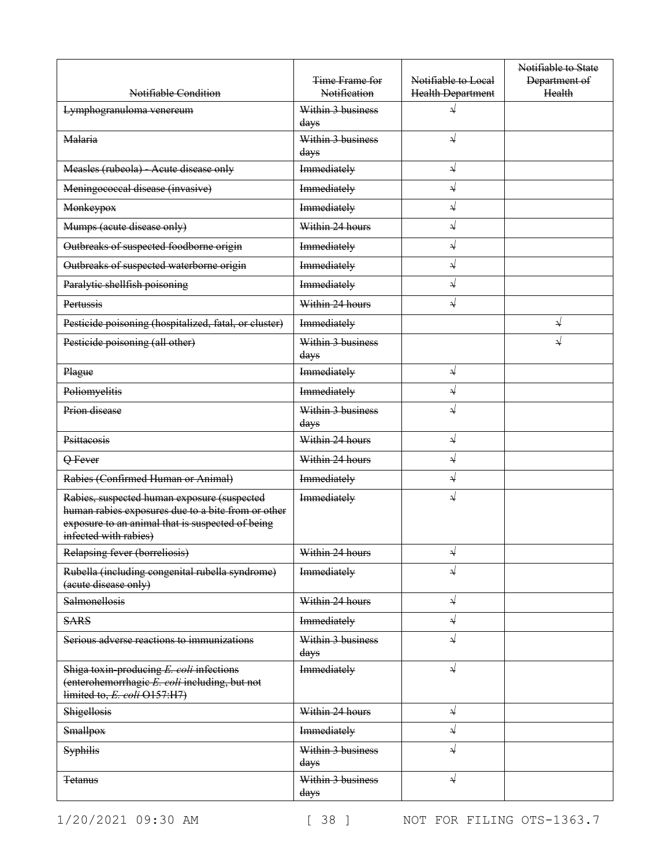| Notifiable Condition                                                                                                                                                           | Time Frame for<br>Notification | Notifiable to Local<br><b>Health Department</b> | Notifiable to State<br>Department of<br>Health |
|--------------------------------------------------------------------------------------------------------------------------------------------------------------------------------|--------------------------------|-------------------------------------------------|------------------------------------------------|
| Lymphogranuloma venereum                                                                                                                                                       | Within 3 business<br>days      | ⇃                                               |                                                |
| Malaria                                                                                                                                                                        | Within 3 business<br>days      | $\sqrt{ }$                                      |                                                |
| Measles (rubeola) Acute disease only                                                                                                                                           | Immediately                    | $\sqrt{}$                                       |                                                |
| Meningococcal disease (invasive)                                                                                                                                               | Immediately                    | $\sqrt{}$                                       |                                                |
| <b>Monkeypox</b>                                                                                                                                                               | Immediately                    | $\sqrt{}$                                       |                                                |
| Mumps (acute disease only)                                                                                                                                                     | Within 24 hours                | $\rightarrow$                                   |                                                |
| Outbreaks of suspected foodborne origin                                                                                                                                        | Immediately                    | $\rightarrow$                                   |                                                |
| Outbreaks of suspected waterborne origin                                                                                                                                       | Immediately                    | $\rightarrow$                                   |                                                |
| Paralytic shellfish poisoning                                                                                                                                                  | Immediately                    | $\sqrt{}$                                       |                                                |
| Pertussis                                                                                                                                                                      | Within 24 hours                | $\sqrt{}$                                       |                                                |
| Pesticide poisoning (hospitalized, fatal, or cluster)                                                                                                                          | Immediately                    |                                                 | ↓                                              |
| Pesticide poisoning (all other)                                                                                                                                                | Within 3 business<br>days      |                                                 | ↓                                              |
| Plague                                                                                                                                                                         | Immediately                    | $\rightarrow$                                   |                                                |
| Poliomyelitis                                                                                                                                                                  | Immediately                    | $\sqrt{}$                                       |                                                |
| Prion disease                                                                                                                                                                  | Within 3 business<br>days      | $\sqrt{ }$                                      |                                                |
| Psittacosis                                                                                                                                                                    | Within 24 hours                | $\sqrt{}$                                       |                                                |
| Q Fever                                                                                                                                                                        | Within 24 hours                | $\sqrt{ }$                                      |                                                |
| Rabies (Confirmed Human or Animal)                                                                                                                                             | Immediately                    | $\rightarrow$                                   |                                                |
| Rabies, suspected human exposure (suspected<br>human rabies exposures due to a bite from or other<br>exposure to an animal that is suspected of being<br>infected with rabies) | Immediately                    | √                                               |                                                |
| Relapsing fever (borreliosis)                                                                                                                                                  | Within 24 hours                | N                                               |                                                |
| Rubella (including congenital rubella syndrome)<br>(acute disease only)                                                                                                        | Immediately                    | $\sqrt{ }$                                      |                                                |
| Salmonellosis                                                                                                                                                                  | Within 24 hours                | $\rightarrow$                                   |                                                |
| <b>SARS</b>                                                                                                                                                                    | Immediately                    | $\rightarrow$                                   |                                                |
| Serious adverse reactions to immunizations                                                                                                                                     | Within 3 business<br>days      | $\sqrt{ }$                                      |                                                |
| Shiga toxin producing E. coli infections<br>(enterohemorrhagie E. coli including, but not<br>limited to, E. coli O157:H7)                                                      | Immediately                    | $\sqrt{}$                                       |                                                |
| Shigellosis                                                                                                                                                                    | Within 24 hours                | $\rightarrow$                                   |                                                |
| <b>Smallpox</b>                                                                                                                                                                | Immediately                    | $\rightarrow$                                   |                                                |
| <b>Syphilis</b>                                                                                                                                                                | Within 3 business<br>days      | $\sqrt{}$                                       |                                                |
| <del>Tetanus</del>                                                                                                                                                             | Within 3 business<br>days      | ⇃                                               |                                                |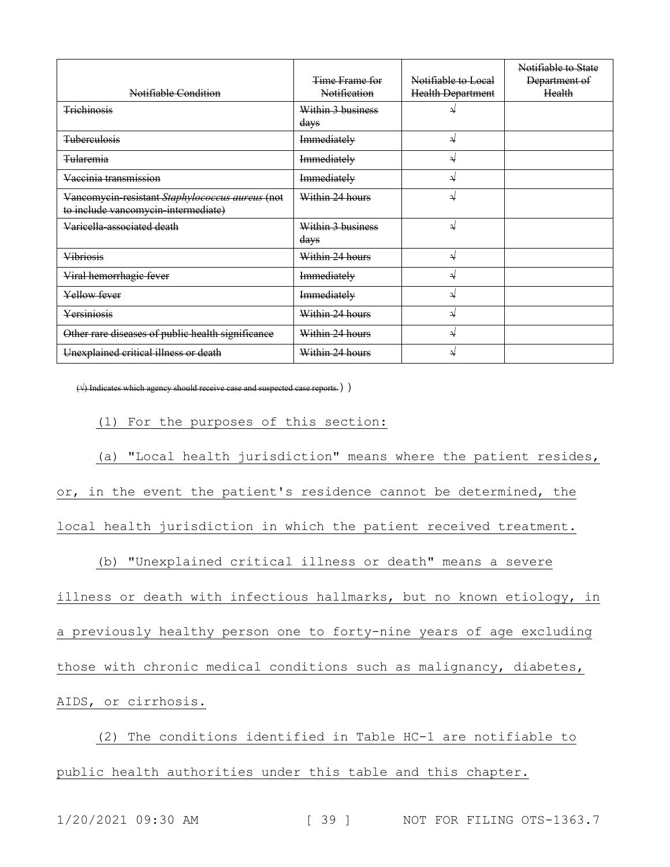| Notifiable Condition                                                                   | Time Frame for<br>Notification | Notifiable to Local<br>Health Department | Notifiable to State<br>Department of<br>Health |
|----------------------------------------------------------------------------------------|--------------------------------|------------------------------------------|------------------------------------------------|
| Trichinosis                                                                            | Within 3 business<br>days      |                                          |                                                |
| <b>Tuberculosis</b>                                                                    | Immediately                    | ↵                                        |                                                |
| <b>Tularemia</b>                                                                       | Immediately                    | ↵                                        |                                                |
| Vaccinia transmission                                                                  | Immediately                    | N                                        |                                                |
| Vancomycin-resistant Staphylococcus aureus (not<br>to include vancomycin intermediate) | Within 24 hours                | N                                        |                                                |
| Varicella-associated death                                                             | Within 3 business<br>days      | ↵                                        |                                                |
| <b>Vibriosis</b>                                                                       | Within 24 hours                | N                                        |                                                |
| Viral hemorrhagic fever                                                                | Immediately                    | ₹                                        |                                                |
| Yellow fever                                                                           | Immediately                    | N                                        |                                                |
| Yersiniosis                                                                            | Within 24 hours                | ₩                                        |                                                |
| Other rare diseases of public health significance                                      | Within 24 hours                | ↵                                        |                                                |
| Unexplained critical illness or death                                                  | Within 24 hours                | ₹                                        |                                                |

 $(\rightsquigarrow)$  Indicates which agency should receive case and suspected case reports.) )

(1) For the purposes of this section:

(a) "Local health jurisdiction" means where the patient resides, or, in the event the patient's residence cannot be determined, the

local health jurisdiction in which the patient received treatment.

(b) "Unexplained critical illness or death" means a severe

illness or death with infectious hallmarks, but no known etiology, in

a previously healthy person one to forty-nine years of age excluding

those with chronic medical conditions such as malignancy, diabetes,

AIDS, or cirrhosis.

(2) The conditions identified in Table HC-1 are notifiable to public health authorities under this table and this chapter.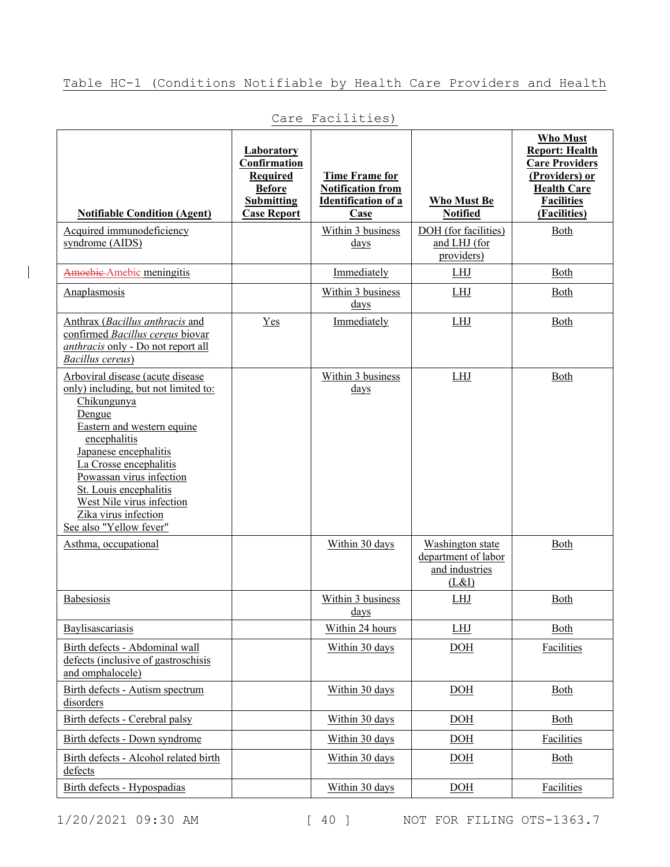## Table HC-1 (Conditions Notifiable by Health Care Providers and Health

| <b>Notifiable Condition (Agent)</b>                                                                                                                                                                                                                                                                                                                              | <b>Laboratory</b><br>Confirmation<br><b>Required</b><br><b>Before</b><br><b>Submitting</b><br><b>Case Report</b> | <b>Time Frame for</b><br><b>Notification from</b><br><b>Identification of a</b><br>Case | Who Must Be<br><b>Notified</b>                     | <b>Who Must</b><br><b>Report: Health</b><br><b>Care Providers</b><br>(Providers) or<br><b>Health Care</b><br><b>Facilities</b><br>(Facilities) |
|------------------------------------------------------------------------------------------------------------------------------------------------------------------------------------------------------------------------------------------------------------------------------------------------------------------------------------------------------------------|------------------------------------------------------------------------------------------------------------------|-----------------------------------------------------------------------------------------|----------------------------------------------------|------------------------------------------------------------------------------------------------------------------------------------------------|
| Acquired immunodeficiency<br>syndrome (AIDS)                                                                                                                                                                                                                                                                                                                     |                                                                                                                  | Within 3 business<br>$_{\rm days}$                                                      | DOH (for facilities)<br>and LHJ (for<br>providers) | Both                                                                                                                                           |
| Amoebic Amebic meningitis                                                                                                                                                                                                                                                                                                                                        |                                                                                                                  | Immediately                                                                             | <b>LHJ</b>                                         | Both                                                                                                                                           |
| Anaplasmosis                                                                                                                                                                                                                                                                                                                                                     |                                                                                                                  | Within 3 business<br>days                                                               | LHJ                                                | Both                                                                                                                                           |
| Anthrax ( <i>Bacillus anthracis</i> and<br>confirmed Bacillus cereus biovar<br><i>anthracis</i> only - Do not report all<br>Bacillus cereus)                                                                                                                                                                                                                     | Yes                                                                                                              | Immediately                                                                             | <b>LHJ</b>                                         | <b>Both</b>                                                                                                                                    |
| Arboviral disease (acute disease<br>only) including, but not limited to:<br>Chikungunya<br>Dengue<br>Eastern and western equine<br>encephalitis<br>Japanese encephalitis<br>La Crosse encephalitis<br>Powassan virus infection<br>St. Louis encephalitis<br>West Nile virus infection<br>Zika virus infection<br>See also "Yellow fever"<br>Asthma, occupational |                                                                                                                  | Within 3 business<br>days<br>Within 30 days                                             | LHJ<br>Washington state<br>department of labor     | Both<br>Both                                                                                                                                   |
|                                                                                                                                                                                                                                                                                                                                                                  |                                                                                                                  |                                                                                         | and industries<br>(L&I)                            |                                                                                                                                                |
| <b>Babesiosis</b>                                                                                                                                                                                                                                                                                                                                                |                                                                                                                  | Within 3 business<br><u>days</u>                                                        | <b>LHJ</b>                                         | <b>Both</b>                                                                                                                                    |
| Baylisascariasis                                                                                                                                                                                                                                                                                                                                                 |                                                                                                                  | Within 24 hours                                                                         | <b>LHJ</b>                                         | <b>Both</b>                                                                                                                                    |
| Birth defects - Abdominal wall<br>defects (inclusive of gastroschisis<br>and omphalocele)                                                                                                                                                                                                                                                                        |                                                                                                                  | Within 30 days                                                                          | DOH                                                | Facilities                                                                                                                                     |
| Birth defects - Autism spectrum<br>disorders                                                                                                                                                                                                                                                                                                                     |                                                                                                                  | Within 30 days                                                                          | DOH                                                | Both                                                                                                                                           |
| Birth defects - Cerebral palsy                                                                                                                                                                                                                                                                                                                                   |                                                                                                                  | Within 30 days                                                                          | DOH                                                | Both                                                                                                                                           |
| Birth defects - Down syndrome                                                                                                                                                                                                                                                                                                                                    |                                                                                                                  | Within 30 days                                                                          | $\underline{DOH}$                                  | Facilities                                                                                                                                     |
| Birth defects - Alcohol related birth<br>defects                                                                                                                                                                                                                                                                                                                 |                                                                                                                  | Within 30 days                                                                          | DOH                                                | Both                                                                                                                                           |
| Birth defects - Hypospadias                                                                                                                                                                                                                                                                                                                                      |                                                                                                                  | Within 30 days                                                                          | $\underline{DOH}$                                  | Facilities                                                                                                                                     |

Care Facilities)

1/20/2021 09:30 AM [ 40 ] NOT FOR FILING OTS-1363.7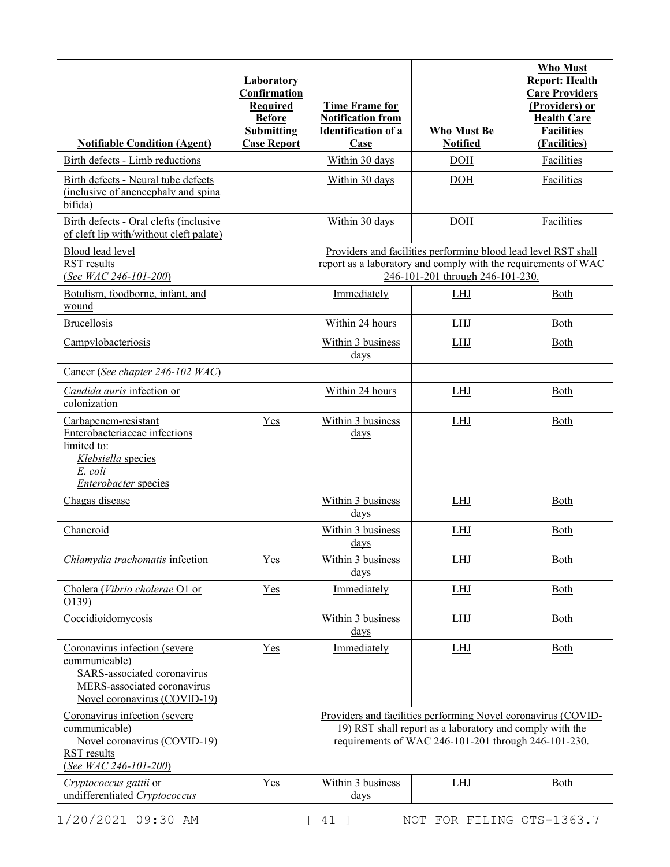|                                                                                                                                              | Laboratory<br>Confirmation<br>Required<br><b>Before</b><br><b>Submitting</b> | <b>Time Frame for</b><br><b>Notification from</b><br><b>Identification of a</b> | <b>Who Must Be</b>                                                                                                                                                                | <b>Who Must</b><br><b>Report: Health</b><br><b>Care Providers</b><br>(Providers) or<br><b>Health Care</b><br><b>Facilities</b> |
|----------------------------------------------------------------------------------------------------------------------------------------------|------------------------------------------------------------------------------|---------------------------------------------------------------------------------|-----------------------------------------------------------------------------------------------------------------------------------------------------------------------------------|--------------------------------------------------------------------------------------------------------------------------------|
| <b>Notifiable Condition (Agent)</b>                                                                                                          | <b>Case Report</b>                                                           | Case                                                                            | <b>Notified</b>                                                                                                                                                                   | (Facilities)                                                                                                                   |
| Birth defects - Limb reductions                                                                                                              |                                                                              | Within 30 days                                                                  | <b>DOH</b>                                                                                                                                                                        | <b>Facilities</b>                                                                                                              |
| Birth defects - Neural tube defects<br>(inclusive of anencephaly and spina)<br>bifida)                                                       |                                                                              | Within 30 days                                                                  | DOH                                                                                                                                                                               | Facilities                                                                                                                     |
| Birth defects - Oral clefts (inclusive<br>of cleft lip with/without cleft palate)                                                            |                                                                              | Within 30 days                                                                  | <b>DOH</b>                                                                                                                                                                        | Facilities                                                                                                                     |
| Blood lead level<br>RST results<br>(See WAC 246-101-200)                                                                                     |                                                                              |                                                                                 | Providers and facilities performing blood lead level RST shall<br>report as a laboratory and comply with the requirements of WAC<br>246-101-201 through 246-101-230.              |                                                                                                                                |
| Botulism, foodborne, infant, and<br>wound                                                                                                    |                                                                              | Immediately                                                                     | <b>LHJ</b>                                                                                                                                                                        | Both                                                                                                                           |
| <b>Brucellosis</b>                                                                                                                           |                                                                              | Within 24 hours                                                                 | <b>LHJ</b>                                                                                                                                                                        | Both                                                                                                                           |
| Campylobacteriosis                                                                                                                           |                                                                              | Within 3 business<br>$_{\rm days}$                                              | <b>LHJ</b>                                                                                                                                                                        | Both                                                                                                                           |
| Cancer (See chapter 246-102 WAC)                                                                                                             |                                                                              |                                                                                 |                                                                                                                                                                                   |                                                                                                                                |
| Candida auris infection or<br>colonization                                                                                                   |                                                                              | Within 24 hours                                                                 | <b>LHJ</b>                                                                                                                                                                        | <b>Both</b>                                                                                                                    |
| Carbapenem-resistant<br>Enterobacteriaceae infections<br>limited to:<br>Klebsiella species<br>E. coli<br>Enterobacter species                | Yes                                                                          | Within 3 business<br>days                                                       | <b>LHJ</b>                                                                                                                                                                        | Both                                                                                                                           |
| Chagas disease                                                                                                                               |                                                                              | Within 3 business<br>days                                                       | LHJ                                                                                                                                                                               | Both                                                                                                                           |
| Chancroid                                                                                                                                    |                                                                              | Within 3 business<br><u>days</u>                                                | <b>LHJ</b>                                                                                                                                                                        | Both                                                                                                                           |
| Chlamydia trachomatis infection                                                                                                              | Yes                                                                          | Within 3 business<br>days                                                       | <b>LHJ</b>                                                                                                                                                                        | Both                                                                                                                           |
| Cholera (Vibrio cholerae O1 or<br>O139)                                                                                                      | Yes                                                                          | Immediately                                                                     | LHJ                                                                                                                                                                               | Both                                                                                                                           |
| Coccidioidomycosis                                                                                                                           |                                                                              | Within 3 business<br><u>days</u>                                                | LHJ                                                                                                                                                                               | Both                                                                                                                           |
| Coronavirus infection (severe<br>communicable)<br>SARS-associated coronavirus<br>MERS-associated coronavirus<br>Novel coronavirus (COVID-19) | Yes                                                                          | Immediately                                                                     | LHJ                                                                                                                                                                               | Both                                                                                                                           |
| Coronavirus infection (severe<br>communicable)<br>Novel coronavirus (COVID-19)<br>RST results<br>(See WAC 246-101-200)                       |                                                                              |                                                                                 | Providers and facilities performing Novel coronavirus (COVID-<br>19) RST shall report as a laboratory and comply with the<br>requirements of WAC 246-101-201 through 246-101-230. |                                                                                                                                |
| Cryptococcus gattii or<br>undifferentiated Cryptococcus                                                                                      | Yes                                                                          | Within 3 business<br><u>days</u>                                                | <b>LHJ</b>                                                                                                                                                                        | Both                                                                                                                           |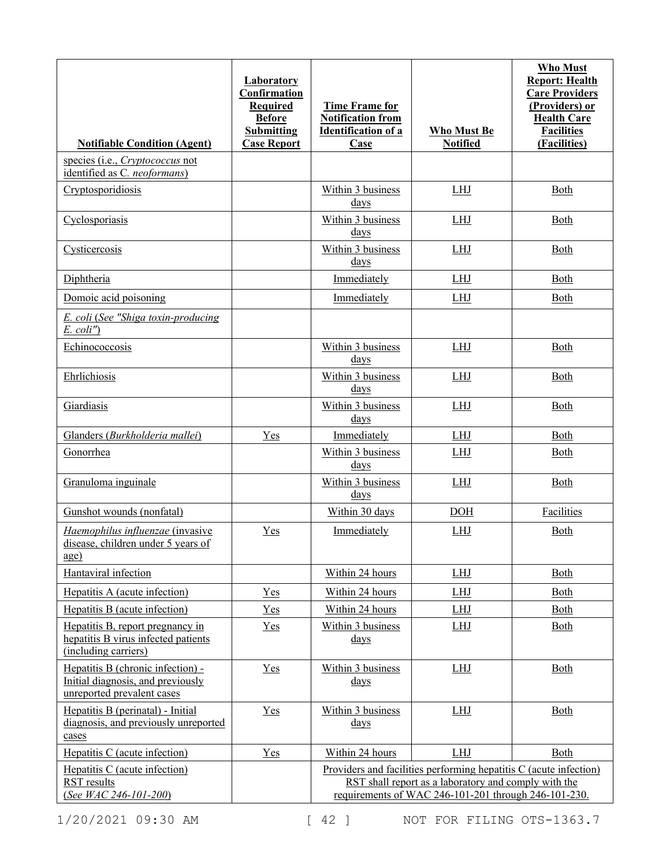| <b>Notifiable Condition (Agent)</b>                                                                  | <b>Laboratory</b><br>Confirmation<br><b>Required</b><br><b>Before</b><br><b>Submitting</b><br><b>Case Report</b> | <b>Time Frame for</b><br><b>Notification from</b><br><b>Identification of a</b><br><b>Case</b> | <b>Who Must Be</b><br><b>Notified</b>                                                                                                                                             | <b>Who Must</b><br><b>Report: Health</b><br><b>Care Providers</b><br>(Providers) or<br><b>Health Care</b><br><b>Facilities</b><br>(Facilities) |
|------------------------------------------------------------------------------------------------------|------------------------------------------------------------------------------------------------------------------|------------------------------------------------------------------------------------------------|-----------------------------------------------------------------------------------------------------------------------------------------------------------------------------------|------------------------------------------------------------------------------------------------------------------------------------------------|
| species (i.e., <i>Cryptococcus</i> not<br>identified as C. neoformans)                               |                                                                                                                  |                                                                                                |                                                                                                                                                                                   |                                                                                                                                                |
| Cryptosporidiosis                                                                                    |                                                                                                                  | Within 3 business<br>days                                                                      | <b>LHJ</b>                                                                                                                                                                        | Both                                                                                                                                           |
| Cyclosporiasis                                                                                       |                                                                                                                  | Within 3 business<br>days                                                                      | <b>LHJ</b>                                                                                                                                                                        | Both                                                                                                                                           |
| Cysticercosis                                                                                        |                                                                                                                  | Within 3 business<br>days                                                                      | <b>LHJ</b>                                                                                                                                                                        | Both                                                                                                                                           |
| Diphtheria                                                                                           |                                                                                                                  | Immediately                                                                                    | <b>LHJ</b>                                                                                                                                                                        | Both                                                                                                                                           |
| Domoic acid poisoning                                                                                |                                                                                                                  | Immediately                                                                                    | LHJ                                                                                                                                                                               | <b>Both</b>                                                                                                                                    |
| E. coli (See "Shiga toxin-producing<br>$E.$ coli")                                                   |                                                                                                                  |                                                                                                |                                                                                                                                                                                   |                                                                                                                                                |
| Echinococcosis                                                                                       |                                                                                                                  | Within 3 business<br>days                                                                      | LHJ                                                                                                                                                                               | Both                                                                                                                                           |
| Ehrlichiosis                                                                                         |                                                                                                                  | Within 3 business<br>days                                                                      | LHJ                                                                                                                                                                               | Both                                                                                                                                           |
| Giardiasis                                                                                           |                                                                                                                  | Within 3 business<br>days                                                                      | LHJ                                                                                                                                                                               | Both                                                                                                                                           |
| Glanders (Burkholderia mallei)                                                                       | Yes                                                                                                              | Immediately                                                                                    | LHJ                                                                                                                                                                               | Both                                                                                                                                           |
| Gonorrhea                                                                                            |                                                                                                                  | Within 3 business<br>$_{\rm days}$                                                             | LHJ                                                                                                                                                                               | <b>Both</b>                                                                                                                                    |
| Granuloma inguinale                                                                                  |                                                                                                                  | Within 3 business<br>days                                                                      | <b>LHJ</b>                                                                                                                                                                        | <b>Both</b>                                                                                                                                    |
| Gunshot wounds (nonfatal)                                                                            |                                                                                                                  | Within 30 days                                                                                 | <b>DOH</b>                                                                                                                                                                        | Facilities                                                                                                                                     |
| Haemophilus influenzae (invasive<br>disease, children under 5 years of<br>$\underline{age}$          | Yes                                                                                                              | Immediately                                                                                    | <b>LHJ</b>                                                                                                                                                                        | Both                                                                                                                                           |
| Hantaviral infection                                                                                 |                                                                                                                  | Within 24 hours                                                                                | LHJ                                                                                                                                                                               | Both                                                                                                                                           |
| Hepatitis A (acute infection)                                                                        | Yes                                                                                                              | Within 24 hours                                                                                | LHJ                                                                                                                                                                               | Both                                                                                                                                           |
| Hepatitis B (acute infection)                                                                        | Yes                                                                                                              | Within 24 hours                                                                                | LHJ                                                                                                                                                                               | Both                                                                                                                                           |
| Hepatitis B, report pregnancy in<br>hepatitis B virus infected patients<br>(including carriers)      | $Yes$                                                                                                            | Within 3 business<br>$\frac{days}{9}$                                                          | <u>LHJ</u>                                                                                                                                                                        | <b>Both</b>                                                                                                                                    |
| Hepatitis B (chronic infection) -<br>Initial diagnosis, and previously<br>unreported prevalent cases | Yes                                                                                                              | Within 3 business<br>$\frac{days}{9}$                                                          | LHJ                                                                                                                                                                               | Both                                                                                                                                           |
| Hepatitis B (perinatal) - Initial<br>diagnosis, and previously unreported<br>cases                   | Yes                                                                                                              | Within 3 business<br><u>days</u>                                                               | LHJ                                                                                                                                                                               | Both                                                                                                                                           |
| Hepatitis C (acute infection)                                                                        | Yes                                                                                                              | Within 24 hours                                                                                | <b>LHJ</b>                                                                                                                                                                        | Both                                                                                                                                           |
| Hepatitis C (acute infection)<br><b>RST</b> results<br>(See WAC 246-101-200)                         |                                                                                                                  |                                                                                                | Providers and facilities performing hepatitis C (acute infection)<br>RST shall report as a laboratory and comply with the<br>requirements of WAC 246-101-201 through 246-101-230. |                                                                                                                                                |

1/20/2021 09:30 AM [ 42 ] NOT FOR FILING OTS-1363.7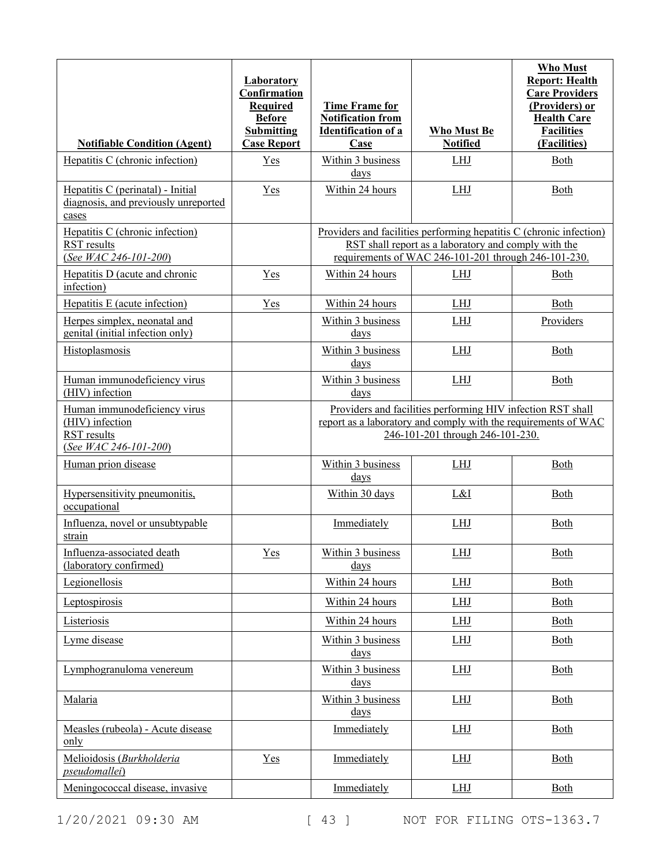| <b>Notifiable Condition (Agent)</b>                                                            | <b>Laboratory</b><br>Confirmation<br><b>Required</b><br><b>Before</b><br><b>Submitting</b><br><b>Case Report</b> | <b>Time Frame for</b><br><b>Notification from</b><br><b>Identification of a</b><br><b>Case</b> | <b>Who Must Be</b><br><b>Notified</b>                                                                                                                                               | <b>Who Must</b><br><b>Report: Health</b><br><b>Care Providers</b><br>(Providers) or<br><b>Health Care</b><br><b>Facilities</b><br>(Facilities) |
|------------------------------------------------------------------------------------------------|------------------------------------------------------------------------------------------------------------------|------------------------------------------------------------------------------------------------|-------------------------------------------------------------------------------------------------------------------------------------------------------------------------------------|------------------------------------------------------------------------------------------------------------------------------------------------|
| Hepatitis C (chronic infection)                                                                | Yes                                                                                                              | Within 3 business<br>days                                                                      | LHJ                                                                                                                                                                                 | Both                                                                                                                                           |
| Hepatitis C (perinatal) - Initial<br>diagnosis, and previously unreported<br>cases             | $Yes$                                                                                                            | Within 24 hours                                                                                | <b>LHJ</b>                                                                                                                                                                          | Both                                                                                                                                           |
| Hepatitis C (chronic infection)<br>RST results<br>(See WAC 246-101-200)                        |                                                                                                                  |                                                                                                | Providers and facilities performing hepatitis C (chronic infection)<br>RST shall report as a laboratory and comply with the<br>requirements of WAC 246-101-201 through 246-101-230. |                                                                                                                                                |
| Hepatitis D (acute and chronic<br>infection)                                                   | Yes                                                                                                              | Within 24 hours                                                                                | <b>LHJ</b>                                                                                                                                                                          | Both                                                                                                                                           |
| Hepatitis E (acute infection)                                                                  | Yes                                                                                                              | Within 24 hours                                                                                | <b>LHJ</b>                                                                                                                                                                          | <b>Both</b>                                                                                                                                    |
| Herpes simplex, neonatal and<br>genital (initial infection only)                               |                                                                                                                  | Within 3 business<br>days                                                                      | <b>LHJ</b>                                                                                                                                                                          | Providers                                                                                                                                      |
| Histoplasmosis                                                                                 |                                                                                                                  | Within 3 business<br>days                                                                      | <b>LHJ</b>                                                                                                                                                                          | <b>Both</b>                                                                                                                                    |
| Human immunodeficiency virus<br>(HIV) infection                                                |                                                                                                                  | Within 3 business<br>$\frac{days}{9}$                                                          | <b>LHJ</b>                                                                                                                                                                          | Both                                                                                                                                           |
| Human immunodeficiency virus<br>(HIV) infection<br><b>RST</b> results<br>(See WAC 246-101-200) |                                                                                                                  |                                                                                                | Providers and facilities performing HIV infection RST shall<br>report as a laboratory and comply with the requirements of WAC<br>246-101-201 through 246-101-230.                   |                                                                                                                                                |
| Human prion disease                                                                            |                                                                                                                  | Within 3 business<br>days                                                                      | <b>LHJ</b>                                                                                                                                                                          | Both                                                                                                                                           |
| Hypersensitivity pneumonitis,<br>occupational                                                  |                                                                                                                  | Within 30 days                                                                                 | L&I                                                                                                                                                                                 | <b>Both</b>                                                                                                                                    |
| Influenza, novel or unsubtypable<br>strain                                                     |                                                                                                                  | Immediately                                                                                    | <b>LHJ</b>                                                                                                                                                                          | Both                                                                                                                                           |
| Influenza-associated death<br>(laboratory confirmed)                                           | $Yes$                                                                                                            | <u>Within 3 business</u><br>days                                                               | <u>LHJ</u>                                                                                                                                                                          | <u>Both</u>                                                                                                                                    |
| Legionellosis                                                                                  |                                                                                                                  | Within 24 hours                                                                                | <b>LHJ</b>                                                                                                                                                                          | Both                                                                                                                                           |
| Leptospirosis                                                                                  |                                                                                                                  | Within 24 hours                                                                                | LHJ                                                                                                                                                                                 | Both                                                                                                                                           |
| Listeriosis                                                                                    |                                                                                                                  | Within 24 hours                                                                                | LHJ                                                                                                                                                                                 | Both                                                                                                                                           |
| Lyme disease                                                                                   |                                                                                                                  | Within 3 business<br>$\frac{days}{9}$                                                          | LHJ                                                                                                                                                                                 | Both                                                                                                                                           |
| Lymphogranuloma venereum                                                                       |                                                                                                                  | Within 3 business<br>$_{\rm days}$                                                             | LHJ                                                                                                                                                                                 | <b>Both</b>                                                                                                                                    |
| Malaria                                                                                        |                                                                                                                  | Within 3 business<br>$\frac{days}{9}$                                                          | LHJ                                                                                                                                                                                 | Both                                                                                                                                           |
| Measles (rubeola) - Acute disease<br>only                                                      |                                                                                                                  | Immediately                                                                                    | LHJ                                                                                                                                                                                 | Both                                                                                                                                           |
| Melioidosis (Burkholderia<br><i>pseudomallei</i> )                                             | $Yes$                                                                                                            | Immediately                                                                                    | LHJ                                                                                                                                                                                 | Both                                                                                                                                           |
| Meningococcal disease, invasive                                                                |                                                                                                                  | Immediately                                                                                    | LHJ                                                                                                                                                                                 | <b>Both</b>                                                                                                                                    |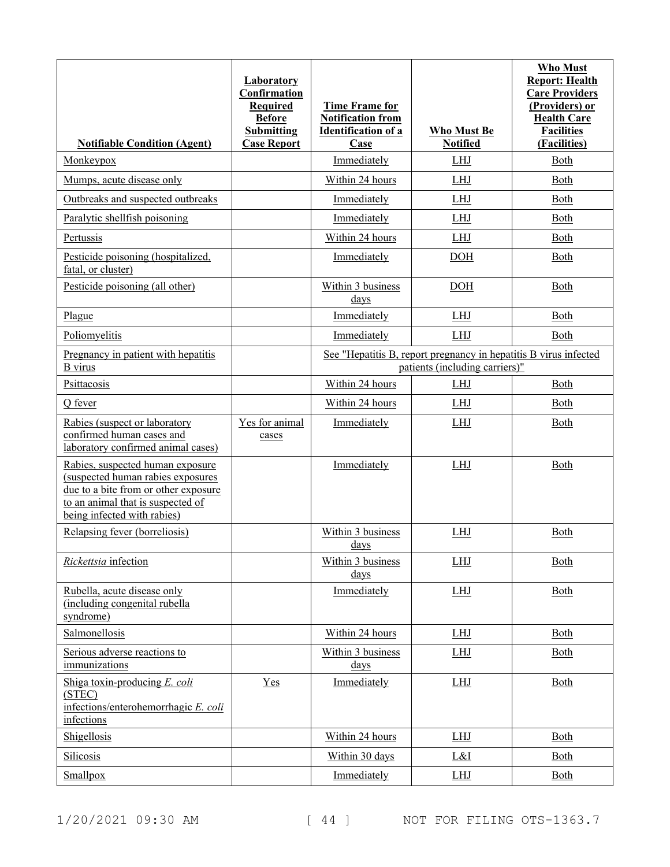|                                                                                                                                                                                   | Laboratory<br>Confirmation<br><b>Required</b><br><b>Before</b><br><b>Submitting</b> | <b>Time Frame for</b><br><b>Notification from</b><br><b>Identification of a</b>                    | <b>Who Must Be</b> | <b>Who Must</b><br><b>Report: Health</b><br><b>Care Providers</b><br>(Providers) or<br><b>Health Care</b><br><b>Facilities</b> |
|-----------------------------------------------------------------------------------------------------------------------------------------------------------------------------------|-------------------------------------------------------------------------------------|----------------------------------------------------------------------------------------------------|--------------------|--------------------------------------------------------------------------------------------------------------------------------|
| <b>Notifiable Condition (Agent)</b>                                                                                                                                               | <b>Case Report</b>                                                                  | Case                                                                                               | <b>Notified</b>    | (Facilities)                                                                                                                   |
| Monkeypox                                                                                                                                                                         |                                                                                     | Immediately                                                                                        | <b>LHJ</b>         | Both                                                                                                                           |
| Mumps, acute disease only                                                                                                                                                         |                                                                                     | Within 24 hours                                                                                    | <b>LHJ</b>         | Both                                                                                                                           |
| Outbreaks and suspected outbreaks                                                                                                                                                 |                                                                                     | Immediately                                                                                        | LHJ                | Both                                                                                                                           |
| Paralytic shellfish poisoning                                                                                                                                                     |                                                                                     | Immediately                                                                                        | LHJ                | Both                                                                                                                           |
| Pertussis                                                                                                                                                                         |                                                                                     | Within 24 hours                                                                                    | LHJ                | Both                                                                                                                           |
| Pesticide poisoning (hospitalized,<br>fatal, or cluster)                                                                                                                          |                                                                                     | Immediately                                                                                        | DOH                | Both                                                                                                                           |
| Pesticide poisoning (all other)                                                                                                                                                   |                                                                                     | Within 3 business<br>days                                                                          | <b>DOH</b>         | Both                                                                                                                           |
| Plague                                                                                                                                                                            |                                                                                     | Immediately                                                                                        | <b>LHJ</b>         | Both                                                                                                                           |
| Poliomyelitis                                                                                                                                                                     |                                                                                     | Immediately                                                                                        | <b>LHJ</b>         | Both                                                                                                                           |
| Pregnancy in patient with hepatitis<br><b>B</b> virus                                                                                                                             |                                                                                     | See "Hepatitis B, report pregnancy in hepatitis B virus infected<br>patients (including carriers)" |                    |                                                                                                                                |
| Psittacosis                                                                                                                                                                       |                                                                                     | Within 24 hours                                                                                    | LHJ                | Both                                                                                                                           |
| Q fever                                                                                                                                                                           |                                                                                     | Within 24 hours                                                                                    | LHJ                | Both                                                                                                                           |
| Rabies (suspect or laboratory<br>confirmed human cases and<br>laboratory confirmed animal cases)                                                                                  | Yes for animal<br>cases                                                             | Immediately                                                                                        | <b>LHJ</b>         | Both                                                                                                                           |
| Rabies, suspected human exposure<br>(suspected human rabies exposures<br>due to a bite from or other exposure<br>to an animal that is suspected of<br>being infected with rabies) |                                                                                     | Immediately                                                                                        | LHJ                | Both                                                                                                                           |
| Relapsing fever (borreliosis)                                                                                                                                                     |                                                                                     | Within 3 business<br>days                                                                          | LHJ                | Both                                                                                                                           |
| Rickettsia infection                                                                                                                                                              |                                                                                     | Within 3 business<br>$\frac{days}{9}$                                                              | LHJ                | Both                                                                                                                           |
| Rubella, acute disease only<br>(including congenital rubella<br>syndrome)                                                                                                         |                                                                                     | Immediately                                                                                        | <b>LHJ</b>         | <b>Both</b>                                                                                                                    |
| Salmonellosis                                                                                                                                                                     |                                                                                     | Within 24 hours                                                                                    | <b>LHJ</b>         | Both                                                                                                                           |
| Serious adverse reactions to<br>immunizations                                                                                                                                     |                                                                                     | Within 3 business<br><u>days</u>                                                                   | <b>LHJ</b>         | <b>Both</b>                                                                                                                    |
| Shiga toxin-producing E. coli<br>(STEC)<br>infections/enterohemorrhagic E. coli<br>infections                                                                                     | $Yes$                                                                               | Immediately                                                                                        | LHJ                | Both                                                                                                                           |
| Shigellosis                                                                                                                                                                       |                                                                                     | Within 24 hours                                                                                    | LHJ                | Both                                                                                                                           |
| Silicosis                                                                                                                                                                         |                                                                                     | Within 30 days                                                                                     | L&I                | Both                                                                                                                           |
| Smallpox                                                                                                                                                                          |                                                                                     | Immediately                                                                                        | <b>LHJ</b>         | Both                                                                                                                           |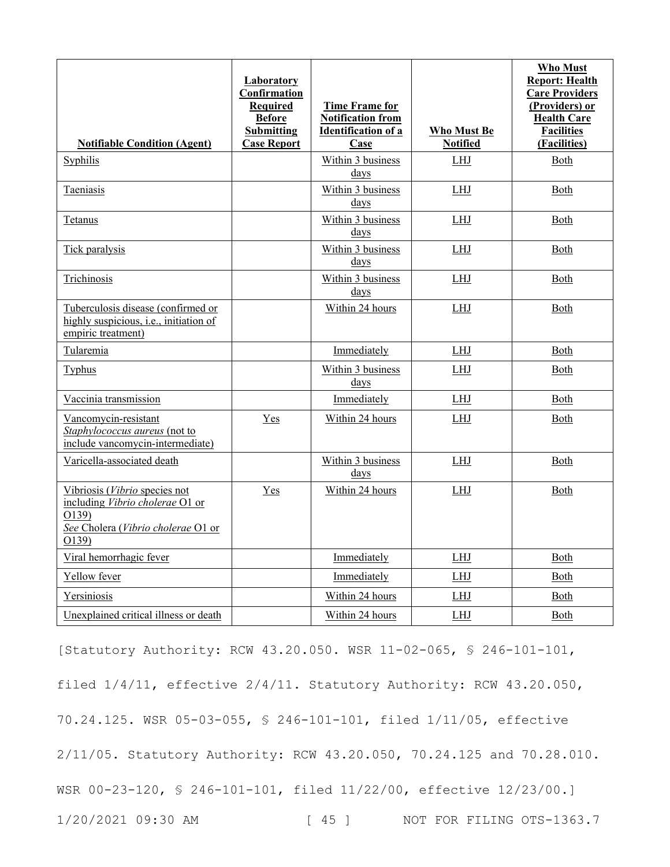| <b>Notifiable Condition (Agent)</b>                                                                                      | Laboratory<br>Confirmation<br><b>Required</b><br><b>Before</b><br><b>Submitting</b><br><b>Case Report</b> | <b>Time Frame for</b><br><b>Notification from</b><br><b>Identification of a</b><br>Case | <b>Who Must Be</b><br><b>Notified</b> | Who Must<br><b>Report: Health</b><br><b>Care Providers</b><br>(Providers) or<br><b>Health Care</b><br><b>Facilities</b><br>(Facilities) |
|--------------------------------------------------------------------------------------------------------------------------|-----------------------------------------------------------------------------------------------------------|-----------------------------------------------------------------------------------------|---------------------------------------|-----------------------------------------------------------------------------------------------------------------------------------------|
| Syphilis                                                                                                                 |                                                                                                           | Within 3 business<br>days                                                               | <b>LHJ</b>                            | Both                                                                                                                                    |
| Taeniasis                                                                                                                |                                                                                                           | Within 3 business<br>days                                                               | <b>LHJ</b>                            | Both                                                                                                                                    |
| Tetanus                                                                                                                  |                                                                                                           | Within 3 business<br>days                                                               | LHJ                                   | Both                                                                                                                                    |
| Tick paralysis                                                                                                           |                                                                                                           | Within 3 business<br>days                                                               | <b>LHJ</b>                            | Both                                                                                                                                    |
| Trichinosis                                                                                                              |                                                                                                           | Within 3 business<br>days                                                               | <b>LHJ</b>                            | <u>Both</u>                                                                                                                             |
| Tuberculosis disease (confirmed or<br>highly suspicious, i.e., initiation of<br>empiric treatment)                       |                                                                                                           | Within 24 hours                                                                         | <b>LHJ</b>                            | Both                                                                                                                                    |
| Tularemia                                                                                                                |                                                                                                           | Immediately                                                                             | ${\rm LHI}$                           | Both                                                                                                                                    |
| <b>Typhus</b>                                                                                                            |                                                                                                           | Within 3 business<br>days                                                               | LHJ                                   | Both                                                                                                                                    |
| Vaccinia transmission                                                                                                    |                                                                                                           | Immediately                                                                             | LHJ                                   | Both                                                                                                                                    |
| Vancomycin-resistant<br>Staphylococcus aureus (not to<br>include vancomycin-intermediate)                                | Yes                                                                                                       | Within 24 hours                                                                         | LHJ                                   | Both                                                                                                                                    |
| Varicella-associated death                                                                                               |                                                                                                           | Within 3 business<br>days                                                               | <b>LHJ</b>                            | Both                                                                                                                                    |
| Vibriosis (Vibrio species not<br>including Vibrio cholerae O1 or<br>O139)<br>See Cholera (Vibrio cholerae O1 or<br>O139) | Yes                                                                                                       | Within 24 hours                                                                         | <b>LHJ</b>                            | Both                                                                                                                                    |
| Viral hemorrhagic fever                                                                                                  |                                                                                                           | Immediately                                                                             | LHJ                                   | Both                                                                                                                                    |
| Yellow fever                                                                                                             |                                                                                                           | Immediately                                                                             | <b>LHJ</b>                            | Both                                                                                                                                    |
| Yersiniosis                                                                                                              |                                                                                                           | Within 24 hours                                                                         | LHJ                                   | Both                                                                                                                                    |
| Unexplained critical illness or death                                                                                    |                                                                                                           | Within 24 hours                                                                         | LHJ                                   | Both                                                                                                                                    |

1/20/2021 09:30 AM [ 45 ] NOT FOR FILING OTS-1363.7 [Statutory Authority: RCW 43.20.050. WSR 11-02-065, § 246-101-101, filed 1/4/11, effective 2/4/11. Statutory Authority: RCW 43.20.050, 70.24.125. WSR 05-03-055, § 246-101-101, filed 1/11/05, effective 2/11/05. Statutory Authority: RCW 43.20.050, 70.24.125 and 70.28.010. WSR 00-23-120, § 246-101-101, filed 11/22/00, effective 12/23/00.]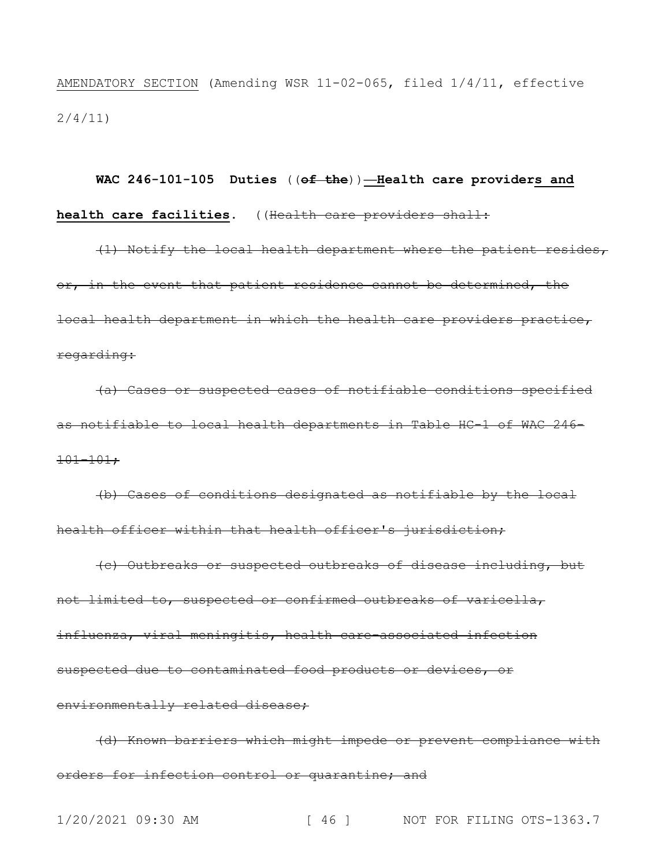AMENDATORY SECTION (Amending WSR 11-02-065, filed 1/4/11, effective 2/4/11)

# **WAC 246-101-105 Duties** ((**of the**))**—Health care providers and health care facilities.** ((Health care providers shall:

(1) Notify the local health department where the patient resides, or, in the event that patient residence cannot be determined, the local health department in which the health care providers practice, regarding:

(a) Cases or suspected cases of notifiable conditions specified as notifiable to local health departments in Table HC-1 of WAC 246-  $101 - 101$ ;

(b) Cases of conditions designated as notifiable by the local health officer within that health officer's jurisdiction;

(c) Outbreaks or suspected outbreaks of disease including, but not limited to, suspected or confirmed outbreaks of varicella, influenza, viral meningitis, health care-associated infection suspected due to contaminated food products or devices, or environmentally related disease;

(d) Known barriers which might impede or prevent compliance with orders for infection control or quarantine; and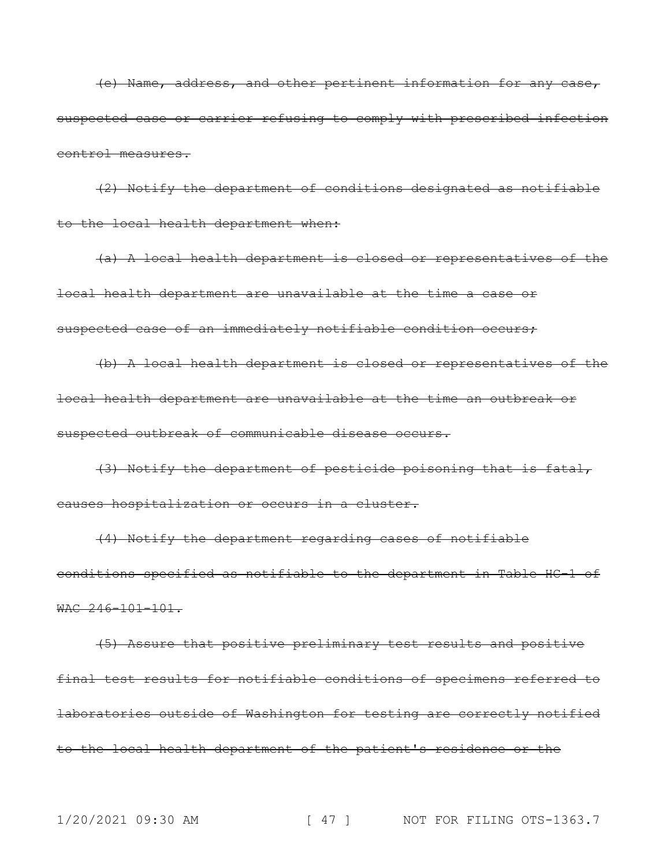(e) Name, address, and other pertinent information for any case, suspected case or carrier refusing to comply with prescribed infection control measures.

(2) Notify the department of conditions designated as notifiable to the local health department when:

(a) A local health department is closed or representatives of the local health department are unavailable at the time a case or suspected case of an immediately notifiable condition occurs;

(b) A local health department is closed or representatives of the local health department are unavailable at the time an outbreak or suspected outbreak of communicable disease occurs.

(3) Notify the department of pesticide poisoning that is fatal, causes hospitalization or occurs in a cluster.

(4) Notify the department regarding cases of notifiable conditions specified as notifiable to the department in Table HC-1 of  $WAC$  246-101-101.

(5) Assure that positive preliminary test results and positive final test results for notifiable conditions of specimens referred to laboratories outside of Washington for testing are correctly notified to the local health department of the patient's residence or the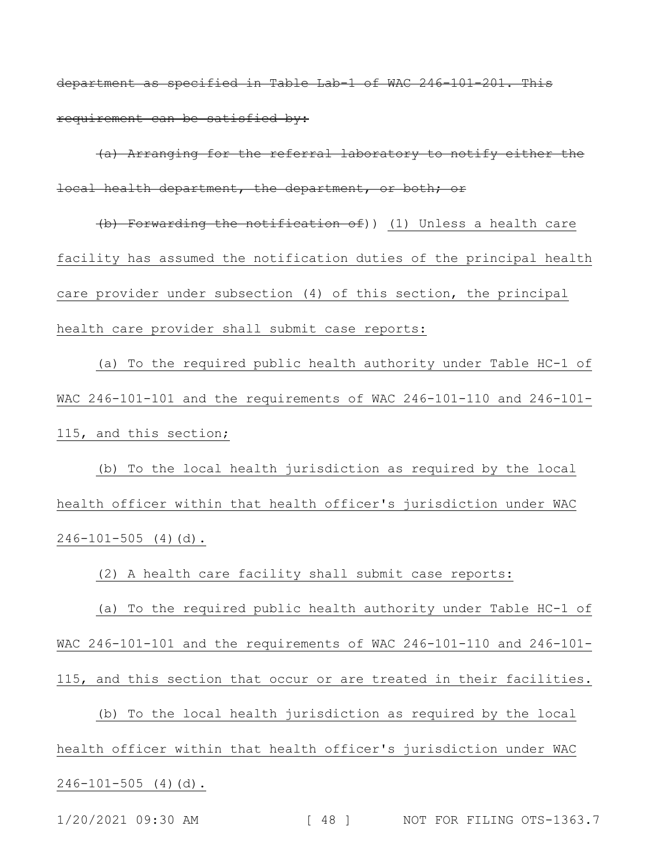department as specified in Table Lab-1 of WAC 246-101-201. This requirement can be satisfied by:

(a) Arranging for the referral laboratory to notify either the local health department, the department, or both; or

(b) Forwarding the notification of)) (1) Unless a health care facility has assumed the notification duties of the principal health care provider under subsection (4) of this section, the principal health care provider shall submit case reports:

(a) To the required public health authority under Table HC-1 of WAC 246-101-101 and the requirements of WAC 246-101-110 and 246-101- 115, and this section;

(b) To the local health jurisdiction as required by the local health officer within that health officer's jurisdiction under WAC  $246-101-505$  (4)(d).

(2) A health care facility shall submit case reports:

(a) To the required public health authority under Table HC-1 of WAC 246-101-101 and the requirements of WAC 246-101-110 and 246-101- 115, and this section that occur or are treated in their facilities.

(b) To the local health jurisdiction as required by the local health officer within that health officer's jurisdiction under WAC  $246-101-505$  (4)(d).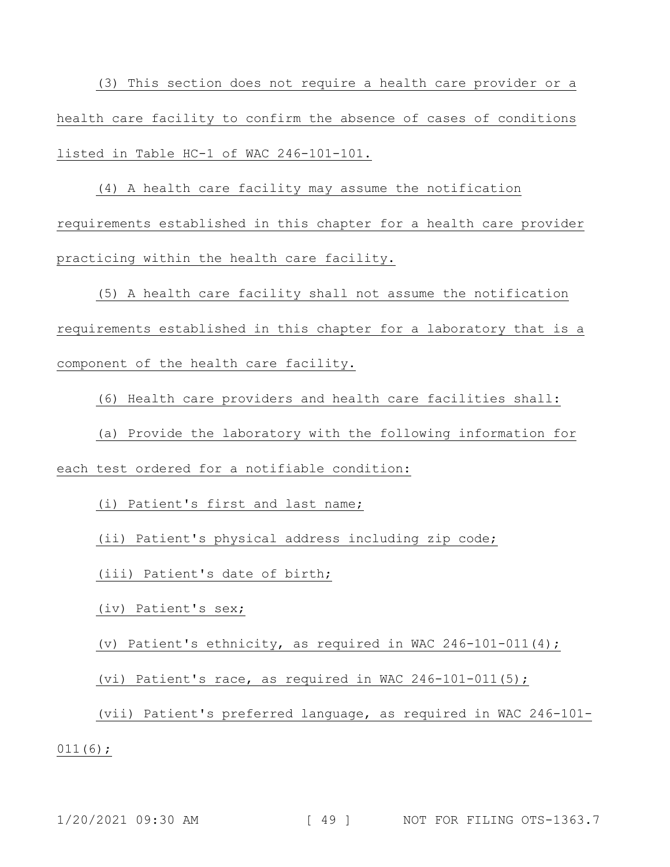(3) This section does not require a health care provider or a health care facility to confirm the absence of cases of conditions listed in Table HC-1 of WAC 246-101-101.

(4) A health care facility may assume the notification requirements established in this chapter for a health care provider practicing within the health care facility.

(5) A health care facility shall not assume the notification requirements established in this chapter for a laboratory that is a component of the health care facility.

(6) Health care providers and health care facilities shall:

(a) Provide the laboratory with the following information for each test ordered for a notifiable condition:

(i) Patient's first and last name;

(ii) Patient's physical address including zip code;

(iii) Patient's date of birth;

(iv) Patient's sex;

(v) Patient's ethnicity, as required in WAC 246-101-011(4);

(vi) Patient's race, as required in WAC 246-101-011(5);

(vii) Patient's preferred language, as required in WAC 246-101-

 $011(6);$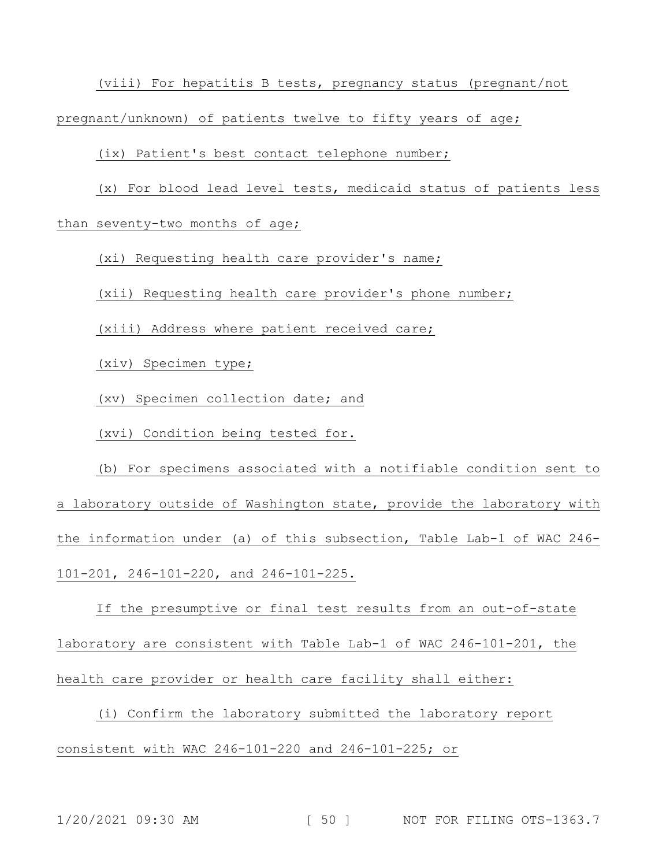(viii) For hepatitis B tests, pregnancy status (pregnant/not

pregnant/unknown) of patients twelve to fifty years of age;

(ix) Patient's best contact telephone number;

(x) For blood lead level tests, medicaid status of patients less

than seventy-two months of age;

(xi) Requesting health care provider's name;

(xii) Requesting health care provider's phone number;

(xiii) Address where patient received care;

(xiv) Specimen type;

(xv) Specimen collection date; and

(xvi) Condition being tested for.

(b) For specimens associated with a notifiable condition sent to a laboratory outside of Washington state, provide the laboratory with the information under (a) of this subsection, Table Lab-1 of WAC 246- 101-201, 246-101-220, and 246-101-225.

If the presumptive or final test results from an out-of-state laboratory are consistent with Table Lab-1 of WAC 246-101-201, the health care provider or health care facility shall either:

(i) Confirm the laboratory submitted the laboratory report consistent with WAC 246-101-220 and 246-101-225; or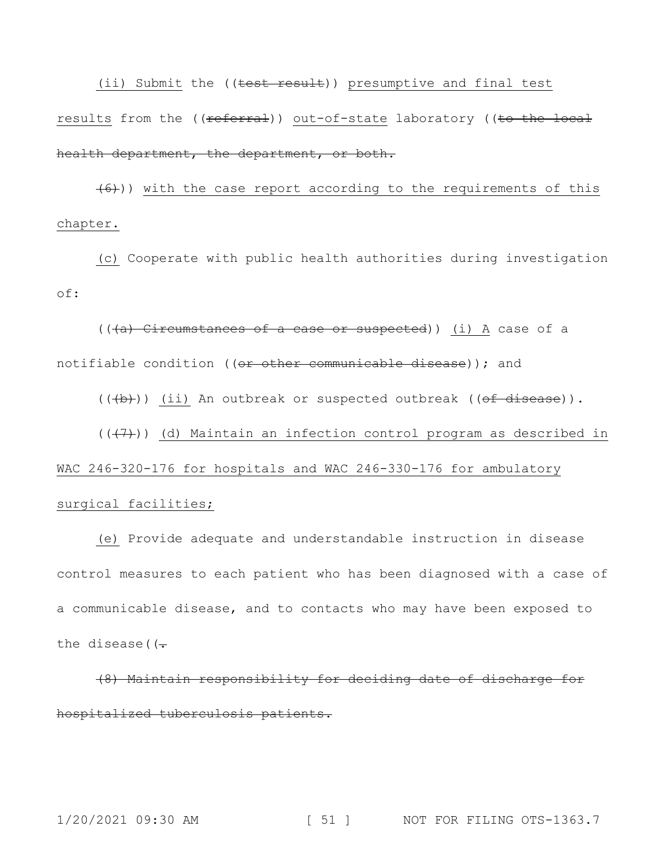(ii) Submit the ((test result)) presumptive and final test results from the ((referral)) out-of-state laboratory ((to the local health department, the department, or both.

 $(6)$ )) with the case report according to the requirements of this chapter.

(c) Cooperate with public health authorities during investigation of:

(((a) Circumstances of a case or suspected)) (i) A case of a notifiable condition ((or other communicable disease)); and

 $((\overline{a},b))$  (ii) An outbreak or suspected outbreak ( $(\overline{a} + \overline{b})$ ).

### $((+7))$  (d) Maintain an infection control program as described in

WAC 246-320-176 for hospitals and WAC 246-330-176 for ambulatory surgical facilities;

(e) Provide adequate and understandable instruction in disease control measures to each patient who has been diagnosed with a case of a communicable disease, and to contacts who may have been exposed to the disease ( $(-$ 

(8) Maintain responsibility for deciding date of discharge for hospitalized tuberculosis patients.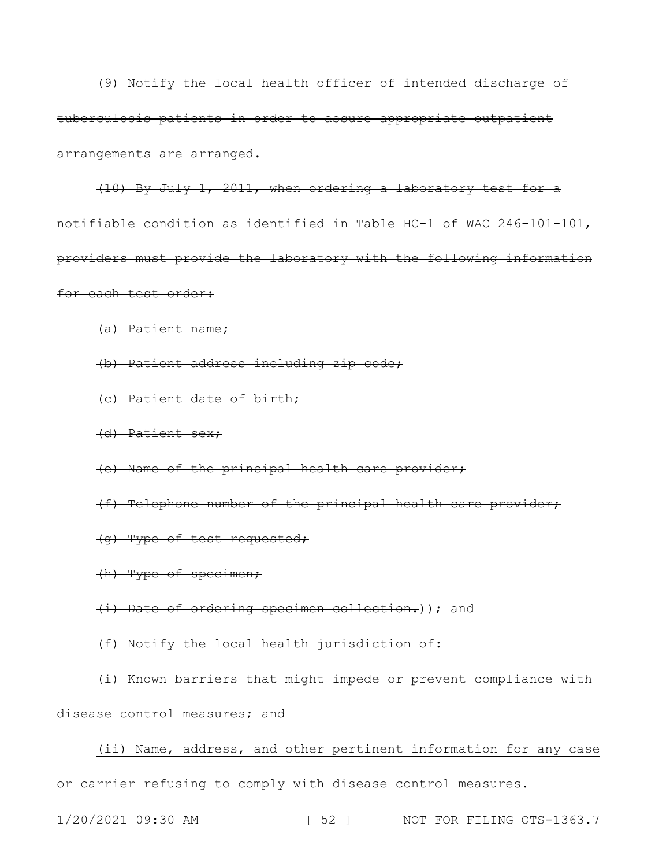(9) Notify the local health officer of intended discharge of tuberculosis patients in order to assure appropriate outpatient arrangements are arranged.

(10) By July 1, 2011, when ordering a laboratory test for a notifiable condition as identified in Table HC-1 of WAC 246-101-101, providers must provide the laboratory with the following information for each test order:

(a) Patient name;

(b) Patient address including zip code;

(c) Patient date of birth;

(d) Patient sex;

(e) Name of the principal health care provider;

(f) Telephone number of the principal health care provider;

(g) Type of test requested;

(h) Type of specimen;

(i) Date of ordering specimen collection.)); and

(f) Notify the local health jurisdiction of:

(i) Known barriers that might impede or prevent compliance with disease control measures; and

(ii) Name, address, and other pertinent information for any case or carrier refusing to comply with disease control measures.

1/20/2021 09:30 AM [ 52 ] NOT FOR FILING OTS-1363.7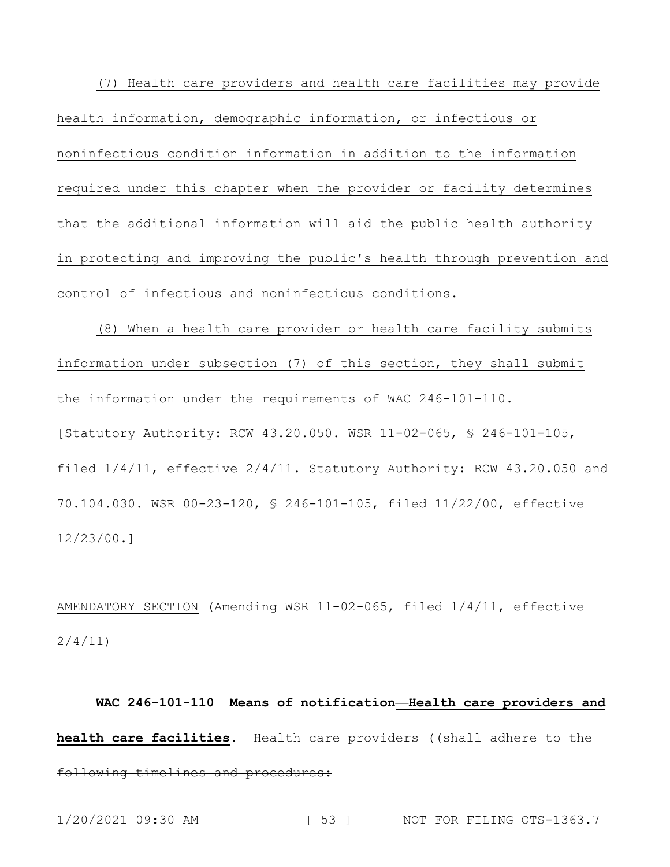(7) Health care providers and health care facilities may provide health information, demographic information, or infectious or noninfectious condition information in addition to the information required under this chapter when the provider or facility determines that the additional information will aid the public health authority in protecting and improving the public's health through prevention and control of infectious and noninfectious conditions.

(8) When a health care provider or health care facility submits information under subsection (7) of this section, they shall submit the information under the requirements of WAC 246-101-110. [Statutory Authority: RCW 43.20.050. WSR 11-02-065, § 246-101-105, filed 1/4/11, effective 2/4/11. Statutory Authority: RCW 43.20.050 and 70.104.030. WSR 00-23-120, § 246-101-105, filed 11/22/00, effective 12/23/00.]

AMENDATORY SECTION (Amending WSR 11-02-065, filed 1/4/11, effective 2/4/11)

**WAC 246-101-110 Means of notification—Health care providers and**  health care facilities. Health care providers ((shall adhere to the following timelines and procedures: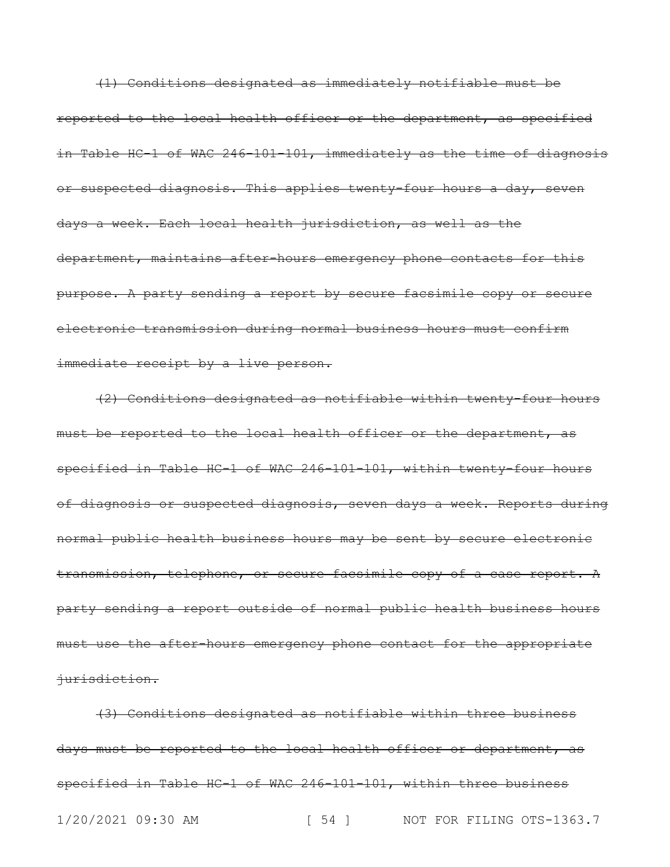(1) Conditions designated as immediately notifiable must be reported to the local health officer or the department, as specified in Table HC-1 of WAC 246-101-101, immediately as the time of diagnosis or suspected diagnosis. This applies twenty-four hours a day, seven days a week. Each local health jurisdiction, as well as the department, maintains after-hours emergency phone contacts for this purpose. A party sending a report by secure facsimile copy or secure electronic transmission during normal business hours must confirm immediate receipt by a live person.

(2) Conditions designated as notifiable within twenty-four hours must be reported to the local health officer or the department, as specified in Table HC-1 of WAC 246-101-101, within twenty-four hours of diagnosis or suspected diagnosis, seven days a week. Reports during normal public health business hours may be sent by secure electronic transmission, telephone, or secure facsimile copy of a case report. A party sending a report outside of normal public health business hours must use the after-hours emergency phone contact for the appropriate jurisdiction.

1/20/2021 09:30 AM [ 54 ] NOT FOR FILING OTS-1363.7 (3) Conditions designated as notifiable within three business days must be reported to the local health officer or department, as specified in Table HC-1 of WAC 246-101-101, within three business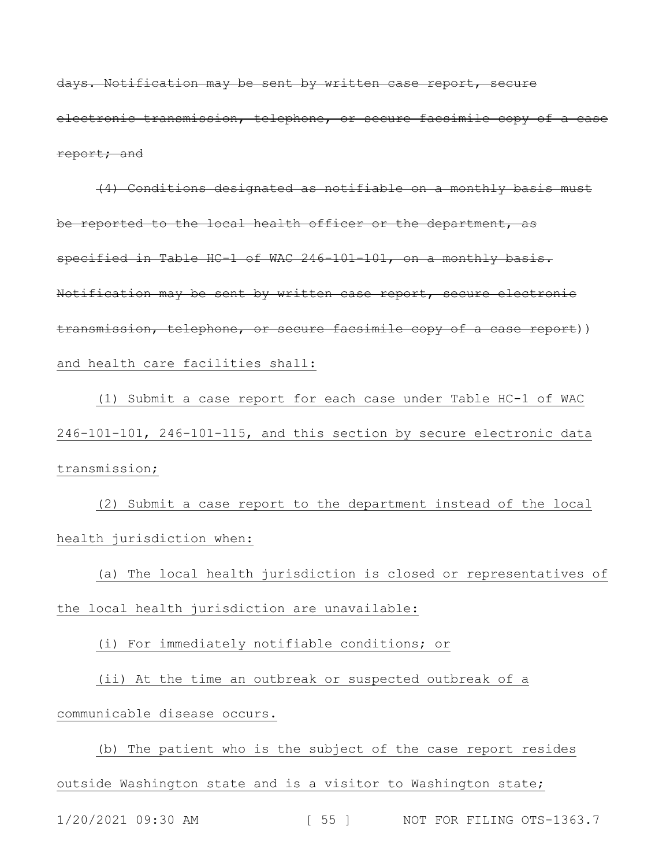days. Notification may be sent by written case report, secure electronic transmission, telephone, or secure facsimile copy of a case report; and

(4) Conditions designated as notifiable on a monthly basis must be reported to the local health officer or the department, as specified in Table HC-1 of WAC 246-101-101, on a monthly basis. Notification may be sent by written case report, secure electronic transmission, telephone, or secure facsimile copy of a case report)) and health care facilities shall:

(1) Submit a case report for each case under Table HC-1 of WAC 246-101-101, 246-101-115, and this section by secure electronic data transmission;

(2) Submit a case report to the department instead of the local health jurisdiction when:

(a) The local health jurisdiction is closed or representatives of the local health jurisdiction are unavailable:

(i) For immediately notifiable conditions; or

(ii) At the time an outbreak or suspected outbreak of a communicable disease occurs.

(b) The patient who is the subject of the case report resides outside Washington state and is a visitor to Washington state;

1/20/2021 09:30 AM [ 55 ] NOT FOR FILING OTS-1363.7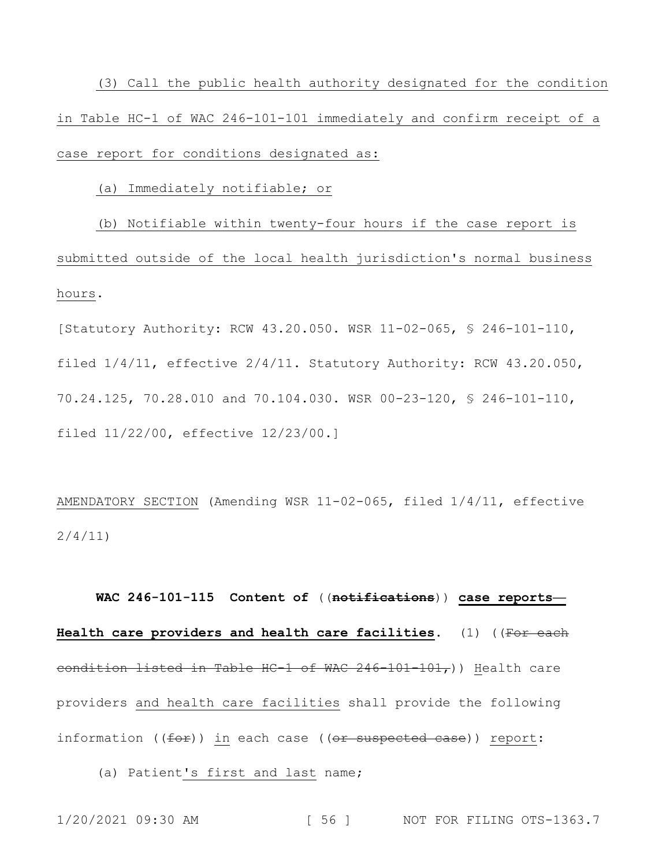(3) Call the public health authority designated for the condition in Table HC-1 of WAC 246-101-101 immediately and confirm receipt of a case report for conditions designated as:

(a) Immediately notifiable; or

(b) Notifiable within twenty-four hours if the case report is submitted outside of the local health jurisdiction's normal business hours.

[Statutory Authority: RCW 43.20.050. WSR 11-02-065, § 246-101-110, filed 1/4/11, effective 2/4/11. Statutory Authority: RCW 43.20.050, 70.24.125, 70.28.010 and 70.104.030. WSR 00-23-120, § 246-101-110, filed 11/22/00, effective 12/23/00.]

AMENDATORY SECTION (Amending WSR 11-02-065, filed 1/4/11, effective 2/4/11)

**WAC 246-101-115 Content of** ((**notifications**)) **case reports— Health care providers and health care facilities.** (1) ((For each condition listed in Table HC-1 of WAC 246-101-101,)) Health care providers and health care facilities shall provide the following information ((<del>for</del>)) in each case ((<del>or suspected case</del>)) <u>report</u>:

(a) Patient's first and last name;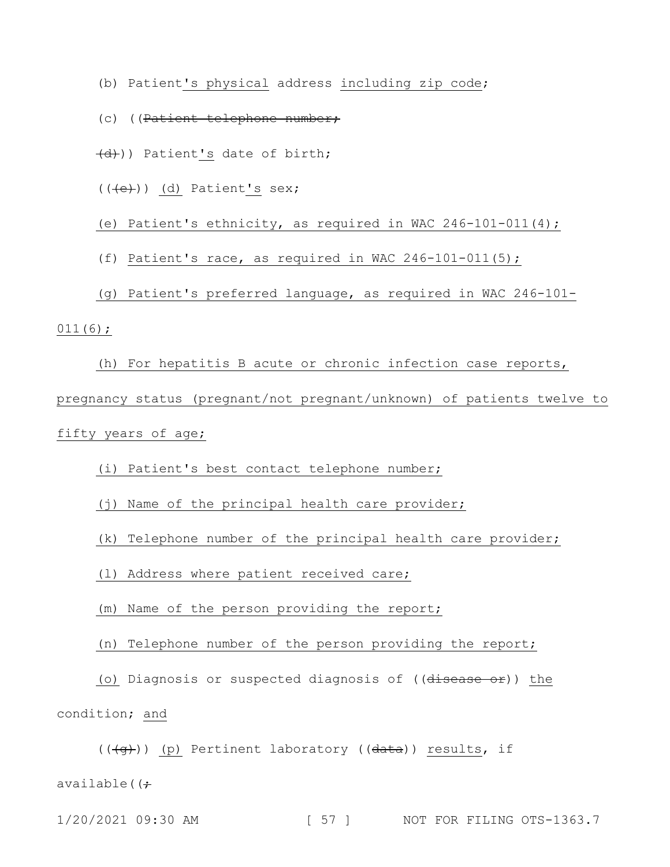- (b) Patient's physical address including zip code;
- (c) ((Patient telephone number;
- (d))) Patient's date of birth;
- $((\overline{e}))$  (d) Patient's sex;

(e) Patient's ethnicity, as required in WAC 246-101-011(4);

- (f) Patient's race, as required in WAC 246-101-011(5);
- (g) Patient's preferred language, as required in WAC 246-101-
- $011(6)$ ;

(h) For hepatitis B acute or chronic infection case reports, pregnancy status (pregnant/not pregnant/unknown) of patients twelve to fifty years of age;

- (i) Patient's best contact telephone number;
- (j) Name of the principal health care provider;
- (k) Telephone number of the principal health care provider;
- (l) Address where patient received care;
- (m) Name of the person providing the report;
- (n) Telephone number of the person providing the report;

(o) Diagnosis or suspected diagnosis of  $((d \text{is} \text{case} \text{ or}))$  the condition; and

 $((\overline{g})$ ) (p) Pertinent laboratory (( $\overline{data}$ )) results, if

available( $\left( \div \right)$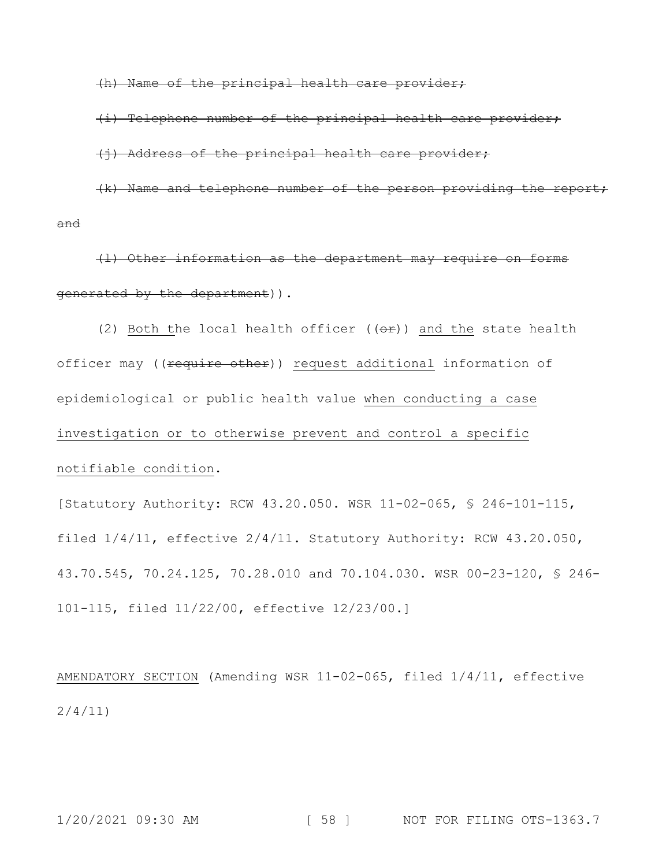(h) Name of the principal health care provider;

(i) Telephone number of the principal health care provider;

(j) Address of the principal health care provider;

(k) Name and telephone number of the person providing the report; and

(l) Other information as the department may require on forms generated by the department)).

(2) Both the local health officer  $((e^e)^*)$  and the state health officer may ((require other)) request additional information of epidemiological or public health value when conducting a case investigation or to otherwise prevent and control a specific notifiable condition.

[Statutory Authority: RCW 43.20.050. WSR 11-02-065, § 246-101-115, filed 1/4/11, effective 2/4/11. Statutory Authority: RCW 43.20.050, 43.70.545, 70.24.125, 70.28.010 and 70.104.030. WSR 00-23-120, § 246- 101-115, filed 11/22/00, effective 12/23/00.]

AMENDATORY SECTION (Amending WSR 11-02-065, filed 1/4/11, effective 2/4/11)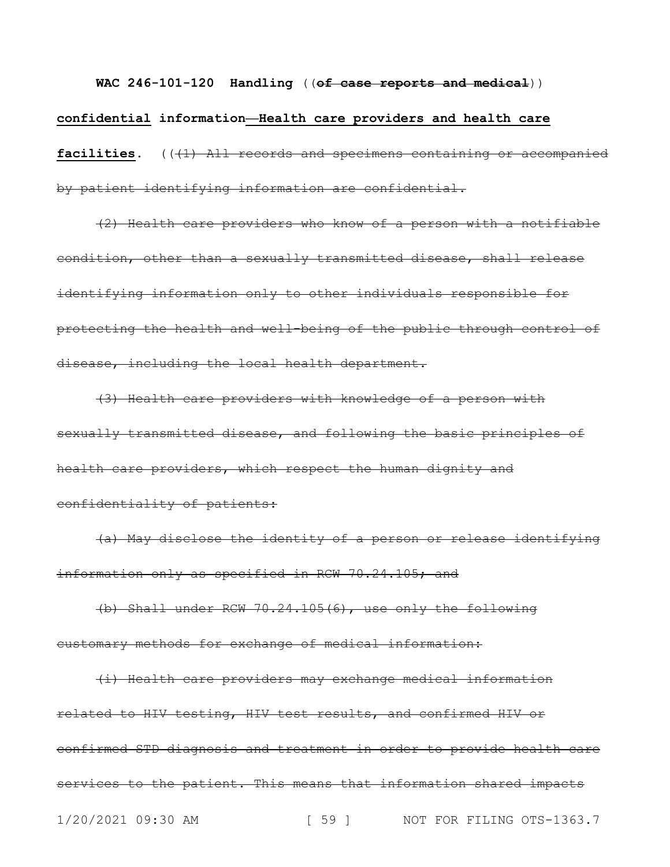**WAC 246-101-120 Handling** ((**of case reports and medical**)) **confidential information—Health care providers and health care**  facilities. ((41) All records and specimens containing or accompanied by patient identifying information are confidential.

(2) Health care providers who know of a person with a notifiable condition, other than a sexually transmitted disease, shall release identifying information only to other individuals responsible for protecting the health and well-being of the public through control of disease, including the local health department.

(3) Health care providers with knowledge of a person with sexually transmitted disease, and following the basic principles of health care providers, which respect the human dignity and confidentiality of patients:

(a) May disclose the identity of a person or release identifying information only as specified in RCW 70.24.105; and

(b) Shall under RCW 70.24.105(6), use only the following customary methods for exchange of medical information:

1/20/2021 09:30 AM [ 59 ] NOT FOR FILING OTS-1363.7 (i) Health care providers may exchange medical information related to HIV testing, HIV test results, and confirmed HIV or confirmed STD diagnosis and treatment in order to provide health care services to the patient. This means that information shared impacts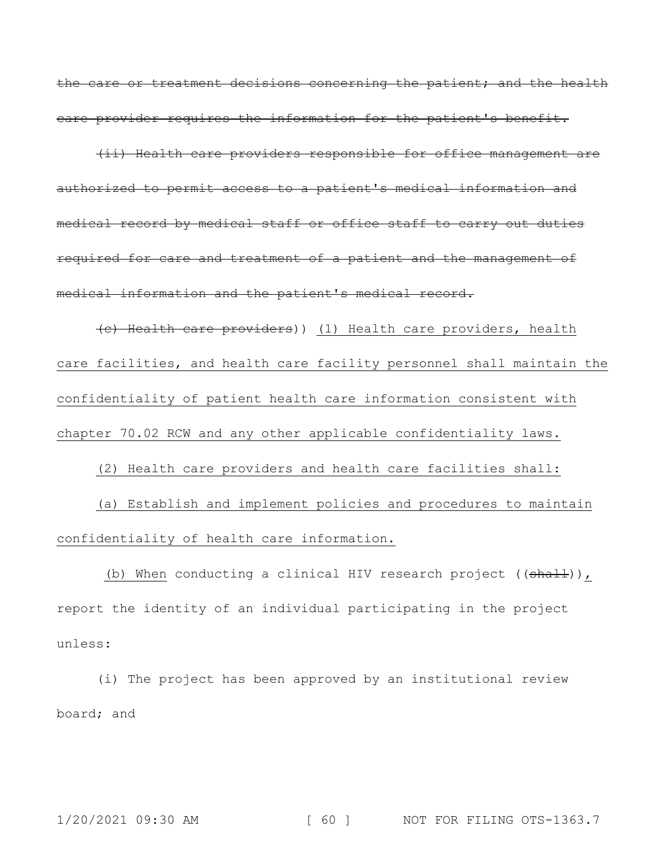the care or treatment decisions concerning the patient; and the health care provider requires the information for the patient's benefit.

(ii) Health care providers responsible for office management are authorized to permit access to a patient's medical information and medical record by medical staff or office staff to carry out duties required for care and treatment of a patient and the management of medical information and the patient's medical record.

(c) Health care providers)) (1) Health care providers, health care facilities, and health care facility personnel shall maintain the confidentiality of patient health care information consistent with chapter 70.02 RCW and any other applicable confidentiality laws.

(2) Health care providers and health care facilities shall: (a) Establish and implement policies and procedures to maintain

confidentiality of health care information.

(b) When conducting a clinical HIV research project ( $(\text{shall})$ ), report the identity of an individual participating in the project unless:

(i) The project has been approved by an institutional review board; and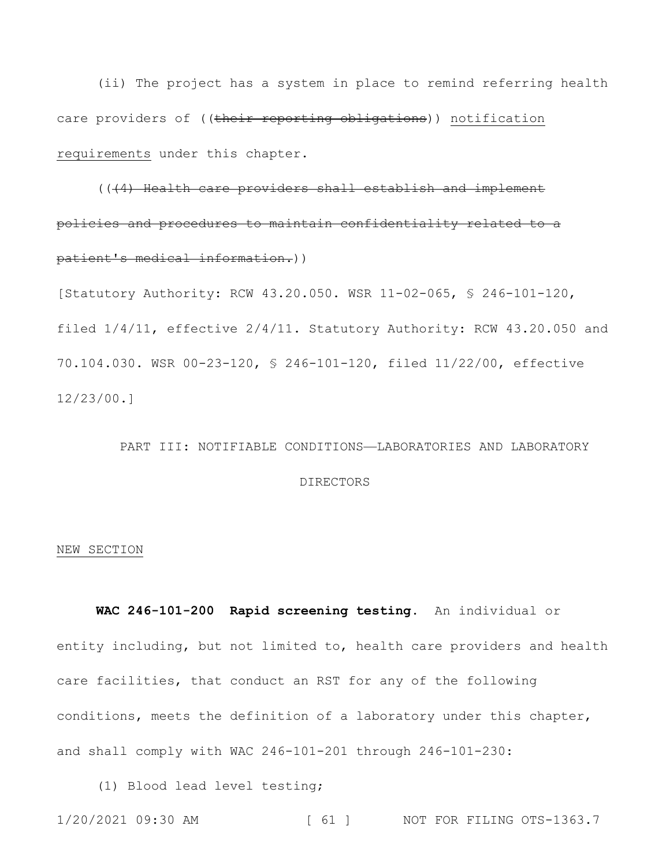(ii) The project has a system in place to remind referring health care providers of ((their reporting obligations)) notification requirements under this chapter.

(((4) Health care providers shall establish and implement policies and procedures to maintain confidentiality related to a patient's medical information.))

[Statutory Authority: RCW 43.20.050. WSR 11-02-065, § 246-101-120, filed 1/4/11, effective 2/4/11. Statutory Authority: RCW 43.20.050 and 70.104.030. WSR 00-23-120, § 246-101-120, filed 11/22/00, effective 12/23/00.]

## PART III: NOTIFIABLE CONDITIONS—LABORATORIES AND LABORATORY

#### DIRECTORS

#### NEW SECTION

**WAC 246-101-200 Rapid screening testing.** An individual or entity including, but not limited to, health care providers and health care facilities, that conduct an RST for any of the following conditions, meets the definition of a laboratory under this chapter, and shall comply with WAC 246-101-201 through 246-101-230:

(1) Blood lead level testing;

1/20/2021 09:30 AM [ 61 ] NOT FOR FILING OTS-1363.7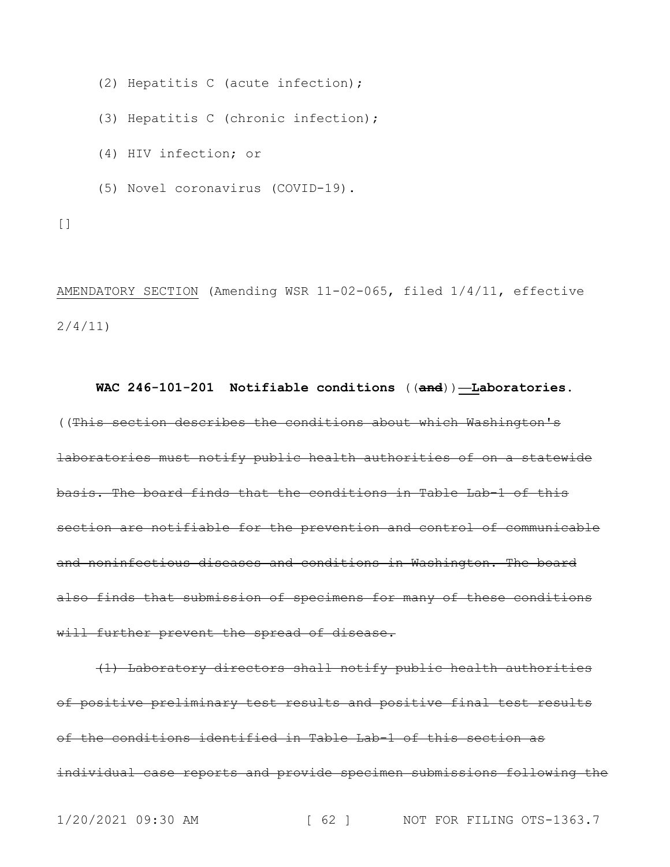(2) Hepatitis C (acute infection);

(3) Hepatitis C (chronic infection);

- (4) HIV infection; or
- (5) Novel coronavirus (COVID-19).

 $[$ 

AMENDATORY SECTION (Amending WSR 11-02-065, filed 1/4/11, effective 2/4/11)

**WAC 246-101-201 Notifiable conditions** ((**and**))**—Laboratories.** ((This section describes the conditions about which Washington's laboratories must notify public health authorities of on a statewide basis. The board finds that the conditions in Table Lab-1 of this section are notifiable for the prevention and control of communicable and noninfectious diseases and conditions in Washington. The board also finds that submission of specimens for many of these conditions will further prevent the spread of disease.

(1) Laboratory directors shall notify public health authorities of positive preliminary test results and positive final test results of the conditions identified in Table Lab-1 of this section as individual case reports and provide specimen submissions following the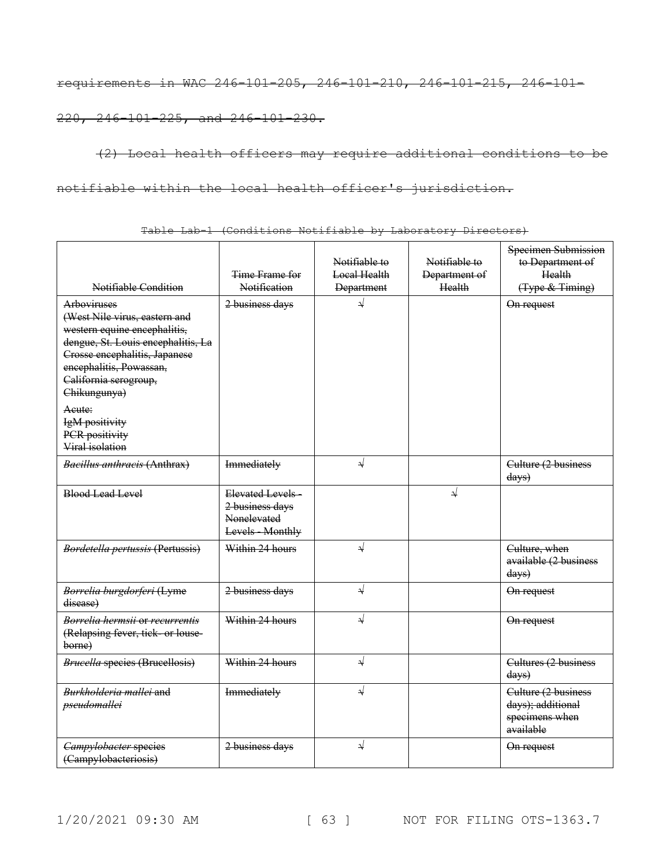requirements in WAC 246-101-205, 246-101-210, 246-101-215, 246-101-

220, 246-101-225, and 246-101-230.

(2) Local health officers may require additional conditions to be notifiable within the local health officer's jurisdiction.

| Notifiable Condition                                                                                                                                                                                                                                | Time Frame for<br>Notification                                         | Notifiable to<br>Local Health<br><b>Department</b> | Notifiable to<br>Department of<br>Health | Specimen Submission<br>to Department of<br>Health<br>(Type & Timing)    |
|-----------------------------------------------------------------------------------------------------------------------------------------------------------------------------------------------------------------------------------------------------|------------------------------------------------------------------------|----------------------------------------------------|------------------------------------------|-------------------------------------------------------------------------|
| Arboviruses<br>(West Nile virus, eastern and<br>western equine encephalitis,<br>dengue, St. Louis encephalitis, La<br>Crosse encephalitis, Japanese<br>encephalitis, Powassan,<br>California serogroup,<br>Chikungunya)<br>Acute:<br>IgM positivity | 2 business days                                                        | √                                                  |                                          | On request                                                              |
| PCR positivity<br>Viral isolation                                                                                                                                                                                                                   |                                                                        |                                                    |                                          |                                                                         |
| <b>Bacillus anthracis (Anthrax)</b>                                                                                                                                                                                                                 | Immediately                                                            | $\sqrt{}$                                          |                                          | Culture (2 business<br>days)                                            |
| <b>Blood Lead Level</b>                                                                                                                                                                                                                             | Elevated Levels-<br>2 business days<br>Nonelevated<br>Levels - Monthly |                                                    | $\downarrow$                             |                                                                         |
| Bordetella pertussis (Pertussis)                                                                                                                                                                                                                    | Within 24 hours                                                        | $\sqrt{}$                                          |                                          | Culture, when<br>available (2 business<br>days)                         |
| Borrelia burgdorferi (Lyme<br>disease)                                                                                                                                                                                                              | 2 business days                                                        | $\sqrt{ }$                                         |                                          | On request                                                              |
| Borrelia hermsii or recurrentis<br>(Relapsing fever, tick or louse-<br>borne)                                                                                                                                                                       | Within 24 hours                                                        | $\sqrt{}$                                          |                                          | On request                                                              |
| <b>Brucella species (Brucellosis)</b>                                                                                                                                                                                                               | Within 24 hours                                                        | $\sqrt{ }$                                         |                                          | Cultures (2 business<br>days)                                           |
| Burkholderia mallei and<br>pseudomallei                                                                                                                                                                                                             | Immediately                                                            | $\sqrt{}$                                          |                                          | Culture (2 business<br>days); additional<br>specimens when<br>available |
| <b>Campylobacter species</b><br>(Campylobacteriosis)                                                                                                                                                                                                | 2 business days                                                        | ↓                                                  |                                          | On request                                                              |

Table Lab-1 (Conditions Notifiable by Laboratory Directors)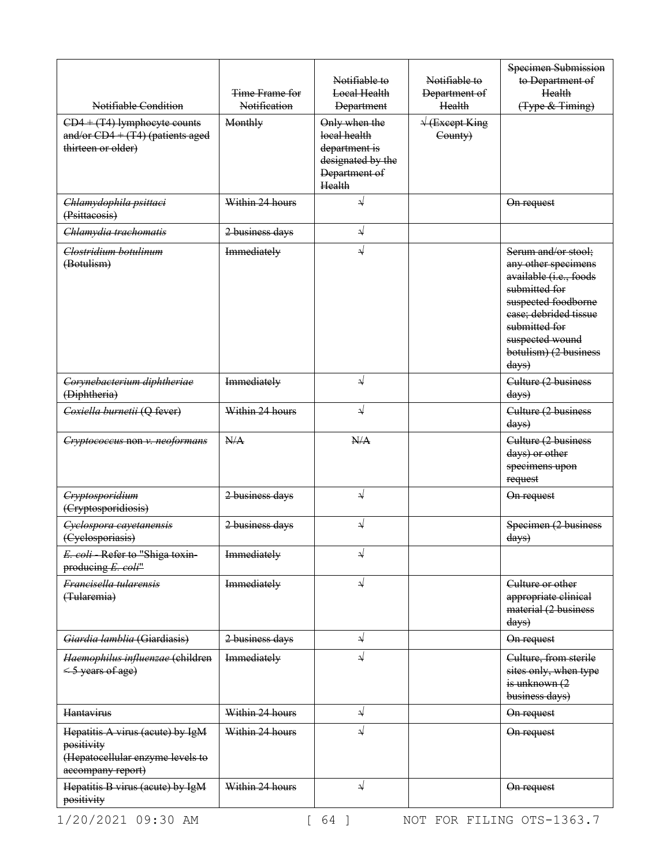| Notifiable Condition                                                                                    | Time Frame for<br>Notification | Notifiable to<br><b>Local Health</b><br><b>Department</b>                                      | Notifiable to<br>Department of<br>Health            | Specimen Submission<br>to Department of<br>Health<br>(Type & Timing)                                                                                                                                                   |
|---------------------------------------------------------------------------------------------------------|--------------------------------|------------------------------------------------------------------------------------------------|-----------------------------------------------------|------------------------------------------------------------------------------------------------------------------------------------------------------------------------------------------------------------------------|
| $CD4 + (T4)$ lymphocyte counts<br>and/or $CD4 + (T4)$ (patients aged<br>thirteen or older)              | Monthly                        | Only when the<br>local health<br>department is<br>designated by the<br>Department of<br>Health | $\sqrt{\frac{1}{1 + \text{Except King}}$<br>County) |                                                                                                                                                                                                                        |
| Chlamydophila psittaci<br>(Psittacosis)                                                                 | Within 24 hours                | ↵                                                                                              |                                                     | On request                                                                                                                                                                                                             |
| Chlamydia trachomatis                                                                                   | 2 business days                | $\sqrt{ }$                                                                                     |                                                     |                                                                                                                                                                                                                        |
| Clostridium botulinum<br>(Botulism)                                                                     | Immediately                    | ┙                                                                                              |                                                     | Serum and/or stool;<br>any other specimens<br>available (i.e., foods<br>submitted for<br>suspected foodborne<br>ease; debrided tissue<br>submitted for<br>suspected wound<br>botulism) (2 business<br>$\frac{days}{9}$ |
| Corynebacterium diphtheriae<br>(Diphtheria)                                                             | Immediately                    | $\sqrt{ }$                                                                                     |                                                     | Culture (2 business<br>days)                                                                                                                                                                                           |
| Coxiella burnetii (Q fever)                                                                             | Within 24 hours                | $\sqrt{}$                                                                                      |                                                     | Culture (2 business<br>days)                                                                                                                                                                                           |
| Cryptococcus non v. neoformans                                                                          | N/A                            | N/A                                                                                            |                                                     | Culture (2 business<br>days) or other<br>specimens upon<br>request                                                                                                                                                     |
| Cryptosporidium<br>(Cryptosporidiosis)                                                                  | 2 business days                | $\rightarrow$                                                                                  |                                                     | On request                                                                                                                                                                                                             |
| Cyclospora cayetanensis<br>(Cyclosporiasis)                                                             | 2 business days                | ↵                                                                                              |                                                     | Specimen (2 business<br>days)                                                                                                                                                                                          |
| E. coli - Refer to "Shiga toxin-<br>producing E. coli"                                                  | <b>Immediately</b>             | N                                                                                              |                                                     |                                                                                                                                                                                                                        |
| Francisella tularensis<br>(Tularemia)                                                                   | Immediately                    | $\sqrt{}$                                                                                      |                                                     | Culture or other<br>appropriate clinical<br>material (2 business<br>$\frac{days}{9}$                                                                                                                                   |
| Giardia lamblia (Giardiasis)                                                                            | 2 business days                | $\rightarrow$                                                                                  |                                                     | On request                                                                                                                                                                                                             |
| Haemophilus influenzae (children<br>< 5 years of age)                                                   | Immediately                    | $\sqrt{}$                                                                                      |                                                     | Culture, from sterile<br>sites only, when type<br>is unknown $(2)$<br>business days)                                                                                                                                   |
| Hantavirus                                                                                              | Within 24 hours                | ⇃                                                                                              |                                                     | On request                                                                                                                                                                                                             |
| Hepatitis A virus (acute) by IgM<br>positivity<br>(Hepatocellular enzyme levels to<br>accompany report) | Within 24 hours                | ↓                                                                                              |                                                     | On request                                                                                                                                                                                                             |
| Hepatitis B virus (acute) by IgM<br>positivity                                                          | Within 24 hours                | $\downarrow$                                                                                   |                                                     | On request                                                                                                                                                                                                             |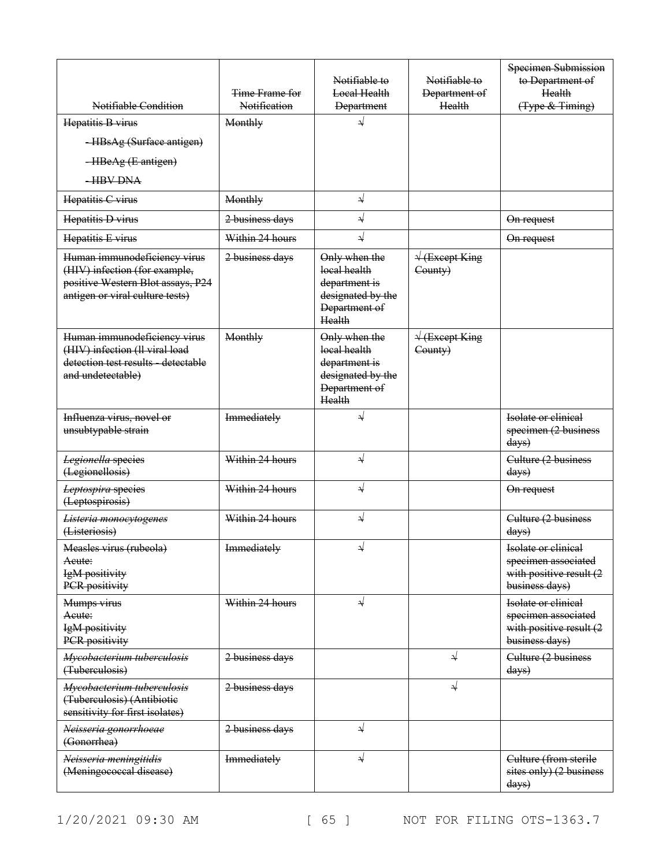| Notifiable Condition                                                                                                                  | Time Frame for<br>Notification | Notifiable to<br>Local Health<br><b>Department</b>                                             | Notifiable to<br>Department of<br>Health            | Specimen Submission<br>to Department of<br>Health<br>(Type & Timing)                    |
|---------------------------------------------------------------------------------------------------------------------------------------|--------------------------------|------------------------------------------------------------------------------------------------|-----------------------------------------------------|-----------------------------------------------------------------------------------------|
| Hepatitis B virus                                                                                                                     | Monthly                        | $\downarrow$                                                                                   |                                                     |                                                                                         |
| -HBsAg (Surface antigen)                                                                                                              |                                |                                                                                                |                                                     |                                                                                         |
| -HBeAg (E antigen)                                                                                                                    |                                |                                                                                                |                                                     |                                                                                         |
| <b>HBV DNA</b>                                                                                                                        |                                |                                                                                                |                                                     |                                                                                         |
| Hepatitis C virus                                                                                                                     | Monthly                        | ↓                                                                                              |                                                     |                                                                                         |
| Hepatitis D virus                                                                                                                     | 2 business days                | $\sqrt{}$                                                                                      |                                                     | On request                                                                              |
| Hepatitis E virus                                                                                                                     | Within 24 hours                | $\sqrt{}$                                                                                      |                                                     | On request                                                                              |
| Human immunodeficiency virus<br>(HIV) infection (for example,<br>positive Western Blot assays, P24<br>antigen or viral culture tests) | 2 business days                | Only when the<br>local health<br>department is<br>designated by the<br>Department of<br>Health | $\sqrt{\frac{1}{1 + \text{Except King}}$<br>County) |                                                                                         |
| Human immunodeficiency virus<br>(HIV) infection (ll viral load<br>detection test results detectable<br>and undetectable)              | Monthly                        | Only when the<br>local health<br>department is<br>designated by the<br>Department of<br>Health | $\sqrt{\frac{1}{1 + \text{Except King}}$<br>County) |                                                                                         |
| Influenza virus, novel or<br>unsubtypable strain                                                                                      | Immediately                    | ↓                                                                                              |                                                     | Isolate or clinical<br>specimen (2 business<br>$\frac{days}{9}$                         |
| Legionella species<br>(Legionellosis)                                                                                                 | Within 24 hours                | $\sqrt{}$                                                                                      |                                                     | Culture (2 business<br>$\frac{days}{9}$                                                 |
| Leptospira species<br>(Leptospirosis)                                                                                                 | Within 24 hours                | $\sqrt{}$                                                                                      |                                                     | On request                                                                              |
| Listeria monocytogenes<br>(Listeriosis)                                                                                               | Within 24 hours                | $\sqrt{}$                                                                                      |                                                     | Culture (2 business<br>$\frac{days}{9}$                                                 |
| Measles virus (rubeola)<br>Aeute:<br>IgM positivity<br>PCR positivity                                                                 | Immediately                    | لد                                                                                             |                                                     | Isolate or clinical<br>specimen associated<br>with positive result (2<br>business days) |
| Mumps virus<br>Acute:<br>IgM positivity<br>PCR positivity                                                                             | Within 24 hours                | $\sqrt{}$                                                                                      |                                                     | Isolate or clinical<br>specimen associated<br>with positive result (2<br>business days) |
| Mycobacterium tuberculosis<br>(Tuberculosis)                                                                                          | 2 business days                |                                                                                                | $\downarrow$                                        | Culture (2 business<br>$\frac{days}{9}$                                                 |
| Mycobacterium tuberculosis<br>(Tuberculosis) (Antibiotie<br>sensitivity for first isolates)                                           | 2 business days                |                                                                                                | $\downarrow$                                        |                                                                                         |
| Neisseria gonorrhoeae<br>(Gonorrhea)                                                                                                  | 2 business days                | ↓                                                                                              |                                                     |                                                                                         |
| Neisseria meningitidis<br>(Meningococcal disease)                                                                                     | Immediately                    | ⇃                                                                                              |                                                     | Culture (from sterile<br>sites only) (2 business<br>days)                               |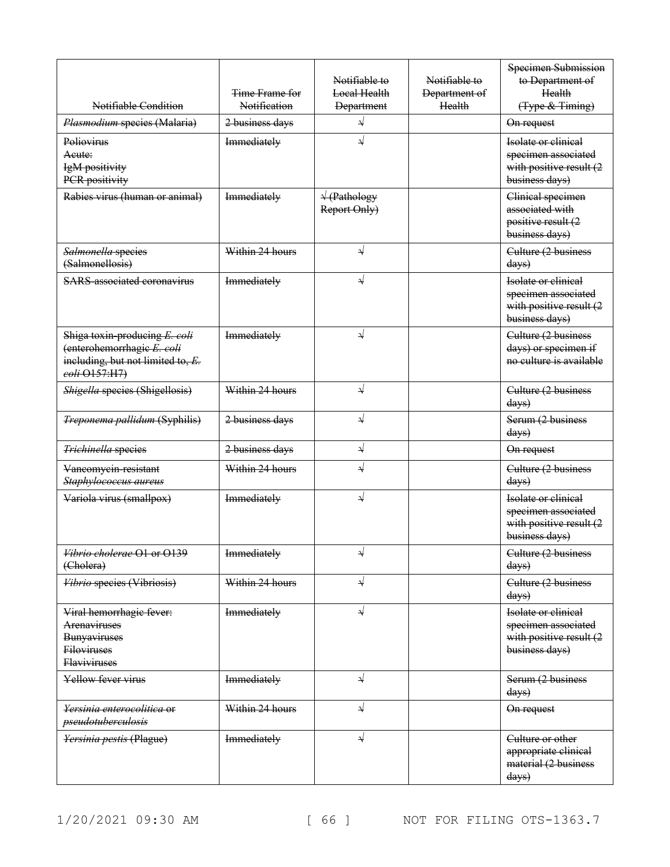| Notifiable Condition                                                                                              | Time Frame for<br>Notification | Notifiable to<br>Local Health<br><b>Department</b>                     | Notifiable to<br>Department of<br>Health | Specimen Submission<br>to Department of<br>Health<br>(Type & Timing)                    |
|-------------------------------------------------------------------------------------------------------------------|--------------------------------|------------------------------------------------------------------------|------------------------------------------|-----------------------------------------------------------------------------------------|
| Plasmodium species (Malaria)                                                                                      | 2 business days                | ⇃                                                                      |                                          | On request                                                                              |
| Poliovirus<br>Acute:<br>IgM positivity<br>PCR positivity                                                          | Immediately                    | $\sqrt{}$                                                              |                                          | Isolate or clinical<br>specimen associated<br>with positive result (2<br>business days) |
| Rabies virus (human or animal)                                                                                    | Immediately                    | $\sqrt{\frac{(\text{Pathology})}{(\text{Pathology})}}$<br>Report Only) |                                          | Clinical specimen<br>associated with<br>positive result (2<br>business days)            |
| Salmonella species<br>(Salmonellosis)                                                                             | Within 24 hours                | √                                                                      |                                          | Culture (2 business<br>days)                                                            |
| <b>SARS</b> associated coronavirus                                                                                | Immediately                    |                                                                        |                                          | Isolate or clinical<br>specimen associated<br>with positive result (2<br>business days) |
| Shiga toxin producing E. coli<br>(enterohemorrhagie E. coli<br>including, but not limited to, E.<br>eoli O157:H7) | Immediately                    | √                                                                      |                                          | Culture (2 business<br>days) or specimen if<br>no culture is available                  |
| Shigella species (Shigellosis)                                                                                    | Within 24 hours                | ↵                                                                      |                                          | Culture (2 business<br>days)                                                            |
| Treponema pallidum (Syphilis)                                                                                     | 2 business days                | $\sqrt{}$                                                              |                                          | Serum (2 business<br>days)                                                              |
| Trichinella species                                                                                               | 2 business days                | ⇃                                                                      |                                          | On request                                                                              |
| Vancomycin-resistant<br>Staphylococcus aureus                                                                     | Within 24 hours                | ↵                                                                      |                                          | Culture (2 business<br>days)                                                            |
| Variola virus (smallpox)                                                                                          | Immediately                    | $\sqrt{}$                                                              |                                          | Isolate or clinical<br>specimen associated<br>with positive result (2<br>business days) |
| <i>Vibrio cholerae</i> O1 or O139<br>(Cholera)                                                                    | Immediately                    | N                                                                      |                                          | Culture (2 business<br>$\frac{days}{9}$                                                 |
| Vibrio species (Vibriosis)                                                                                        | Within 24 hours                | $\downarrow$                                                           |                                          | Culture (2 business<br>$\frac{days}{9}$                                                 |
| Viral hemorrhagic fever:<br>Arenaviruses<br>Bunyaviruses<br><b>Filoviruses</b><br><b>Flaviviruses</b>             | Immediately                    | $\downarrow$                                                           |                                          | Isolate or clinical<br>specimen associated<br>with positive result (2<br>business days) |
| Yellow fever virus                                                                                                | Immediately                    | ↓                                                                      |                                          | Serum (2 business<br>$\frac{days}{9}$                                                   |
| Yersinia enterocolitica or<br>pseudotuberculosis                                                                  | Within 24 hours                | ↓                                                                      |                                          | On request                                                                              |
| Yersinia pestis (Plague)                                                                                          | Immediately                    | $\downarrow$                                                           |                                          | Culture or other<br>appropriate clinical<br>material (2 business<br>days)               |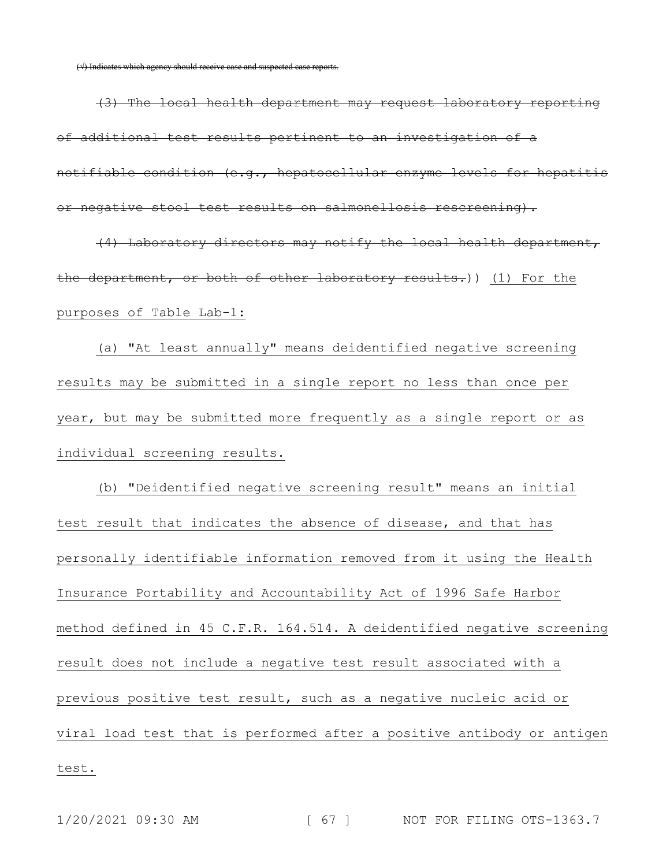(√) Indicates which agency should receive case and suspected case reports.

(3) The local health department may request laboratory reporting of additional test results pertinent to an investigation of a notifiable condition (e.g., hepatocellular enzyme levels for hepatitis or negative stool test results on salmonellosis rescreening).

(4) Laboratory directors may notify the local health department, the department, or both of other laboratory results.)) (1) For the purposes of Table Lab-1:

(a) "At least annually" means deidentified negative screening results may be submitted in a single report no less than once per year, but may be submitted more frequently as a single report or as individual screening results.

(b) "Deidentified negative screening result" means an initial test result that indicates the absence of disease, and that has personally identifiable information removed from it using the Health Insurance Portability and Accountability Act of 1996 Safe Harbor method defined in 45 C.F.R. 164.514. A deidentified negative screening result does not include a negative test result associated with a previous positive test result, such as a negative nucleic acid or viral load test that is performed after a positive antibody or antigen test.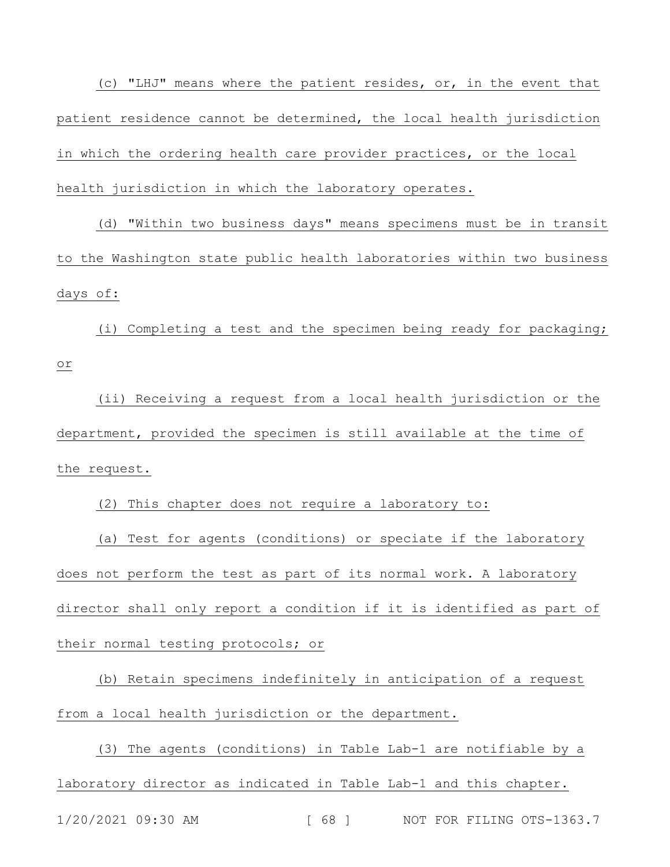(c) "LHJ" means where the patient resides, or, in the event that patient residence cannot be determined, the local health jurisdiction in which the ordering health care provider practices, or the local health jurisdiction in which the laboratory operates.

(d) "Within two business days" means specimens must be in transit to the Washington state public health laboratories within two business days of:

(i) Completing a test and the specimen being ready for packaging; or

(ii) Receiving a request from a local health jurisdiction or the department, provided the specimen is still available at the time of the request.

(2) This chapter does not require a laboratory to:

(a) Test for agents (conditions) or speciate if the laboratory does not perform the test as part of its normal work. A laboratory director shall only report a condition if it is identified as part of their normal testing protocols; or

(b) Retain specimens indefinitely in anticipation of a request from a local health jurisdiction or the department.

(3) The agents (conditions) in Table Lab-1 are notifiable by a laboratory director as indicated in Table Lab-1 and this chapter.

1/20/2021 09:30 AM [ 68 ] NOT FOR FILING OTS-1363.7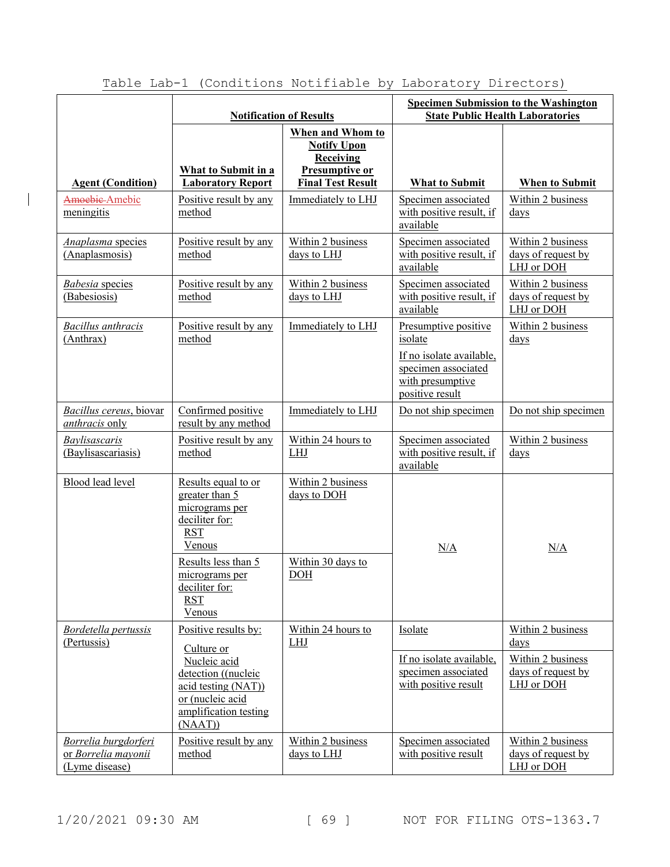|                                                                                                | <b>Notification of Results</b>                                                                                                                                                       |                                                                                                          | <b>Specimen Submission to the Washington</b><br><b>State Public Health Laboratories</b>                                   |                                                                                             |
|------------------------------------------------------------------------------------------------|--------------------------------------------------------------------------------------------------------------------------------------------------------------------------------------|----------------------------------------------------------------------------------------------------------|---------------------------------------------------------------------------------------------------------------------------|---------------------------------------------------------------------------------------------|
| <b>Agent (Condition)</b>                                                                       | What to Submit in a<br><b>Laboratory Report</b>                                                                                                                                      | When and Whom to<br><b>Notify Upon</b><br><b>Receiving</b><br>Presumptive or<br><b>Final Test Result</b> | <b>What to Submit</b>                                                                                                     | When to Submit                                                                              |
| Amoebie-Amebic<br>meningitis                                                                   | Positive result by any<br>method                                                                                                                                                     | Immediately to LHJ                                                                                       | Specimen associated<br>with positive result, if<br>available                                                              | Within 2 business<br>days                                                                   |
| Anaplasma species<br>(Anaplasmosis)                                                            | Positive result by any<br>method                                                                                                                                                     | Within 2 business<br>days to LHJ                                                                         | Specimen associated<br>with positive result, if<br>available                                                              | Within 2 business<br>days of request by<br>LHJ or DOH                                       |
| <b>Babesia</b> species<br>(Babesiosis)                                                         | Positive result by any<br>method                                                                                                                                                     | Within 2 business<br>days to LHJ                                                                         | Specimen associated<br>with positive result, if<br>available                                                              | Within 2 business<br>days of request by<br>LHJ or DOH                                       |
| <b>Bacillus</b> anthracis<br>(Anthrax)                                                         | Positive result by any<br>method                                                                                                                                                     | Immediately to LHJ                                                                                       | Presumptive positive<br>isolate<br>If no isolate available,<br>specimen associated<br>with presumptive<br>positive result | Within 2 business<br>$\frac{days}{9}$                                                       |
| Bacillus cereus, biovar<br><i>anthracis</i> only<br><b>Baylisascaris</b><br>(Baylisascariasis) | Confirmed positive<br>result by any method<br>Positive result by any<br>method                                                                                                       | Immediately to LHJ<br>Within 24 hours to<br><b>LHJ</b>                                                   | Do not ship specimen<br>Specimen associated<br>with positive result, if<br>available                                      | Do not ship specimen<br>Within 2 business<br>$_{\rm days}$                                  |
| Blood lead level                                                                               | Results equal to or<br>greater than 5<br>micrograms per<br>deciliter for:<br><b>RST</b><br>Venous<br>Results less than 5<br>micrograms per<br>deciliter for:<br><b>RST</b><br>Venous | Within 2 business<br>days to DOH<br>Within 30 days to<br><b>DOH</b>                                      | N/A                                                                                                                       | N/A                                                                                         |
| Bordetella pertussis<br>(Pertussis)                                                            | Positive results by:<br>Culture or<br>Nucleic acid<br>detection ((nucleic<br>acid testing (NAT))<br>or (nucleic acid<br>amplification testing<br>(NAAT))                             | Within 24 hours to<br><b>LHJ</b>                                                                         | Isolate<br>If no isolate available,<br>specimen associated<br>with positive result                                        | Within 2 business<br>$_{\rm days}$<br>Within 2 business<br>days of request by<br>LHJ or DOH |
| Borrelia burgdorferi<br>or Borrelia mayonii<br>(Lyme disease)                                  | Positive result by any<br>method                                                                                                                                                     | Within 2 business<br>days to LHJ                                                                         | Specimen associated<br>with positive result                                                                               | Within 2 business<br>days of request by<br>LHJ or DOH                                       |

 $\overline{\phantom{a}}$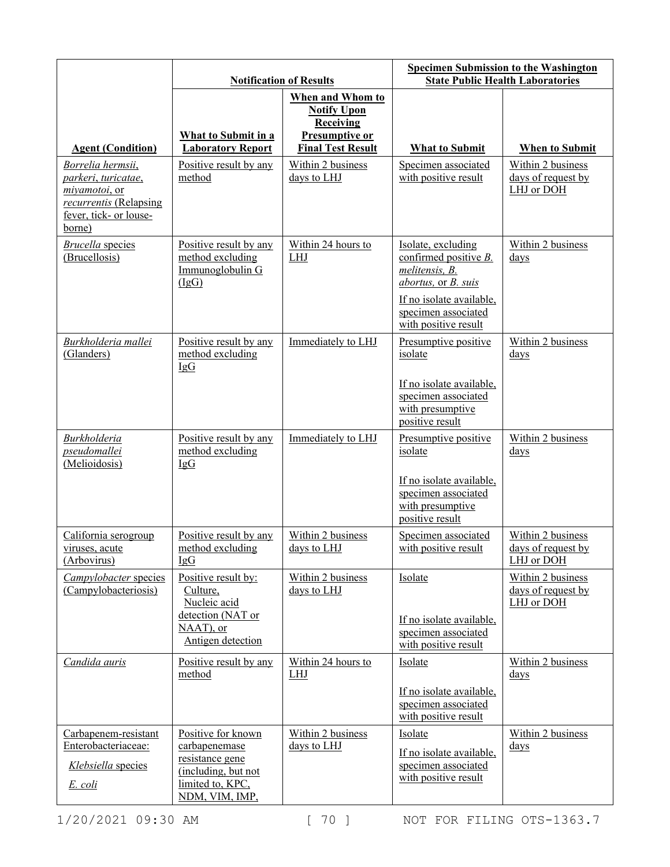|                                                                                                                         | <b>Notification of Results</b>                                                                                      |                                                                                                                 | <b>Specimen Submission to the Washington</b><br><b>State Public Health Laboratories</b>                                                                         |                                                       |
|-------------------------------------------------------------------------------------------------------------------------|---------------------------------------------------------------------------------------------------------------------|-----------------------------------------------------------------------------------------------------------------|-----------------------------------------------------------------------------------------------------------------------------------------------------------------|-------------------------------------------------------|
| <b>Agent (Condition)</b>                                                                                                | What to Submit in a<br><b>Laboratory Report</b>                                                                     | When and Whom to<br><b>Notify Upon</b><br><b>Receiving</b><br><b>Presumptive or</b><br><b>Final Test Result</b> | <b>What to Submit</b>                                                                                                                                           | <b>When to Submit</b>                                 |
| Borrelia hermsii,<br>parkeri, turicatae,<br>miyamotoi, or<br>recurrentis (Relapsing<br>fever, tick- or louse-<br>borne) | Positive result by any<br>method                                                                                    | Within 2 business<br>days to LHJ                                                                                | Specimen associated<br>with positive result                                                                                                                     | Within 2 business<br>days of request by<br>LHJ or DOH |
| <b>Brucella</b> species<br>(Brucellosis)                                                                                | Positive result by any<br>method excluding<br>Immunoglobulin G<br>(IgG)                                             | Within 24 hours to<br>LHJ                                                                                       | Isolate, excluding<br>confirmed positive B.<br>melitensis, B.<br>abortus, or B. suis<br>If no isolate available,<br>specimen associated<br>with positive result | Within 2 business<br>days                             |
| Burkholderia mallei<br>(Glanders)                                                                                       | Positive result by any<br>method excluding<br>IgG                                                                   | Immediately to LHJ                                                                                              | Presumptive positive<br>isolate<br>If no isolate available,                                                                                                     | Within 2 business<br>days                             |
|                                                                                                                         |                                                                                                                     |                                                                                                                 | specimen associated<br>with presumptive<br>positive result                                                                                                      |                                                       |
| <b>Burkholderia</b><br>pseudomallei<br>(Melioidosis)                                                                    | Positive result by any<br>method excluding<br>IgG                                                                   | Immediately to LHJ                                                                                              | Presumptive positive<br>isolate<br>If no isolate available,<br>specimen associated<br>with presumptive<br>positive result                                       | Within 2 business<br>$_{\rm days}$                    |
| California serogroup<br>viruses, acute<br>(Arbovirus)                                                                   | Positive result by any<br>method excluding<br>IgG                                                                   | Within 2 business<br>days to LHJ                                                                                | Specimen associated<br>with positive result                                                                                                                     | Within 2 business<br>days of request by<br>LHJ or DOH |
| Campylobacter species<br>(Campylobacteriosis)                                                                           | Positive result by:<br>Culture,<br>Nucleic acid<br>detection (NAT or<br>NAAT), or<br>Antigen detection              | Within 2 business<br>days to LHJ                                                                                | Isolate<br>If no isolate available,<br>specimen associated<br>with positive result                                                                              | Within 2 business<br>days of request by<br>LHJ or DOH |
| Candida auris                                                                                                           | Positive result by any<br>method                                                                                    | Within 24 hours to<br><b>LHJ</b>                                                                                | Isolate<br>If no isolate available,<br>specimen associated<br>with positive result                                                                              | Within 2 business<br>days                             |
| Carbapenem-resistant<br>Enterobacteriaceae:<br>Klebsiella species<br>E. coli                                            | Positive for known<br>carbapenemase<br>resistance gene<br>(including, but not<br>limited to, KPC,<br>NDM, VIM, IMP, | Within 2 business<br>days to LHJ                                                                                | Isolate<br>If no isolate available,<br>specimen associated<br>with positive result                                                                              | Within 2 business<br>$\frac{days}{9}$                 |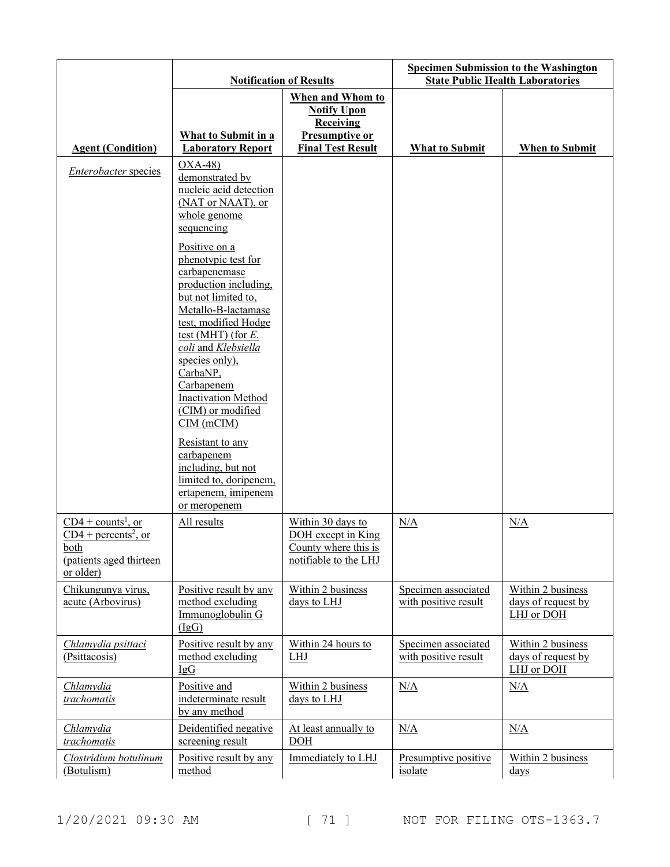|                                                                                                       | <b>Notification of Results</b>                                                                                                                                                                                                                                                                                                              |                                                                                                          | <b>Specimen Submission to the Washington</b><br><b>State Public Health Laboratories</b> |                                                       |
|-------------------------------------------------------------------------------------------------------|---------------------------------------------------------------------------------------------------------------------------------------------------------------------------------------------------------------------------------------------------------------------------------------------------------------------------------------------|----------------------------------------------------------------------------------------------------------|-----------------------------------------------------------------------------------------|-------------------------------------------------------|
| <b>Agent (Condition)</b>                                                                              | <b>What to Submit in a</b><br><b>Laboratory Report</b>                                                                                                                                                                                                                                                                                      | When and Whom to<br><b>Notify Upon</b><br>Receiving<br><b>Presumptive or</b><br><b>Final Test Result</b> | <b>What to Submit</b>                                                                   | <b>When to Submit</b>                                 |
|                                                                                                       | $OXA-48$                                                                                                                                                                                                                                                                                                                                    |                                                                                                          |                                                                                         |                                                       |
| <i>Enterobacter</i> species                                                                           | demonstrated by<br>nucleic acid detection<br>(NAT or NAAT), or<br>whole genome<br>sequencing                                                                                                                                                                                                                                                |                                                                                                          |                                                                                         |                                                       |
|                                                                                                       | Positive on a<br>phenotypic test for<br>carbapenemase<br>production including,<br>but not limited to,<br>Metallo-B-lactamase<br>test, modified Hodge<br>test (MHT) (for $E$ .<br>coli and Klebsiella<br>species only),<br>CarbaNP,<br>Carbapenem<br><b>Inactivation Method</b><br>(CIM) or modified<br>$CIM$ (m $CIM$ )<br>Resistant to any |                                                                                                          |                                                                                         |                                                       |
|                                                                                                       | carbapenem<br>including, but not<br>limited to, doripenem,<br>ertapenem, imipenem<br>or meropenem                                                                                                                                                                                                                                           |                                                                                                          |                                                                                         |                                                       |
| $CD4 + counts1$ , or<br>$CD4 + percents2$ , or<br><u>both</u><br>(patients aged thirteen<br>or older) | All results                                                                                                                                                                                                                                                                                                                                 | Within 30 days to<br>DOH except in King<br>County where this is<br>notifiable to the LHJ                 | N/A                                                                                     | N/A                                                   |
| Chikungunya virus,<br>acute (Arbovirus)                                                               | Positive result by any<br>method excluding<br>Immunoglobulin G<br>(IgG)                                                                                                                                                                                                                                                                     | Within 2 business<br>days to LHJ                                                                         | Specimen associated<br>with positive result                                             | Within 2 business<br>days of request by<br>LHJ or DOH |
| Chlamydia psittaci<br>(Psittacosis)                                                                   | Positive result by any<br>method excluding<br>$I \nsubseteq G$                                                                                                                                                                                                                                                                              | Within 24 hours to<br><b>LHJ</b>                                                                         | Specimen associated<br>with positive result                                             | Within 2 business<br>days of request by<br>LHJ or DOH |
| Chlamydia<br>trachomatis                                                                              | Positive and<br>indeterminate result<br>by any method                                                                                                                                                                                                                                                                                       | Within 2 business<br>days to LHJ                                                                         | N/A                                                                                     | N/A                                                   |
| Chlamydia<br>trachomatis                                                                              | Deidentified negative<br>screening result                                                                                                                                                                                                                                                                                                   | At least annually to<br><b>DOH</b>                                                                       | N/A                                                                                     | N/A                                                   |
| Clostridium botulinum<br>(Botulism)                                                                   | Positive result by any<br>method                                                                                                                                                                                                                                                                                                            | Immediately to LHJ                                                                                       | Presumptive positive<br>isolate                                                         | Within 2 business<br>$\frac{days}{9}$                 |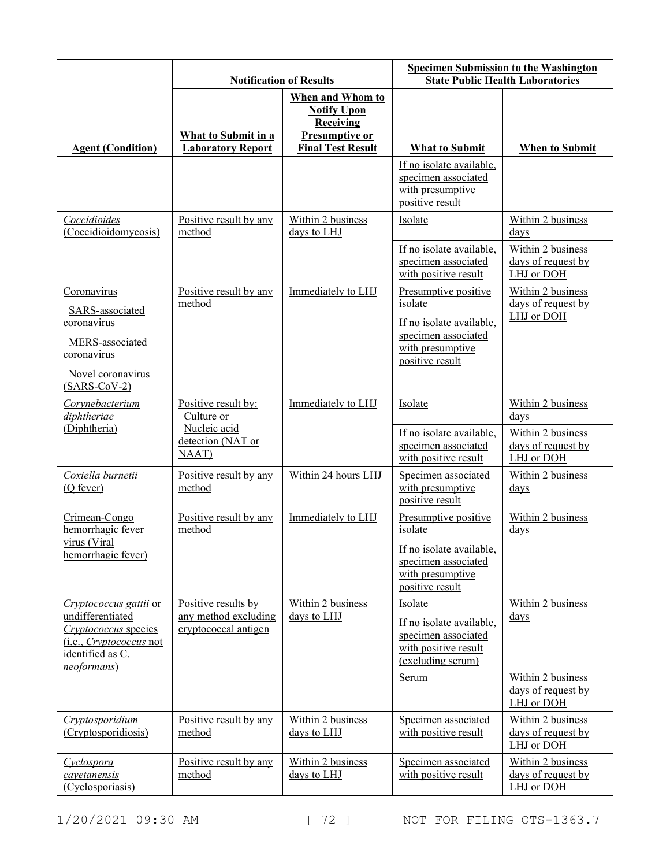|                                                                                                                                         | <b>Notification of Results</b>                                      |                                                                                                          | <b>Specimen Submission to the Washington</b><br><b>State Public Health Laboratories</b>                                   |                                                                                    |
|-----------------------------------------------------------------------------------------------------------------------------------------|---------------------------------------------------------------------|----------------------------------------------------------------------------------------------------------|---------------------------------------------------------------------------------------------------------------------------|------------------------------------------------------------------------------------|
| <b>Agent (Condition)</b>                                                                                                                | What to Submit in a<br><b>Laboratory Report</b>                     | When and Whom to<br><b>Notify Upon</b><br><b>Receiving</b><br>Presumptive or<br><b>Final Test Result</b> | <b>What to Submit</b>                                                                                                     | <b>When to Submit</b>                                                              |
|                                                                                                                                         |                                                                     |                                                                                                          | If no isolate available,<br>specimen associated<br>with presumptive<br>positive result                                    |                                                                                    |
| Coccidioides<br>(Coccidioidomycosis)                                                                                                    | Positive result by any<br>method                                    | Within 2 business<br>days to LHJ                                                                         | Isolate<br>If no isolate available,<br>specimen associated<br>with positive result                                        | Within 2 business<br>days<br>Within 2 business<br>days of request by<br>LHJ or DOH |
| Coronavirus<br>SARS-associated<br>coronavirus<br>MERS-associated<br>coronavirus<br>Novel coronavirus<br>$(SARS-CoV-2)$                  | Positive result by any<br>method                                    | Immediately to LHJ                                                                                       | Presumptive positive<br>isolate<br>If no isolate available,<br>specimen associated<br>with presumptive<br>positive result | Within 2 business<br>days of request by<br>LHJ or DOH                              |
| Corynebacterium<br>diphtheriae<br>(Diphtheria)                                                                                          | Positive result by:<br>Culture or<br>Nucleic acid                   | Immediately to LHJ                                                                                       | Isolate<br>If no isolate available,                                                                                       | Within 2 business<br>days<br>Within 2 business                                     |
|                                                                                                                                         | detection (NAT or<br>NAAT)                                          |                                                                                                          | specimen associated<br>with positive result                                                                               | days of request by<br>LHJ or DOH                                                   |
| Coxiella burnetii<br>(Q fever)                                                                                                          | Positive result by any<br>method                                    | Within 24 hours LHJ                                                                                      | Specimen associated<br>with presumptive<br>positive result                                                                | Within 2 business<br>$_{\rm days}$                                                 |
| Crimean-Congo<br>hemorrhagic fever<br>virus (Viral<br>hemorrhagic fever)                                                                | Positive result by any<br>method                                    | Immediately to LHJ                                                                                       | Presumptive positive<br>isolate<br>If no isolate available,<br>specimen associated<br>with presumptive<br>positive result | Within 2 business<br>$_{\rm days}$                                                 |
| Cryptococcus gattii or<br>undifferentiated<br>Cryptococcus species<br>(i.e., <i>Cryptococcus</i> not<br>identified as C.<br>neoformans) | Positive results by<br>any method excluding<br>cryptococcal antigen | Within 2 business<br>days to LHJ                                                                         | Isolate<br>If no isolate available,<br>specimen associated<br>with positive result<br>(excluding serum)                   | Within 2 business<br>$\frac{days}{9}$                                              |
|                                                                                                                                         |                                                                     |                                                                                                          | <u>Serum</u>                                                                                                              | Within 2 business<br>days of request by<br>LHJ or DOH                              |
| Cryptosporidium<br>(Cryptosporidiosis)                                                                                                  | Positive result by any<br>method                                    | Within 2 business<br>days to LHJ                                                                         | Specimen associated<br>with positive result                                                                               | Within 2 business<br>days of request by<br>LHJ or DOH                              |
| Cyclospora<br>cayetanensis<br>(Cyclosporiasis)                                                                                          | Positive result by any<br>method                                    | Within 2 business<br>days to LHJ                                                                         | Specimen associated<br>with positive result                                                                               | Within 2 business<br>days of request by<br>LHJ or DOH                              |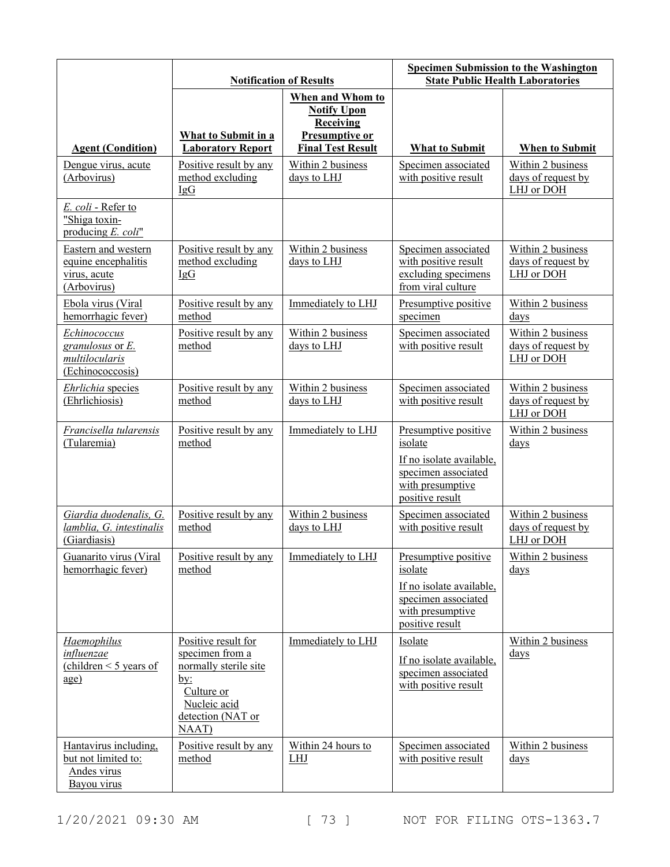|                                                                                                                       | <b>Notification of Results</b>                                                                                                                   |                                                                                                                                                     | <b>Specimen Submission to the Washington</b><br><b>State Public Health Laboratories</b>                                   |                                                                                    |
|-----------------------------------------------------------------------------------------------------------------------|--------------------------------------------------------------------------------------------------------------------------------------------------|-----------------------------------------------------------------------------------------------------------------------------------------------------|---------------------------------------------------------------------------------------------------------------------------|------------------------------------------------------------------------------------|
| <b>Agent (Condition)</b><br>Dengue virus, acute<br>(Arbovirus)                                                        | What to Submit in a<br><b>Laboratory Report</b><br>Positive result by any<br>method excluding<br>IgG                                             | When and Whom to<br><b>Notify Upon</b><br><b>Receiving</b><br><b>Presumptive or</b><br><b>Final Test Result</b><br>Within 2 business<br>days to LHJ | <b>What to Submit</b><br>Specimen associated<br>with positive result                                                      | When to Submit<br>Within 2 business<br>days of request by<br>LHJ or DOH            |
| E. coli - Refer to<br>"Shiga toxin-<br>producing E. coli"                                                             |                                                                                                                                                  |                                                                                                                                                     |                                                                                                                           |                                                                                    |
| Eastern and western<br>equine encephalitis<br>virus, acute<br>(Arbovirus)                                             | Positive result by any<br>method excluding<br>IgG                                                                                                | Within 2 business<br>days to LHJ                                                                                                                    | Specimen associated<br>with positive result<br>excluding specimens<br>from viral culture                                  | Within 2 business<br>days of request by<br>LHJ or DOH                              |
| Ebola virus (Viral<br>hemorrhagic fever)<br>Echinococcus<br>granulosus or $E$ .<br>multilocularis<br>(Echinococcosis) | Positive result by any<br>method<br>Positive result by any<br>method                                                                             | Immediately to LHJ<br>Within 2 business<br>days to LHJ                                                                                              | Presumptive positive<br>specimen<br>Specimen associated<br>with positive result                                           | Within 2 business<br>days<br>Within 2 business<br>days of request by<br>LHJ or DOH |
| Ehrlichia species<br>(Ehrlichiosis)                                                                                   | Positive result by any<br>method                                                                                                                 | Within 2 business<br>days to LHJ                                                                                                                    | Specimen associated<br>with positive result                                                                               | Within 2 business<br>days of request by<br>LHJ or DOH                              |
| Francisella tularensis<br>(Tularemia)                                                                                 | Positive result by any<br>method                                                                                                                 | Immediately to LHJ                                                                                                                                  | Presumptive positive<br>isolate<br>If no isolate available,<br>specimen associated<br>with presumptive<br>positive result | Within 2 business<br>$_{\rm days}$                                                 |
| Giardia duodenalis, G.<br>lamblia, G. intestinalis<br>(Giardiasis)                                                    | Positive result by any<br>method                                                                                                                 | Within 2 business<br>days to LHJ                                                                                                                    | Specimen associated<br>with positive result                                                                               | Within 2 business<br>days of request by<br>LHJ or DOH                              |
| Guanarito virus (Viral<br>hemorrhagic fever)                                                                          | Positive result by any<br>method                                                                                                                 | Immediately to LHJ                                                                                                                                  | Presumptive positive<br>isolate<br>If no isolate available,<br>specimen associated<br>with presumptive<br>positive result | Within 2 business<br>$_{\rm days}$                                                 |
| <b>Haemophilus</b><br><i>influenzae</i><br>(children $\leq$ 5 years of<br>$\underline{age}$                           | Positive result for<br>specimen from a<br>normally sterile site<br>$\underline{by:}$<br>Culture or<br>Nucleic acid<br>detection (NAT or<br>NAAT) | Immediately to LHJ                                                                                                                                  | Isolate<br>If no isolate available,<br>specimen associated<br>with positive result                                        | Within 2 business<br>$_{\rm days}$                                                 |
| Hantavirus including,<br>but not limited to:<br>Andes virus<br>Bayou virus                                            | Positive result by any<br>method                                                                                                                 | Within 24 hours to<br><b>LHJ</b>                                                                                                                    | Specimen associated<br>with positive result                                                                               | Within 2 business<br>$_{\rm days}$                                                 |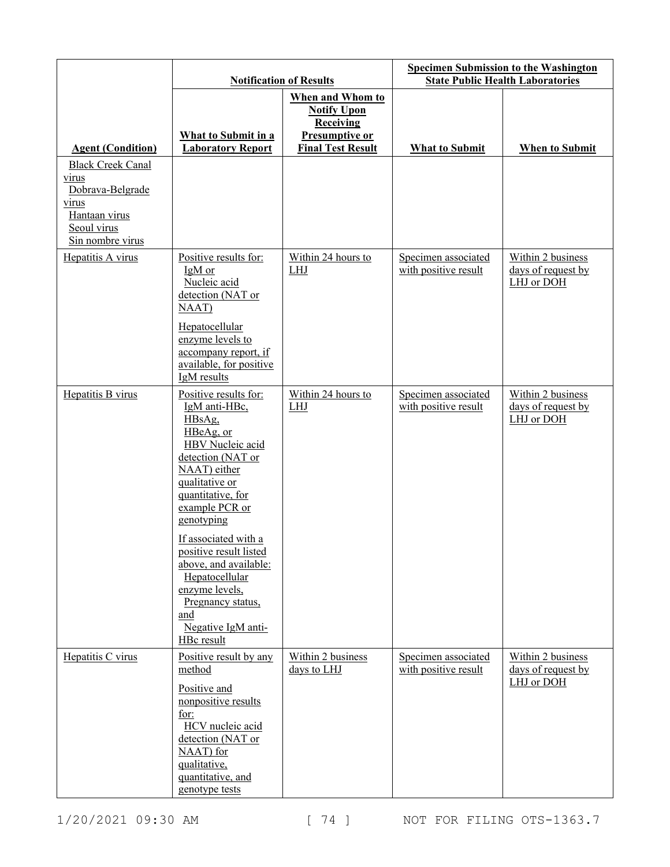|                                                                                                                           | <b>Notification of Results</b>                                                                                                                                                                                                                                                                                                                                                                            |                                                                                                                 | <b>Specimen Submission to the Washington</b><br><b>State Public Health Laboratories</b> |                                                       |
|---------------------------------------------------------------------------------------------------------------------------|-----------------------------------------------------------------------------------------------------------------------------------------------------------------------------------------------------------------------------------------------------------------------------------------------------------------------------------------------------------------------------------------------------------|-----------------------------------------------------------------------------------------------------------------|-----------------------------------------------------------------------------------------|-------------------------------------------------------|
| <b>Agent (Condition)</b>                                                                                                  | What to Submit in a<br><b>Laboratory Report</b>                                                                                                                                                                                                                                                                                                                                                           | When and Whom to<br><b>Notify Upon</b><br><b>Receiving</b><br><b>Presumptive or</b><br><b>Final Test Result</b> | <b>What to Submit</b>                                                                   | <b>When to Submit</b>                                 |
| <b>Black Creek Canal</b><br>virus<br>Dobrava-Belgrade<br><u>virus</u><br>Hantaan virus<br>Seoul virus<br>Sin nombre virus |                                                                                                                                                                                                                                                                                                                                                                                                           |                                                                                                                 |                                                                                         |                                                       |
| Hepatitis A virus                                                                                                         | Positive results for:<br>IgM or<br>Nucleic acid<br>detection (NAT or<br>NAAT)<br>Hepatocellular<br>enzyme levels to<br>accompany report, if<br>available, for positive                                                                                                                                                                                                                                    | Within 24 hours to<br>LHJ                                                                                       | Specimen associated<br>with positive result                                             | Within 2 business<br>days of request by<br>LHJ or DOH |
| Hepatitis B virus                                                                                                         | IgM results<br>Positive results for:<br>IgM anti-HBc,<br>HBsAg,<br>HBeAg, or<br><b>HBV</b> Nucleic acid<br>detection (NAT or<br>NAAT) either<br>qualitative or<br>quantitative, for<br>example PCR or<br>genotyping<br>If associated with a<br>positive result listed<br>above, and available:<br>Hepatocellular<br>enzyme levels,<br>Pregnancy status,<br>and<br>Negative IgM anti-<br><b>HBc</b> result | Within 24 hours to<br><b>LHJ</b>                                                                                | Specimen associated<br>with positive result                                             | Within 2 business<br>days of request by<br>LHJ or DOH |
| Hepatitis C virus                                                                                                         | Positive result by any<br>method<br>Positive and<br>nonpositive results<br>for:<br>HCV nucleic acid<br>detection (NAT or<br>NAAT) for<br>qualitative,<br>quantitative, and<br>genotype tests                                                                                                                                                                                                              | Within 2 business<br>days to LHJ                                                                                | Specimen associated<br>with positive result                                             | Within 2 business<br>days of request by<br>LHJ or DOH |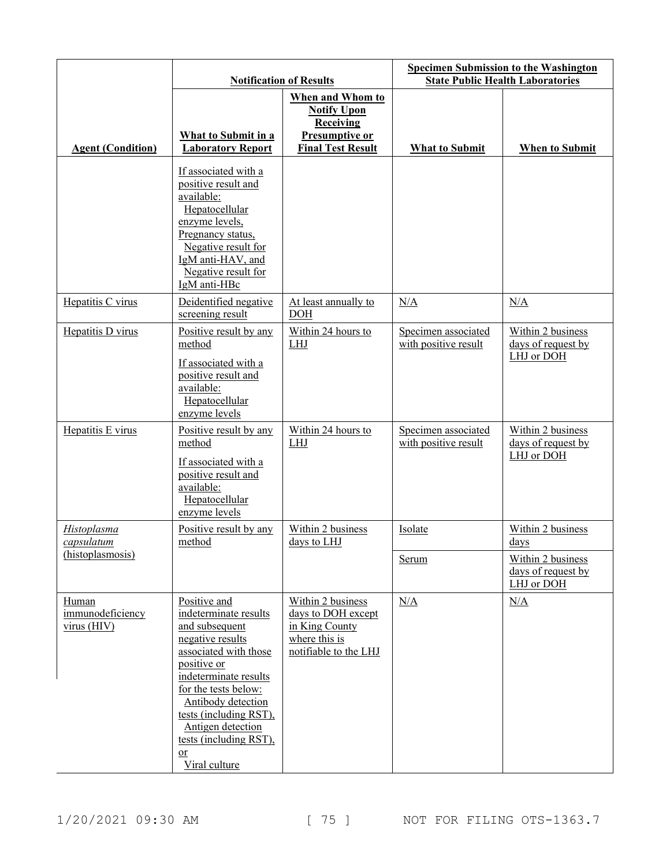|                                          |                                                                                                                                                                                                                                                                                            | <b>Notification of Results</b>                                                                                  | <b>Specimen Submission to the Washington</b><br><b>State Public Health Laboratories</b> |                                                       |
|------------------------------------------|--------------------------------------------------------------------------------------------------------------------------------------------------------------------------------------------------------------------------------------------------------------------------------------------|-----------------------------------------------------------------------------------------------------------------|-----------------------------------------------------------------------------------------|-------------------------------------------------------|
| <b>Agent (Condition)</b>                 | What to Submit in a<br><b>Laboratory Report</b>                                                                                                                                                                                                                                            | When and Whom to<br><b>Notify Upon</b><br><b>Receiving</b><br><b>Presumptive or</b><br><b>Final Test Result</b> | <b>What to Submit</b>                                                                   | <b>When to Submit</b>                                 |
|                                          | If associated with a<br>positive result and<br>available:<br>Hepatocellular<br>enzyme levels,<br>Pregnancy status,<br>Negative result for<br>IgM anti-HAV, and<br>Negative result for<br>IgM anti-HBc                                                                                      |                                                                                                                 |                                                                                         |                                                       |
| Hepatitis C virus                        | Deidentified negative<br>screening result                                                                                                                                                                                                                                                  | At least annually to<br><b>DOH</b>                                                                              | N/A                                                                                     | N/A                                                   |
| Hepatitis D virus                        | Positive result by any<br>method<br>If associated with a<br>positive result and<br>available:<br>Hepatocellular<br>enzyme levels                                                                                                                                                           | Within 24 hours to<br>LHJ                                                                                       | Specimen associated<br>with positive result                                             | Within 2 business<br>days of request by<br>LHJ or DOH |
| Hepatitis E virus                        | Positive result by any<br>method<br>If associated with a<br>positive result and<br>available:<br>Hepatocellular<br>enzyme levels                                                                                                                                                           | Within 24 hours to<br><b>LHJ</b>                                                                                | Specimen associated<br>with positive result                                             | Within 2 business<br>days of request by<br>LHJ or DOH |
| <b>Histoplasma</b><br>capsulatum         | Positive result by any<br>method                                                                                                                                                                                                                                                           | Within 2 business<br>days to LHJ                                                                                | Isolate                                                                                 | Within 2 business<br>$_{\rm days}$                    |
| (histoplasmosis)                         |                                                                                                                                                                                                                                                                                            |                                                                                                                 | Serum                                                                                   | Within 2 business<br>days of request by<br>LHJ or DOH |
| Human<br>immunodeficiency<br>virus (HIV) | Positive and<br>indeterminate results<br>and subsequent<br>negative results<br>associated with those<br>positive or<br>indeterminate results<br>for the tests below:<br>Antibody detection<br>tests (including RST),<br>Antigen detection<br>tests (including RST),<br>or<br>Viral culture | Within 2 business<br>days to DOH except<br>in King County<br>where this is<br>notifiable to the LHJ             | N/A                                                                                     | N/A                                                   |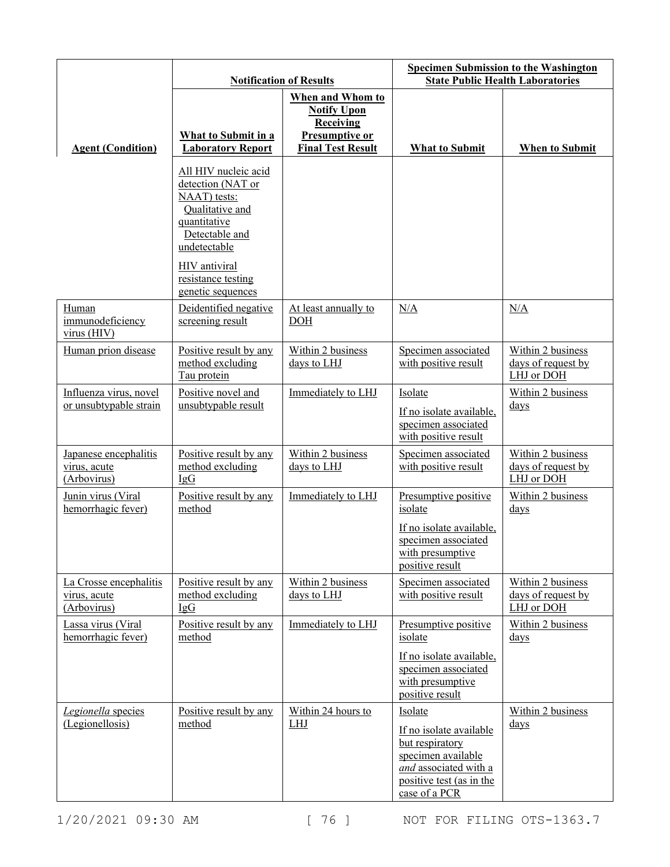|                                                       | <b>Notification of Results</b>                                                                                                                                                             |                                                                                                          | <b>Specimen Submission to the Washington</b><br><b>State Public Health Laboratories</b>                                                           |                                                       |
|-------------------------------------------------------|--------------------------------------------------------------------------------------------------------------------------------------------------------------------------------------------|----------------------------------------------------------------------------------------------------------|---------------------------------------------------------------------------------------------------------------------------------------------------|-------------------------------------------------------|
| <b>Agent (Condition)</b>                              | What to Submit in a<br><b>Laboratory Report</b>                                                                                                                                            | When and Whom to<br><b>Notify Upon</b><br><b>Receiving</b><br>Presumptive or<br><b>Final Test Result</b> | <b>What to Submit</b>                                                                                                                             | When to Submit                                        |
|                                                       | All HIV nucleic acid<br>detection (NAT or<br>NAAT) tests:<br>Qualitative and<br>quantitative<br>Detectable and<br>undetectable<br>HIV antiviral<br>resistance testing<br>genetic sequences |                                                                                                          |                                                                                                                                                   |                                                       |
| Human<br>immunodeficiency<br>virus (HIV)              | Deidentified negative<br>screening result                                                                                                                                                  | At least annually to<br>DOH                                                                              | N/A                                                                                                                                               | N/A                                                   |
| Human prion disease                                   | Positive result by any<br>method excluding<br>Tau protein                                                                                                                                  | Within 2 business<br>days to LHJ                                                                         | Specimen associated<br>with positive result                                                                                                       | Within 2 business<br>days of request by<br>LHJ or DOH |
| Influenza virus, novel<br>or unsubtypable strain      | Positive novel and<br>unsubtypable result                                                                                                                                                  | Immediately to LHJ                                                                                       | Isolate<br>If no isolate available,<br>specimen associated<br>with positive result                                                                | Within 2 business<br>$_{\rm days}$                    |
| Japanese encephalitis<br>virus, acute<br>(Arbovirus)  | Positive result by any<br>method excluding<br>IgG                                                                                                                                          | Within 2 business<br>days to LHJ                                                                         | Specimen associated<br>with positive result                                                                                                       | Within 2 business<br>days of request by<br>LHJ or DOH |
| Junin virus (Viral<br>hemorrhagic fever)              | Positive result by any<br>method                                                                                                                                                           | Immediately to LHJ                                                                                       | Presumptive positive<br>isolate<br>If no isolate available,<br>specimen associated<br>with presumptive<br>positive result                         | Within 2 business<br>$_{\rm days}$                    |
| La Crosse encephalitis<br>virus, acute<br>(Arbovirus) | Positive result by any<br>method excluding<br>IgG                                                                                                                                          | Within 2 business<br>days to LHJ                                                                         | Specimen associated<br>with positive result                                                                                                       | Within 2 business<br>days of request by<br>LHJ or DOH |
| Lassa virus (Viral<br>hemorrhagic fever)              | Positive result by any<br>method                                                                                                                                                           | Immediately to LHJ                                                                                       | Presumptive positive<br>isolate<br>If no isolate available,<br>specimen associated<br>with presumptive<br>positive result                         | Within 2 business<br>$_{\rm days}$                    |
| Legionella species<br>(Legionellosis)                 | Positive result by any<br>method                                                                                                                                                           | Within 24 hours to<br><b>LHJ</b>                                                                         | Isolate<br>If no isolate available<br>but respiratory<br>specimen available<br>and associated with a<br>positive test (as in the<br>case of a PCR | Within 2 business<br>$_{\rm days}$                    |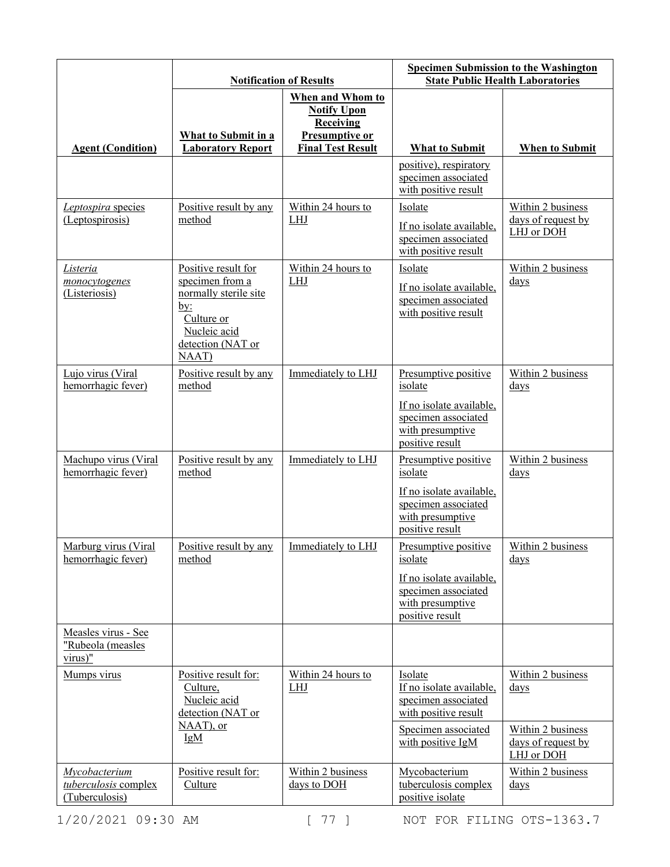|                                                         | <b>Notification of Results</b>                                                                                                     |                                                                                                   | <b>Specimen Submission to the Washington</b><br><b>State Public Health Laboratories</b>                                        |                                                                                             |
|---------------------------------------------------------|------------------------------------------------------------------------------------------------------------------------------------|---------------------------------------------------------------------------------------------------|--------------------------------------------------------------------------------------------------------------------------------|---------------------------------------------------------------------------------------------|
| <b>Agent (Condition)</b>                                | What to Submit in a<br><b>Laboratory Report</b>                                                                                    | When and Whom to<br><b>Notify Upon</b><br>Receiving<br>Presumptive or<br><b>Final Test Result</b> | <b>What to Submit</b><br>positive), respiratory                                                                                | <b>When to Submit</b>                                                                       |
|                                                         |                                                                                                                                    |                                                                                                   | specimen associated<br>with positive result                                                                                    |                                                                                             |
| Leptospira species<br>(Leptospirosis)                   | Positive result by any<br>method                                                                                                   | Within 24 hours to<br>LHJ                                                                         | Isolate<br>If no isolate available,<br>specimen associated<br>with positive result                                             | Within 2 business<br>days of request by<br>LHJ or DOH                                       |
| Listeria<br>monocytogenes<br>(Listeriosis)              | Positive result for<br>specimen from a<br>normally sterile site<br>by:<br>Culture or<br>Nucleic acid<br>detection (NAT or<br>NAAT) | Within 24 hours to<br><b>LHJ</b>                                                                  | Isolate<br>If no isolate available,<br>specimen associated<br>with positive result                                             | Within 2 business<br>$_{\rm days}$                                                          |
| Lujo virus (Viral<br>hemorrhagic fever)                 | Positive result by any<br>method                                                                                                   | Immediately to LHJ                                                                                | Presumptive positive<br>isolate<br>If no isolate available,<br>specimen associated<br>with presumptive<br>positive result      | Within 2 business<br>$_{\rm days}$                                                          |
| Machupo virus (Viral<br>hemorrhagic fever)              | Positive result by any<br>method                                                                                                   | Immediately to LHJ                                                                                | Presumptive positive<br>isolate<br>If no isolate available,<br>specimen associated<br>with presumptive<br>positive result      | Within 2 business<br>$_{\rm days}$                                                          |
| Marburg virus (Viral<br>hemorrhagic fever)              | Positive result by any<br>method                                                                                                   | Immediately to LHJ                                                                                | Presumptive positive<br>isolate<br>If no isolate available,<br>specimen associated<br>with presumptive<br>positive result      | Within 2 business<br>$\frac{days}{9}$                                                       |
| Measles virus - See<br>"Rubeola (measles<br>$virus)$ "  |                                                                                                                                    |                                                                                                   |                                                                                                                                |                                                                                             |
| Mumps virus                                             | Positive result for:<br>Culture,<br>Nucleic acid<br>detection (NAT or<br>NAAT), or<br>IgM                                          | Within 24 hours to<br>LHJ                                                                         | Isolate<br>If no isolate available,<br>specimen associated<br>with positive result<br>Specimen associated<br>with positive IgM | Within 2 business<br>$_{\rm days}$<br>Within 2 business<br>days of request by<br>LHJ or DOH |
| Mycobacterium<br>tuberculosis complex<br>(Tuberculosis) | Positive result for:<br>Culture                                                                                                    | Within 2 business<br>days to DOH                                                                  | Mycobacterium<br>tuberculosis complex<br>positive isolate                                                                      | Within 2 business<br>$\frac{days}{9}$                                                       |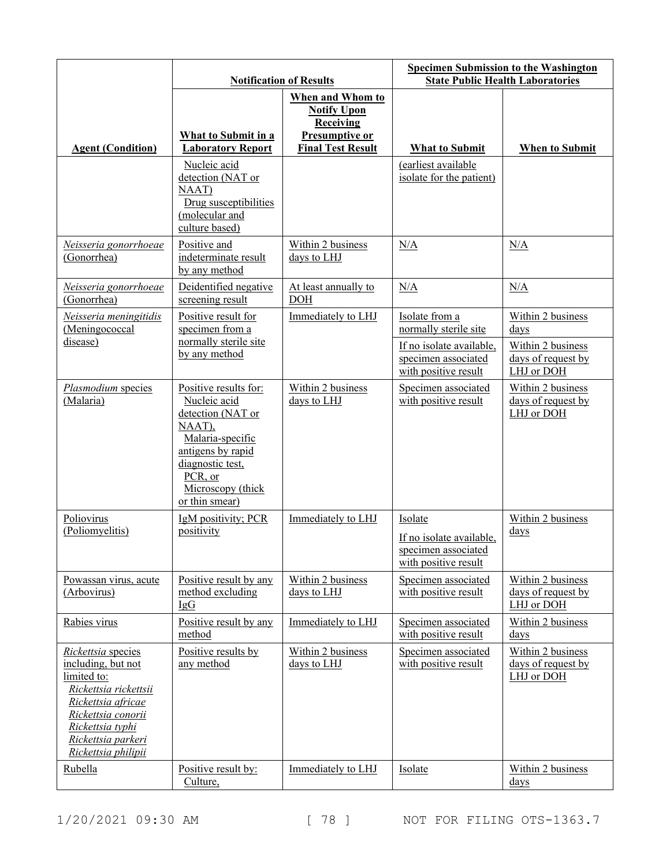|                                                                                                                                                                                               | <b>Notification of Results</b>                                                                                                                                                      |                                                                                                          | <b>Specimen Submission to the Washington</b><br><b>State Public Health Laboratories</b> |                                                       |
|-----------------------------------------------------------------------------------------------------------------------------------------------------------------------------------------------|-------------------------------------------------------------------------------------------------------------------------------------------------------------------------------------|----------------------------------------------------------------------------------------------------------|-----------------------------------------------------------------------------------------|-------------------------------------------------------|
| <b>Agent (Condition)</b>                                                                                                                                                                      | What to Submit in a<br><b>Laboratory Report</b>                                                                                                                                     | When and Whom to<br><b>Notify Upon</b><br><b>Receiving</b><br>Presumptive or<br><b>Final Test Result</b> | <b>What to Submit</b>                                                                   | <b>When to Submit</b>                                 |
|                                                                                                                                                                                               | Nucleic acid<br>detection (NAT or<br>NAAT)<br>Drug susceptibilities<br>(molecular and<br>culture based)                                                                             |                                                                                                          | (earliest available<br>isolate for the patient)                                         |                                                       |
| Neisseria gonorrhoeae<br>(Gonorrhea)                                                                                                                                                          | Positive and<br>indeterminate result<br>by any method                                                                                                                               | Within 2 business<br>days to LHJ                                                                         | N/A                                                                                     | N/A                                                   |
| Neisseria gonorrhoeae<br>(Gonorrhea)                                                                                                                                                          | Deidentified negative<br>screening result                                                                                                                                           | At least annually to<br><b>DOH</b>                                                                       | N/A                                                                                     | N/A                                                   |
| Neisseria meningitidis<br>(Meningococcal                                                                                                                                                      | Positive result for<br>specimen from a                                                                                                                                              | Immediately to LHJ                                                                                       | Isolate from a<br>normally sterile site                                                 | Within 2 business<br>days                             |
| disease)                                                                                                                                                                                      | normally sterile site<br>by any method                                                                                                                                              |                                                                                                          | If no isolate available,<br>specimen associated<br>with positive result                 | Within 2 business<br>days of request by<br>LHJ or DOH |
| Plasmodium species<br>(Malaria)                                                                                                                                                               | Positive results for:<br>Nucleic acid<br>detection (NAT or<br>NAAT),<br>Malaria-specific<br>antigens by rapid<br>diagnostic test,<br>PCR, or<br>Microscopy (thick<br>or thin smear) | Within 2 business<br>days to LHJ                                                                         | Specimen associated<br>with positive result                                             | Within 2 business<br>days of request by<br>LHJ or DOH |
| Poliovirus<br>(Poliomyelitis)                                                                                                                                                                 | IgM positivity; PCR<br>positivity                                                                                                                                                   | Immediately to LHJ                                                                                       | Isolate<br>If no isolate available,<br>specimen associated<br>with positive result      | Within 2 business<br>$\frac{days}{9}$                 |
| Powassan virus, acute<br>(Arbovirus)                                                                                                                                                          | Positive result by any<br>method excluding<br>IgG                                                                                                                                   | Within 2 business<br>days to LHJ                                                                         | Specimen associated<br>with positive result                                             | Within 2 business<br>days of request by<br>LHJ or DOH |
| Rabies virus                                                                                                                                                                                  | Positive result by any<br>method                                                                                                                                                    | Immediately to LHJ                                                                                       | Specimen associated<br>with positive result                                             | Within 2 business<br>$\frac{days}{9}$                 |
| Rickettsia species<br>including, but not<br>limited to:<br>Rickettsia rickettsii<br>Rickettsia africae<br>Rickettsia conorii<br>Rickettsia typhi<br>Rickettsia parkeri<br>Rickettsia philipii | Positive results by<br>any method                                                                                                                                                   | Within 2 business<br>days to LHJ                                                                         | Specimen associated<br>with positive result                                             | Within 2 business<br>days of request by<br>LHJ or DOH |
| Rubella                                                                                                                                                                                       | Positive result by:<br>Culture,                                                                                                                                                     | Immediately to LHJ                                                                                       | Isolate                                                                                 | Within 2 business<br>$_{\rm days}$                    |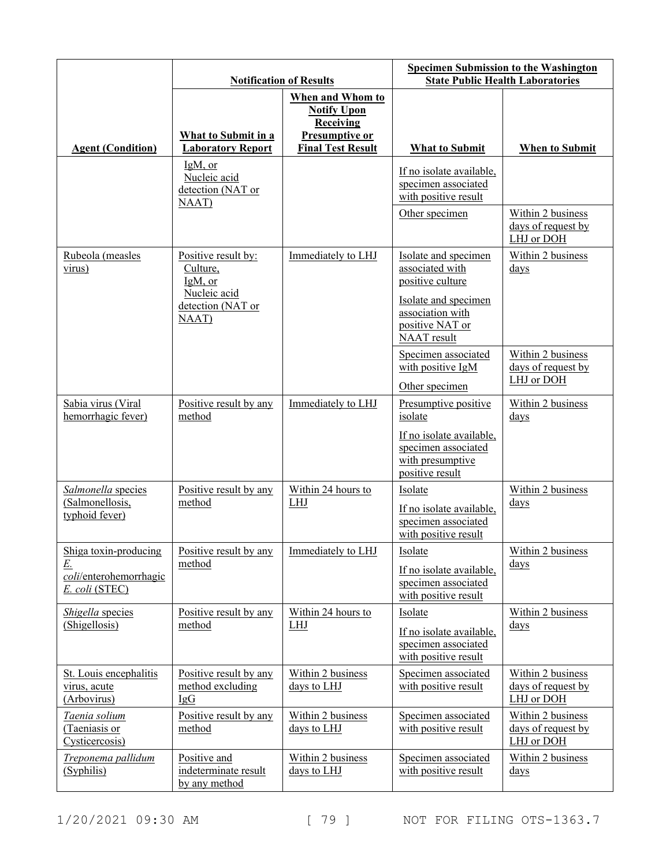|                                                                                | <b>Notification of Results</b>                           |                                                                                                          | <b>Specimen Submission to the Washington</b><br><b>State Public Health Laboratories</b> |                                                       |
|--------------------------------------------------------------------------------|----------------------------------------------------------|----------------------------------------------------------------------------------------------------------|-----------------------------------------------------------------------------------------|-------------------------------------------------------|
| <b>Agent (Condition)</b>                                                       | What to Submit in a<br><b>Laboratory Report</b>          | When and Whom to<br><b>Notify Upon</b><br><b>Receiving</b><br>Presumptive or<br><b>Final Test Result</b> | <b>What to Submit</b>                                                                   | <b>When to Submit</b>                                 |
|                                                                                | $IgM$ , or<br>Nucleic acid<br>detection (NAT or<br>NAAT) |                                                                                                          | If no isolate available,<br>specimen associated<br>with positive result                 |                                                       |
|                                                                                |                                                          |                                                                                                          | Other specimen                                                                          | Within 2 business<br>days of request by<br>LHJ or DOH |
| Rubeola (measles<br>virus)                                                     | Positive result by:<br>Culture,<br>IgM, or               | Immediately to LHJ                                                                                       | Isolate and specimen<br>associated with<br>positive culture                             | Within 2 business<br>$\frac{days}{9}$                 |
|                                                                                | Nucleic acid<br>detection (NAT or<br>NAAT)               |                                                                                                          | Isolate and specimen<br>association with<br>positive NAT or<br>NAAT result              |                                                       |
|                                                                                |                                                          |                                                                                                          | Specimen associated<br>with positive IgM<br>Other specimen                              | Within 2 business<br>days of request by<br>LHJ or DOH |
| Sabia virus (Viral<br>hemorrhagic fever)                                       | Positive result by any<br>method                         | Immediately to LHJ                                                                                       | Presumptive positive<br>isolate                                                         | Within 2 business<br>$_{\rm days}$                    |
|                                                                                |                                                          |                                                                                                          | If no isolate available,<br>specimen associated<br>with presumptive<br>positive result  |                                                       |
| Salmonella species<br>(Salmonellosis,<br>typhoid fever)                        | Positive result by any<br>method                         | Within 24 hours to<br>LHJ                                                                                | Isolate<br>If no isolate available,<br>specimen associated<br>with positive result      | Within 2 business<br>$_{\rm days}$                    |
| Shiga toxin-producing<br><u>E.</u><br>coli/enterohemorrhagic<br>E. coli (STEC) | Positive result by any<br>method                         | Immediately to LHJ                                                                                       | Isolate<br>If no isolate available,<br>specimen associated<br>with positive result      | Within 2 business<br>days                             |
| Shigella species<br>(Shigellosis)                                              | Positive result by any<br>method                         | Within 24 hours to<br><b>LHJ</b>                                                                         | Isolate<br>If no isolate available,<br>specimen associated<br>with positive result      | Within 2 business<br>$_{\rm days}$                    |
| St. Louis encephalitis<br>virus, acute<br>(Arbovirus)                          | Positive result by any<br>method excluding<br>IgG        | Within 2 business<br>days to LHJ                                                                         | Specimen associated<br>with positive result                                             | Within 2 business<br>days of request by<br>LHJ or DOH |
| Taenia solium<br>(Taeniasis or<br>Cysticercosis)                               | Positive result by any<br>method                         | Within 2 business<br>days to LHJ                                                                         | Specimen associated<br>with positive result                                             | Within 2 business<br>days of request by<br>LHJ or DOH |
| Treponema pallidum<br>(Syphilis)                                               | Positive and<br>indeterminate result<br>by any method    | Within 2 business<br>days to LHJ                                                                         | Specimen associated<br>with positive result                                             | Within 2 business<br>$\frac{days}{9}$                 |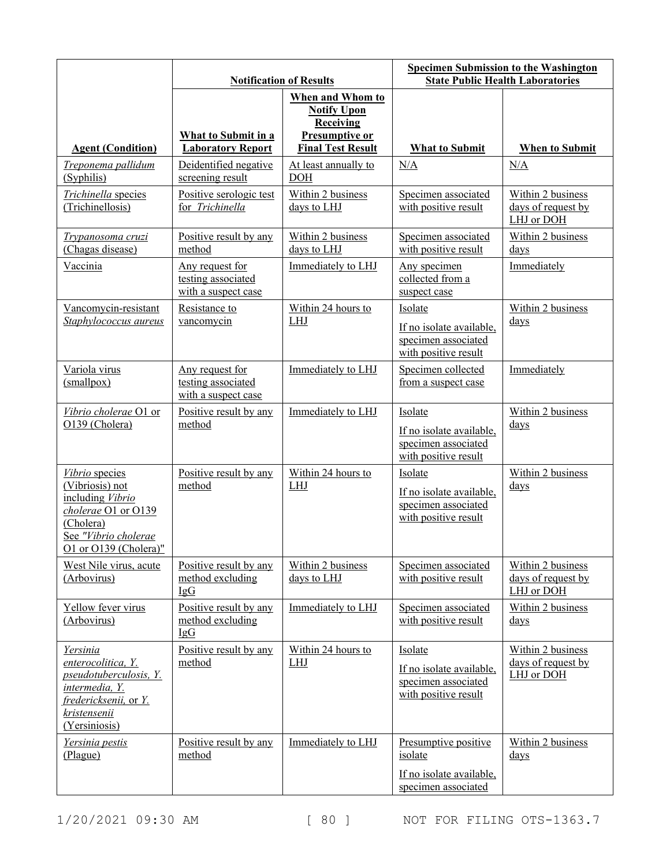|                                                                                                                                                    | <b>Notification of Results</b>                                      |                                                                                                                 | <b>Specimen Submission to the Washington</b><br><b>State Public Health Laboratories</b> |                                                       |
|----------------------------------------------------------------------------------------------------------------------------------------------------|---------------------------------------------------------------------|-----------------------------------------------------------------------------------------------------------------|-----------------------------------------------------------------------------------------|-------------------------------------------------------|
| <b>Agent (Condition)</b>                                                                                                                           | What to Submit in a<br><b>Laboratory Report</b>                     | When and Whom to<br><b>Notify Upon</b><br><b>Receiving</b><br><b>Presumptive or</b><br><b>Final Test Result</b> | <b>What to Submit</b>                                                                   | <b>When to Submit</b>                                 |
| Treponema pallidum<br>(Syphilis)                                                                                                                   | Deidentified negative<br>screening result                           | At least annually to<br><b>DOH</b>                                                                              | N/A                                                                                     | N/A                                                   |
| Trichinella species<br>(Trichinellosis)                                                                                                            | Positive serologic test<br>for Trichinella                          | Within 2 business<br>days to LHJ                                                                                | Specimen associated<br>with positive result                                             | Within 2 business<br>days of request by<br>LHJ or DOH |
| <u>Trypanosoma cruzi</u><br>(Chagas disease)                                                                                                       | Positive result by any<br>method                                    | Within 2 business<br>days to LHJ                                                                                | Specimen associated<br>with positive result                                             | Within 2 business<br>days                             |
| Vaccinia                                                                                                                                           | Any request for<br>testing associated<br>with a suspect case        | Immediately to LHJ                                                                                              | Any specimen<br>collected from a<br>suspect case                                        | Immediately                                           |
| Vancomycin-resistant<br>Staphylococcus aureus                                                                                                      | Resistance to<br>vancomycin                                         | Within 24 hours to<br>LHJ                                                                                       | Isolate<br>If no isolate available,<br>specimen associated<br>with positive result      | Within 2 business<br>days                             |
| Variola virus<br>(mallpox)                                                                                                                         | <u>Any request for</u><br>testing associated<br>with a suspect case | Immediately to LHJ                                                                                              | Specimen collected<br>from a suspect case                                               | Immediately                                           |
| Vibrio cholerae O1 or<br>O139 (Cholera)                                                                                                            | Positive result by any<br>method                                    | Immediately to LHJ                                                                                              | Isolate<br>If no isolate available,<br>specimen associated<br>with positive result      | Within 2 business<br>days                             |
| Vibrio species<br>(Vibriosis) not<br>including Vibrio<br>cholerae O1 or O139<br>(Cholera)<br>See "Vibrio cholerae<br>O1 or O139 (Cholera)"         | Positive result by any<br>method                                    | Within 24 hours to<br><b>LHJ</b>                                                                                | Isolate<br>If no isolate available,<br>specimen associated<br>with positive result      | Within 2 business<br>$_{\rm days}$                    |
| West Nile virus, acute<br>(Arbovirus)                                                                                                              | Positive result by any<br>method excluding<br>IgG                   | Within 2 business<br>days to LHJ                                                                                | Specimen associated<br>with positive result                                             | Within 2 business<br>days of request by<br>LHJ or DOH |
| Yellow fever virus<br>(Arbovirus)                                                                                                                  | Positive result by any<br>method excluding<br>IgG                   | Immediately to LHJ                                                                                              | Specimen associated<br>with positive result                                             | Within 2 business<br>$_{\rm days}$                    |
| <u>Yersinia</u><br>enterocolitica, Y.<br>pseudotuberculosis, Y.<br>intermedia, Y.<br>fredericksenii, or Y.<br><u>kristensenii</u><br>(Yersiniosis) | Positive result by any<br>method                                    | Within 24 hours to<br>LHJ                                                                                       | Isolate<br>If no isolate available,<br>specimen associated<br>with positive result      | Within 2 business<br>days of request by<br>LHJ or DOH |
| Yersinia pestis<br>(Plague)                                                                                                                        | Positive result by any<br>method                                    | Immediately to LHJ                                                                                              | Presumptive positive<br>isolate<br>If no isolate available,<br>specimen associated      | Within 2 business<br>$\frac{days}{9}$                 |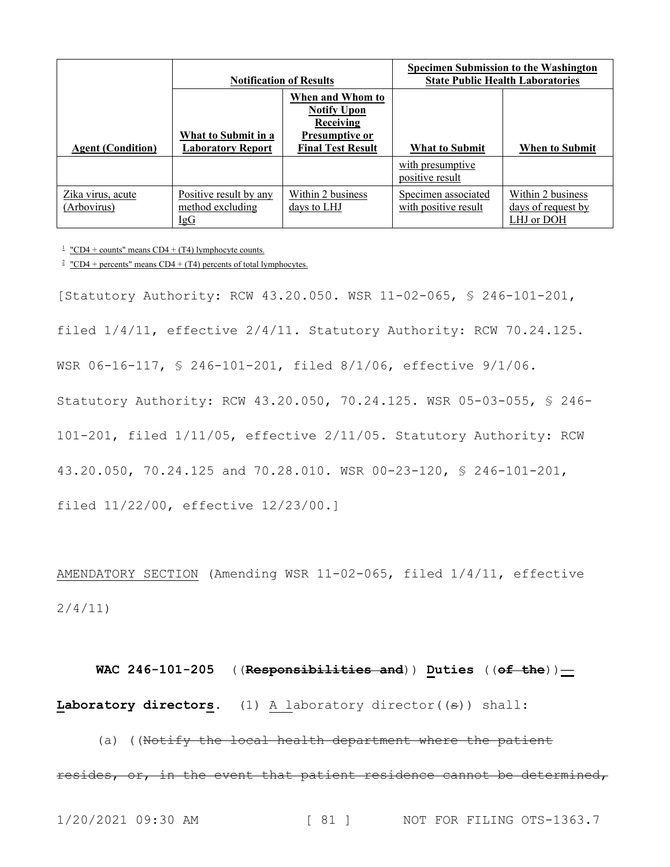|                                  | <b>Notification of Results</b>                        |                                                     | <b>Specimen Submission to the Washington</b><br><b>State Public Health Laboratories</b> |                                                              |
|----------------------------------|-------------------------------------------------------|-----------------------------------------------------|-----------------------------------------------------------------------------------------|--------------------------------------------------------------|
|                                  |                                                       | When and Whom to<br><b>Notify Upon</b><br>Receiving |                                                                                         |                                                              |
| <b>Agent (Condition)</b>         | What to Submit in a<br><b>Laboratory Report</b>       | <b>Presumptive or</b><br><b>Final Test Result</b>   | What to Submit                                                                          | <b>When to Submit</b>                                        |
|                                  |                                                       |                                                     | with presumptive<br>positive result                                                     |                                                              |
| Zika virus, acute<br>(Arbovirus) | Positive result by any<br>method excluding<br>$\lg G$ | Within 2 business<br>days to LHJ                    | Specimen associated<br>with positive result                                             | Within 2 business<br><u>days of request by</u><br>LHJ or DOH |

 $\frac{1}{2}$  "CD4 + counts" means CD4 + (T4) lymphocyte counts.

<sup>2</sup> "CD4 + percents" means CD4 + (T4) percents of total lymphocytes.

[Statutory Authority: RCW 43.20.050. WSR 11-02-065, § 246-101-201, filed 1/4/11, effective 2/4/11. Statutory Authority: RCW 70.24.125. WSR 06-16-117, § 246-101-201, filed 8/1/06, effective 9/1/06. Statutory Authority: RCW 43.20.050, 70.24.125. WSR 05-03-055, § 246- 101-201, filed 1/11/05, effective 2/11/05. Statutory Authority: RCW 43.20.050, 70.24.125 and 70.28.010. WSR 00-23-120, § 246-101-201, filed 11/22/00, effective 12/23/00.]

AMENDATORY SECTION (Amending WSR 11-02-065, filed 1/4/11, effective 2/4/11)

**WAC 246-101-205** ((**Responsibilities and**)) **Duties** ((**of the**))**—** Laboratory directors. (1) A laboratory director((<del>s</del>)) shall:

(a) ((Notify the local health department where the patient resides, or, in the event that patient residence cannot be determined,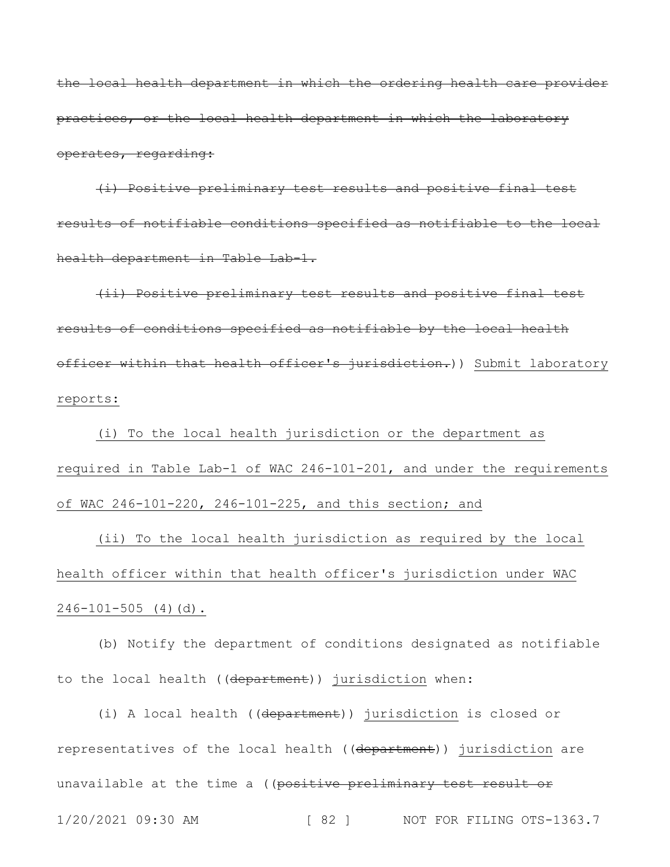the local health department in which the ordering health care provider practices, or the local health department in which the laboratory operates, regarding:

(i) Positive preliminary test results and positive final test results of notifiable conditions specified as notifiable to the local health department in Table Lab-1.

(ii) Positive preliminary test results and positive final test results of conditions specified as notifiable by the local health officer within that health officer's jurisdiction.)) Submit laboratory reports:

(i) To the local health jurisdiction or the department as required in Table Lab-1 of WAC 246-101-201, and under the requirements of WAC 246-101-220, 246-101-225, and this section; and

(ii) To the local health jurisdiction as required by the local health officer within that health officer's jurisdiction under WAC  $246-101-505$  (4)(d).

(b) Notify the department of conditions designated as notifiable to the local health ((department)) jurisdiction when:

1/20/2021 09:30 AM [ 82 ] NOT FOR FILING OTS-1363.7 (i) A local health ((department)) jurisdiction is closed or representatives of the local health ((department)) jurisdiction are unavailable at the time a ((positive preliminary test result or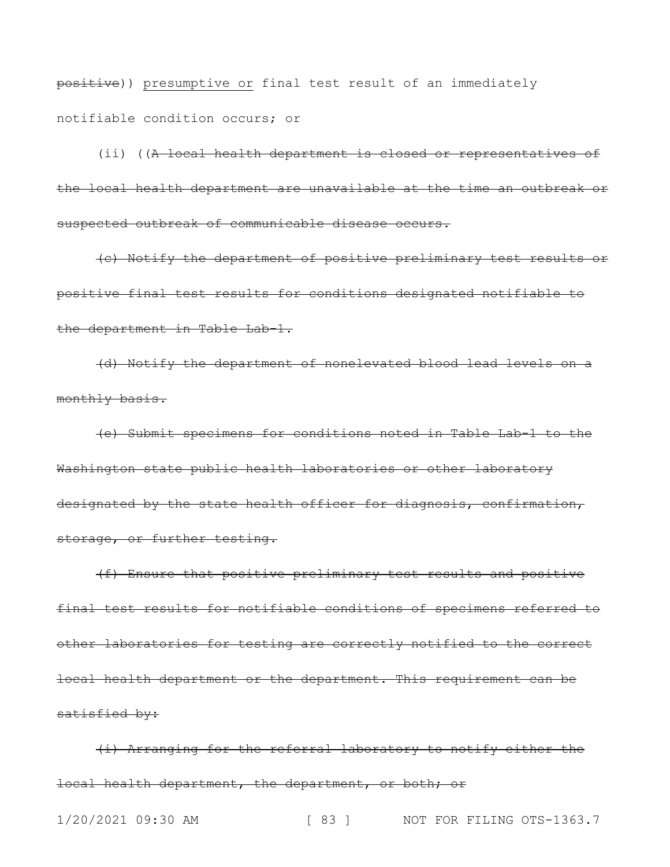positive)) presumptive or final test result of an immediately notifiable condition occurs; or

(ii) ((A local health department is closed or representatives of the local health department are unavailable at the time an outbreak or suspected outbreak of communicable disease occurs.

(c) Notify the department of positive preliminary test results or positive final test results for conditions designated notifiable to the department in Table Lab-1.

(d) Notify the department of nonelevated blood lead levels on a monthly basis.

(e) Submit specimens for conditions noted in Table Lab-1 to the Washington state public health laboratories or other laboratory designated by the state health officer for diagnosis, confirmation, storage, or further testing.

(f) Ensure that positive preliminary test results and positive final test results for notifiable conditions of specimens referred to other laboratories for testing are correctly notified to the correct local health department or the department. This requirement can be satisfied by:

(i) Arranging for the referral laboratory to notify either the local health department, the department, or both; or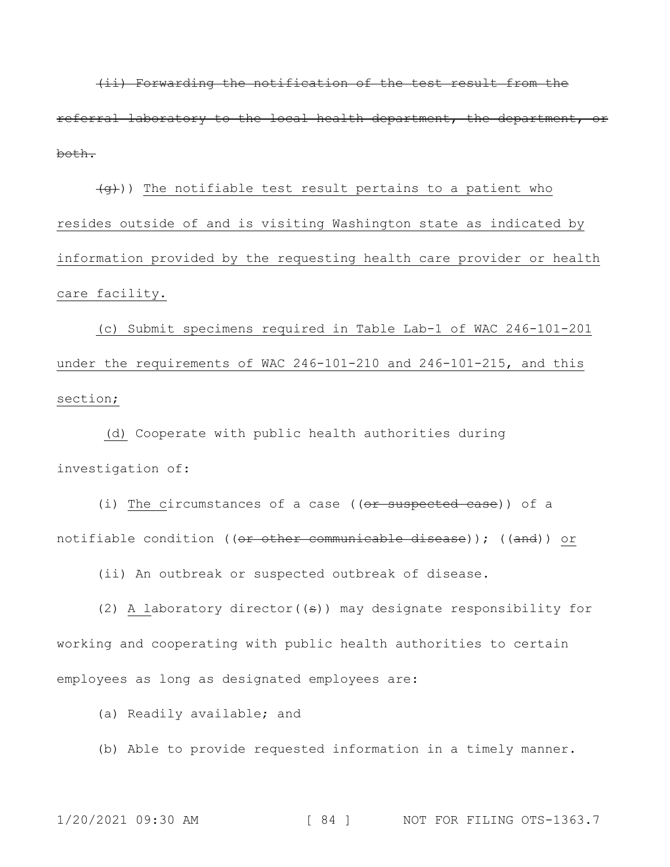(ii) Forwarding the notification of the test result from the referral laboratory to the local health department, the department, or both.

 $\left(\frac{q}{q}\right)$ ) The notifiable test result pertains to a patient who resides outside of and is visiting Washington state as indicated by information provided by the requesting health care provider or health care facility.

(c) Submit specimens required in Table Lab-1 of WAC 246-101-201 under the requirements of WAC 246-101-210 and 246-101-215, and this section;

(d) Cooperate with public health authorities during investigation of:

(i) The circumstances of a case ((or suspected case)) of a notifiable condition ((or other communicable disease)); ((and)) or

(ii) An outbreak or suspected outbreak of disease.

(2) A laboratory director( $(\epsilon)$ ) may designate responsibility for working and cooperating with public health authorities to certain employees as long as designated employees are:

(a) Readily available; and

(b) Able to provide requested information in a timely manner.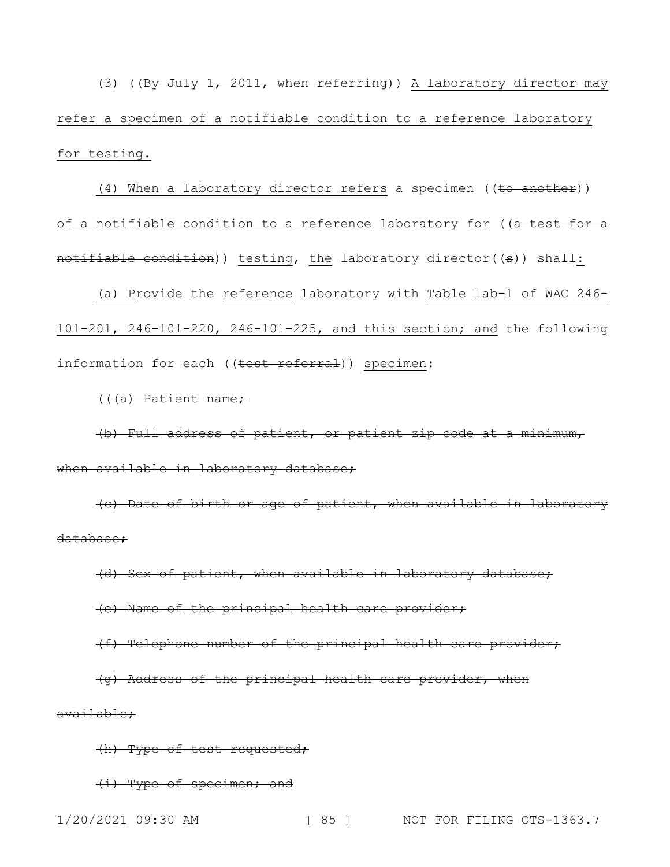(3) ((By July 1, 2011, when referring)) A laboratory director may refer a specimen of a notifiable condition to a reference laboratory for testing.

(4) When a laboratory director refers a specimen  $((\text{to another}))$ of a notifiable condition to a reference laboratory for ((a test for a notifiable condition)) testing, the laboratory director((s)) shall:

(a) Provide the reference laboratory with Table Lab-1 of WAC 246- 101-201, 246-101-220, 246-101-225, and this section; and the following information for each ((test referral)) specimen:

 $((4a)$  Patient name;

(b) Full address of patient, or patient zip code at a minimum, when available in laboratory database;

(c) Date of birth or age of patient, when available in laboratory database;

(d) Sex of patient, when available in laboratory database;

(e) Name of the principal health care provider;

(f) Telephone number of the principal health care provider;

(g) Address of the principal health care provider, when available;

(h) Type of test requested;

(i) Type of specimen; and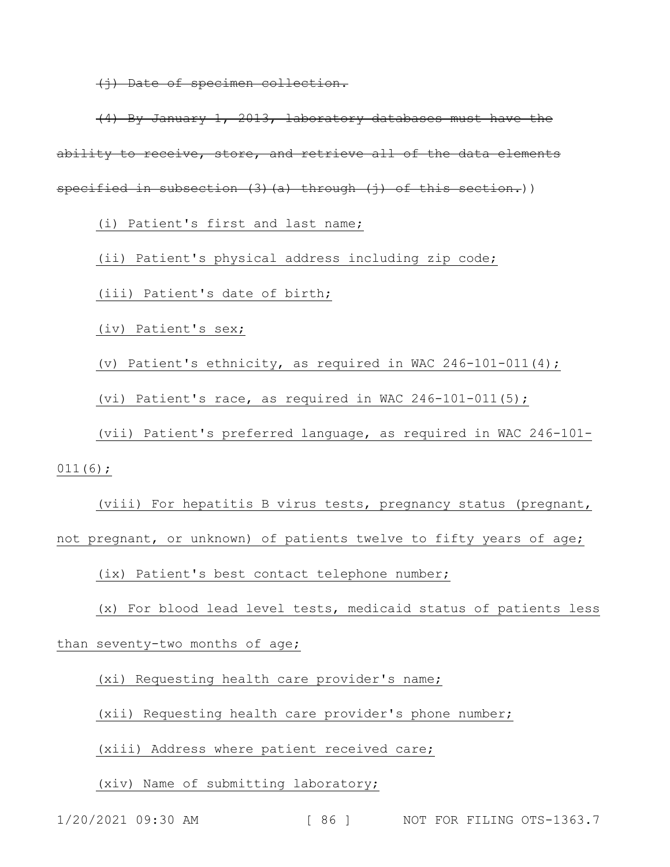(j) Date of specimen collection.

(4) By January 1, 2013, laboratory databases must have the ability to receive, store, and retrieve all of the data elements specified in subsection (3)(a) through (j) of this section.))

(i) Patient's first and last name;

(ii) Patient's physical address including zip code;

(iii) Patient's date of birth;

(iv) Patient's sex;

(v) Patient's ethnicity, as required in WAC 246-101-011(4);

(vi) Patient's race, as required in WAC 246-101-011(5);

(vii) Patient's preferred language, as required in WAC 246-101- 011(6);

(viii) For hepatitis B virus tests, pregnancy status (pregnant, not pregnant, or unknown) of patients twelve to fifty years of age;

(ix) Patient's best contact telephone number;

(x) For blood lead level tests, medicaid status of patients less

than seventy-two months of age;

(xi) Requesting health care provider's name;

(xii) Requesting health care provider's phone number;

(xiii) Address where patient received care;

(xiv) Name of submitting laboratory;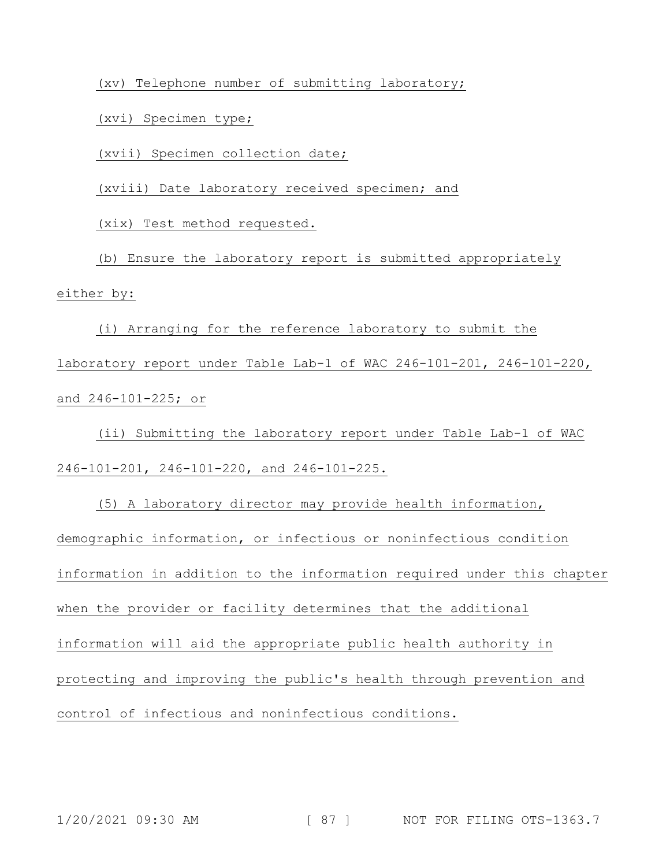(xv) Telephone number of submitting laboratory;

(xvi) Specimen type;

(xvii) Specimen collection date;

(xviii) Date laboratory received specimen; and

(xix) Test method requested.

(b) Ensure the laboratory report is submitted appropriately either by:

(i) Arranging for the reference laboratory to submit the laboratory report under Table Lab-1 of WAC 246-101-201, 246-101-220, and 246-101-225; or

(ii) Submitting the laboratory report under Table Lab-1 of WAC 246-101-201, 246-101-220, and 246-101-225.

(5) A laboratory director may provide health information, demographic information, or infectious or noninfectious condition information in addition to the information required under this chapter when the provider or facility determines that the additional information will aid the appropriate public health authority in protecting and improving the public's health through prevention and control of infectious and noninfectious conditions.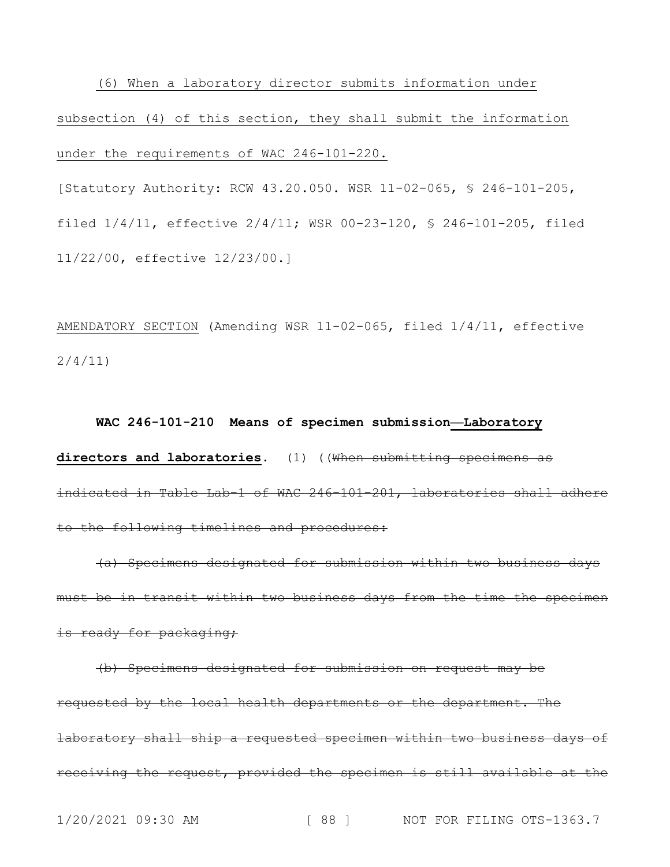(6) When a laboratory director submits information under subsection (4) of this section, they shall submit the information under the requirements of WAC 246-101-220.

[Statutory Authority: RCW 43.20.050. WSR 11-02-065, § 246-101-205, filed 1/4/11, effective 2/4/11; WSR 00-23-120, § 246-101-205, filed 11/22/00, effective 12/23/00.]

AMENDATORY SECTION (Amending WSR 11-02-065, filed 1/4/11, effective 2/4/11)

## **WAC 246-101-210 Means of specimen submission—Laboratory**

**directors and laboratories.** (1) ((When submitting specimens as indicated in Table Lab-1 of WAC 246-101-201, laboratories shall adhere to the following timelines and procedures:

(a) Specimens designated for submission within two business days must be in transit within two business days from the time the specimen is ready for packaging;

(b) Specimens designated for submission on request may be requested by the local health departments or the department. The laboratory shall ship a requested specimen within two business days of receiving the request, provided the specimen is still available at the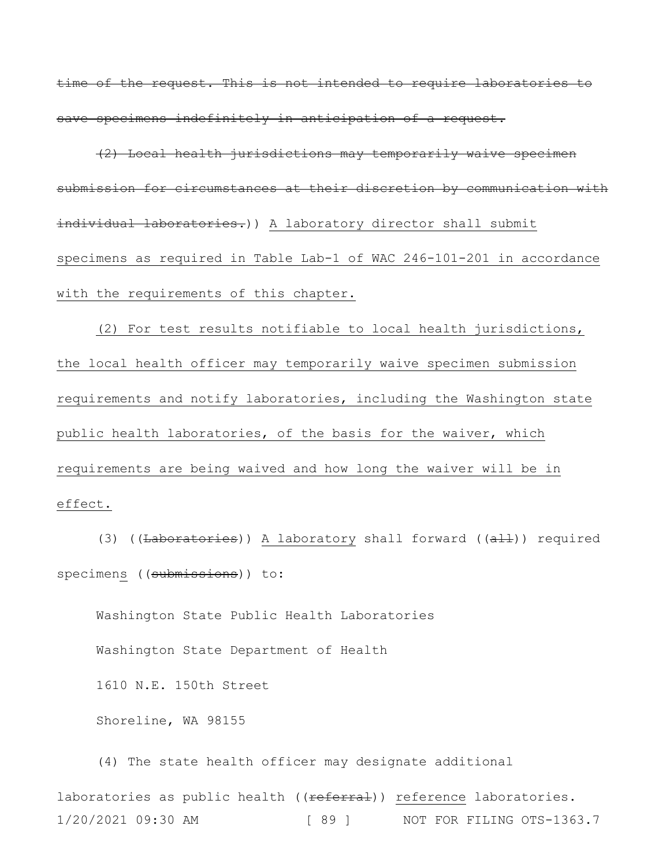time of the request. This is not intended to require laboratories to save specimens indefinitely in anticipation of a request.

(2) Local health jurisdictions may temporarily waive specimen submission for circumstances at their discretion by communication with individual laboratories.)) A laboratory director shall submit specimens as required in Table Lab-1 of WAC 246-101-201 in accordance with the requirements of this chapter.

(2) For test results notifiable to local health jurisdictions, the local health officer may temporarily waive specimen submission requirements and notify laboratories, including the Washington state public health laboratories, of the basis for the waiver, which requirements are being waived and how long the waiver will be in effect.

(3) ((Laboratories)) A laboratory shall forward ( $(\text{a11})$ ) required specimens ((submissions)) to:

Washington State Public Health Laboratories Washington State Department of Health 1610 N.E. 150th Street Shoreline, WA 98155

1/20/2021 09:30 AM [ 89 ] NOT FOR FILING OTS-1363.7 (4) The state health officer may designate additional laboratories as public health ((referral)) reference laboratories.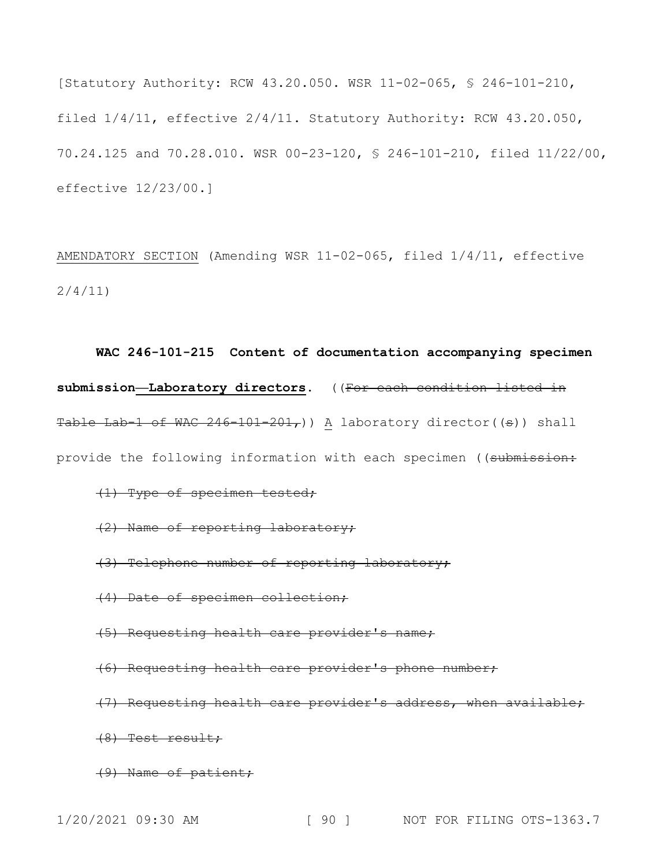[Statutory Authority: RCW 43.20.050. WSR 11-02-065, § 246-101-210, filed 1/4/11, effective 2/4/11. Statutory Authority: RCW 43.20.050, 70.24.125 and 70.28.010. WSR 00-23-120, § 246-101-210, filed 11/22/00, effective 12/23/00.]

AMENDATORY SECTION (Amending WSR 11-02-065, filed 1/4/11, effective 2/4/11)

**WAC 246-101-215 Content of documentation accompanying specimen submission—Laboratory directors.** ((For each condition listed in Table Lab-1 of WAC  $246-101-201$ , a laboratory director((s)) shall provide the following information with each specimen ((submission:

## (1) Type of specimen tested;

(2) Name of reporting laboratory;

(3) Telephone number of reporting laboratory;

- (4) Date of specimen collection;
- (5) Requesting health care provider's name;
- (6) Requesting health care provider's phone number;
- (7) Requesting health care provider's address, when available;

(8) Test result;

(9) Name of patient;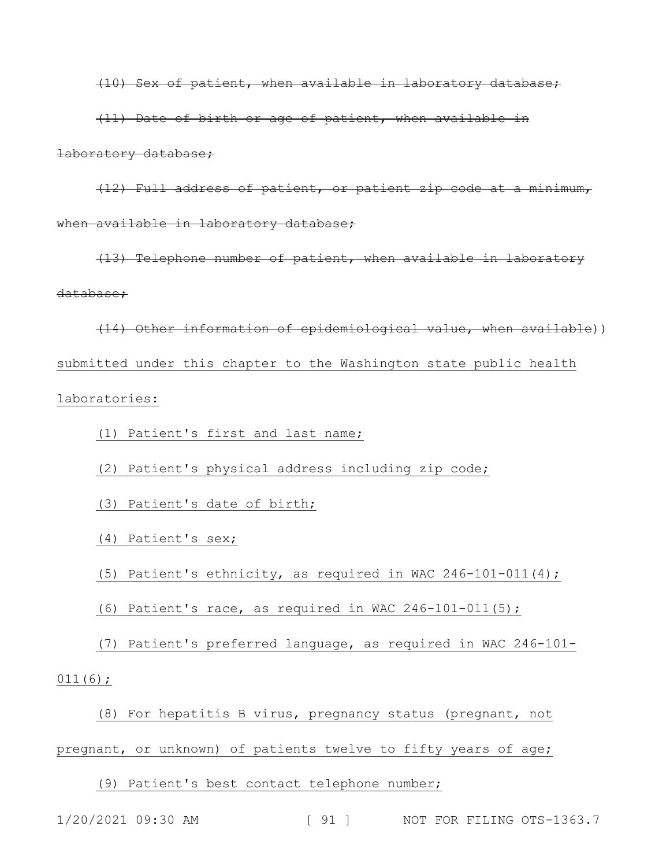(10) Sex of patient, when available in laboratory database;

(11) Date of birth or age of patient, when available in laboratory database;

(12) Full address of patient, or patient zip code at a minimum, when available in laboratory database;

(13) Telephone number of patient, when available in laboratory database;

(14) Other information of epidemiological value, when available)) submitted under this chapter to the Washington state public health laboratories:

(1) Patient's first and last name;

(2) Patient's physical address including zip code;

(3) Patient's date of birth;

(4) Patient's sex;

(5) Patient's ethnicity, as required in WAC  $246-101-011(4)$ ;

(6) Patient's race, as required in WAC 246-101-011(5);

(7) Patient's preferred language, as required in WAC 246-101- 011(6);

(8) For hepatitis B virus, pregnancy status (pregnant, not

pregnant, or unknown) of patients twelve to fifty years of age;

(9) Patient's best contact telephone number;

1/20/2021 09:30 AM [ 91 ] NOT FOR FILING OTS-1363.7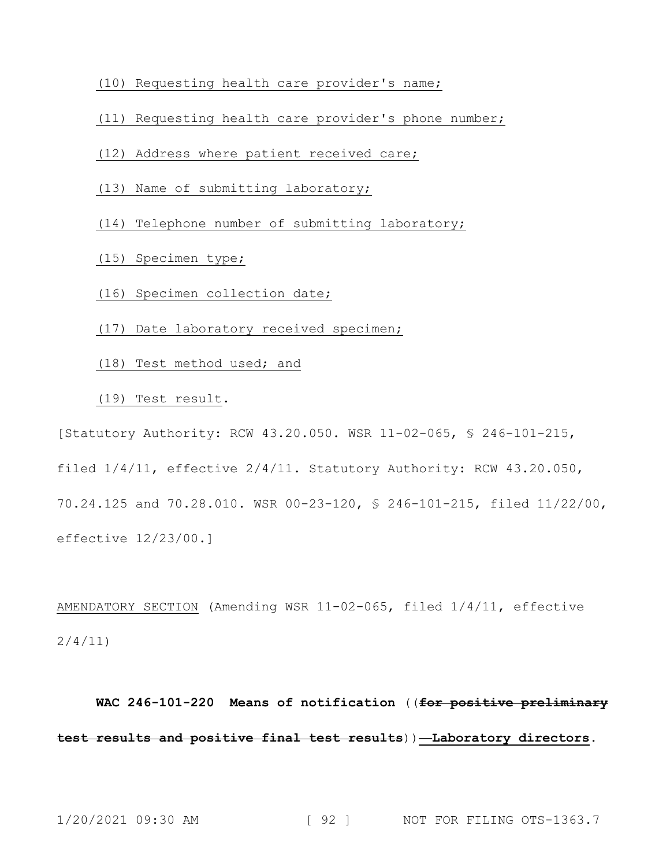- (10) Requesting health care provider's name;
- (11) Requesting health care provider's phone number;
- (12) Address where patient received care;
- (13) Name of submitting laboratory;
- (14) Telephone number of submitting laboratory;
- (15) Specimen type;
- (16) Specimen collection date;
- (17) Date laboratory received specimen;
- (18) Test method used; and
- (19) Test result.

[Statutory Authority: RCW 43.20.050. WSR 11-02-065, § 246-101-215,

filed 1/4/11, effective 2/4/11. Statutory Authority: RCW 43.20.050,

70.24.125 and 70.28.010. WSR 00-23-120, § 246-101-215, filed 11/22/00, effective 12/23/00.]

AMENDATORY SECTION (Amending WSR 11-02-065, filed 1/4/11, effective 2/4/11)

**WAC 246-101-220 Means of notification** ((**for positive preliminary test results and positive final test results**))**—Laboratory directors.**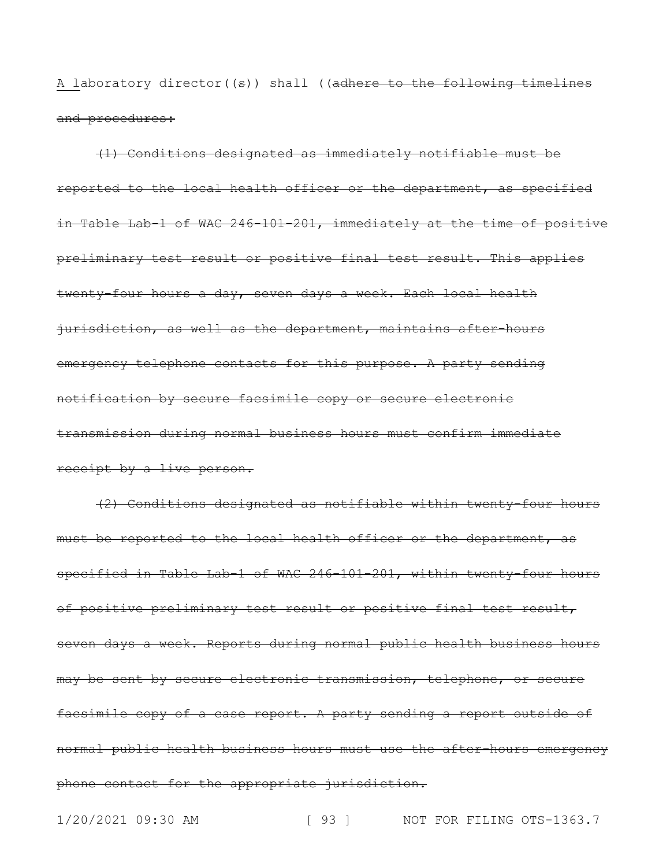A laboratory director((s)) shall ((adhere to the following timelines and procedures:

(1) Conditions designated as immediately notifiable must be reported to the local health officer or the department, as specified in Table Lab-1 of WAC 246-101-201, immediately at the time of positive preliminary test result or positive final test result. This applies twenty-four hours a day, seven days a week. Each local health jurisdiction, as well as the department, maintains after-hours emergency telephone contacts for this purpose. A party sending notification by secure facsimile copy or secure electronic transmission during normal business hours must confirm immediate receipt by a live person.

(2) Conditions designated as notifiable within twenty-four hours must be reported to the local health officer or the department, as specified in Table Lab-1 of WAC 246-101-201, within twenty-four hours of positive preliminary test result or positive final test result, seven days a week. Reports during normal public health business hours may be sent by secure electronic transmission, telephone, or secure facsimile copy of a case report. A party sending a report outside of normal public health business hours must use the after-hours emergency phone contact for the appropriate jurisdiction.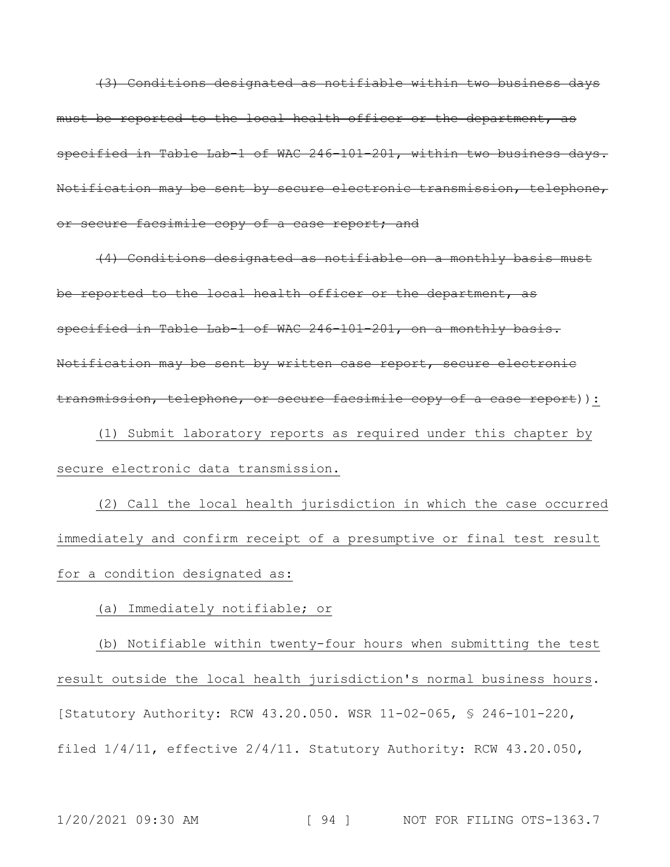(3) Conditions designated as notifiable within two business days must be reported to the local health officer or the department, as specified in Table Lab-1 of WAC 246-101-201, within two business days. Notification may be sent by secure electronic transmission, telephone, or secure facsimile copy of a case report; and

(4) Conditions designated as notifiable on a monthly basis must be reported to the local health officer or the department, as specified in Table Lab-1 of WAC 246-101-201, on a monthly basis. Notification may be sent by written case report, secure electronic transmission, telephone, or secure facsimile copy of a case report)):

(1) Submit laboratory reports as required under this chapter by secure electronic data transmission.

(2) Call the local health jurisdiction in which the case occurred immediately and confirm receipt of a presumptive or final test result for a condition designated as:

(a) Immediately notifiable; or

(b) Notifiable within twenty-four hours when submitting the test result outside the local health jurisdiction's normal business hours. [Statutory Authority: RCW 43.20.050. WSR 11-02-065, § 246-101-220, filed 1/4/11, effective 2/4/11. Statutory Authority: RCW 43.20.050,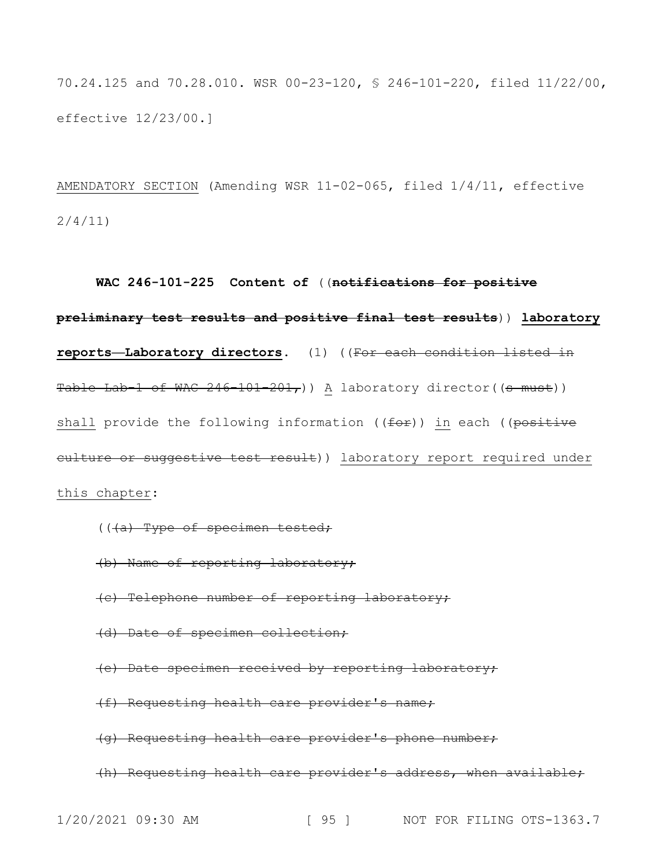70.24.125 and 70.28.010. WSR 00-23-120, § 246-101-220, filed 11/22/00, effective 12/23/00.]

AMENDATORY SECTION (Amending WSR 11-02-065, filed 1/4/11, effective 2/4/11)

**WAC 246-101-225 Content of** ((**notifications for positive preliminary test results and positive final test results**)) **laboratory reports—Laboratory directors.** (1) ((For each condition listed in Table Lab-1 of WAC  $246-101-201$ , a laboratory director((s must)) shall provide the following information ( $(for)$ ) in each ( $(positive)$ culture or suggestive test result)) laboratory report required under this chapter:

- ((<del>(a) Type of specimen tested;</del>
- (b) Name of reporting laboratory;
- (c) Telephone number of reporting laboratory;
- (d) Date of specimen collection;
- (e) Date specimen received by reporting laboratory;
- (f) Requesting health care provider's name;
- (g) Requesting health care provider's phone number;
- (h) Requesting health care provider's address, when available;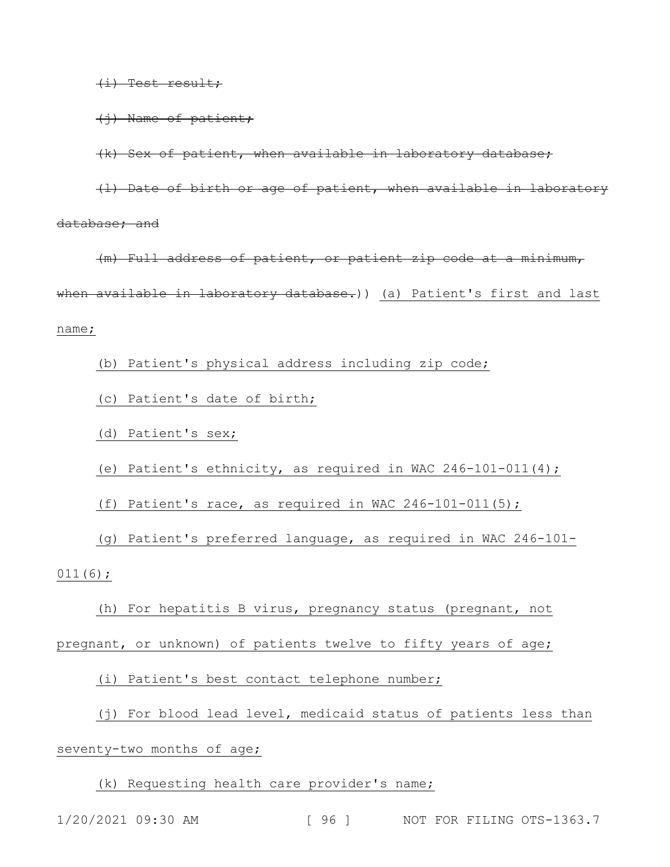(i) Test result;

(j) Name of patient;

(k) Sex of patient, when available in laboratory database;

(l) Date of birth or age of patient, when available in laboratory database; and

(m) Full address of patient, or patient zip code at a minimum, when available in laboratory database.)) (a) Patient's first and last name;

(b) Patient's physical address including zip code;

(c) Patient's date of birth;

(d) Patient's sex;

(e) Patient's ethnicity, as required in WAC 246-101-011(4);

(f) Patient's race, as required in WAC  $246-101-011(5)$ ;

(g) Patient's preferred language, as required in WAC 246-101- 011(6);

(h) For hepatitis B virus, pregnancy status (pregnant, not

pregnant, or unknown) of patients twelve to fifty years of age;

(i) Patient's best contact telephone number;

(j) For blood lead level, medicaid status of patients less than

### seventy-two months of age;

(k) Requesting health care provider's name;

1/20/2021 09:30 AM [ 96 ] NOT FOR FILING OTS-1363.7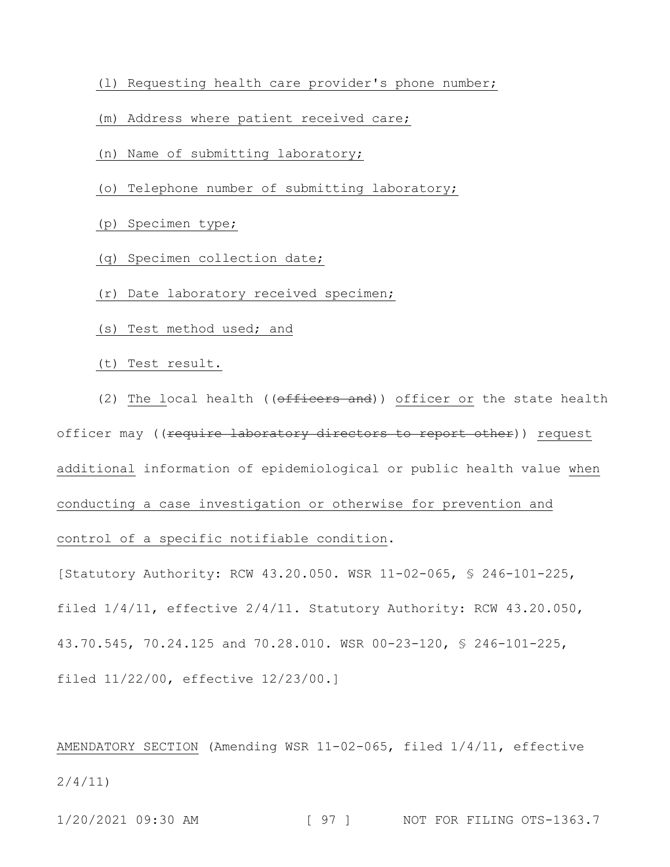- (l) Requesting health care provider's phone number;
- (m) Address where patient received care;
- (n) Name of submitting laboratory;
- (o) Telephone number of submitting laboratory;
- (p) Specimen type;
- (q) Specimen collection date;
- (r) Date laboratory received specimen;
- (s) Test method used; and
- (t) Test result.

(2) The local health ((officers and)) officer or the state health officer may ((require laboratory directors to report other)) request additional information of epidemiological or public health value when conducting a case investigation or otherwise for prevention and control of a specific notifiable condition.

[Statutory Authority: RCW 43.20.050. WSR 11-02-065, § 246-101-225, filed 1/4/11, effective 2/4/11. Statutory Authority: RCW 43.20.050, 43.70.545, 70.24.125 and 70.28.010. WSR 00-23-120, § 246-101-225, filed 11/22/00, effective 12/23/00.]

AMENDATORY SECTION (Amending WSR 11-02-065, filed 1/4/11, effective 2/4/11)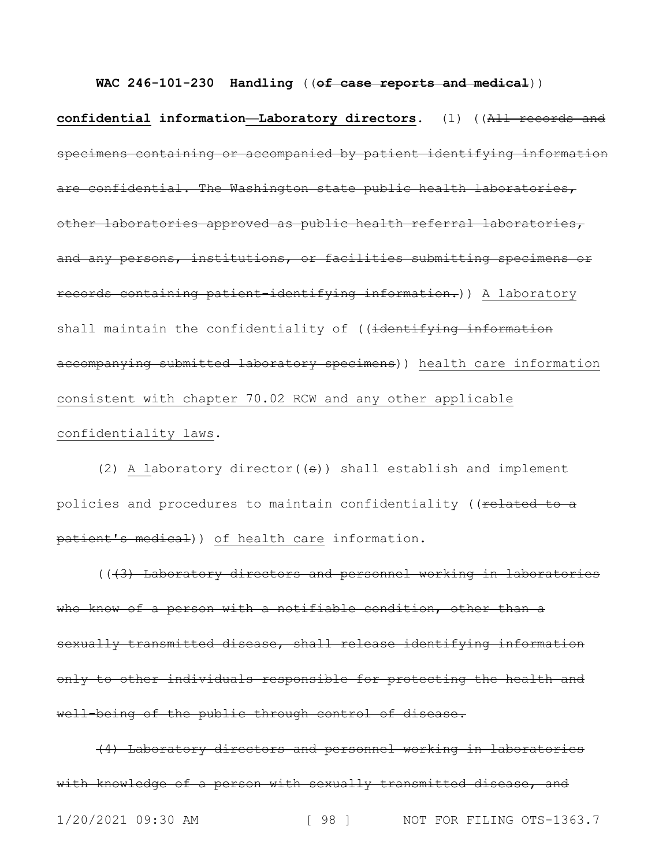**confidential information—Laboratory directors.** (1) ((All records and specimens containing or accompanied by patient identifying information are confidential. The Washington state public health laboratories, other laboratories approved as public health referral laboratories, and any persons, institutions, or facilities submitting specimens or records containing patient-identifying information.)) A laboratory shall maintain the confidentiality of ((identifying information accompanying submitted laboratory specimens)) health care information consistent with chapter 70.02 RCW and any other applicable confidentiality laws.

**WAC 246-101-230 Handling** ((**of case reports and medical**))

(2) A laboratory director( $(\theta)$ ) shall establish and implement policies and procedures to maintain confidentiality ((related to a patient's medical)) of health care information.

(((3) Laboratory directors and personnel working in laboratories who know of a person with a notifiable condition, other than a sexually transmitted disease, shall release identifying information only to other individuals responsible for protecting the health and well-being of the public through control of disease.

(4) Laboratory directors and personnel working in laboratories with knowledge of a person with sexually transmitted disease, and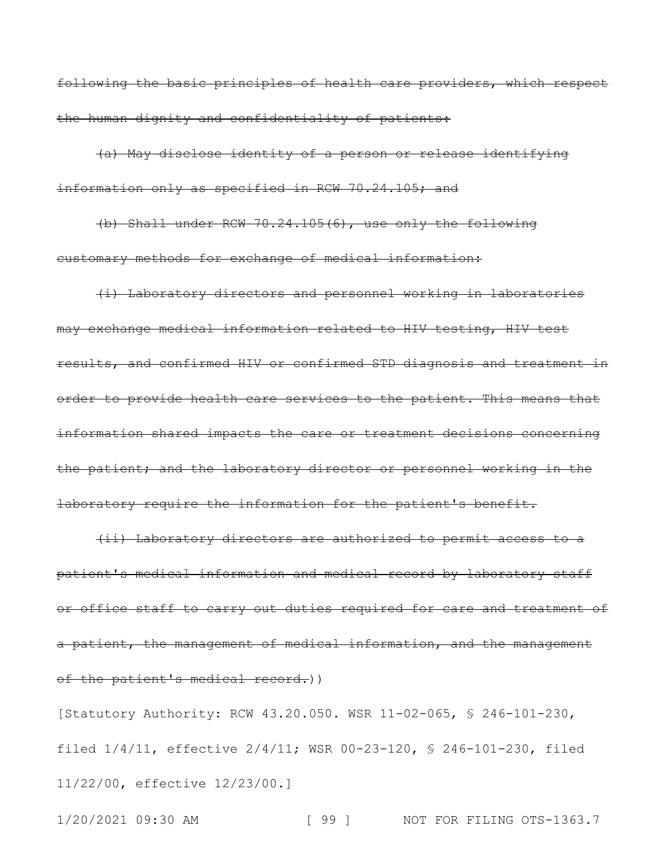following the basic principles of health care providers, which respect the human dignity and confidentiality of patients:

(a) May disclose identity of a person or release identifying information only as specified in RCW 70.24.105; and

(b) Shall under RCW 70.24.105(6), use only the following customary methods for exchange of medical information:

(i) Laboratory directors and personnel working in laboratories may exchange medical information related to HIV testing, HIV test results, and confirmed HIV or confirmed STD diagnosis and treatment in order to provide health care services to the patient. This means that information shared impacts the care or treatment decisions concerning the patient; and the laboratory director or personnel working in the laboratory require the information for the patient's benefit.

(ii) Laboratory directors are authorized to permit access to a patient's medical information and medical record by laboratory staff or office staff to carry out duties required for care and treatment of a patient, the management of medical information, and the management of the patient's medical record.))

[Statutory Authority: RCW 43.20.050. WSR 11-02-065, § 246-101-230, filed 1/4/11, effective 2/4/11; WSR 00-23-120, § 246-101-230, filed 11/22/00, effective 12/23/00.]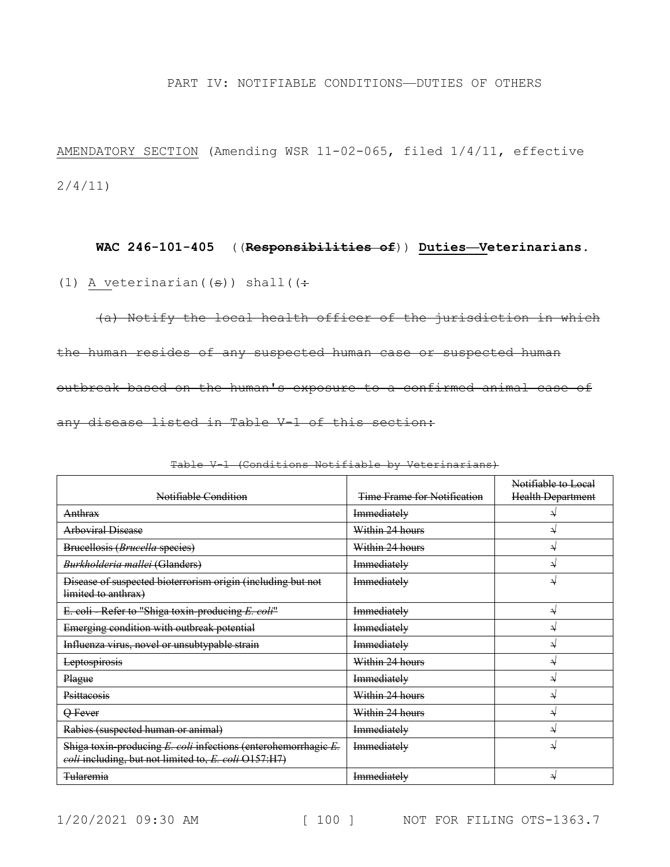#### PART IV: NOTIFIABLE CONDITIONS—DUTIES OF OTHERS

AMENDATORY SECTION (Amending WSR 11-02-065, filed 1/4/11, effective 2/4/11)

# **WAC 246-101-405** ((**Responsibilities of**)) **Duties—Veterinarians.**

(1) A veterinarian  $((\div))$  shall  $((\div))$ 

(a) Notify the local health officer of the jurisdiction in which the human resides of any suspected human case or suspected human outbreak based on the human's exposure to a confirmed animal case of any disease listed in Table V-1 of this section:

| Notifiable Condition                                                                                                   | Time Frame for Notification | Notifiable to Local<br>Health Department |
|------------------------------------------------------------------------------------------------------------------------|-----------------------------|------------------------------------------|
| Anthrax                                                                                                                | Immediately                 |                                          |
| <b>Arboviral Disease</b>                                                                                               | Within 24 hours             |                                          |
| Brucellosis (Brucella species)                                                                                         | Within 24 hours             | ₩                                        |
| Burkholderia mallei (Glanders)                                                                                         | Immediately                 |                                          |
| Disease of suspected bioterrorism origin (including but not<br>limited to anthrax)                                     | Immediately                 | ₹                                        |
| E. coli Refer to "Shiga toxin producing E. coli"                                                                       | Immediately                 | ↵                                        |
| Emerging condition with outbreak potential                                                                             | Immediately                 | ₩                                        |
| Influenza virus, novel or unsubtypable strain                                                                          | Immediately                 | N                                        |
| Leptospirosis                                                                                                          | Within 24 hours             | ↵                                        |
| Plague                                                                                                                 | Immediately                 | ₩                                        |
| Psittaeosis                                                                                                            | Within 24 hours             |                                          |
| Q Fever                                                                                                                | Within 24 hours             | ₩                                        |
| Rabies (suspected human or animal)                                                                                     | Immediately                 |                                          |
| Shiga toxin-producing E. coli infections (enterohemorrhagie E.<br>coli including, but not limited to, E. coli O157:H7) | Immediately                 |                                          |
| <del>Tularemia</del>                                                                                                   | Immediately                 |                                          |

Table V-1 (Conditions Notifiable by Veterinarians)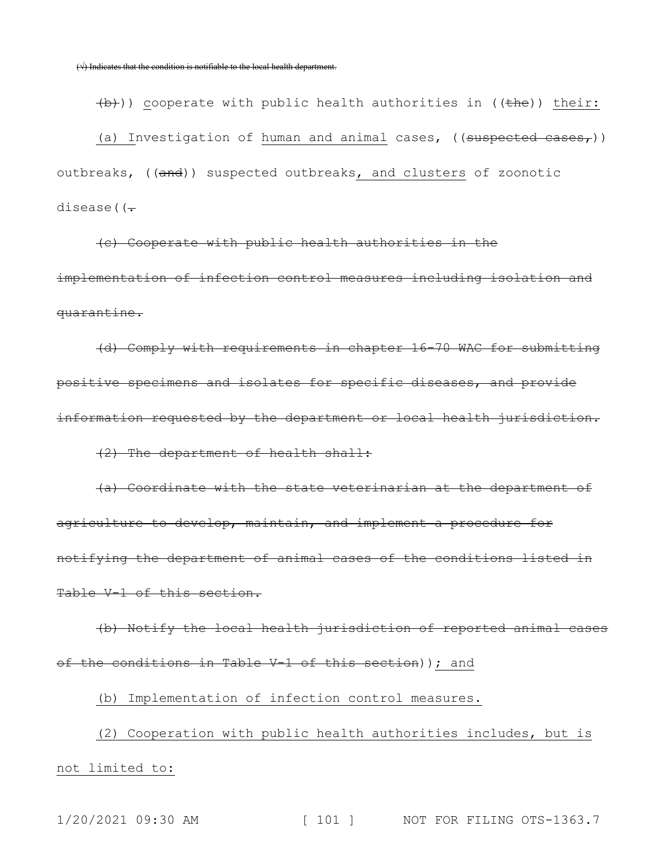$\left(\frac{1}{b}\right)$ ) cooperate with public health authorities in (( $\frac{1}{2}$ ) their: (a) Investigation of human and animal cases, ((suspected cases,)) outbreaks, ((and)) suspected outbreaks, and clusters of zoonotic disease((-

(c) Cooperate with public health authorities in the implementation of infection control measures including isolation and quarantine.

(d) Comply with requirements in chapter 16-70 WAC for submitting positive specimens and isolates for specific diseases, and provide information requested by the department or local health jurisdiction. (2) The department of health shall:

(a) Coordinate with the state veterinarian at the department of agriculture to develop, maintain, and implement a procedure for notifying the department of animal cases of the conditions listed in Table V-1 of this section.

(b) Notify the local health jurisdiction of reported animal cases of the conditions in Table V-1 of this section)); and

(b) Implementation of infection control measures.

(2) Cooperation with public health authorities includes, but is not limited to: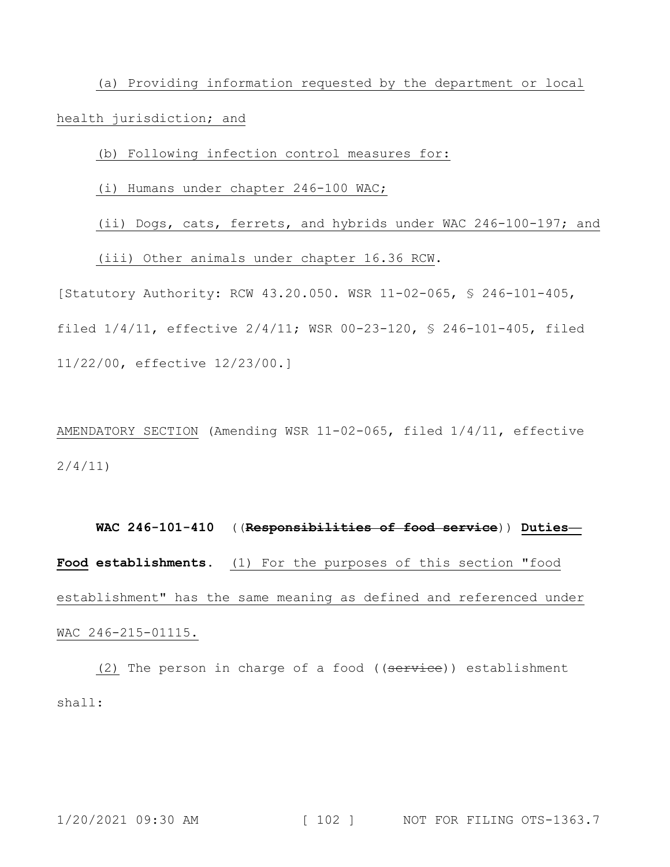(a) Providing information requested by the department or local health jurisdiction; and

(b) Following infection control measures for:

(i) Humans under chapter 246-100 WAC;

(ii) Dogs, cats, ferrets, and hybrids under WAC 246-100-197; and

(iii) Other animals under chapter 16.36 RCW.

[Statutory Authority: RCW 43.20.050. WSR 11-02-065, § 246-101-405, filed 1/4/11, effective 2/4/11; WSR 00-23-120, § 246-101-405, filed 11/22/00, effective 12/23/00.]

AMENDATORY SECTION (Amending WSR 11-02-065, filed 1/4/11, effective 2/4/11)

**WAC 246-101-410** ((**Responsibilities of food service**)) **Duties— Food establishments.** (1) For the purposes of this section "food establishment" has the same meaning as defined and referenced under WAC 246-215-01115.

(2) The person in charge of a food ((service)) establishment shall: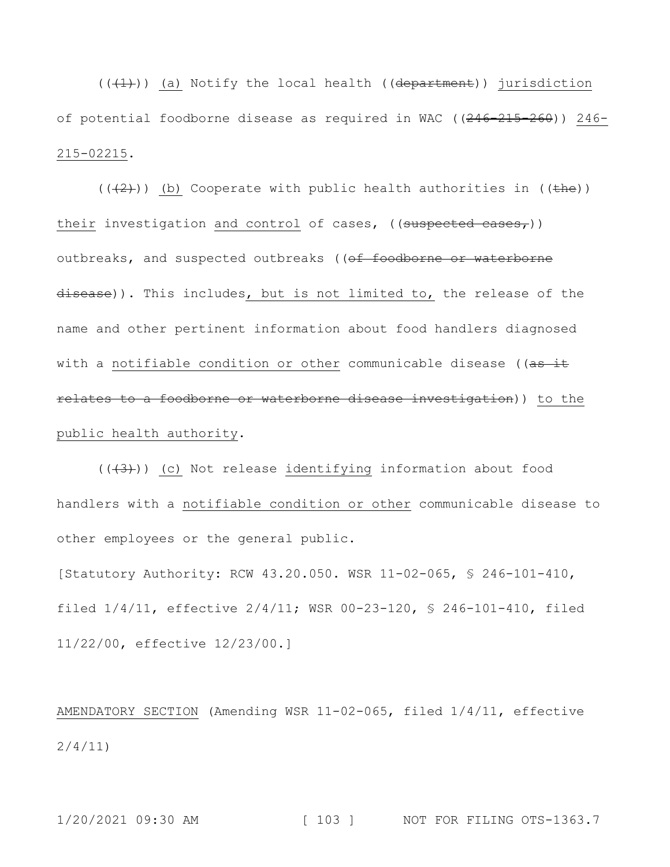$((+1))$  (a) Notify the local health ((department)) jurisdiction of potential foodborne disease as required in WAC  $((246-215-260))$  246-215-02215.

 $((+2))$  (b) Cooperate with public health authorities in ((the)) their investigation and control of cases,  $((suspected cases,))$ outbreaks, and suspected outbreaks ((of foodborne or waterborne disease)). This includes, but is not limited to, the release of the name and other pertinent information about food handlers diagnosed with a notifiable condition or other communicable disease ((as it relates to a foodborne or waterborne disease investigation)) to the public health authority.

 $((+3))$  (c) Not release identifying information about food handlers with a notifiable condition or other communicable disease to other employees or the general public.

[Statutory Authority: RCW 43.20.050. WSR 11-02-065, § 246-101-410, filed 1/4/11, effective 2/4/11; WSR 00-23-120, § 246-101-410, filed 11/22/00, effective 12/23/00.]

AMENDATORY SECTION (Amending WSR 11-02-065, filed 1/4/11, effective 2/4/11)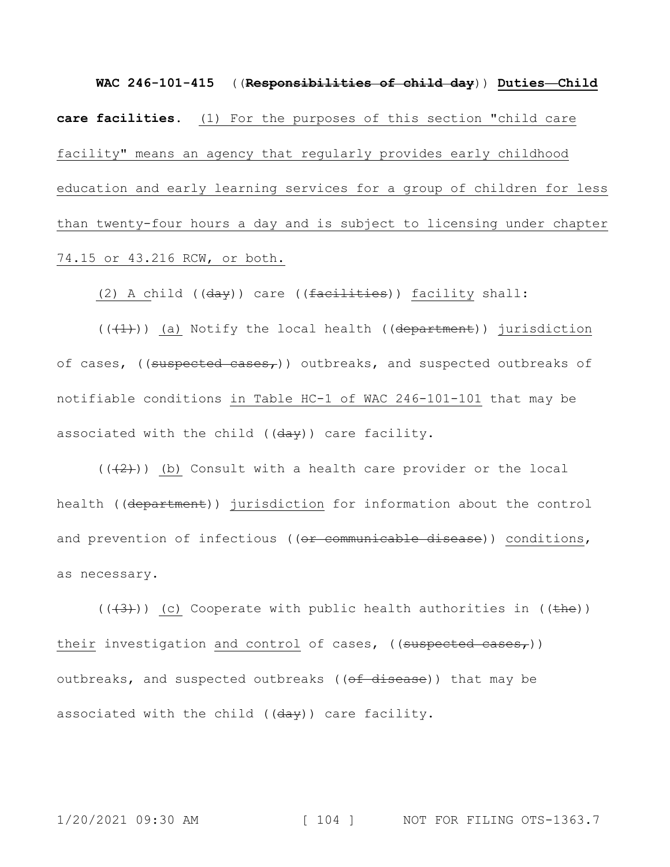**WAC 246-101-415** ((**Responsibilities of child day**)) **Duties—Child care facilities.** (1) For the purposes of this section "child care facility" means an agency that regularly provides early childhood education and early learning services for a group of children for less than twenty-four hours a day and is subject to licensing under chapter 74.15 or 43.216 RCW, or both.

(2) A child ((day)) care ((facilities)) facility shall:

 $((+1))$  (a) Notify the local health ((department)) jurisdiction of cases, ((suspected cases,)) outbreaks, and suspected outbreaks of notifiable conditions in Table HC-1 of WAC 246-101-101 that may be associated with the child  $((\frac{day}{}) )$  care facility.

 $((+2))$  (b) Consult with a health care provider or the local health ((department)) jurisdiction for information about the control and prevention of infectious ((or communicable disease)) conditions, as necessary.

 $((+3))$  (c) Cooperate with public health authorities in (( $\pm$ he)) their investigation and control of cases, ((suspected cases,)) outbreaks, and suspected outbreaks ((of disease)) that may be associated with the child  $((\frac{day}{}) )$  care facility.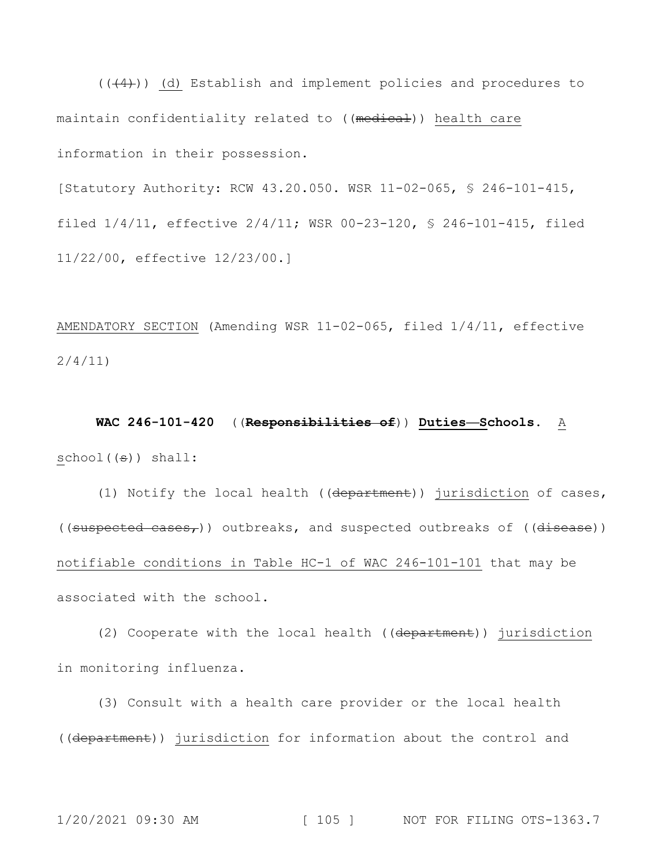$((+4))$  (d) Establish and implement policies and procedures to maintain confidentiality related to ((medical)) health care information in their possession.

[Statutory Authority: RCW 43.20.050. WSR 11-02-065, § 246-101-415, filed 1/4/11, effective 2/4/11; WSR 00-23-120, § 246-101-415, filed 11/22/00, effective 12/23/00.]

AMENDATORY SECTION (Amending WSR 11-02-065, filed 1/4/11, effective 2/4/11)

**WAC 246-101-420** ((**Responsibilities of**)) **Duties—Schools.** A school((s)) shall:

(1) Notify the local health ((department)) jurisdiction of cases, ((suspected cases,)) outbreaks, and suspected outbreaks of ((disease)) notifiable conditions in Table HC-1 of WAC 246-101-101 that may be associated with the school.

(2) Cooperate with the local health ((department)) jurisdiction in monitoring influenza.

(3) Consult with a health care provider or the local health ((department)) jurisdiction for information about the control and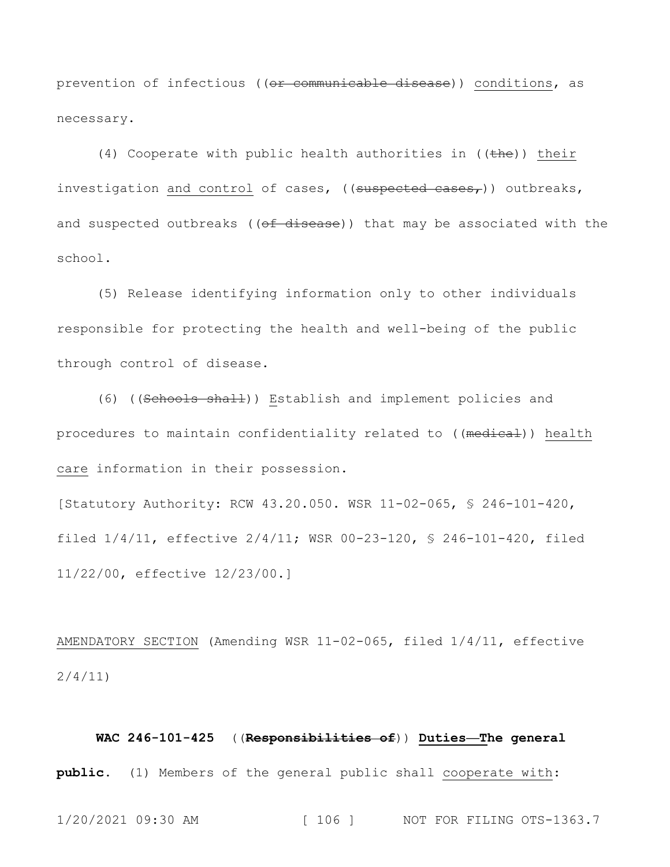prevention of infectious ((<del>or communicable disease</del>)) conditions, as necessary.

(4) Cooperate with public health authorities in  $((the)<sub>h</sub>)$  their investigation and control of cases, ((suspected cases,)) outbreaks, and suspected outbreaks ((of disease)) that may be associated with the school.

(5) Release identifying information only to other individuals responsible for protecting the health and well-being of the public through control of disease.

(6) ((Schools shall)) Establish and implement policies and procedures to maintain confidentiality related to ((medical)) health care information in their possession.

[Statutory Authority: RCW 43.20.050. WSR 11-02-065, § 246-101-420, filed 1/4/11, effective 2/4/11; WSR 00-23-120, § 246-101-420, filed 11/22/00, effective 12/23/00.]

AMENDATORY SECTION (Amending WSR 11-02-065, filed 1/4/11, effective 2/4/11)

**WAC 246-101-425** ((**Responsibilities of**)) **Duties—The general public.** (1) Members of the general public shall cooperate with: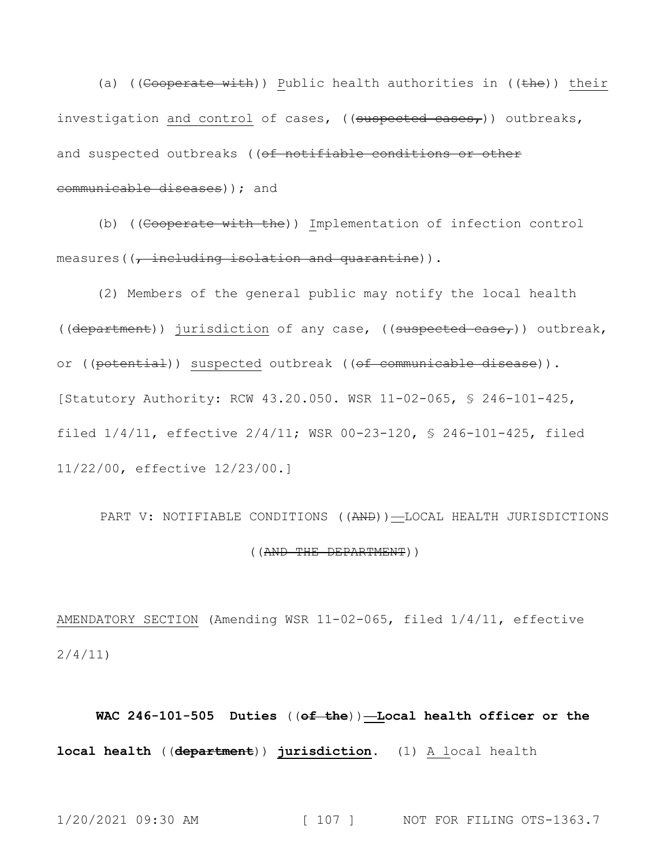(a) ((Cooperate with)) Public health authorities in (( $t$ he)) their investigation and control of cases, ((suspected cases,)) outbreaks, and suspected outbreaks ((of notifiable conditions or other communicable diseases)); and

(b) ((Cooperate with the)) Implementation of infection control measures((, including isolation and quarantine)).

(2) Members of the general public may notify the local health ((department)) jurisdiction of any case, ((suspected case,)) outbreak, or ((potential)) suspected outbreak ((of communicable disease)). [Statutory Authority: RCW 43.20.050. WSR 11-02-065, § 246-101-425, filed 1/4/11, effective 2/4/11; WSR 00-23-120, § 246-101-425, filed 11/22/00, effective 12/23/00.]

PART V: NOTIFIABLE CONDITIONS ((AND))—LOCAL HEALTH JURISDICTIONS ((AND THE DEPARTMENT))

AMENDATORY SECTION (Amending WSR 11-02-065, filed 1/4/11, effective 2/4/11)

**WAC 246-101-505 Duties** ((**of the**))**—Local health officer or the local health** ((**department**)) **jurisdiction.** (1) A local health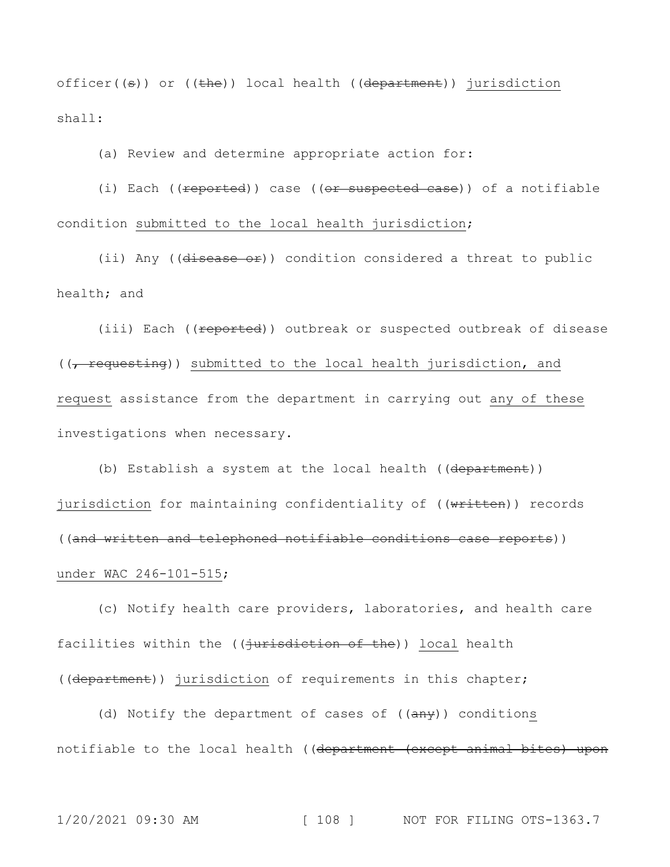officer( $(\theta)$ ) or ( $(\theta)$ ) local health ( $(\theta)$ ) department)) jurisdiction shall:

(a) Review and determine appropriate action for:

(i) Each ( $($ reported)) case ( $($ or suspected case)) of a notifiable condition submitted to the local health jurisdiction;

(ii) Any ((disease or)) condition considered a threat to public health; and

(iii) Each ((reported)) outbreak or suspected outbreak of disease  $((f + \n $\frac{1}{f}, \n $\frac{1}{f}, \n $\frac{1}{f}, \n $\frac{1}{f}, \n $\frac{1}{f}, \n $\frac{1}{f}, \n $\frac{1}{f}, \n $\frac{1}{f}, \n $\frac{1}{f}, \n $\frac{1}{f}, \n $\frac{1}{f}, \n $\frac{1}{f}, \n $\frac{1}{f}, \n $\frac{1}{f}, \n $\frac{1}{f}, \n $\frac{1}{f}, \n $\frac{1}{f}, \n $\frac{1}{f}, \n $\frac{1}{f}, \n $\frac{1$$$$$$$$$$$$$$$$$$$$$ request assistance from the department in carrying out any of these investigations when necessary.

(b) Establish a system at the local health ((department)) jurisdiction for maintaining confidentiality of ((written)) records ((and written and telephoned notifiable conditions case reports)) under WAC 246-101-515;

(c) Notify health care providers, laboratories, and health care facilities within the ((jurisdiction of the)) local health ((department)) jurisdiction of requirements in this chapter;

(d) Notify the department of cases of  $((a \rightarrow b)$  conditions notifiable to the local health ((department (except animal bites) upon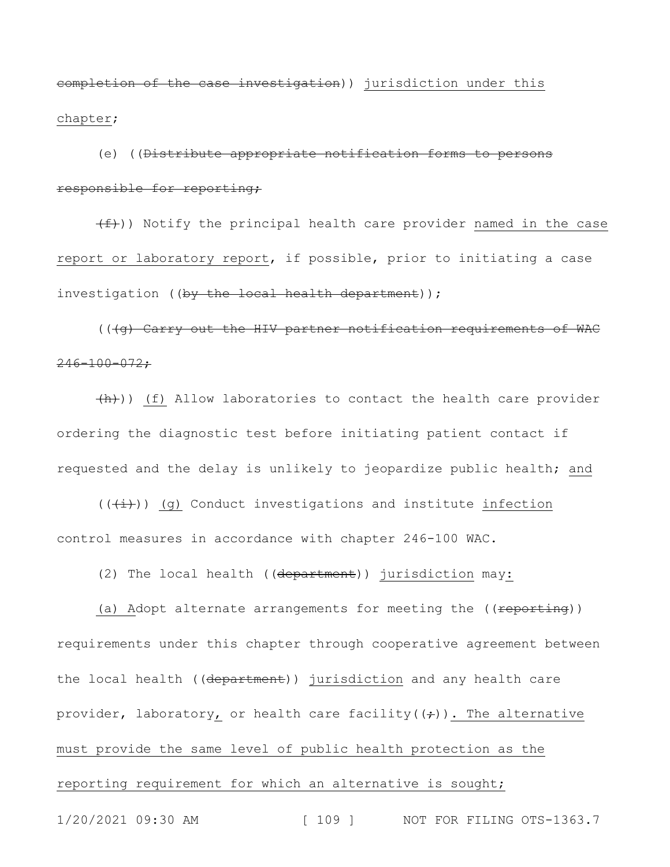completion of the case investigation)) jurisdiction under this chapter;

(e) ((Distribute appropriate notification forms to persons responsible for reporting;

(f))) Notify the principal health care provider named in the case report or laboratory report, if possible, prior to initiating a case investigation ((by the local health department));

(((g) Carry out the HIV partner notification requirements of WAC  $246 - 100 - 072;$ 

(h))) (f) Allow laboratories to contact the health care provider ordering the diagnostic test before initiating patient contact if requested and the delay is unlikely to jeopardize public health; and

 $((\overleftrightarrow{t}))$  (g) Conduct investigations and institute infection control measures in accordance with chapter 246-100 WAC.

(2) The local health ((department)) jurisdiction may:

(a) Adopt alternate arrangements for meeting the ((reporting)) requirements under this chapter through cooperative agreement between the local health ((department)) jurisdiction and any health care provider, laboratory, or health care facility( $(\div)$ ). The alternative must provide the same level of public health protection as the reporting requirement for which an alternative is sought;

1/20/2021 09:30 AM [ 109 ] NOT FOR FILING OTS-1363.7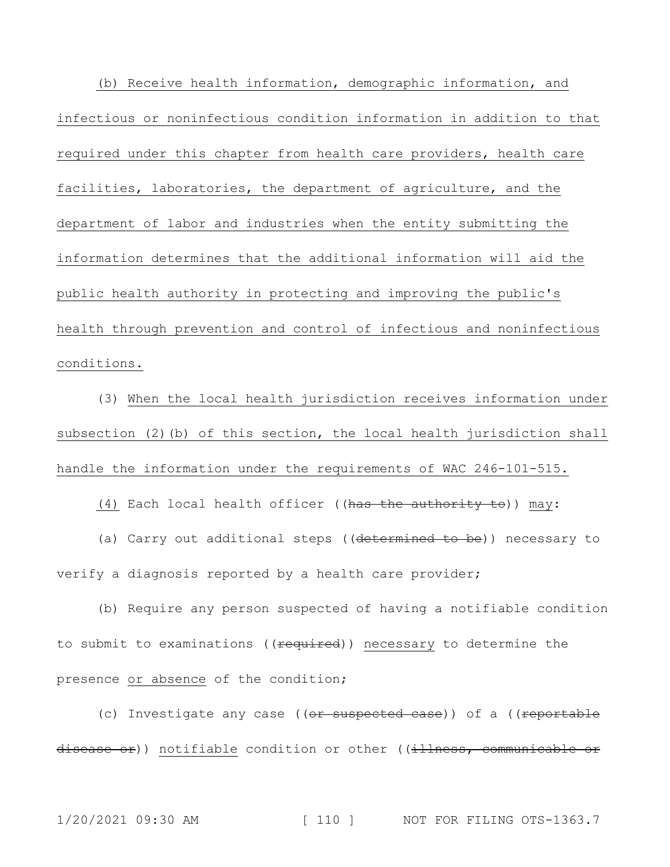(b) Receive health information, demographic information, and infectious or noninfectious condition information in addition to that required under this chapter from health care providers, health care facilities, laboratories, the department of agriculture, and the department of labor and industries when the entity submitting the information determines that the additional information will aid the public health authority in protecting and improving the public's health through prevention and control of infectious and noninfectious conditions.

(3) When the local health jurisdiction receives information under subsection (2)(b) of this section, the local health jurisdiction shall handle the information under the requirements of WAC 246-101-515.

(4) Each local health officer ((has the authority to)) may:

(a) Carry out additional steps ((determined to be)) necessary to verify a diagnosis reported by a health care provider;

(b) Require any person suspected of having a notifiable condition to submit to examinations ((required)) necessary to determine the presence or absence of the condition;

(c) Investigate any case ((or suspected case)) of a ((reportable disease or)) notifiable condition or other ((illness, communicable or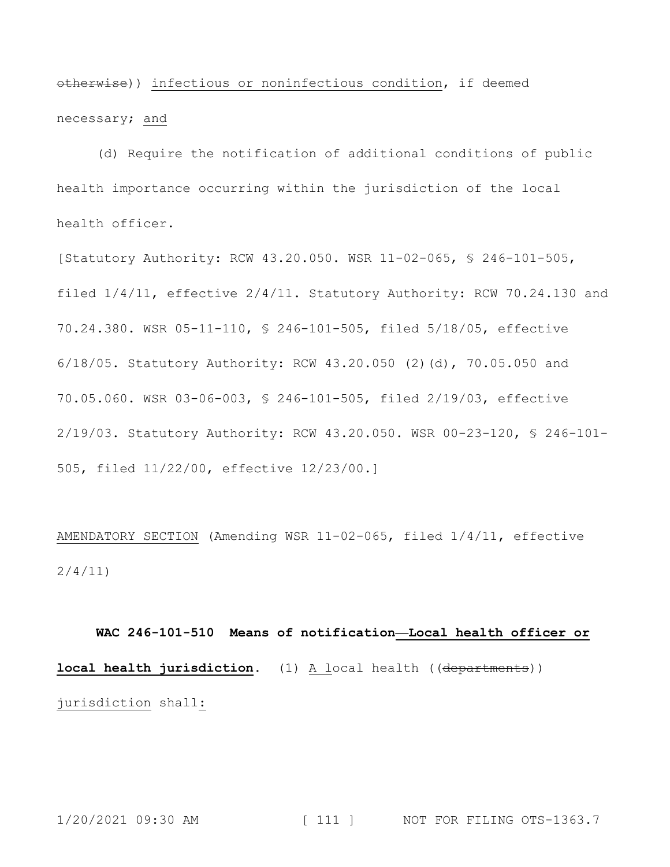otherwise)) infectious or noninfectious condition, if deemed necessary; and

(d) Require the notification of additional conditions of public health importance occurring within the jurisdiction of the local health officer.

[Statutory Authority: RCW 43.20.050. WSR 11-02-065, § 246-101-505, filed 1/4/11, effective 2/4/11. Statutory Authority: RCW 70.24.130 and 70.24.380. WSR 05-11-110, § 246-101-505, filed 5/18/05, effective 6/18/05. Statutory Authority: RCW 43.20.050 (2)(d), 70.05.050 and 70.05.060. WSR 03-06-003, § 246-101-505, filed 2/19/03, effective 2/19/03. Statutory Authority: RCW 43.20.050. WSR 00-23-120, § 246-101- 505, filed 11/22/00, effective 12/23/00.]

AMENDATORY SECTION (Amending WSR 11-02-065, filed 1/4/11, effective 2/4/11)

**WAC 246-101-510 Means of notification—Local health officer or local health jurisdiction.** (1) A local health ((departments)) jurisdiction shall: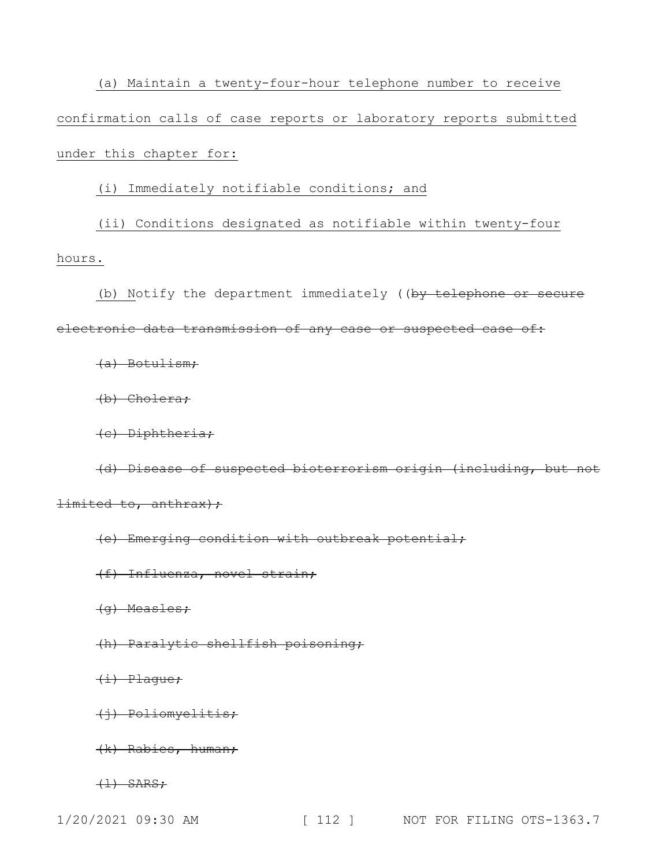(a) Maintain a twenty-four-hour telephone number to receive confirmation calls of case reports or laboratory reports submitted under this chapter for:

### (i) Immediately notifiable conditions; and

## (ii) Conditions designated as notifiable within twenty-four hours.

(b) Notify the department immediately ((by telephone or secure electronic data transmission of any case or suspected case of:

(a) Botulism;

(b) Cholera;

(c) Diphtheria;

(d) Disease of suspected bioterrorism origin (including, but not  $limited to, anthrax$ ;

(e) Emerging condition with outbreak potential;

(f) Influenza, novel strain;

(g) Measles;

(h) Paralytic shellfish poisoning;

(i) Plague;

(j) Poliomyelitis;

(k) Rabies, human;

 $\left(\frac{1}{1}\right)$  SARS;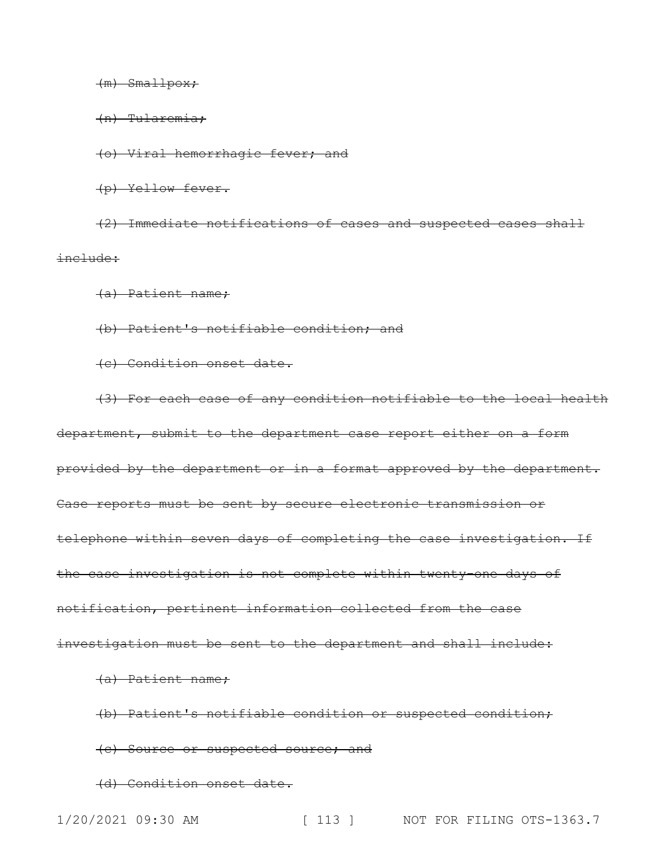#### $(m)$  Smallpox;

(n) Tularemia;

(o) Viral hemorrhagic fever; and

(p) Yellow fever.

(2) Immediate notifications of cases and suspected cases shall include:

(a) Patient name;

(b) Patient's notifiable condition; and

(c) Condition onset date.

(3) For each case of any condition notifiable to the local health department, submit to the department case report either on a form provided by the department or in a format approved by the department. Case reports must be sent by secure electronic transmission or telephone within seven days of completing the case investigation. If the case investigation is not complete within twenty-one days of notification, pertinent information collected from the case investigation must be sent to the department and shall include:

(a) Patient name;

(b) Patient's notifiable condition or suspected condition;

(c) Source or suspected source; and

(d) Condition onset date.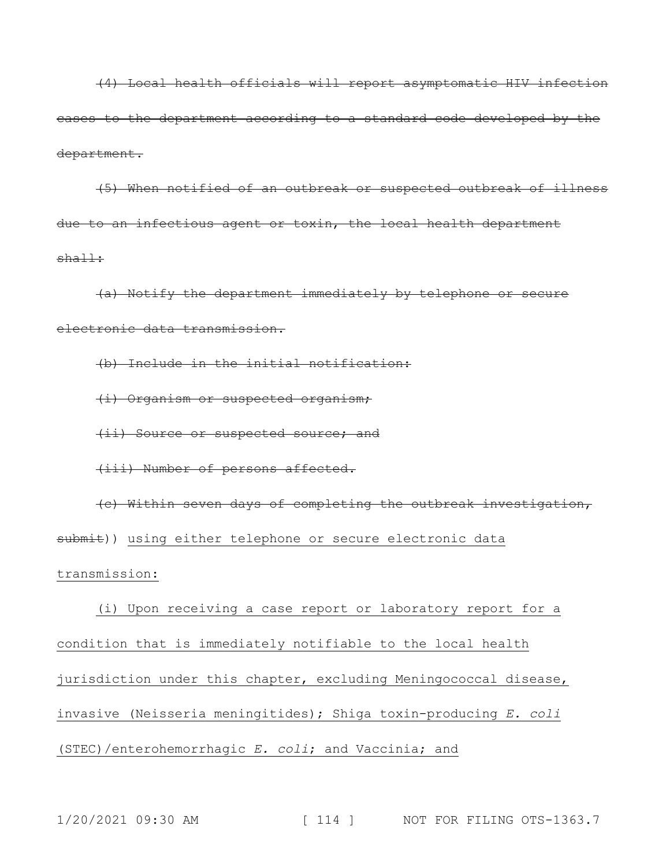(4) Local health officials will report asymptomatic HIV infection cases to the department according to a standard code developed by the department.

(5) When notified of an outbreak or suspected outbreak of illness due to an infectious agent or toxin, the local health department shall:

(a) Notify the department immediately by telephone or secure electronic data transmission.

(b) Include in the initial notification:

(i) Organism or suspected organism;

(ii) Source or suspected source; and

(iii) Number of persons affected.

(c) Within seven days of completing the outbreak investigation, submit)) using either telephone or secure electronic data transmission:

(i) Upon receiving a case report or laboratory report for a condition that is immediately notifiable to the local health jurisdiction under this chapter, excluding Meningococcal disease, invasive (Neisseria meningitides); Shiga toxin-producing *E. coli* (STEC)/enterohemorrhagic *E. coli*; and Vaccinia; and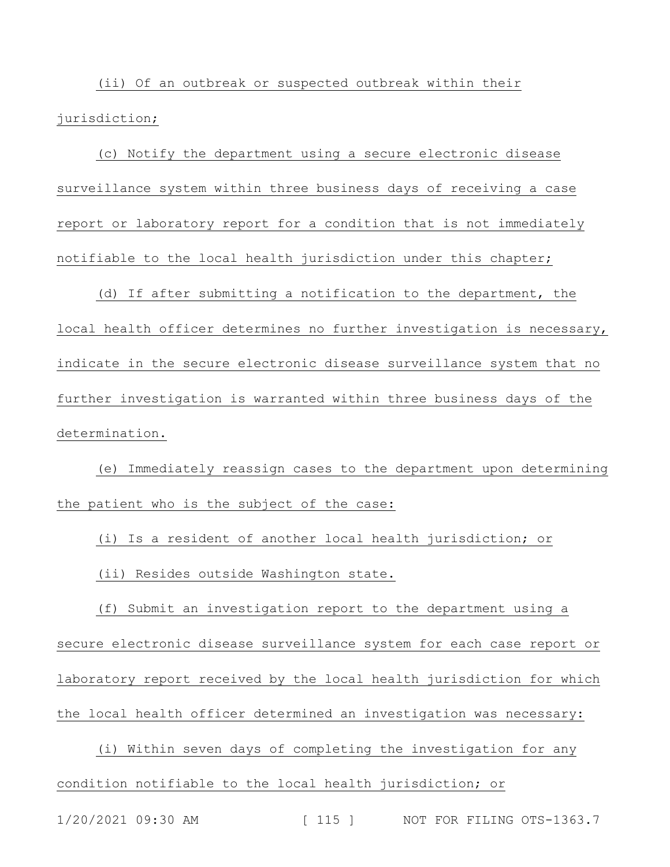(ii) Of an outbreak or suspected outbreak within their jurisdiction;

(c) Notify the department using a secure electronic disease surveillance system within three business days of receiving a case report or laboratory report for a condition that is not immediately notifiable to the local health jurisdiction under this chapter;

(d) If after submitting a notification to the department, the local health officer determines no further investigation is necessary, indicate in the secure electronic disease surveillance system that no further investigation is warranted within three business days of the determination.

(e) Immediately reassign cases to the department upon determining the patient who is the subject of the case:

(i) Is a resident of another local health jurisdiction; or

(ii) Resides outside Washington state.

(f) Submit an investigation report to the department using a secure electronic disease surveillance system for each case report or laboratory report received by the local health jurisdiction for which the local health officer determined an investigation was necessary:

(i) Within seven days of completing the investigation for any condition notifiable to the local health jurisdiction; or

1/20/2021 09:30 AM [ 115 ] NOT FOR FILING OTS-1363.7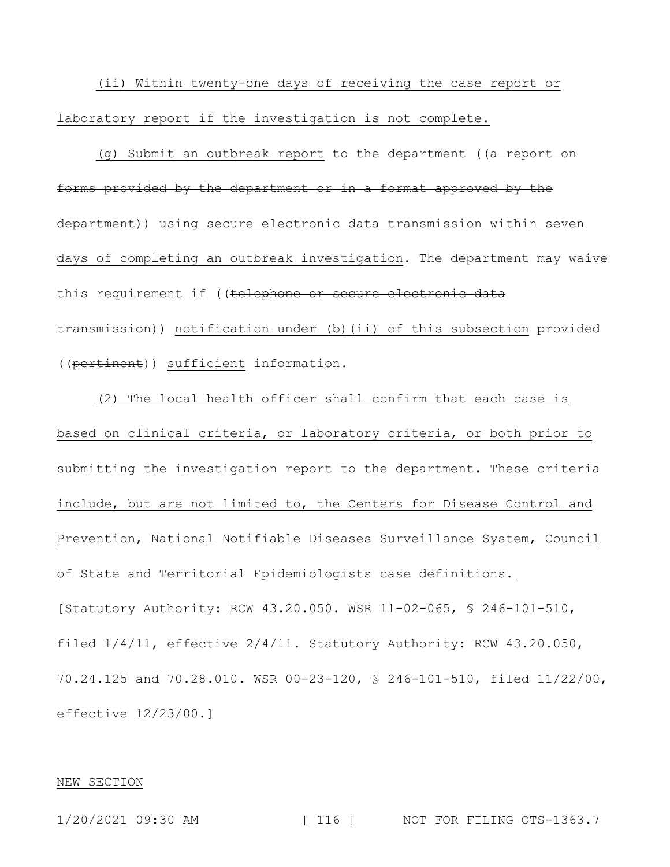(ii) Within twenty-one days of receiving the case report or laboratory report if the investigation is not complete.

(g) Submit an outbreak report to the department ((a report on forms provided by the department or in a format approved by the department)) using secure electronic data transmission within seven days of completing an outbreak investigation. The department may waive this requirement if ((telephone or secure electronic data transmission)) notification under (b)(ii) of this subsection provided ((pertinent)) sufficient information.

(2) The local health officer shall confirm that each case is based on clinical criteria, or laboratory criteria, or both prior to submitting the investigation report to the department. These criteria include, but are not limited to, the Centers for Disease Control and Prevention, National Notifiable Diseases Surveillance System, Council of State and Territorial Epidemiologists case definitions. [Statutory Authority: RCW 43.20.050. WSR 11-02-065, § 246-101-510, filed 1/4/11, effective 2/4/11. Statutory Authority: RCW 43.20.050, 70.24.125 and 70.28.010. WSR 00-23-120, § 246-101-510, filed 11/22/00, effective 12/23/00.]

#### NEW SECTION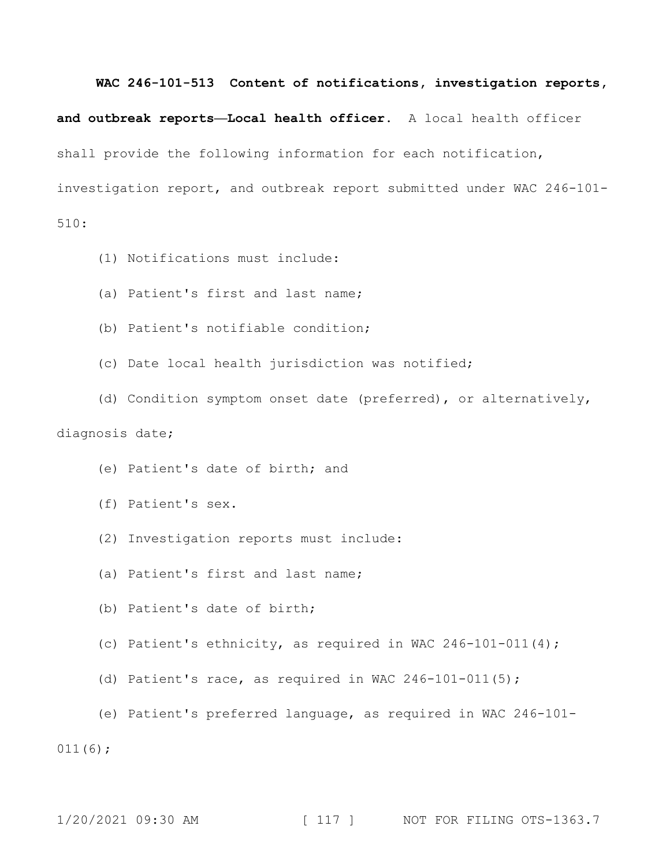#### **WAC 246-101-513 Content of notifications, investigation reports,**

**and outbreak reports—Local health officer.** A local health officer shall provide the following information for each notification, investigation report, and outbreak report submitted under WAC 246-101- 510:

- (1) Notifications must include:
- (a) Patient's first and last name;
- (b) Patient's notifiable condition;
- (c) Date local health jurisdiction was notified;
- (d) Condition symptom onset date (preferred), or alternatively,

## diagnosis date;

- (e) Patient's date of birth; and
- (f) Patient's sex.
- (2) Investigation reports must include:
- (a) Patient's first and last name;
- (b) Patient's date of birth;
- (c) Patient's ethnicity, as required in WAC 246-101-011(4);
- (d) Patient's race, as required in WAC  $246-101-011(5)$ ;
- (e) Patient's preferred language, as required in WAC 246-101- 011(6);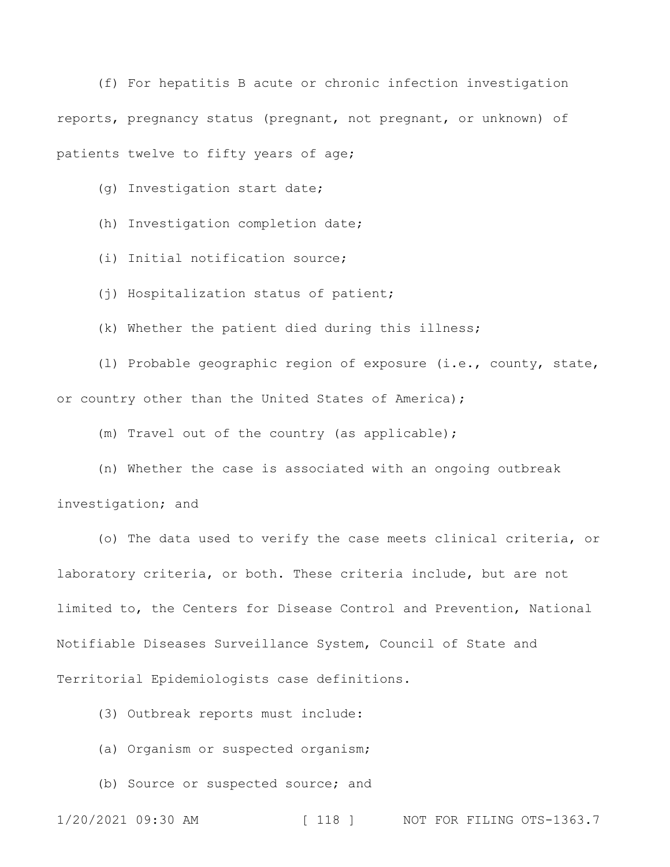(f) For hepatitis B acute or chronic infection investigation reports, pregnancy status (pregnant, not pregnant, or unknown) of patients twelve to fifty years of age;

(g) Investigation start date;

(h) Investigation completion date;

(i) Initial notification source;

(j) Hospitalization status of patient;

(k) Whether the patient died during this illness;

(l) Probable geographic region of exposure (i.e., county, state, or country other than the United States of America);

(m) Travel out of the country (as applicable);

(n) Whether the case is associated with an ongoing outbreak investigation; and

(o) The data used to verify the case meets clinical criteria, or laboratory criteria, or both. These criteria include, but are not limited to, the Centers for Disease Control and Prevention, National Notifiable Diseases Surveillance System, Council of State and Territorial Epidemiologists case definitions.

(3) Outbreak reports must include:

(a) Organism or suspected organism;

(b) Source or suspected source; and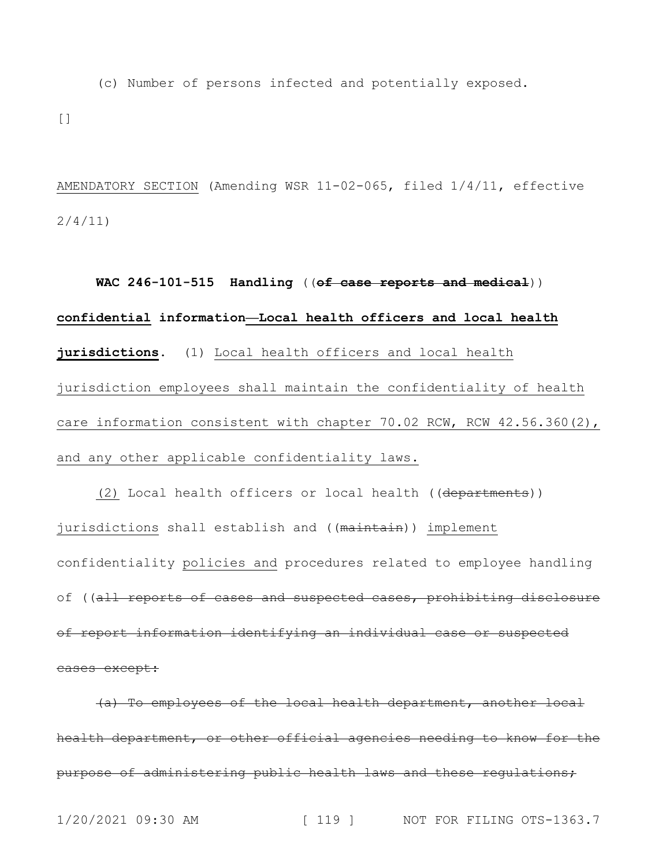(c) Number of persons infected and potentially exposed.

 $\lceil$ ]

AMENDATORY SECTION (Amending WSR 11-02-065, filed 1/4/11, effective 2/4/11)

**WAC 246-101-515 Handling** ((**of case reports and medical**)) **confidential information—Local health officers and local health jurisdictions.** (1) Local health officers and local health jurisdiction employees shall maintain the confidentiality of health care information consistent with chapter 70.02 RCW, RCW 42.56.360(2), and any other applicable confidentiality laws.

(2) Local health officers or local health ((departments)) jurisdictions shall establish and ((maintain)) implement confidentiality policies and procedures related to employee handling of ((all reports of cases and suspected cases, prohibiting disclosure of report information identifying an individual case or suspected cases except:

(a) To employees of the local health department, another local health department, or other official agencies needing to know for the purpose of administering public health laws and these regulations;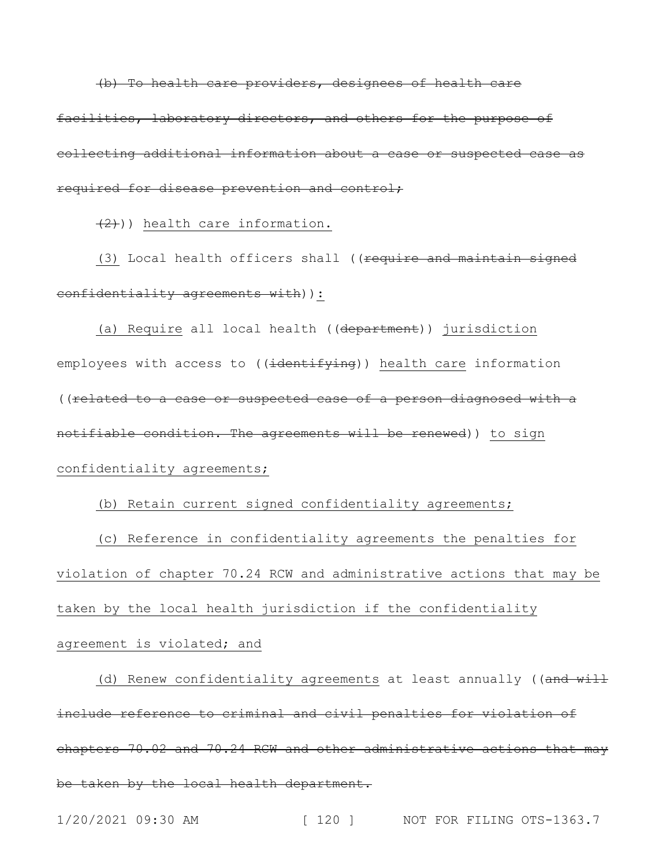(b) To health care providers, designees of health care facilities, laboratory directors, and others for the purpose of collecting additional information about a case or suspected case as required for disease prevention and control;

 $(2)$ )) health care information.

(3) Local health officers shall ((require and maintain signed confidentiality agreements with) ) :

(a) Require all local health ((department)) jurisdiction employees with access to ((identifying)) health care information ((related to a case or suspected case of a person diagnosed with a notifiable condition. The agreements will be renewed)) to sign confidentiality agreements;

(b) Retain current signed confidentiality agreements;

(c) Reference in confidentiality agreements the penalties for violation of chapter 70.24 RCW and administrative actions that may be taken by the local health jurisdiction if the confidentiality agreement is violated; and

(d) Renew confidentiality agreements at least annually ((and will include reference to criminal and civil penalties for violation of chapters 70.02 and 70.24 RCW and other administrative actions that may be taken by the local health department.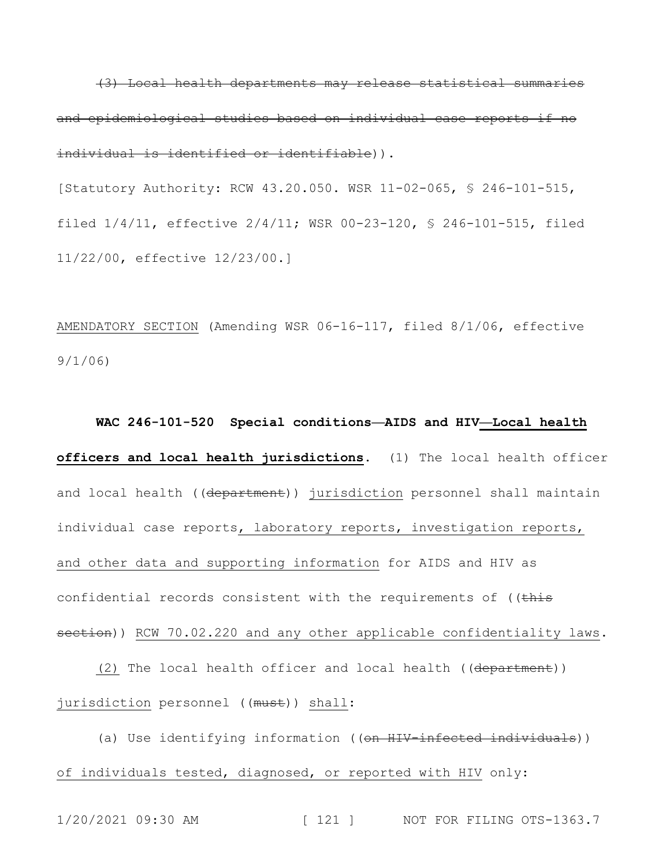(3) Local health departments may release statistical summaries and epidemiological studies based on individual case reports if no individual is identified or identifiable)).

[Statutory Authority: RCW 43.20.050. WSR 11-02-065, § 246-101-515, filed 1/4/11, effective 2/4/11; WSR 00-23-120, § 246-101-515, filed 11/22/00, effective 12/23/00.]

AMENDATORY SECTION (Amending WSR 06-16-117, filed 8/1/06, effective 9/1/06)

**WAC 246-101-520 Special conditions—AIDS and HIV—Local health officers and local health jurisdictions.** (1) The local health officer and local health ((department)) jurisdiction personnel shall maintain individual case reports, laboratory reports, investigation reports, and other data and supporting information for AIDS and HIV as confidential records consistent with the requirements of  $($  (this section)) RCW 70.02.220 and any other applicable confidentiality laws.

(2) The local health officer and local health ((department)) jurisdiction personnel ((must)) shall:

(a) Use identifying information ((on HIV-infected individuals)) of individuals tested, diagnosed, or reported with HIV only: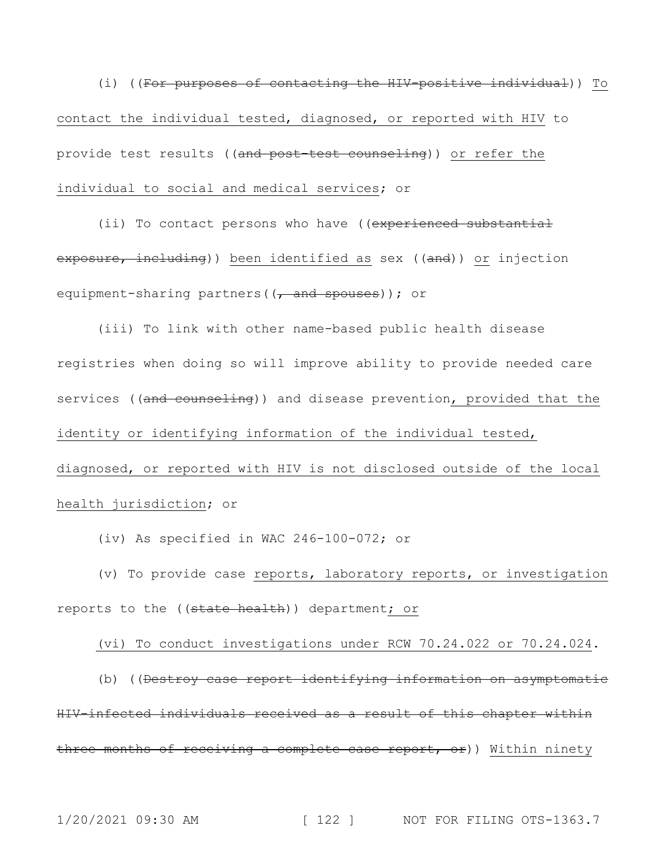(i) ((For purposes of contacting the HIV-positive individual)) To contact the individual tested, diagnosed, or reported with HIV to provide test results ((and post-test counseling)) or refer the individual to social and medical services; or

(ii) To contact persons who have ((experienced substantial exposure, including)) been identified as sex ((and)) or injection equipment-sharing partners ((, and spouses)); or

(iii) To link with other name-based public health disease registries when doing so will improve ability to provide needed care services ((and counseling)) and disease prevention, provided that the identity or identifying information of the individual tested, diagnosed, or reported with HIV is not disclosed outside of the local health jurisdiction; or

(iv) As specified in WAC 246-100-072; or

(v) To provide case reports, laboratory reports, or investigation reports to the ((state health)) department; or

(vi) To conduct investigations under RCW 70.24.022 or 70.24.024.

(b) ((Destroy case report identifying information on asymptomatic HIV-infected individuals received as a result of this chapter within three months of receiving a complete case report, or)) Within ninety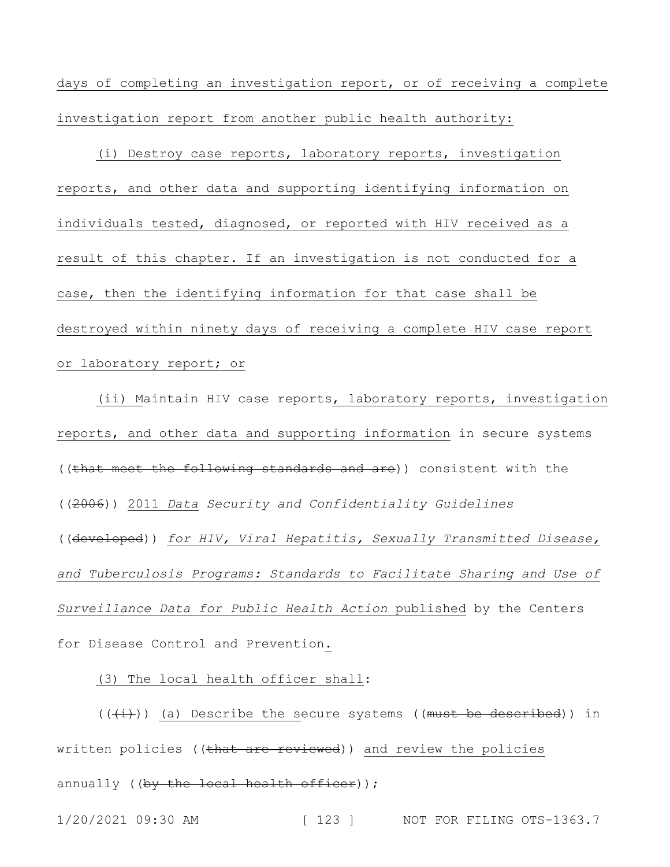days of completing an investigation report, or of receiving a complete investigation report from another public health authority:

(i) Destroy case reports, laboratory reports, investigation reports, and other data and supporting identifying information on individuals tested, diagnosed, or reported with HIV received as a result of this chapter. If an investigation is not conducted for a case, then the identifying information for that case shall be destroyed within ninety days of receiving a complete HIV case report or laboratory report; or

(ii) Maintain HIV case reports, laboratory reports, investigation reports, and other data and supporting information in secure systems ((that meet the following standards and are)) consistent with the ((2006)) 2011 *Data Security and Confidentiality Guidelines* ((developed)) *for HIV, Viral Hepatitis, Sexually Transmitted Disease, and Tuberculosis Programs: Standards to Facilitate Sharing and Use of Surveillance Data for Public Health Action* published by the Centers for Disease Control and Prevention.

(3) The local health officer shall:

 $((+\frac{i}{i}))$  (a) Describe the secure systems ((must be described)) in written policies ((that are reviewed)) and review the policies annually ( $(by$  the local health officer));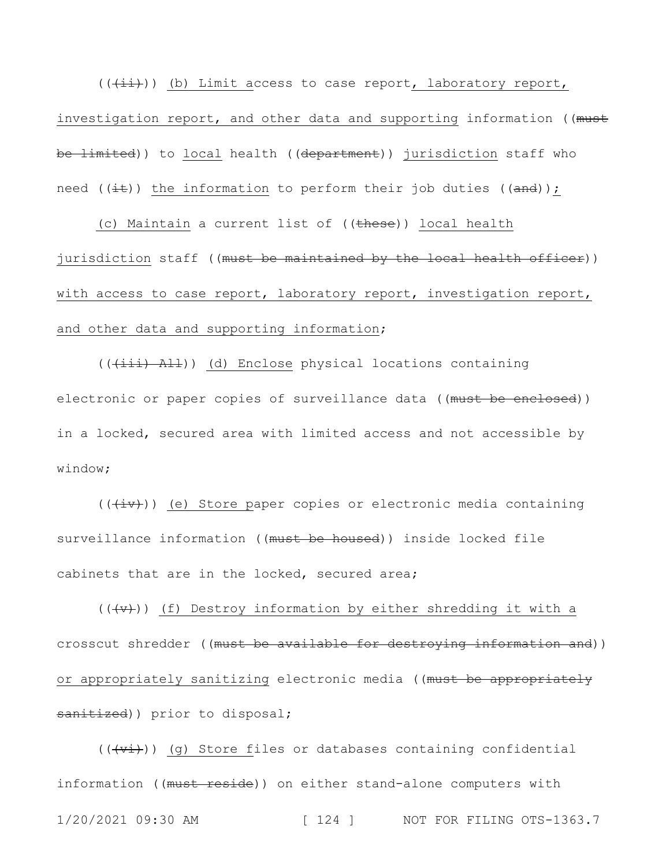$((+i+))$  (b) Limit access to case report, laboratory report, investigation report, and other data and supporting information ((must be limited)) to local health ((department)) jurisdiction staff who need ( $(i$ t)) the information to perform their job duties ( $($ and));

(c) Maintain a current list of ((these)) local health jurisdiction staff ((must be maintained by the local health officer)) with access to case report, laboratory report, investigation report, and other data and supporting information;

 $((+iii)$   $A11)$ ) (d) Enclose physical locations containing electronic or paper copies of surveillance data ((must be enclosed)) in a locked, secured area with limited access and not accessible by window;

 $((+iv))$  (e) Store paper copies or electronic media containing surveillance information ((must be housed)) inside locked file cabinets that are in the locked, secured area;

 $((\overline{y},\overline{y}))$  (f) Destroy information by either shredding it with a crosscut shredder ((must be available for destroying information and)) or appropriately sanitizing electronic media ((must be appropriately sanitized)) prior to disposal;

1/20/2021 09:30 AM [ 124 ] NOT FOR FILING OTS-1363.7  $((\overleftrightarrow{v_i}))$  (q) Store files or databases containing confidential information ((must reside)) on either stand-alone computers with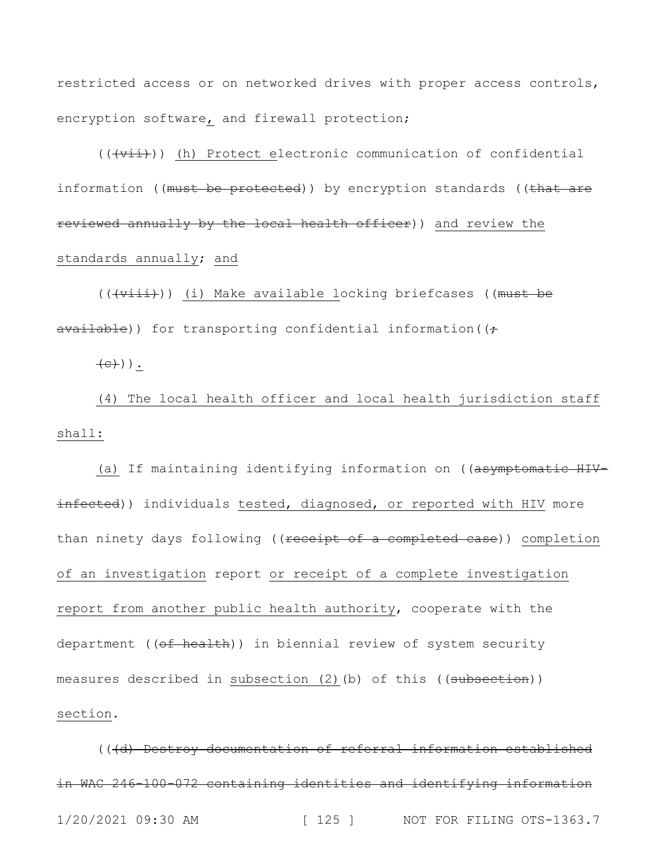restricted access or on networked drives with proper access controls, encryption software, and firewall protection;

 $((+vii))$  (h) Protect electronic communication of confidential information ((must be protected)) by encryption standards ((that are reviewed annually by the local health officer)) and review the standards annually; and

(((viii))) (i) Make available locking briefcases ((must be  $a$ vailable)) for transporting confidential information( $(+)$ 

 $\left(\rightarrow e$ )).

(4) The local health officer and local health jurisdiction staff shall:

(a) If maintaining identifying information on ((asymptomatic HIVinfected)) individuals tested, diagnosed, or reported with HIV more than ninety days following ((receipt of a completed case)) completion of an investigation report or receipt of a complete investigation report from another public health authority, cooperate with the department ((of health)) in biennial review of system security measures described in subsection (2)(b) of this ((subsection)) section.

1/20/2021 09:30 AM [ 125 ] NOT FOR FILING OTS-1363.7 (((d) Destroy documentation of referral information established in WAC 246-100-072 containing identities and identifying information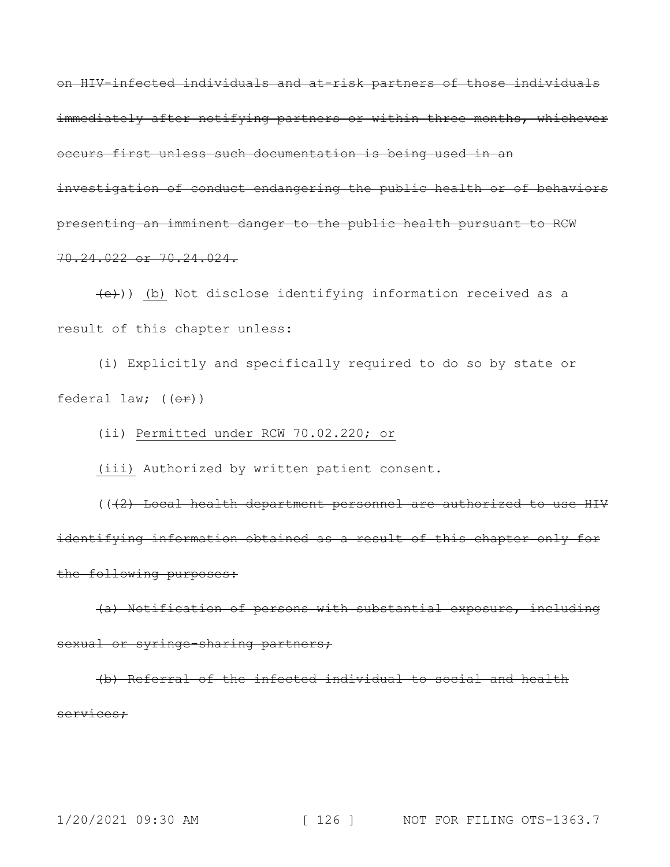on HIV-infected individuals and at-risk partners of those individuals immediately after notifying partners or within three months, whichever occurs first unless such documentation is being used in an investigation of conduct endangering the public health or of behaviors presenting an imminent danger to the public health pursuant to RCW 70.24.022 or 70.24.024.

(e))) (b) Not disclose identifying information received as a result of this chapter unless:

(i) Explicitly and specifically required to do so by state or federal law;  $((\theta \text{F}))$ 

(ii) Permitted under RCW 70.02.220; or

(iii) Authorized by written patient consent.

(((2) Local health department personnel are authorized to use HIV identifying information obtained as a result of this chapter only for the following purposes:

(a) Notification of persons with substantial exposure, including sexual or syringe-sharing partners;

(b) Referral of the infected individual to social and health services;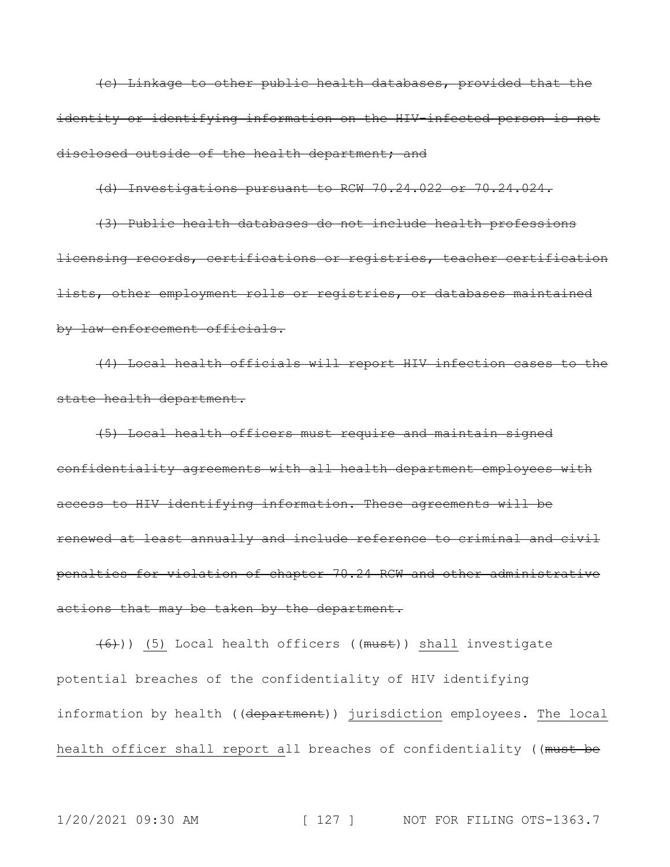(c) Linkage to other public health databases, provided that the identity or identifying information on the HIV-infected person is not disclosed outside of the health department; and

(d) Investigations pursuant to RCW 70.24.022 or 70.24.024.

(3) Public health databases do not include health professions licensing records, certifications or registries, teacher certification lists, other employment rolls or registries, or databases maintained by law enforcement officials.

(4) Local health officials will report HIV infection cases to the state health department.

(5) Local health officers must require and maintain signed confidentiality agreements with all health department employees with access to HIV identifying information. These agreements will be renewed at least annually and include reference to criminal and civil penalties for violation of chapter 70.24 RCW and other administrative actions that may be taken by the department.

(6))) (5) Local health officers ((must)) shall investigate potential breaches of the confidentiality of HIV identifying information by health ((department)) jurisdiction employees. The local health officer shall report all breaches of confidentiality ((must be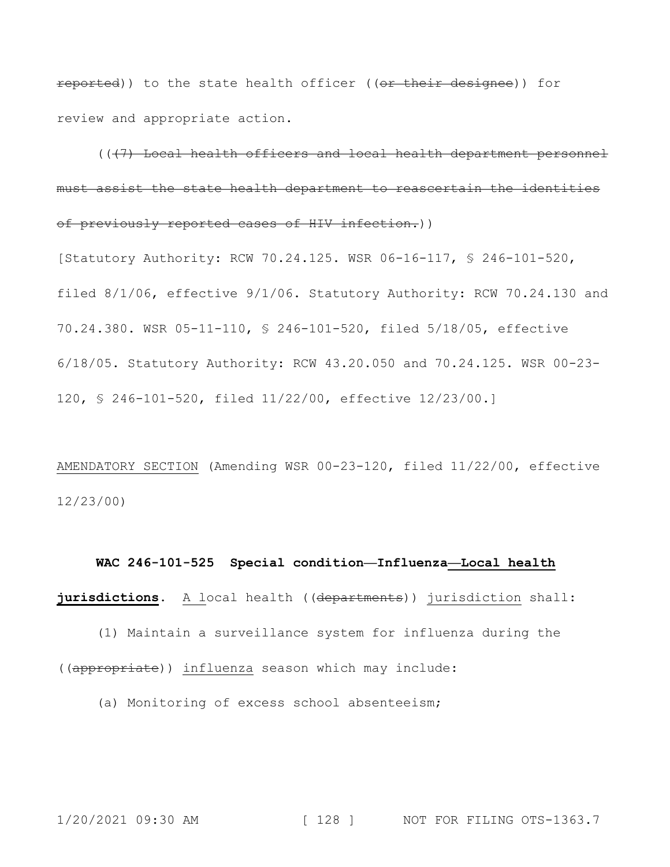reported)) to the state health officer ((or their designee)) for review and appropriate action.

(((7) Local health officers and local health department personnel must assist the state health department to reascertain the identities of previously reported cases of HIV infection.))

[Statutory Authority: RCW 70.24.125. WSR 06-16-117, § 246-101-520, filed 8/1/06, effective 9/1/06. Statutory Authority: RCW 70.24.130 and 70.24.380. WSR 05-11-110, § 246-101-520, filed 5/18/05, effective 6/18/05. Statutory Authority: RCW 43.20.050 and 70.24.125. WSR 00-23- 120, § 246-101-520, filed 11/22/00, effective 12/23/00.]

AMENDATORY SECTION (Amending WSR 00-23-120, filed 11/22/00, effective 12/23/00)

### **WAC 246-101-525 Special condition—Influenza—Local health**

**jurisdictions.** A local health ((departments)) jurisdiction shall:

(1) Maintain a surveillance system for influenza during the ((appropriate)) influenza season which may include:

(a) Monitoring of excess school absenteeism;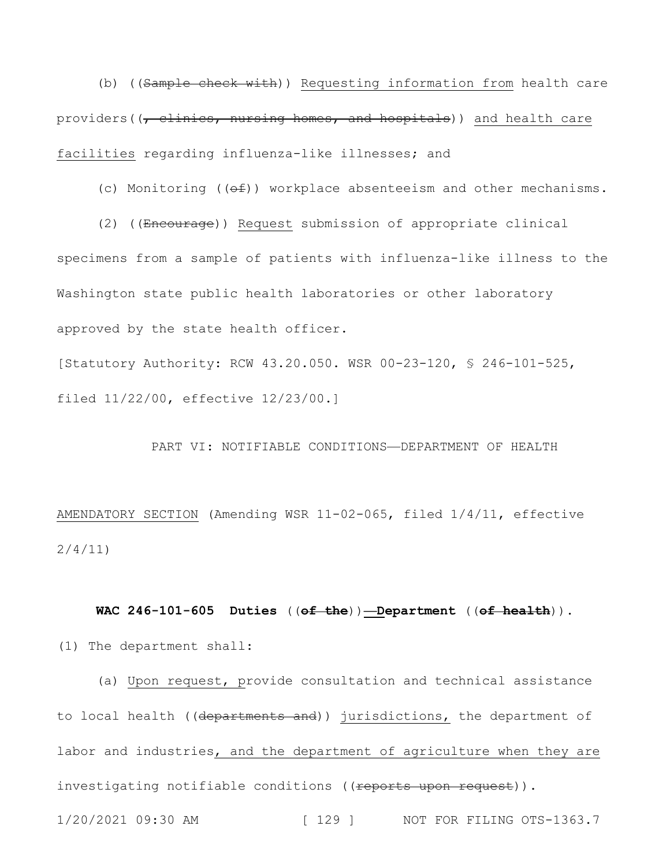(b) ((Sample check with)) Requesting information from health care providers( $\overline{z}$ ,  $\overline{z}$ , nursing homes, and hospitals)) and health care facilities regarding influenza-like illnesses; and

(c) Monitoring  $( (e f) )$  workplace absenteeism and other mechanisms.

(2) ((Encourage)) Request submission of appropriate clinical specimens from a sample of patients with influenza-like illness to the Washington state public health laboratories or other laboratory approved by the state health officer.

[Statutory Authority: RCW 43.20.050. WSR 00-23-120, § 246-101-525, filed 11/22/00, effective 12/23/00.]

## PART VI: NOTIFIABLE CONDITIONS—DEPARTMENT OF HEALTH

AMENDATORY SECTION (Amending WSR 11-02-065, filed 1/4/11, effective 2/4/11)

**WAC 246-101-605 Duties** ((**of the**))**—Department** ((**of health**))**.** (1) The department shall:

(a) Upon request, provide consultation and technical assistance to local health ((departments and)) jurisdictions, the department of labor and industries, and the department of agriculture when they are investigating notifiable conditions ((<del>reports upon request</del>)).

1/20/2021 09:30 AM [ 129 ] NOT FOR FILING OTS-1363.7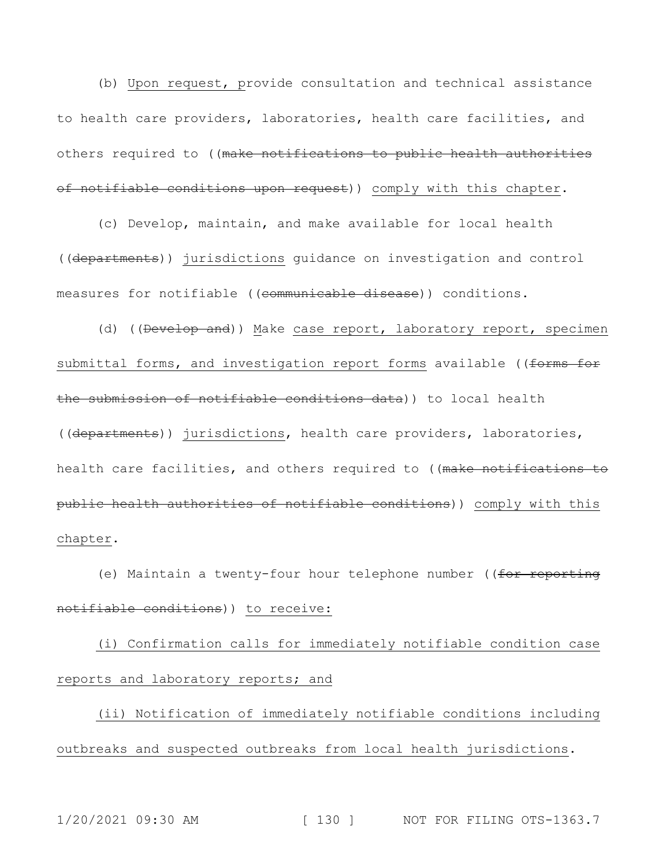(b) Upon request, provide consultation and technical assistance to health care providers, laboratories, health care facilities, and others required to ((make notifications to public health authorities of notifiable conditions upon request)) comply with this chapter.

(c) Develop, maintain, and make available for local health ((departments)) jurisdictions guidance on investigation and control measures for notifiable ((communicable disease)) conditions.

(d) ((Develop and)) Make case report, laboratory report, specimen submittal forms, and investigation report forms available ((forms for the submission of notifiable conditions data)) to local health ((departments)) jurisdictions, health care providers, laboratories, health care facilities, and others required to ((make notifications to public health authorities of notifiable conditions)) comply with this chapter.

(e) Maintain a twenty-four hour telephone number ((for reporting notifiable conditions)) to receive:

(i) Confirmation calls for immediately notifiable condition case reports and laboratory reports; and

(ii) Notification of immediately notifiable conditions including outbreaks and suspected outbreaks from local health jurisdictions.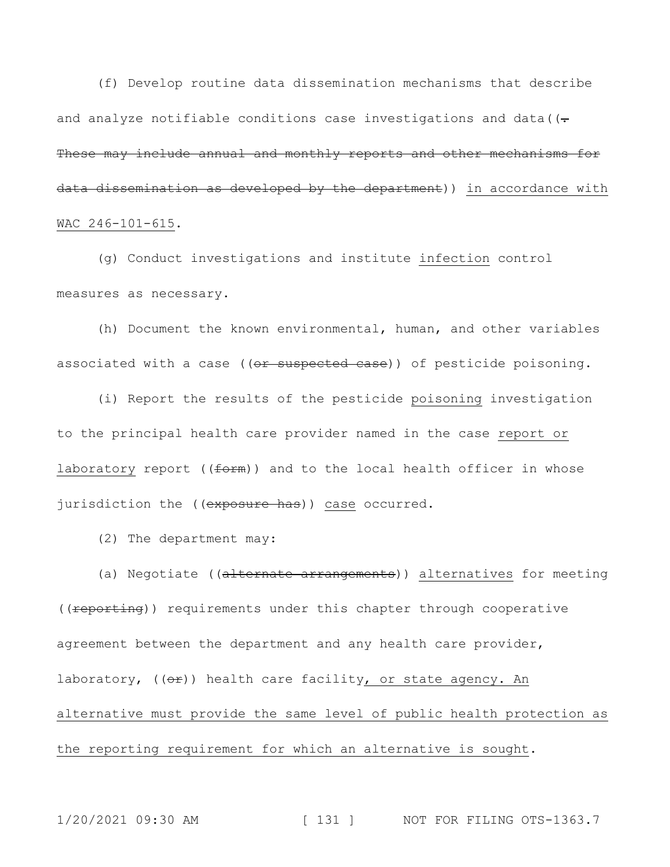(f) Develop routine data dissemination mechanisms that describe and analyze notifiable conditions case investigations and data ( $(-$ These may include annual and monthly reports and other mechanisms for data dissemination as developed by the department)) in accordance with WAC 246-101-615.

(g) Conduct investigations and institute infection control measures as necessary.

(h) Document the known environmental, human, and other variables associated with a case ((or suspected case)) of pesticide poisoning.

(i) Report the results of the pesticide poisoning investigation to the principal health care provider named in the case report or laboratory report ( $(form)$ ) and to the local health officer in whose jurisdiction the ((exposure has)) case occurred.

(2) The department may:

(a) Negotiate ((alternate arrangements)) alternatives for meeting ((reporting)) requirements under this chapter through cooperative agreement between the department and any health care provider, laboratory,  $((\theta \oplus))$  health care facility, or state agency. An alternative must provide the same level of public health protection as the reporting requirement for which an alternative is sought.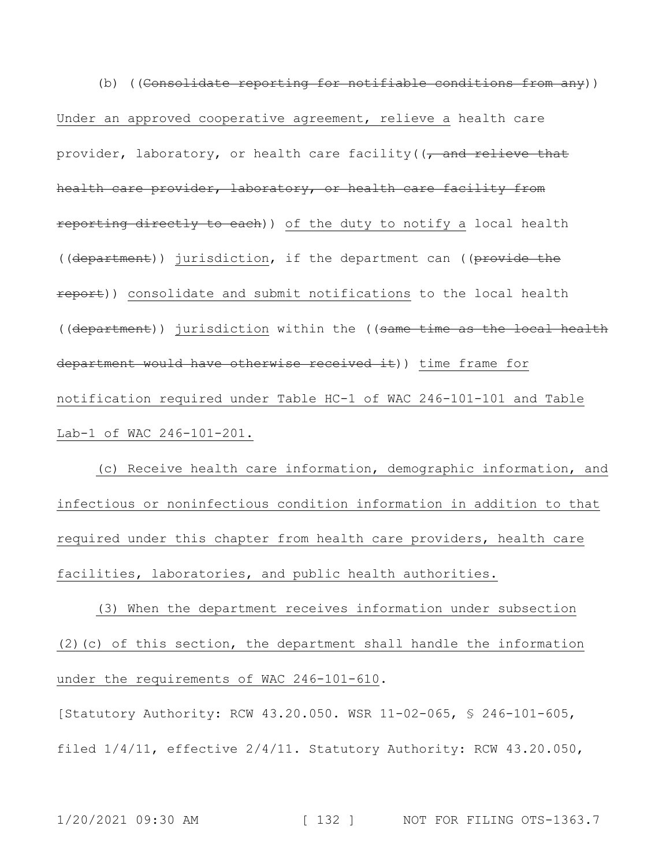(b) ((Consolidate reporting for notifiable conditions from any)) Under an approved cooperative agreement, relieve a health care provider, laboratory, or health care facility( $\sqrt{2}$  and relieve that health care provider, laboratory, or health care facility from reporting directly to each)) of the duty to notify a local health ((department)) jurisdiction, if the department can ((provide the report)) consolidate and submit notifications to the local health ((department)) jurisdiction within the ((same time as the local health department would have otherwise received it)) time frame for notification required under Table HC-1 of WAC 246-101-101 and Table Lab-1 of WAC 246-101-201.

(c) Receive health care information, demographic information, and infectious or noninfectious condition information in addition to that required under this chapter from health care providers, health care facilities, laboratories, and public health authorities.

(3) When the department receives information under subsection (2)(c) of this section, the department shall handle the information under the requirements of WAC 246-101-610.

[Statutory Authority: RCW 43.20.050. WSR 11-02-065, § 246-101-605, filed 1/4/11, effective 2/4/11. Statutory Authority: RCW 43.20.050,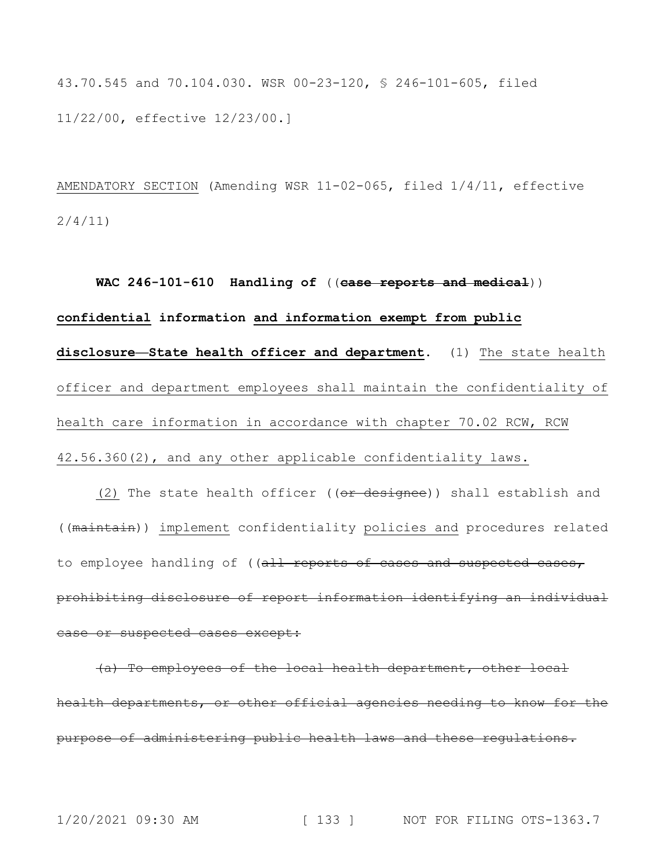43.70.545 and 70.104.030. WSR 00-23-120, § 246-101-605, filed 11/22/00, effective 12/23/00.]

AMENDATORY SECTION (Amending WSR 11-02-065, filed 1/4/11, effective 2/4/11)

**WAC 246-101-610 Handling of** ((**case reports and medical**)) **confidential information and information exempt from public disclosure—State health officer and department.** (1) The state health officer and department employees shall maintain the confidentiality of health care information in accordance with chapter 70.02 RCW, RCW 42.56.360(2), and any other applicable confidentiality laws.

(2) The state health officer ((or designee)) shall establish and ((maintain)) implement confidentiality policies and procedures related to employee handling of ((all reports of cases and suspected cases, prohibiting disclosure of report information identifying an individual case or suspected cases except:

(a) To employees of the local health department, other local health departments, or other official agencies needing to know for the purpose of administering public health laws and these regulations.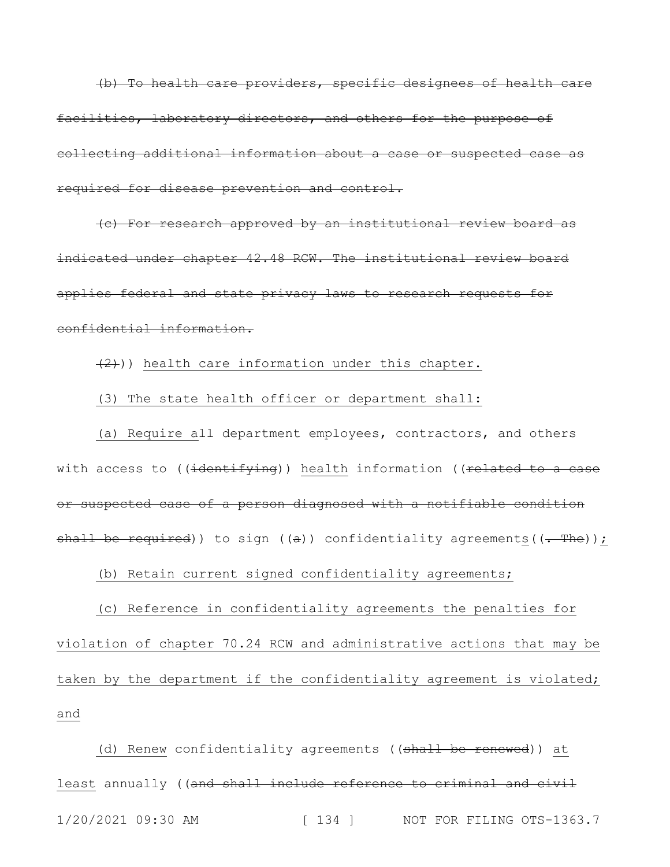(b) To health care providers, specific designees of health care facilities, laboratory directors, and others for the purpose of collecting additional information about a case or suspected case as required for disease prevention and control.

(c) For research approved by an institutional review board as indicated under chapter 42.48 RCW. The institutional review board applies federal and state privacy laws to research requests for confidential information.

 $(2)$ )) health care information under this chapter.

(3) The state health officer or department shall:

(a) Require all department employees, contractors, and others with access to ((identifying)) health information ((related to a case or suspected case of a person diagnosed with a notifiable condition shall be required)) to sign ( $(a)$ ) confidentiality agreements( $(-$ The));

(b) Retain current signed confidentiality agreements;

(c) Reference in confidentiality agreements the penalties for violation of chapter 70.24 RCW and administrative actions that may be taken by the department if the confidentiality agreement is violated; and

1/20/2021 09:30 AM [ 134 ] NOT FOR FILING OTS-1363.7 (d) Renew confidentiality agreements ((shall be renewed)) at least annually ((and shall include reference to criminal and civil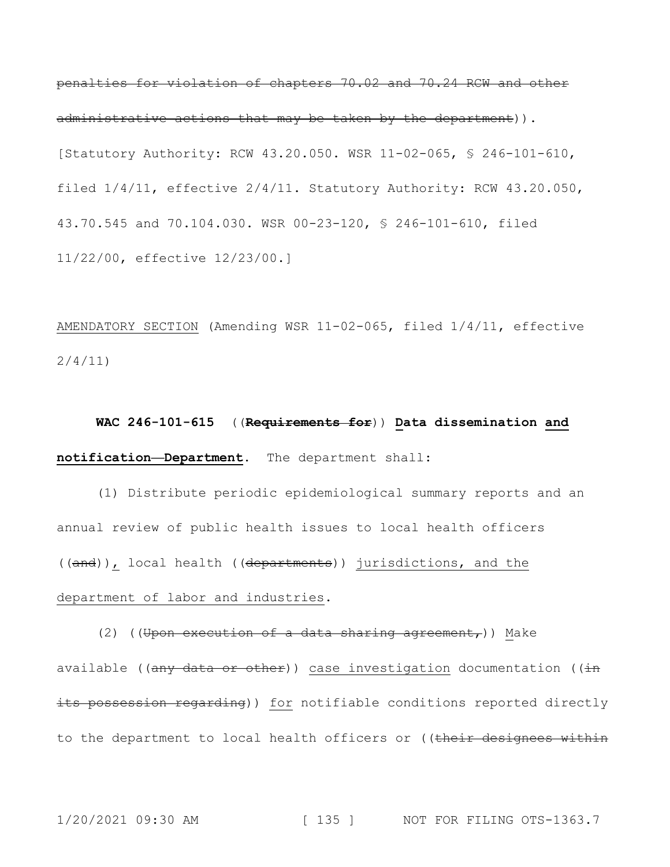penalties for violation of chapters 70.02 and 70.24 RCW and other administrative actions that may be taken by the department)). [Statutory Authority: RCW 43.20.050. WSR 11-02-065, § 246-101-610, filed 1/4/11, effective 2/4/11. Statutory Authority: RCW 43.20.050, 43.70.545 and 70.104.030. WSR 00-23-120, § 246-101-610, filed 11/22/00, effective 12/23/00.]

AMENDATORY SECTION (Amending WSR 11-02-065, filed 1/4/11, effective 2/4/11)

**WAC 246-101-615** ((**Requirements for**)) **Data dissemination and notification—Department.** The department shall:

(1) Distribute periodic epidemiological summary reports and an annual review of public health issues to local health officers ((and)), local health ((departments)) jurisdictions, and the department of labor and industries.

(2) ((Upon execution of a data sharing agreement,)) Make available ((any data or other)) case investigation documentation (( $\frac{1}{1}$ ) its possession regarding)) for notifiable conditions reported directly to the department to local health officers or ((their designees within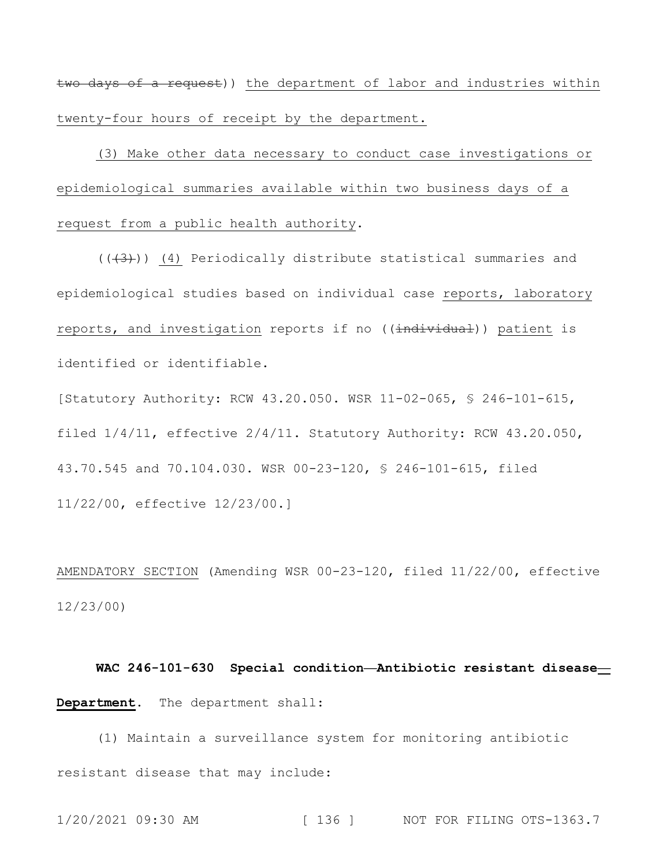two days of a request)) the department of labor and industries within twenty-four hours of receipt by the department.

(3) Make other data necessary to conduct case investigations or epidemiological summaries available within two business days of a request from a public health authority.

 $((+3))$  (4) Periodically distribute statistical summaries and epidemiological studies based on individual case reports, laboratory reports, and investigation reports if no ((individual)) patient is identified or identifiable.

[Statutory Authority: RCW 43.20.050. WSR 11-02-065, § 246-101-615, filed 1/4/11, effective 2/4/11. Statutory Authority: RCW 43.20.050, 43.70.545 and 70.104.030. WSR 00-23-120, § 246-101-615, filed 11/22/00, effective 12/23/00.]

AMENDATORY SECTION (Amending WSR 00-23-120, filed 11/22/00, effective 12/23/00)

**WAC 246-101-630 Special condition—Antibiotic resistant disease— Department.** The department shall:

(1) Maintain a surveillance system for monitoring antibiotic resistant disease that may include:

```
1/20/2021 09:30 AM [ 136 ] NOT FOR FILING OTS-1363.7
```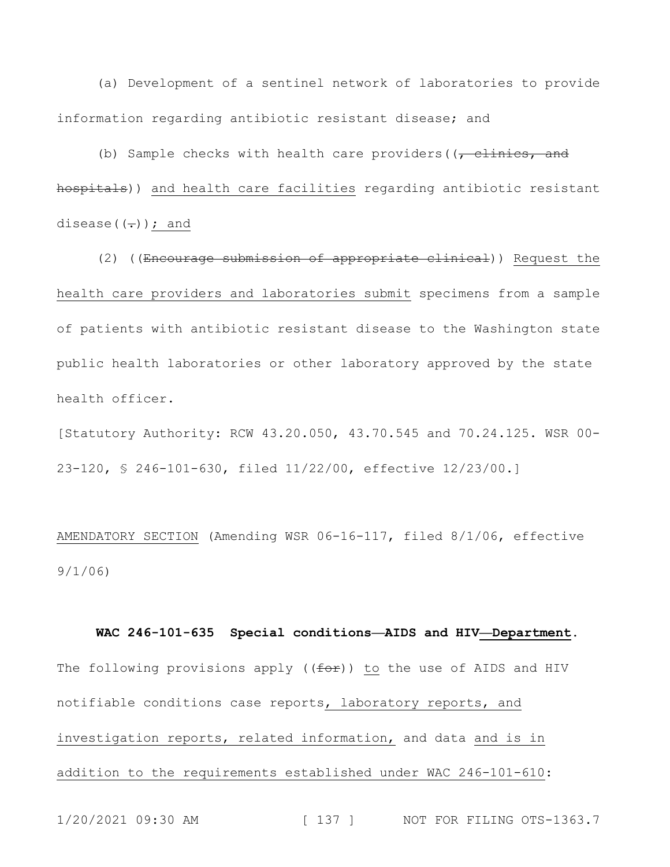(a) Development of a sentinel network of laboratories to provide information regarding antibiotic resistant disease; and

(b) Sample checks with health care providers ( $(-c)$  clinics, and hospitals)) and health care facilities regarding antibiotic resistant disease( $(-)$ ); and

(2) ((Encourage submission of appropriate clinical)) Request the health care providers and laboratories submit specimens from a sample of patients with antibiotic resistant disease to the Washington state public health laboratories or other laboratory approved by the state health officer.

[Statutory Authority: RCW 43.20.050, 43.70.545 and 70.24.125. WSR 00- 23-120, § 246-101-630, filed 11/22/00, effective 12/23/00.]

AMENDATORY SECTION (Amending WSR 06-16-117, filed 8/1/06, effective 9/1/06)

**WAC 246-101-635 Special conditions—AIDS and HIV—Department.** The following provisions apply ((for)) to the use of AIDS and HIV notifiable conditions case reports, laboratory reports, and investigation reports, related information, and data and is in addition to the requirements established under WAC 246-101-610: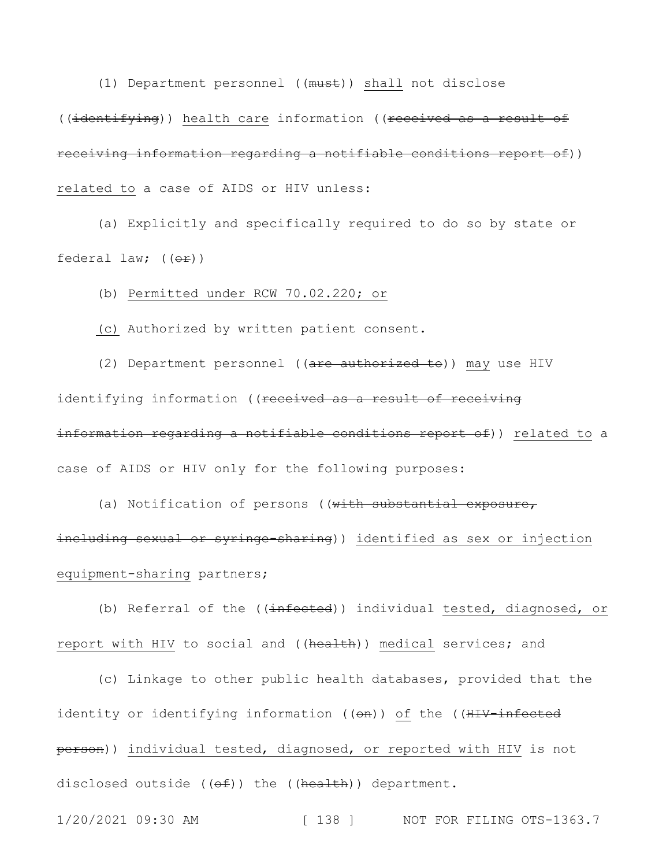(1) Department personnel ((must)) shall not disclose ((identifying)) health care information ((received as a result of receiving information regarding a notifiable conditions report of)) related to a case of AIDS or HIV unless:

(a) Explicitly and specifically required to do so by state or federal law;  $(\theta \hat{r})$ 

(b) Permitted under RCW 70.02.220; or

(c) Authorized by written patient consent.

(2) Department personnel ((are authorized to)) may use HIV identifying information ((received as a result of receiving information regarding a notifiable conditions report of)) related to a case of AIDS or HIV only for the following purposes:

(a) Notification of persons ((with substantial exposure, including sexual or syringe-sharing)) identified as sex or injection equipment-sharing partners;

(b) Referral of the ((infected)) individual tested, diagnosed, or report with HIV to social and ((health)) medical services; and

(c) Linkage to other public health databases, provided that the identity or identifying information ((on)) of the ((HIV-infected person)) individual tested, diagnosed, or reported with HIV is not disclosed outside ( $(\overline{\Theta}f)$ ) the ( $(\overline{\text{health}})$ ) department.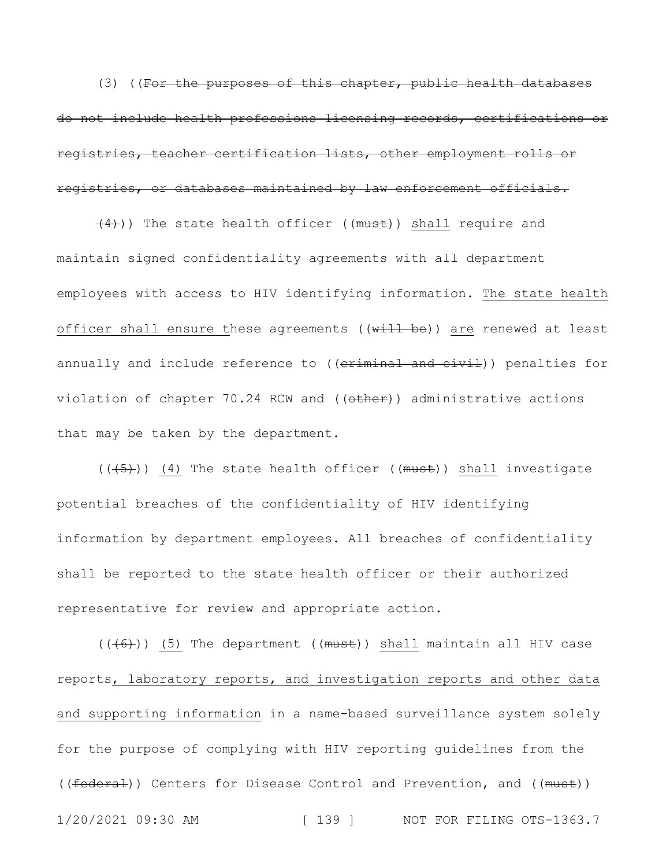(3) ((For the purposes of this chapter, public health databases do not include health professions licensing records, certifications or registries, teacher certification lists, other employment rolls or registries, or databases maintained by law enforcement officials.

 $(4)$ )) The state health officer ((must)) shall require and maintain signed confidentiality agreements with all department employees with access to HIV identifying information. The state health officer shall ensure these agreements ((will be)) are renewed at least annually and include reference to ((criminal and civil)) penalties for violation of chapter 70.24 RCW and ((other)) administrative actions that may be taken by the department.

 $((+5))$  (4) The state health officer (( $must$ )) shall investigate potential breaches of the confidentiality of HIV identifying information by department employees. All breaches of confidentiality shall be reported to the state health officer or their authorized representative for review and appropriate action.

1/20/2021 09:30 AM [ 139 ] NOT FOR FILING OTS-1363.7  $((+6))$  (5) The department ((must)) shall maintain all HIV case reports, laboratory reports, and investigation reports and other data and supporting information in a name-based surveillance system solely for the purpose of complying with HIV reporting guidelines from the ((federal)) Centers for Disease Control and Prevention, and ((must))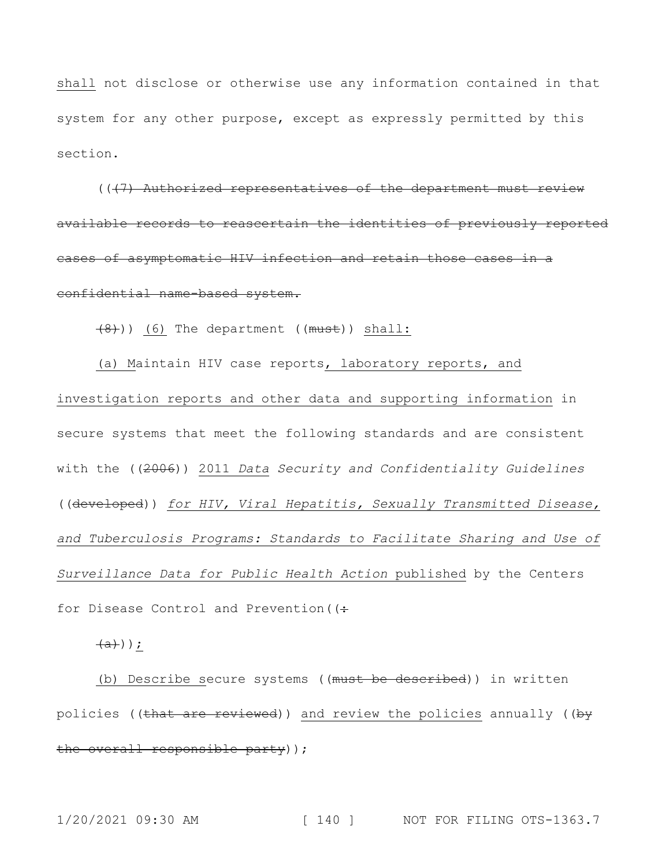shall not disclose or otherwise use any information contained in that system for any other purpose, except as expressly permitted by this section.

 $((+7)$  Authorized representatives of the department must review available records to reascertain the identities of previously reported cases of asymptomatic HIV infection and retain those cases in a confidential name-based system.

(8))) (6) The department ((must)) shall:

(a) Maintain HIV case reports, laboratory reports, and investigation reports and other data and supporting information in secure systems that meet the following standards and are consistent with the ((2006)) 2011 *Data Security and Confidentiality Guidelines* ((developed)) *for HIV, Viral Hepatitis, Sexually Transmitted Disease, and Tuberculosis Programs: Standards to Facilitate Sharing and Use of Surveillance Data for Public Health Action* published by the Centers for Disease Control and Prevention ((:

 $\overline{a})$ );

(b) Describe secure systems ((must be described)) in written policies ((that are reviewed)) and review the policies annually ((by the overall responsible party));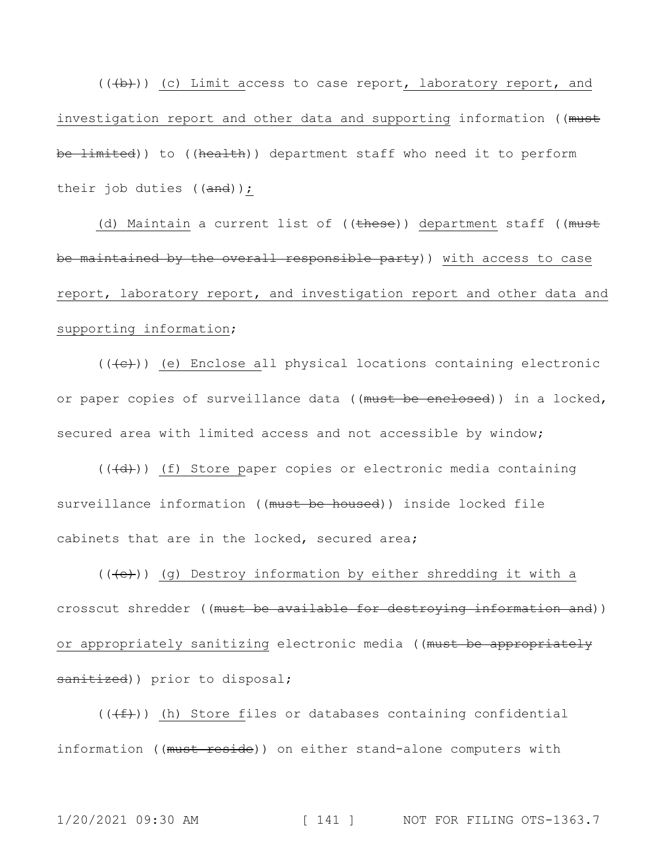(((b))) (c) Limit access to case report, laboratory report, and investigation report and other data and supporting information ((must be limited)) to ((health)) department staff who need it to perform their job duties ((and));

(d) Maintain a current list of ((these)) department staff ((must be maintained by the overall responsible party)) with access to case report, laboratory report, and investigation report and other data and supporting information;

 $((+e))$  (e) Enclose all physical locations containing electronic or paper copies of surveillance data ((must be enclosed)) in a locked, secured area with limited access and not accessible by window;

 $((+d))$  (f) Store paper copies or electronic media containing surveillance information ((must be housed)) inside locked file cabinets that are in the locked, secured area;

 $((+e))$  (g) Destroy information by either shredding it with a crosscut shredder ((must be available for destroying information and)) or appropriately sanitizing electronic media ((must be appropriately sanitized)) prior to disposal;

 $((\overline{f}))(h)$  Store files or databases containing confidential information ((must reside)) on either stand-alone computers with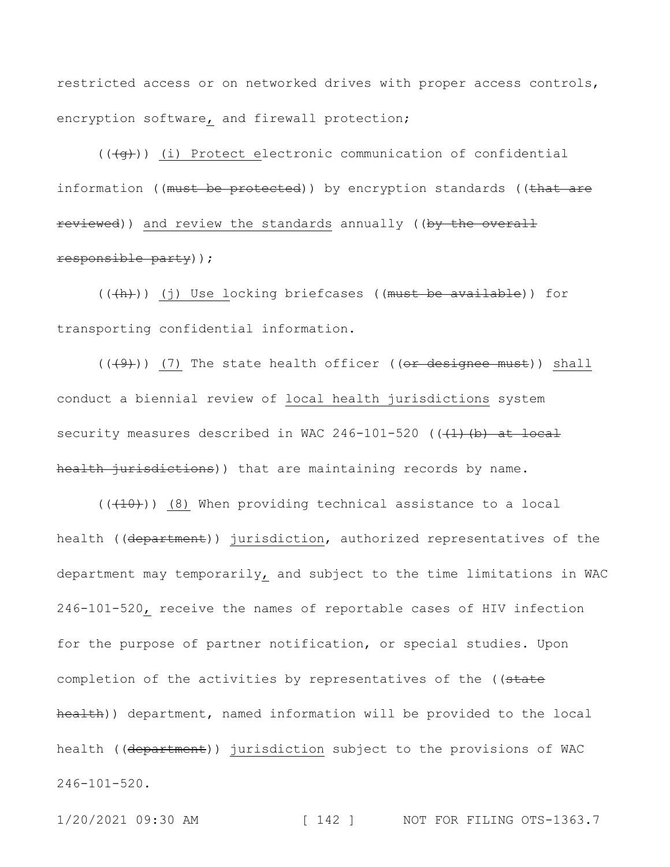restricted access or on networked drives with proper access controls, encryption software, and firewall protection;

 $((\overline{g}))$  (i) Protect electronic communication of confidential information ((must be protected)) by encryption standards ((that are reviewed)) and review the standards annually ((by the overall responsible party));

(((h))) (j) Use locking briefcases ((must be available)) for transporting confidential information.

 $((+9)$ ) (7) The state health officer (( $-$ designee must)) shall conduct a biennial review of local health jurisdictions system security measures described in WAC 246-101-520 ( $(\frac{1}{1})(b)$  at local health jurisdictions)) that are maintaining records by name.

 $((+10))$  (8) When providing technical assistance to a local health ((department)) jurisdiction, authorized representatives of the department may temporarily, and subject to the time limitations in WAC 246-101-520, receive the names of reportable cases of HIV infection for the purpose of partner notification, or special studies. Upon completion of the activities by representatives of the ((state health)) department, named information will be provided to the local health ((department)) jurisdiction subject to the provisions of WAC 246-101-520.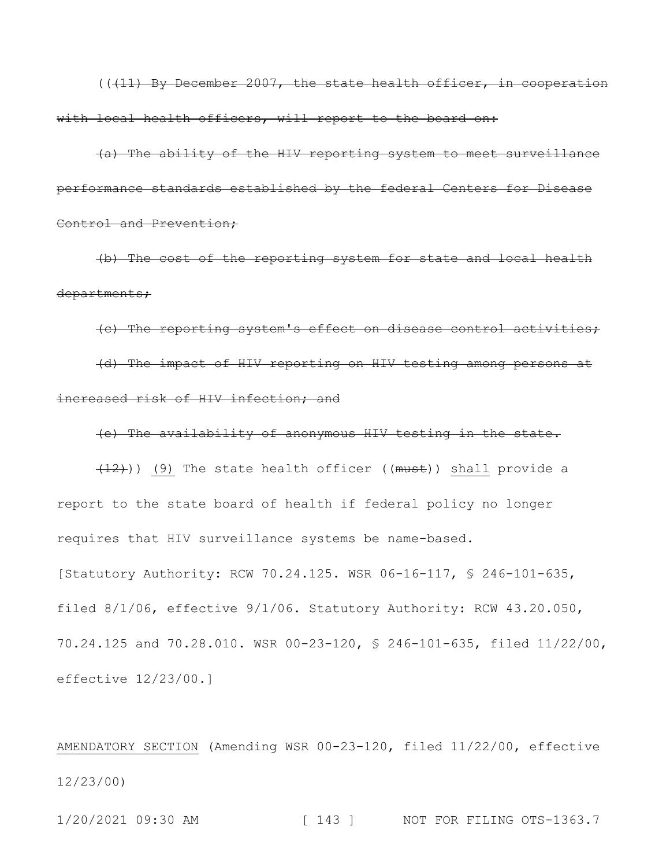$((+11)$  By December 2007, the state health officer, in cooperation with local health officers, will report to the board on:

(a) The ability of the HIV reporting system to meet surveillance performance standards established by the federal Centers for Disease Control and Prevention;

(b) The cost of the reporting system for state and local health departments;

(c) The reporting system's effect on disease control activities; (d) The impact of HIV reporting on HIV testing among persons at increased risk of HIV infection; and

(e) The availability of anonymous HIV testing in the state.

 $(12)$ )) (9) The state health officer ((must)) shall provide a report to the state board of health if federal policy no longer requires that HIV surveillance systems be name-based. [Statutory Authority: RCW 70.24.125. WSR 06-16-117, § 246-101-635, filed 8/1/06, effective 9/1/06. Statutory Authority: RCW 43.20.050, 70.24.125 and 70.28.010. WSR 00-23-120, § 246-101-635, filed 11/22/00, effective 12/23/00.]

AMENDATORY SECTION (Amending WSR 00-23-120, filed 11/22/00, effective 12/23/00)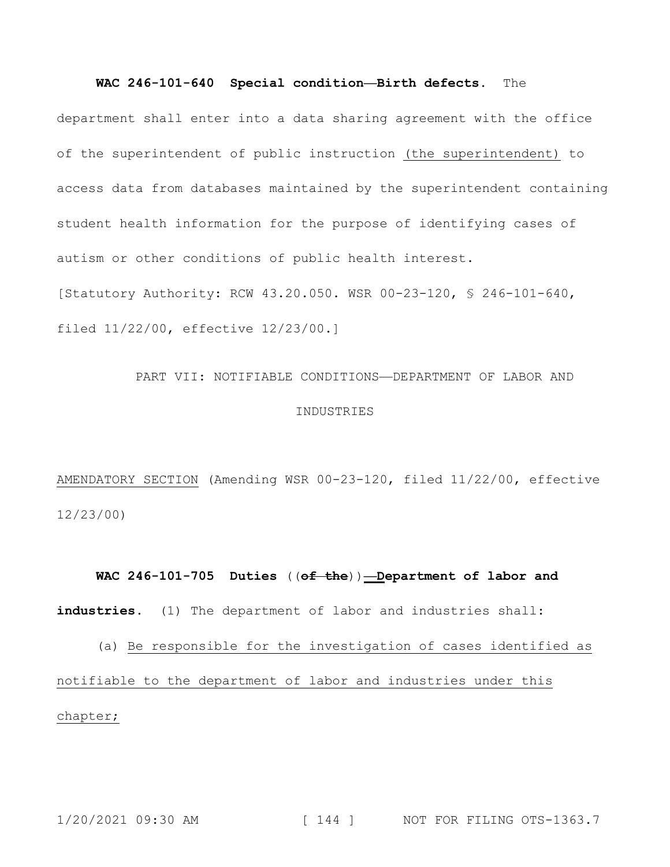#### **WAC 246-101-640 Special condition—Birth defects.** The

department shall enter into a data sharing agreement with the office of the superintendent of public instruction (the superintendent) to access data from databases maintained by the superintendent containing student health information for the purpose of identifying cases of autism or other conditions of public health interest. [Statutory Authority: RCW 43.20.050. WSR 00-23-120, § 246-101-640, filed 11/22/00, effective 12/23/00.]

# PART VII: NOTIFIABLE CONDITIONS—DEPARTMENT OF LABOR AND INDUSTRIES

AMENDATORY SECTION (Amending WSR 00-23-120, filed 11/22/00, effective 12/23/00)

# **WAC 246-101-705 Duties** ((**of the**))**—Department of labor and**  industries. (1) The department of labor and industries shall:

(a) Be responsible for the investigation of cases identified as notifiable to the department of labor and industries under this chapter;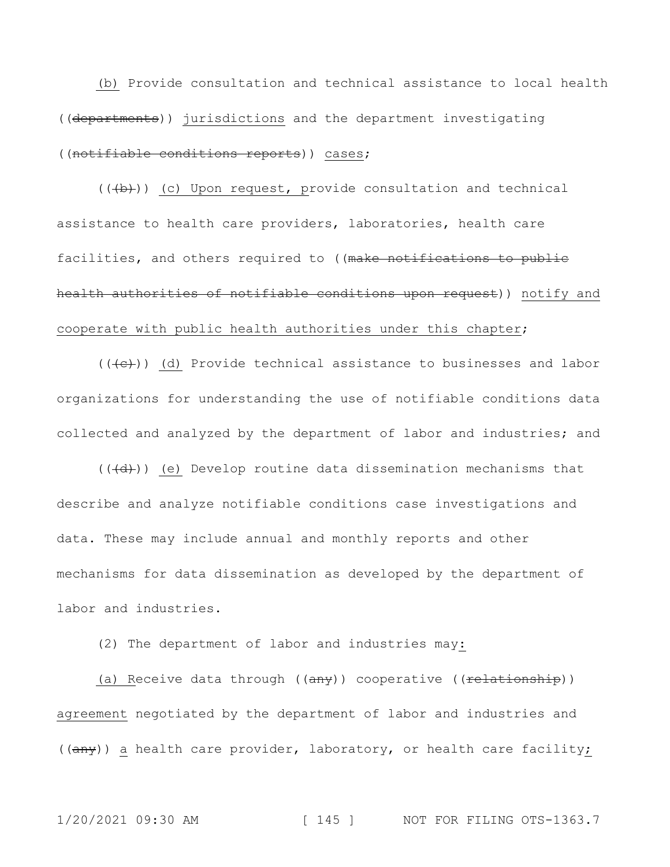(b) Provide consultation and technical assistance to local health ((departments)) jurisdictions and the department investigating ((notifiable conditions reports)) cases;

 $((+b))$  (c) Upon request, provide consultation and technical assistance to health care providers, laboratories, health care facilities, and others required to ((make notifications to public health authorities of notifiable conditions upon request)) notify and cooperate with public health authorities under this chapter;

 $((+e))$  (d) Provide technical assistance to businesses and labor organizations for understanding the use of notifiable conditions data collected and analyzed by the department of labor and industries; and

 $((+d))$  (e) Develop routine data dissemination mechanisms that describe and analyze notifiable conditions case investigations and data. These may include annual and monthly reports and other mechanisms for data dissemination as developed by the department of labor and industries.

(2) The department of labor and industries may:

(a) Receive data through  $((any))$  cooperative  $((\text{relative} n)$ ) agreement negotiated by the department of labor and industries and ((any)) a health care provider, laboratory, or health care facility;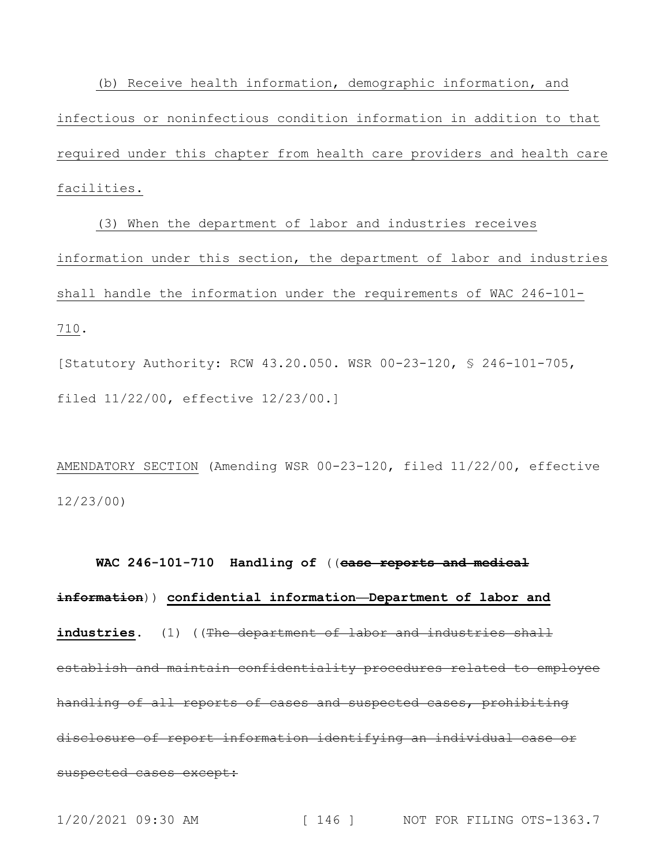(b) Receive health information, demographic information, and infectious or noninfectious condition information in addition to that required under this chapter from health care providers and health care facilities.

(3) When the department of labor and industries receives information under this section, the department of labor and industries shall handle the information under the requirements of WAC 246-101- 710.

[Statutory Authority: RCW 43.20.050. WSR 00-23-120, § 246-101-705, filed 11/22/00, effective 12/23/00.]

AMENDATORY SECTION (Amending WSR 00-23-120, filed 11/22/00, effective 12/23/00)

**WAC 246-101-710 Handling of** ((**case reports and medical information**)) **confidential information—Department of labor and**  industries. (1) ((The department of labor and industries shall establish and maintain confidentiality procedures related to employee handling of all reports of cases and suspected cases, prohibiting disclosure of report information identifying an individual case or suspected cases except: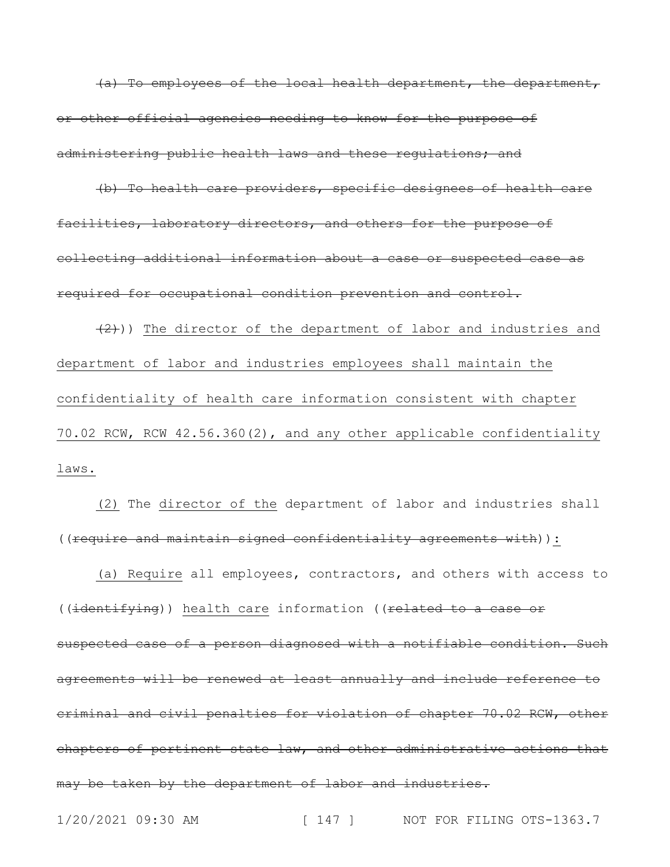(a) To employees of the local health department, the department, or other official agencies needing to know for the purpose of administering public health laws and these regulations; and

(b) To health care providers, specific designees of health care facilities, laboratory directors, and others for the purpose of collecting additional information about a case or suspected case as required for occupational condition prevention and control.

 $(2)$ )) The director of the department of labor and industries and department of labor and industries employees shall maintain the confidentiality of health care information consistent with chapter 70.02 RCW, RCW 42.56.360(2), and any other applicable confidentiality laws.

(2) The director of the department of labor and industries shall ((require and maintain signed confidentiality agreements with)):

(a) Require all employees, contractors, and others with access to ((identifying)) health care information ((related to a case or suspected case of a person diagnosed with a notifiable condition. Such agreements will be renewed at least annually and include reference to criminal and civil penalties for violation of chapter 70.02 RCW, other chapters of pertinent state law, and other administrative actions that may be taken by the department of labor and industries.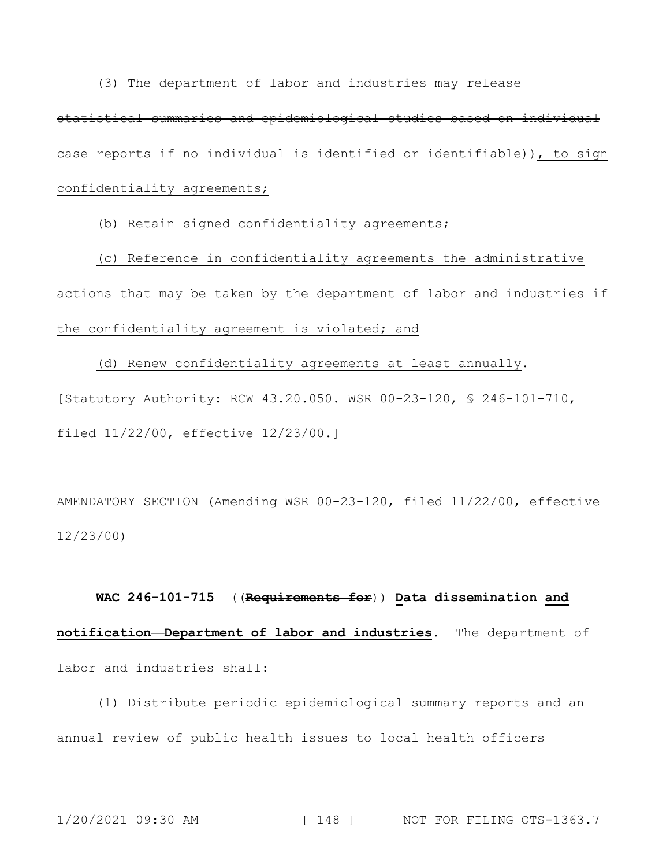(3) The department of labor and industries may release statistical summaries and epidemiological studies based on individual case reports if no individual is identified or identifiable)), to sign confidentiality agreements;

(b) Retain signed confidentiality agreements;

(c) Reference in confidentiality agreements the administrative actions that may be taken by the department of labor and industries if the confidentiality agreement is violated; and

(d) Renew confidentiality agreements at least annually. [Statutory Authority: RCW 43.20.050. WSR 00-23-120, § 246-101-710, filed 11/22/00, effective 12/23/00.]

AMENDATORY SECTION (Amending WSR 00-23-120, filed 11/22/00, effective 12/23/00)

**WAC 246-101-715** ((**Requirements for**)) **Data dissemination and notification—Department of labor and industries.** The department of labor and industries shall:

(1) Distribute periodic epidemiological summary reports and an annual review of public health issues to local health officers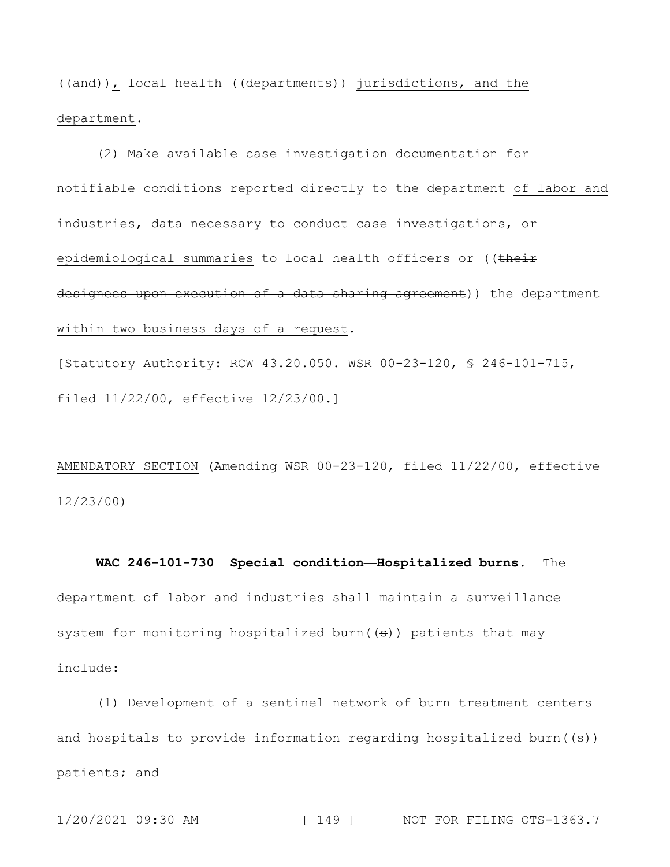((and)), local health ((departments)) jurisdictions, and the department.

(2) Make available case investigation documentation for notifiable conditions reported directly to the department of labor and industries, data necessary to conduct case investigations, or epidemiological summaries to local health officers or ((their designees upon execution of a data sharing agreement)) the department within two business days of a request.

[Statutory Authority: RCW 43.20.050. WSR 00-23-120, § 246-101-715, filed 11/22/00, effective 12/23/00.]

AMENDATORY SECTION (Amending WSR 00-23-120, filed 11/22/00, effective 12/23/00)

**WAC 246-101-730 Special condition—Hospitalized burns.** The department of labor and industries shall maintain a surveillance system for monitoring hospitalized burn( $(\theta)$ ) patients that may include:

(1) Development of a sentinel network of burn treatment centers and hospitals to provide information regarding hospitalized burn $((\theta))$ patients; and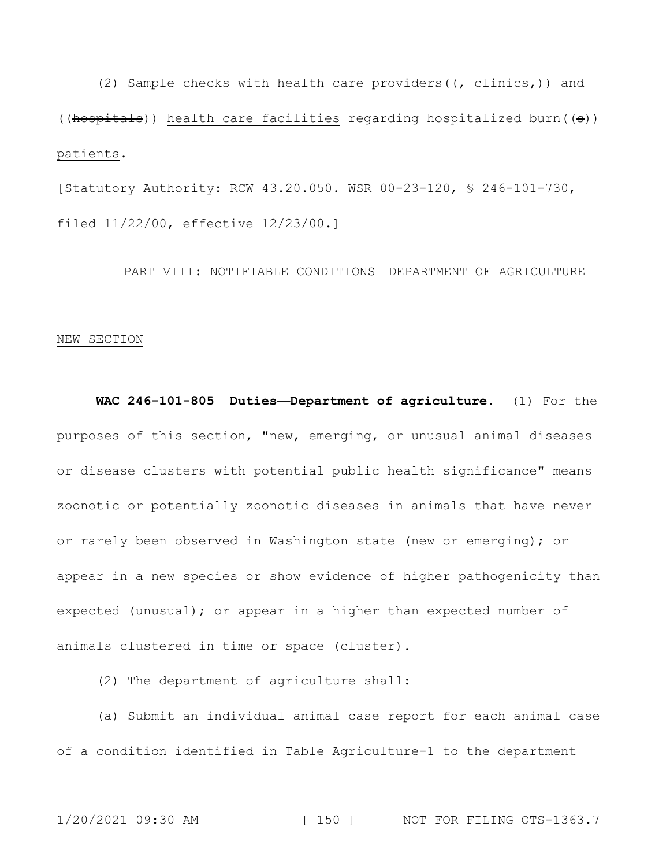(2) Sample checks with health care providers( $(\tau - \text{clinics}_{\tau})$ ) and (( $h$ ospitals)) health care facilities regarding hospitalized burn( $(\theta)$ ) patients.

[Statutory Authority: RCW 43.20.050. WSR 00-23-120, § 246-101-730, filed 11/22/00, effective 12/23/00.]

PART VIII: NOTIFIABLE CONDITIONS—DEPARTMENT OF AGRICULTURE

#### NEW SECTION

**WAC 246-101-805 Duties—Department of agriculture.** (1) For the purposes of this section, "new, emerging, or unusual animal diseases or disease clusters with potential public health significance" means zoonotic or potentially zoonotic diseases in animals that have never or rarely been observed in Washington state (new or emerging); or appear in a new species or show evidence of higher pathogenicity than expected (unusual); or appear in a higher than expected number of animals clustered in time or space (cluster).

(2) The department of agriculture shall:

(a) Submit an individual animal case report for each animal case of a condition identified in Table Agriculture-1 to the department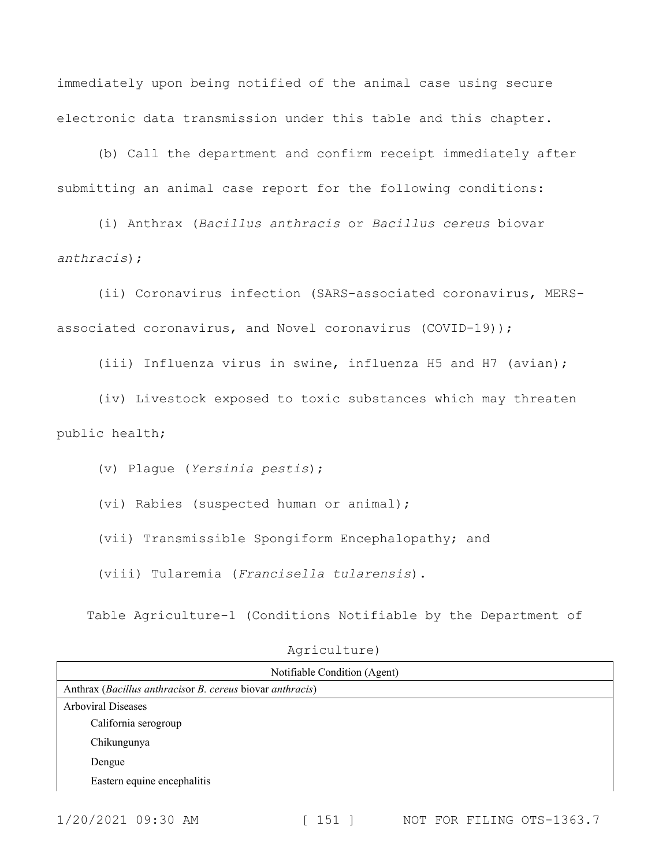immediately upon being notified of the animal case using secure electronic data transmission under this table and this chapter.

(b) Call the department and confirm receipt immediately after submitting an animal case report for the following conditions:

(i) Anthrax (*Bacillus anthracis* or *Bacillus cereus* biovar *anthracis*);

(ii) Coronavirus infection (SARS-associated coronavirus, MERSassociated coronavirus, and Novel coronavirus (COVID-19));

(iii) Influenza virus in swine, influenza H5 and H7 (avian);

(iv) Livestock exposed to toxic substances which may threaten public health;

(v) Plague (*Yersinia pestis*);

(vi) Rabies (suspected human or animal);

(vii) Transmissible Spongiform Encephalopathy; and

(viii) Tularemia (*Francisella tularensis*).

Table Agriculture-1 (Conditions Notifiable by the Department of

| Notifiable Condition (Agent)                              |
|-----------------------------------------------------------|
| Anthrax (Bacillus anthracisor B. cereus biovar anthracis) |
| <b>Arboviral Diseases</b>                                 |
| California serogroup                                      |
| Chikungunya                                               |
| Dengue                                                    |
| Eastern equine encephalitis                               |
|                                                           |

### Agriculture)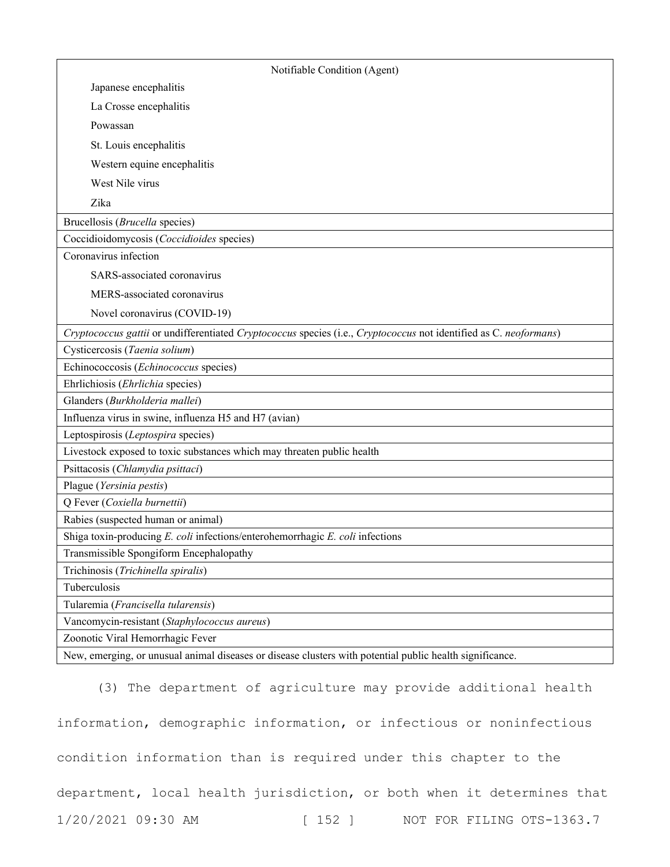| Notifiable Condition (Agent)                                                                                      |  |
|-------------------------------------------------------------------------------------------------------------------|--|
| Japanese encephalitis                                                                                             |  |
| La Crosse encephalitis                                                                                            |  |
| Powassan                                                                                                          |  |
| St. Louis encephalitis                                                                                            |  |
| Western equine encephalitis                                                                                       |  |
| West Nile virus                                                                                                   |  |
| Zika                                                                                                              |  |
| Brucellosis (Brucella species)                                                                                    |  |
| Coccidioidomycosis (Coccidioides species)                                                                         |  |
| Coronavirus infection                                                                                             |  |
| SARS-associated coronavirus                                                                                       |  |
| MERS-associated coronavirus                                                                                       |  |
| Novel coronavirus (COVID-19)                                                                                      |  |
| Cryptococcus gattii or undifferentiated Cryptococcus species (i.e., Cryptococcus not identified as C. neoformans) |  |
| Cysticercosis (Taenia solium)                                                                                     |  |
| Echinococcosis (Echinococcus species)                                                                             |  |
| Ehrlichiosis (Ehrlichia species)                                                                                  |  |
| Glanders (Burkholderia mallei)                                                                                    |  |
| Influenza virus in swine, influenza H5 and H7 (avian)                                                             |  |
| Leptospirosis (Leptospira species)                                                                                |  |
| Livestock exposed to toxic substances which may threaten public health                                            |  |
| Psittacosis (Chlamydia psittaci)                                                                                  |  |
| Plague (Yersinia pestis)                                                                                          |  |
| Q Fever (Coxiella burnettii)                                                                                      |  |
| Rabies (suspected human or animal)                                                                                |  |
| Shiga toxin-producing E. coli infections/enterohemorrhagic E. coli infections                                     |  |
| Transmissible Spongiform Encephalopathy                                                                           |  |
| Trichinosis (Trichinella spiralis)                                                                                |  |
| Tuberculosis                                                                                                      |  |
| Tularemia (Francisella tularensis)                                                                                |  |
| Vancomycin-resistant (Staphylococcus aureus)                                                                      |  |
| Zoonotic Viral Hemorrhagic Fever                                                                                  |  |
| New, emerging, or unusual animal diseases or disease clusters with potential public health significance.          |  |

1/20/2021 09:30 AM [ 152 ] NOT FOR FILING OTS-1363.7 (3) The department of agriculture may provide additional health information, demographic information, or infectious or noninfectious condition information than is required under this chapter to the department, local health jurisdiction, or both when it determines that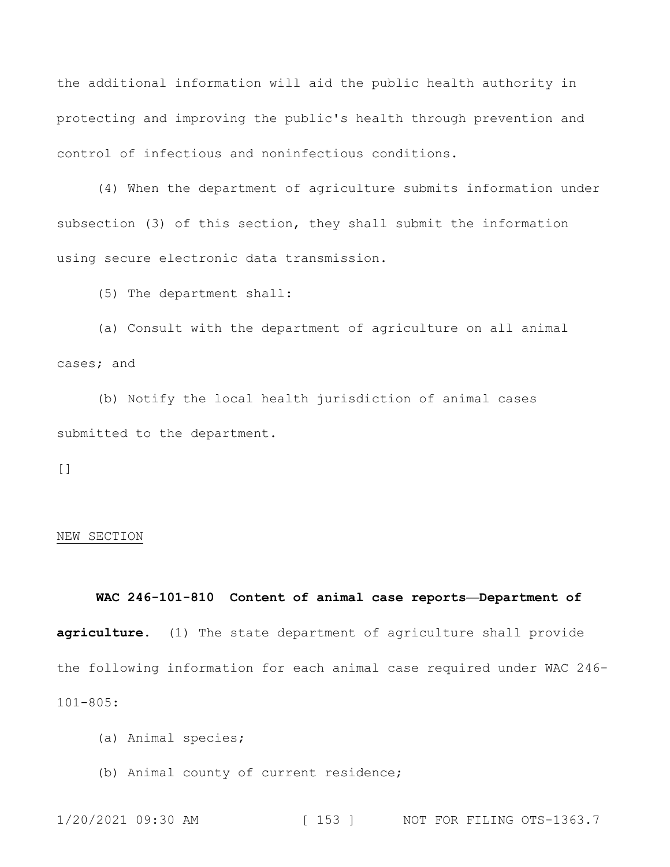the additional information will aid the public health authority in protecting and improving the public's health through prevention and control of infectious and noninfectious conditions.

(4) When the department of agriculture submits information under subsection (3) of this section, they shall submit the information using secure electronic data transmission.

(5) The department shall:

(a) Consult with the department of agriculture on all animal cases; and

(b) Notify the local health jurisdiction of animal cases submitted to the department.

[]

### NEW SECTION

# **WAC 246-101-810 Content of animal case reports—Department of agriculture.** (1) The state department of agriculture shall provide the following information for each animal case required under WAC 246- 101-805:

- (a) Animal species;
- (b) Animal county of current residence;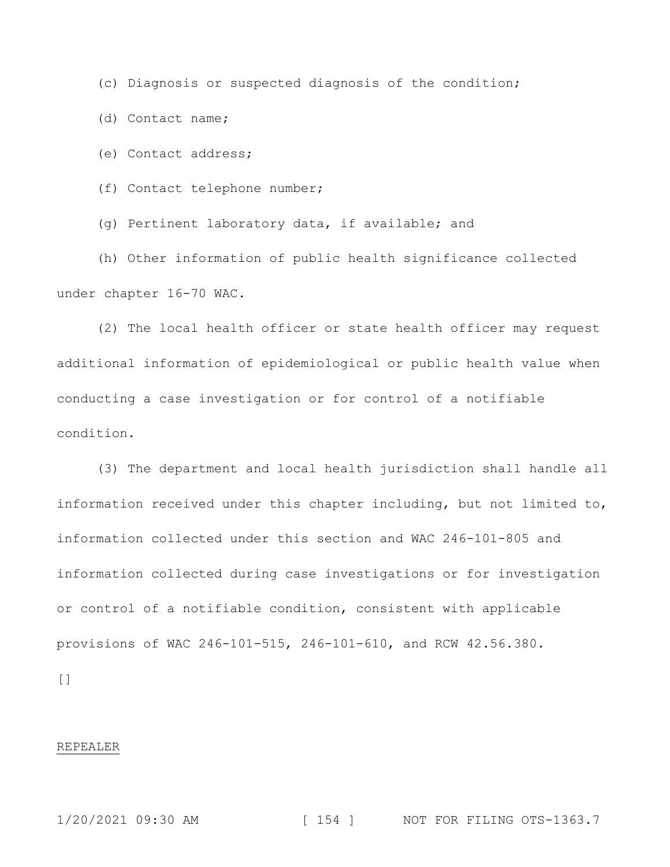(c) Diagnosis or suspected diagnosis of the condition;

(d) Contact name;

(e) Contact address;

(f) Contact telephone number;

(g) Pertinent laboratory data, if available; and

(h) Other information of public health significance collected under chapter 16-70 WAC.

(2) The local health officer or state health officer may request additional information of epidemiological or public health value when conducting a case investigation or for control of a notifiable condition.

(3) The department and local health jurisdiction shall handle all information received under this chapter including, but not limited to, information collected under this section and WAC 246-101-805 and information collected during case investigations or for investigation or control of a notifiable condition, consistent with applicable provisions of WAC 246-101-515, 246-101-610, and RCW 42.56.380.

[]

### REPEALER